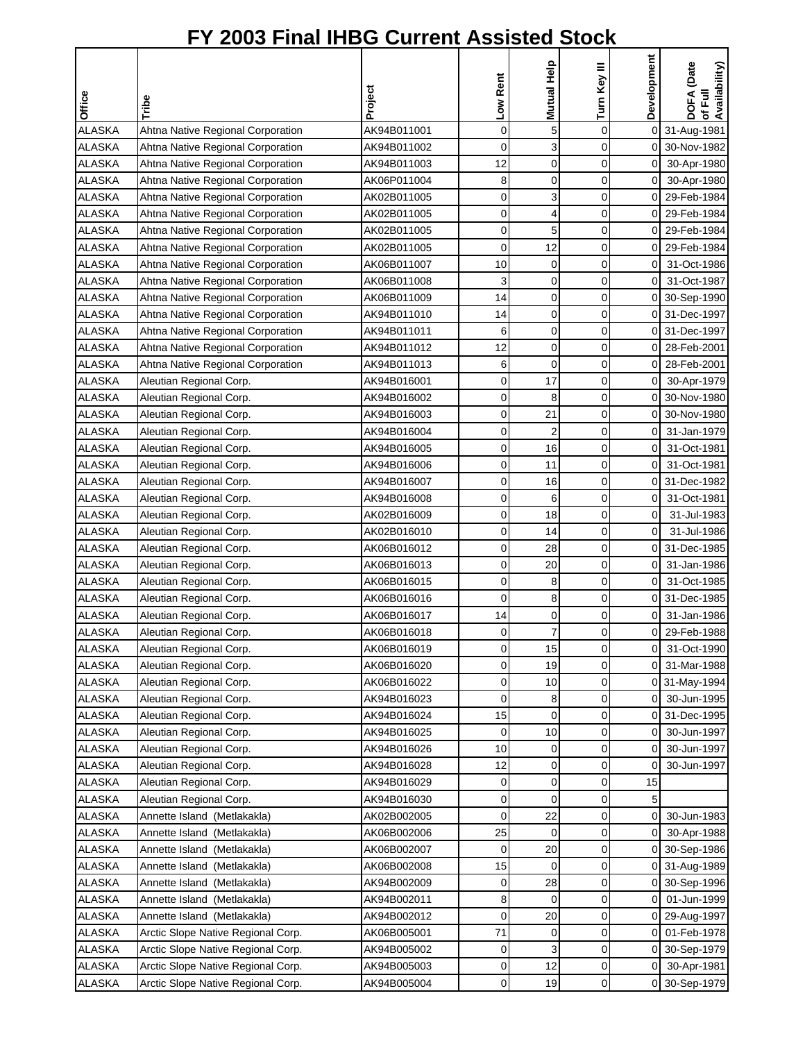| <b>Office</b> | Tribe                              | Project     | Low Rent       | Mutual Help    | Turn Key III | Development    | DOFA (Date<br>of Full<br>Availability) |
|---------------|------------------------------------|-------------|----------------|----------------|--------------|----------------|----------------------------------------|
| <b>ALASKA</b> | Ahtna Native Regional Corporation  | AK94B011001 | $\mathbf 0$    | 5              | 0            |                | 0 31-Aug-1981                          |
| <b>ALASKA</b> | Ahtna Native Regional Corporation  | AK94B011002 | 0              | 3              | 0            |                | 0 30-Nov-1982                          |
| <b>ALASKA</b> | Ahtna Native Regional Corporation  | AK94B011003 | 12             | 0              | 0            | 0              | 30-Apr-1980                            |
| <b>ALASKA</b> | Ahtna Native Regional Corporation  | AK06P011004 | 8              | 0              | 0            | $\overline{0}$ | 30-Apr-1980                            |
| <b>ALASKA</b> | Ahtna Native Regional Corporation  | AK02B011005 | 0              | 3              | 0            | $\overline{0}$ | 29-Feb-1984                            |
| <b>ALASKA</b> | Ahtna Native Regional Corporation  | AK02B011005 | 0              | 4              | 0            | 0              | 29-Feb-1984                            |
| <b>ALASKA</b> | Ahtna Native Regional Corporation  | AK02B011005 | 0              | 5              | 0            | 0              | 29-Feb-1984                            |
| <b>ALASKA</b> | Ahtna Native Regional Corporation  | AK02B011005 | 0              | 12             | 0            | οI             | 29-Feb-1984                            |
| <b>ALASKA</b> | Ahtna Native Regional Corporation  | AK06B011007 | 10             | 0              | 0            | $\overline{0}$ | 31-Oct-1986                            |
| <b>ALASKA</b> | Ahtna Native Regional Corporation  | AK06B011008 | 3              | 0              | 0            | 0              | 31-Oct-1987                            |
| <b>ALASKA</b> | Ahtna Native Regional Corporation  | AK06B011009 | 14             | 0              | 0            |                | 0 30-Sep-1990                          |
| <b>ALASKA</b> | Ahtna Native Regional Corporation  | AK94B011010 | 14             | 0              | 0            |                | 0 31-Dec-1997                          |
| <b>ALASKA</b> | Ahtna Native Regional Corporation  | AK94B011011 | 6              | 0              | 0            |                | 0 31-Dec-1997                          |
| <b>ALASKA</b> | Ahtna Native Regional Corporation  | AK94B011012 | 12             | $\mathbf 0$    | 0            | 0              | 28-Feb-2001                            |
| <b>ALASKA</b> | Ahtna Native Regional Corporation  | AK94B011013 | 6              | 0              | 0            | 0              | 28-Feb-2001                            |
| <b>ALASKA</b> | Aleutian Regional Corp.            | AK94B016001 | 0              | 17             | 0            | 0              | 30-Apr-1979                            |
| <b>ALASKA</b> | Aleutian Regional Corp.            | AK94B016002 | 0              | 8              | 0            |                | 0 30-Nov-1980                          |
| <b>ALASKA</b> | Aleutian Regional Corp.            | AK94B016003 | 0              | 21             | 0            |                | 0 30-Nov-1980                          |
| <b>ALASKA</b> | Aleutian Regional Corp.            | AK94B016004 | 0              | $\overline{2}$ | 0            | 01             | 31-Jan-1979                            |
| <b>ALASKA</b> | Aleutian Regional Corp.            | AK94B016005 | 0              | 16             | 0            | 01             | 31-Oct-1981                            |
| <b>ALASKA</b> | Aleutian Regional Corp.            | AK94B016006 | 0              | 11             | 0            | $\overline{0}$ | 31-Oct-1981                            |
| <b>ALASKA</b> | Aleutian Regional Corp.            | AK94B016007 | 0              | 16             | 0            | 0              | 31-Dec-1982                            |
| <b>ALASKA</b> | Aleutian Regional Corp.            | AK94B016008 | 0              | 6              | 0            | 0              | 31-Oct-1981                            |
| <b>ALASKA</b> | Aleutian Regional Corp.            | AK02B016009 | 0              | 18             | 0            | $\overline{0}$ | 31-Jul-1983                            |
| <b>ALASKA</b> | Aleutian Regional Corp.            | AK02B016010 | 0              | 14             | 0            | $\overline{O}$ | 31-Jul-1986                            |
| <b>ALASKA</b> | Aleutian Regional Corp.            | AK06B016012 | 0              | 28             | 0            |                | 0 31-Dec-1985                          |
| <b>ALASKA</b> | Aleutian Regional Corp.            | AK06B016013 | 0              | 20             | 0            | 0              | 31-Jan-1986                            |
| <b>ALASKA</b> | Aleutian Regional Corp.            | AK06B016015 | 0              | 8              | 0            | 0              | 31-Oct-1985                            |
| <b>ALASKA</b> | Aleutian Regional Corp.            | AK06B016016 | 0              | 8              | 0            | 0              | 31-Dec-1985                            |
| <b>ALASKA</b> | Aleutian Regional Corp.            | AK06B016017 | 14             | 0              | 0            | 0              | 31-Jan-1986                            |
| <b>ALASKA</b> | Aleutian Regional Corp.            | AK06B016018 | $\overline{0}$ | $\overline{7}$ | $\Omega$     | 01             | 29-Feb-1988                            |
| <b>ALASKA</b> | Aleutian Regional Corp.            | AK06B016019 | 0              | 15             | 0            | οI             | 31-Oct-1990                            |
| <b>ALASKA</b> | Aleutian Regional Corp.            | AK06B016020 | 0              | 19             | 0            | 01             | 31-Mar-1988                            |
| <b>ALASKA</b> | Aleutian Regional Corp.            | AK06B016022 | 0              | 10             | 0            |                | 0 31-May-1994                          |
| <b>ALASKA</b> | Aleutian Regional Corp.            | AK94B016023 | 0              | 8              | 0            | οı             | 30-Jun-1995                            |
| <b>ALASKA</b> | Aleutian Regional Corp.            | AK94B016024 | 15             | $\mathbf 0$    | 0            |                | 0 31-Dec-1995                          |
| ALASKA        | Aleutian Regional Corp.            | AK94B016025 | 0              | 10             | 0            | 0              | 30-Jun-1997                            |
| ALASKA        | Aleutian Regional Corp.            | AK94B016026 | 10             | 0              | 0            | 0              | 30-Jun-1997                            |
| ALASKA        | Aleutian Regional Corp.            | AK94B016028 | 12             | 0              | 0            | 0              | 30-Jun-1997                            |
| ALASKA        | Aleutian Regional Corp.            | AK94B016029 | 0              | 0              | 0            | 15             |                                        |
| <b>ALASKA</b> | Aleutian Regional Corp.            | AK94B016030 | 0              | 0              | 0            | 5              |                                        |
| <b>ALASKA</b> | Annette Island (Metlakakla)        | AK02B002005 | 0              | 22             | 0            | 01             | 30-Jun-1983                            |
| <b>ALASKA</b> | Annette Island (Metlakakla)        | AK06B002006 | 25             | 0              | 0            | 01             | 30-Apr-1988                            |
| <b>ALASKA</b> | Annette Island (Metlakakla)        | AK06B002007 | 0              | 20             | 0            |                | 0 30-Sep-1986                          |
| <b>ALASKA</b> | Annette Island (Metlakakla)        | AK06B002008 | 15             | $\mathbf 0$    | 0            |                | 0 31-Aug-1989                          |
| <b>ALASKA</b> | Annette Island (Metlakakla)        | AK94B002009 | 0              | 28             | 0            |                | 0 30-Sep-1996                          |
| ALASKA        | Annette Island (Metlakakla)        | AK94B002011 | 8              | 0              | 0            | 01             | 01-Jun-1999                            |
| <b>ALASKA</b> | Annette Island (Metlakakla)        | AK94B002012 | 0              | 20             | 0            |                | 0 29-Aug-1997                          |
| <b>ALASKA</b> | Arctic Slope Native Regional Corp. | AK06B005001 | 71             | 0              | 0            | 01             | 01-Feb-1978                            |
| <b>ALASKA</b> | Arctic Slope Native Regional Corp. | AK94B005002 | 0              | 3              | 0            |                | 0 30-Sep-1979                          |
| <b>ALASKA</b> | Arctic Slope Native Regional Corp. | AK94B005003 | 0              | 12             | 0            | 01             | 30-Apr-1981                            |
| ALASKA        | Arctic Slope Native Regional Corp. | AK94B005004 | 0              | 19             | 0            |                | 0 30-Sep-1979                          |
|               |                                    |             |                |                |              |                |                                        |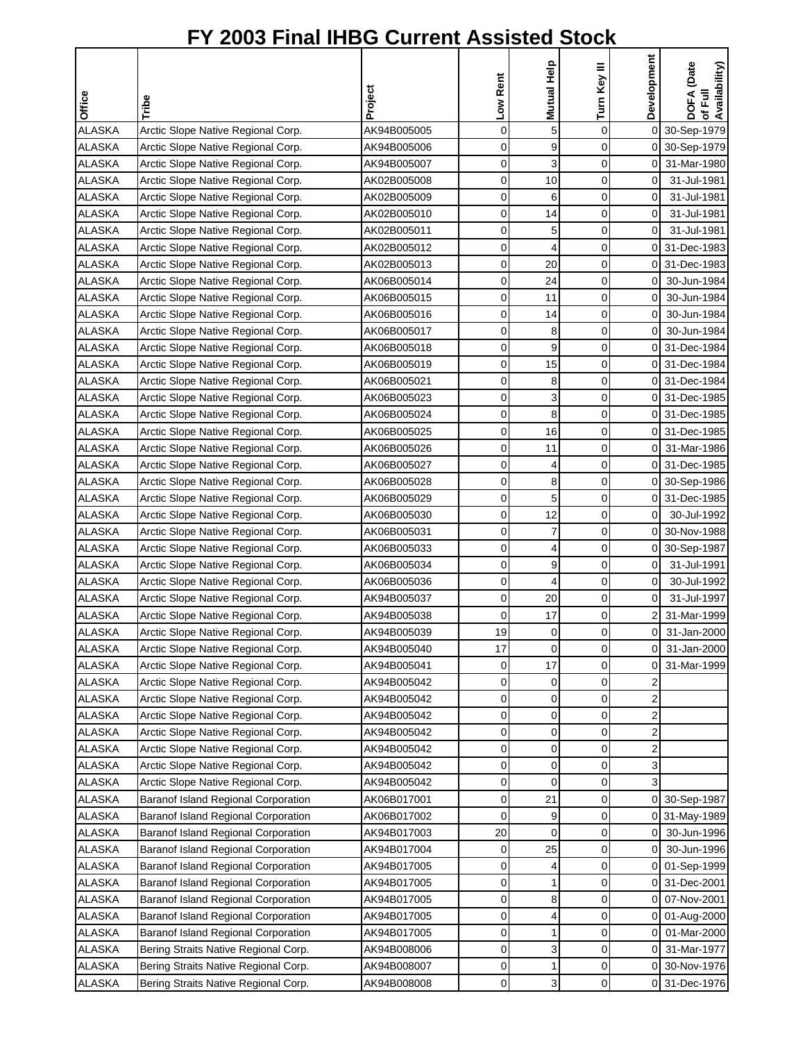| Office                  | Tribe                                                                        | Project                    | Low Rent    | Mutual Help    | Turn Key III | Development    | DOFA (Date<br>of Full<br>Availability) |
|-------------------------|------------------------------------------------------------------------------|----------------------------|-------------|----------------|--------------|----------------|----------------------------------------|
| <b>ALASKA</b>           | Arctic Slope Native Regional Corp.                                           | AK94B005005                | $\mathbf 0$ | 5              | 0            |                | 0 30-Sep-1979                          |
| <b>ALASKA</b>           | Arctic Slope Native Regional Corp.                                           | AK94B005006                | 0           | 9              | 0            |                | 0 30-Sep-1979                          |
| <b>ALASKA</b>           | Arctic Slope Native Regional Corp.                                           | AK94B005007                | $\mathbf 0$ | 3              | $\mathbf 0$  | $\overline{O}$ | 31-Mar-1980                            |
| <b>ALASKA</b>           | Arctic Slope Native Regional Corp.                                           | AK02B005008                | $\mathbf 0$ | 10             | $\mathbf 0$  | 0              | 31-Jul-1981                            |
| <b>ALASKA</b>           | Arctic Slope Native Regional Corp.                                           | AK02B005009                | 0           | 6              | 0            | $\mathbf 0$    | 31-Jul-1981                            |
| <b>ALASKA</b>           | Arctic Slope Native Regional Corp.                                           | AK02B005010                | 0           | 14             | 0            | $\overline{0}$ | 31-Jul-1981                            |
| <b>ALASKA</b>           | Arctic Slope Native Regional Corp.                                           | AK02B005011                | 0           | 5              | 0            | $\overline{0}$ | 31-Jul-1981                            |
| <b>ALASKA</b>           | Arctic Slope Native Regional Corp.                                           | AK02B005012                | $\mathbf 0$ | 4              | 0            |                | 0 31-Dec-1983                          |
| <b>ALASKA</b>           | Arctic Slope Native Regional Corp.                                           | AK02B005013                | 0           | 20             | 0            |                | 0 31-Dec-1983                          |
| <b>ALASKA</b>           | Arctic Slope Native Regional Corp.                                           | AK06B005014                | 0           | 24             | $\mathbf 0$  | οI             | 30-Jun-1984                            |
| <b>ALASKA</b>           | Arctic Slope Native Regional Corp.                                           | AK06B005015                | 0           | 11             | 0            | 01             | 30-Jun-1984                            |
| <b>ALASKA</b>           | Arctic Slope Native Regional Corp.                                           | AK06B005016                | 0           | 14             | $\mathbf 0$  | $\overline{0}$ | 30-Jun-1984                            |
| <b>ALASKA</b>           | Arctic Slope Native Regional Corp.                                           | AK06B005017                | 0           | 8              | 0            | $\overline{0}$ | 30-Jun-1984                            |
| <b>ALASKA</b>           | Arctic Slope Native Regional Corp.                                           | AK06B005018                | 0           | 9              | 0            |                | 0 31-Dec-1984                          |
| <b>ALASKA</b>           | Arctic Slope Native Regional Corp.                                           | AK06B005019                | 0           | 15             | 0            |                | 0 31-Dec-1984                          |
| <b>ALASKA</b>           | Arctic Slope Native Regional Corp.                                           | AK06B005021                | $\mathbf 0$ | 8              | 0            |                | 0 31-Dec-1984                          |
| <b>ALASKA</b>           | Arctic Slope Native Regional Corp.                                           | AK06B005023                | 0           | 3              | 0            |                | 0 31-Dec-1985                          |
| <b>ALASKA</b>           | Arctic Slope Native Regional Corp.                                           | AK06B005024                | 0           | 8              | 0            |                | 0 31-Dec-1985                          |
| <b>ALASKA</b>           | Arctic Slope Native Regional Corp.                                           | AK06B005025                | 0           | 16             | 0            |                | 0 31-Dec-1985                          |
| <b>ALASKA</b>           | Arctic Slope Native Regional Corp.                                           | AK06B005026                | $\mathbf 0$ | 11             | 0            |                | 0 31-Mar-1986                          |
| <b>ALASKA</b>           | Arctic Slope Native Regional Corp.                                           | AK06B005027                | 0           | 4              | 0            |                | 0 31-Dec-1985                          |
| <b>ALASKA</b>           | Arctic Slope Native Regional Corp.                                           | AK06B005028                | 0           | 8              | 0            |                | 0 30-Sep-1986                          |
| <b>ALASKA</b>           | Arctic Slope Native Regional Corp.                                           | AK06B005029                | 0           | 5              | 0            |                | 0 31-Dec-1985                          |
| <b>ALASKA</b>           | Arctic Slope Native Regional Corp.                                           | AK06B005030                | 0           | 12             | 0            | $\overline{0}$ | 30-Jul-1992                            |
| <b>ALASKA</b>           | Arctic Slope Native Regional Corp.                                           | AK06B005031                | 0           | 7              | 0            | οI             | 30-Nov-1988                            |
| <b>ALASKA</b>           | Arctic Slope Native Regional Corp.                                           | AK06B005033                | 0           | 4              | 0            |                | 0 30-Sep-1987                          |
| <b>ALASKA</b>           | Arctic Slope Native Regional Corp.                                           | AK06B005034                | 0           | 9              | $\mathbf 0$  | $\overline{0}$ | 31-Jul-1991                            |
| <b>ALASKA</b>           | Arctic Slope Native Regional Corp.                                           | AK06B005036                | 0           | $\overline{4}$ | 0            | 0              | 30-Jul-1992                            |
| <b>ALASKA</b>           | Arctic Slope Native Regional Corp.                                           | AK94B005037                | 0           | 20             | $\mathbf 0$  | $\mathbf 0$    | 31-Jul-1997                            |
| <b>ALASKA</b>           | Arctic Slope Native Regional Corp.                                           | AK94B005038                | 0           | 17             | 0            |                | 31-Mar-1999                            |
| <b>ALASKA</b>           | Arctic Slope Native Regional Corp.                                           | AK94B005039                | 19          | $\Omega$       | $\Omega$     | οI             | 31-Jan-2000                            |
| <b>ALASKA</b>           | Arctic Slope Native Regional Corp.                                           | AK94B005040                | 17          | 0              | 0            | $\overline{0}$ | 31-Jan-2000                            |
| <b>ALASKA</b>           | Arctic Slope Native Regional Corp.                                           | AK94B005041                | 0           | 17             | 0            | ΟI             | 31-Mar-1999                            |
| <b>ALASKA</b>           | Arctic Slope Native Regional Corp.                                           | AK94B005042                | 0           | 0              | 0            | 2              |                                        |
| <b>ALASKA</b>           | Arctic Slope Native Regional Corp.                                           | AK94B005042                | 0           | 0              | 0            | 2              |                                        |
| <b>ALASKA</b>           | Arctic Slope Native Regional Corp.                                           | AK94B005042                | 0           | 0              | 0            | 2              |                                        |
| <b>ALASKA</b>           | Arctic Slope Native Regional Corp.                                           | AK94B005042                | 0           | 0              | 0            | 2              |                                        |
| ALASKA                  | Arctic Slope Native Regional Corp.                                           | AK94B005042                | 0           | 0              | 0            | 2              |                                        |
| ALASKA                  | Arctic Slope Native Regional Corp.                                           | AK94B005042                | 0           | 0              | 0            | 3              |                                        |
| ALASKA                  | Arctic Slope Native Regional Corp.                                           | AK94B005042                | 0           | 0              | 0            | 3              |                                        |
| ALASKA                  | Baranof Island Regional Corporation                                          | AK06B017001                | 0           | 21             | 0            |                | 0 30-Sep-1987                          |
| <b>ALASKA</b>           | Baranof Island Regional Corporation                                          | AK06B017002                | 0           | 9              | 0            |                | 0 31-May-1989                          |
| <b>ALASKA</b>           | Baranof Island Regional Corporation                                          | AK94B017003                | 20          | 0              | 0            |                | 0 30-Jun-1996                          |
| <b>ALASKA</b>           | Baranof Island Regional Corporation                                          | AK94B017004                | 0           | 25             | 0            | 01             | 30-Jun-1996                            |
| <b>ALASKA</b>           | Baranof Island Regional Corporation                                          | AK94B017005                | 0           | 4              | 0            |                | 0 01-Sep-1999                          |
| ALASKA                  |                                                                              | AK94B017005                | 0           | 1              | 0            |                | 0 31-Dec-2001                          |
|                         | Baranof Island Regional Corporation                                          |                            |             |                |              |                |                                        |
| ALASKA<br><b>ALASKA</b> | Baranof Island Regional Corporation<br>Baranof Island Regional Corporation   | AK94B017005<br>AK94B017005 | 0<br>0      | 8<br>4         | 0<br>0       | 0              | 0 07-Nov-2001<br>01-Aug-2000           |
| ALASKA                  | Baranof Island Regional Corporation                                          | AK94B017005                | $\mathbf 0$ | 1              | 0            | 01             | 01-Mar-2000                            |
| ALASKA                  |                                                                              | AK94B008006                | 0           | 3              | 0            | 01             | 31-Mar-1977                            |
| <b>ALASKA</b>           | Bering Straits Native Regional Corp.<br>Bering Straits Native Regional Corp. | AK94B008007                | 0           |                | 0            |                | 0 30-Nov-1976                          |
| ALASKA                  | Bering Straits Native Regional Corp.                                         | AK94B008008                | $\pmb{0}$   | 3              | 0            |                | 0 31-Dec-1976                          |
|                         |                                                                              |                            |             |                |              |                |                                        |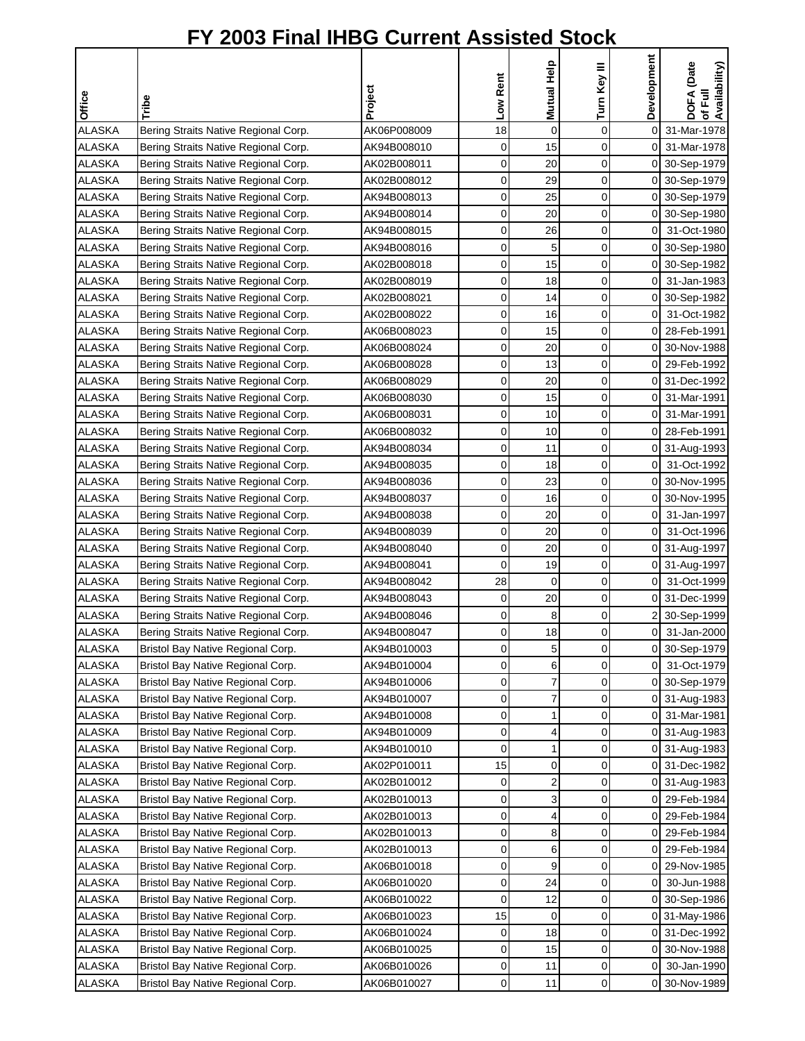| <b>Office</b> | Tribe                                | Project     | Low Rent | Mutual Help | Turn Key III | Development    | DOFA (Date<br>of Full<br>Availability) |
|---------------|--------------------------------------|-------------|----------|-------------|--------------|----------------|----------------------------------------|
|               |                                      |             |          |             |              |                |                                        |
| <b>ALASKA</b> | Bering Straits Native Regional Corp. | AK06P008009 | 18       | $\mathbf 0$ | 0            | $\mathsf{O}$   | 31-Mar-1978                            |
| <b>ALASKA</b> | Bering Straits Native Regional Corp. | AK94B008010 | 0        | 15          | 0            |                | 0 31-Mar-1978                          |
| <b>ALASKA</b> | Bering Straits Native Regional Corp. | AK02B008011 | 0        | 20          | 0            |                | 0 30-Sep-1979                          |
| <b>ALASKA</b> | Bering Straits Native Regional Corp. | AK02B008012 | 0        | 29          | 0            |                | 0 30-Sep-1979                          |
| <b>ALASKA</b> | Bering Straits Native Regional Corp. | AK94B008013 | 0        | 25          | 0            |                | 0 30-Sep-1979                          |
| <b>ALASKA</b> | Bering Straits Native Regional Corp. | AK94B008014 | 0        | 20          | 0            | 0              | 30-Sep-1980                            |
| <b>ALASKA</b> | Bering Straits Native Regional Corp. | AK94B008015 | 0        | 26          | 0            | 01             | 31-Oct-1980                            |
| <b>ALASKA</b> | Bering Straits Native Regional Corp. | AK94B008016 | 0        | 5           | 0            |                | 0 30-Sep-1980                          |
| <b>ALASKA</b> | Bering Straits Native Regional Corp. | AK02B008018 | 0        | 15          | 0            |                | 0 30-Sep-1982                          |
| <b>ALASKA</b> | Bering Straits Native Regional Corp. | AK02B008019 | 0        | 18          | 0            | οı             | 31-Jan-1983                            |
| <b>ALASKA</b> | Bering Straits Native Regional Corp. | AK02B008021 | 0        | 14          | 0            |                | 0 30-Sep-1982                          |
| <b>ALASKA</b> | Bering Straits Native Regional Corp. | AK02B008022 | 0        | 16          | 0            | 01             | 31-Oct-1982                            |
| <b>ALASKA</b> | Bering Straits Native Regional Corp. | AK06B008023 | 0        | 15          | 0            | 01             | 28-Feb-1991                            |
| <b>ALASKA</b> | Bering Straits Native Regional Corp. | AK06B008024 | 0        | 20          | 0            | 0              | 30-Nov-1988                            |
| <b>ALASKA</b> | Bering Straits Native Regional Corp. | AK06B008028 | 0        | 13          | 0            |                | 0 29-Feb-1992                          |
| <b>ALASKA</b> | Bering Straits Native Regional Corp. | AK06B008029 | 0        | 20          | 0            |                | 0 31-Dec-1992                          |
| <b>ALASKA</b> | Bering Straits Native Regional Corp. | AK06B008030 | 0        | 15          | 0            | $\overline{0}$ | 31-Mar-1991                            |
| <b>ALASKA</b> | Bering Straits Native Regional Corp. | AK06B008031 | 0        | 10          | 0            |                | 0 31-Mar-1991                          |
| <b>ALASKA</b> | Bering Straits Native Regional Corp. | AK06B008032 | 0        | 10          | 0            |                | 0 28-Feb-1991                          |
| <b>ALASKA</b> | Bering Straits Native Regional Corp. | AK94B008034 | 0        | 11          | 0            |                | 0 31-Aug-1993                          |
| <b>ALASKA</b> | Bering Straits Native Regional Corp. | AK94B008035 | 0        | 18          | 0            | 01             | 31-Oct-1992                            |
| <b>ALASKA</b> | Bering Straits Native Regional Corp. | AK94B008036 | 0        | 23          | 0            | 0              | 30-Nov-1995                            |
| <b>ALASKA</b> | Bering Straits Native Regional Corp. | AK94B008037 | 0        | 16          | 0            |                | 0 30-Nov-1995                          |
| <b>ALASKA</b> | Bering Straits Native Regional Corp. | AK94B008038 | 0        | 20          | 0            | 01             | 31-Jan-1997                            |
| <b>ALASKA</b> | Bering Straits Native Regional Corp. | AK94B008039 | 0        | 20          | 0            | 01             | 31-Oct-1996                            |
| <b>ALASKA</b> | Bering Straits Native Regional Corp. | AK94B008040 | 0        | 20          | 0            |                | 0 31-Aug-1997                          |
| <b>ALASKA</b> | Bering Straits Native Regional Corp. | AK94B008041 | 0        | 19          | 0            |                | 0 31-Aug-1997                          |
| <b>ALASKA</b> | Bering Straits Native Regional Corp. | AK94B008042 | 28       | $\mathbf 0$ | 0            | 0              | 31-Oct-1999                            |
| <b>ALASKA</b> | Bering Straits Native Regional Corp. | AK94B008043 | 0        | 20          | 0            | 0              | 31-Dec-1999                            |
| <b>ALASKA</b> | Bering Straits Native Regional Corp. | AK94B008046 | 0        | 8           | 0            | 2              | 30-Sep-1999                            |
| <b>ALASKA</b> | Bering Straits Native Regional Corp. | AK94B008047 | $\Omega$ | 18          | $\Omega$     | 01             | 31-Jan-2000                            |
| <b>ALASKA</b> | Bristol Bay Native Regional Corp.    | AK94B010003 | 0        | 5           | 0            | 01             | 30-Sep-1979                            |
| <b>ALASKA</b> | Bristol Bay Native Regional Corp.    | AK94B010004 | 0        | 6           | 0            | 0              | 31-Oct-1979                            |
| <b>ALASKA</b> | Bristol Bay Native Regional Corp.    | AK94B010006 | 0        | 7           | 0            | 01             | 30-Sep-1979                            |
| <b>ALASKA</b> | Bristol Bay Native Regional Corp.    | AK94B010007 | 0        | 7           | 0            |                | 0 31-Aug-1983                          |
| <b>ALASKA</b> | Bristol Bay Native Regional Corp.    | AK94B010008 | 0        | 1           | 0            | 01             | 31-Mar-1981                            |
| <b>ALASKA</b> | Bristol Bay Native Regional Corp.    | AK94B010009 | 0        | 4           | 0            |                | 0 31-Aug-1983                          |
| ALASKA        | Bristol Bay Native Regional Corp.    | AK94B010010 | 0        | 1           | 0            |                | 0 31-Aug-1983                          |
| ALASKA        | Bristol Bay Native Regional Corp.    | AK02P010011 | 15       | 0           | 0            | 0              | 31-Dec-1982                            |
| <b>ALASKA</b> | Bristol Bay Native Regional Corp.    | AK02B010012 | 0        | 2           | 0            | 0              | 31-Aug-1983                            |
| <b>ALASKA</b> | Bristol Bay Native Regional Corp.    | AK02B010013 | 0        | 3           | 0            | 01             | 29-Feb-1984                            |
| <b>ALASKA</b> | Bristol Bay Native Regional Corp.    | AK02B010013 | 0        | 4           | 0            | 01             | 29-Feb-1984                            |
| <b>ALASKA</b> | Bristol Bay Native Regional Corp.    | AK02B010013 | 0        | 8           | 0            | 01             | 29-Feb-1984                            |
| <b>ALASKA</b> | Bristol Bay Native Regional Corp.    | AK02B010013 | 0        | 6           | 0            |                | 0 29-Feb-1984                          |
| <b>ALASKA</b> | Bristol Bay Native Regional Corp.    | AK06B010018 | 0        | 9           | 0            |                | 0 29-Nov-1985                          |
| ALASKA        | Bristol Bay Native Regional Corp.    | AK06B010020 | 0        | 24          | 0            | 0              | 30-Jun-1988                            |
| ALASKA        | Bristol Bay Native Regional Corp.    | AK06B010022 | 0        | 12          | 0            | 0              | 30-Sep-1986                            |
| <b>ALASKA</b> | Bristol Bay Native Regional Corp.    | AK06B010023 | 15       | 0           | 0            | 0              | 31-May-1986                            |
| <b>ALASKA</b> | Bristol Bay Native Regional Corp.    | AK06B010024 | 0        | 18          | 0            | 0              | 31-Dec-1992                            |
| <b>ALASKA</b> | Bristol Bay Native Regional Corp.    | AK06B010025 | 0        | 15          | 0            | 01             | 30-Nov-1988                            |
| <b>ALASKA</b> | Bristol Bay Native Regional Corp.    | AK06B010026 | 0        | 11          | 0            | 0              | 30-Jan-1990                            |
| ALASKA        | Bristol Bay Native Regional Corp.    | AK06B010027 | 0        | 11          | 0            |                | 0 30-Nov-1989                          |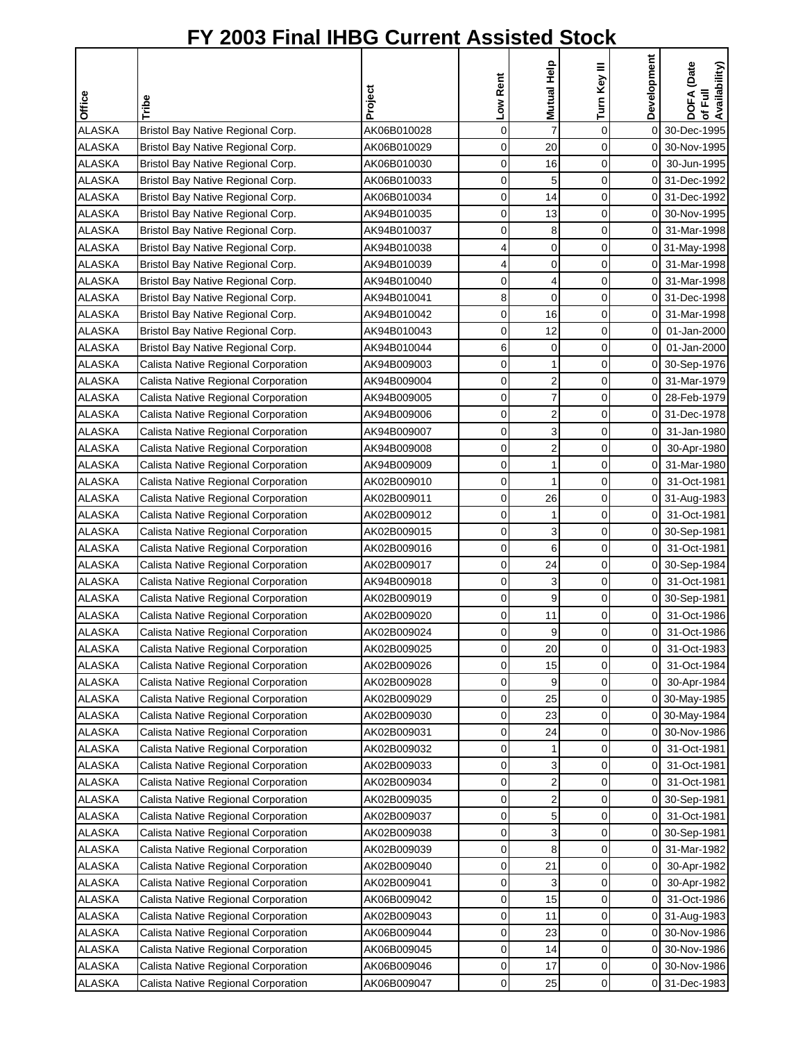|               |                                     |             | Low Rent    | Mutual Help             | Turn Key III | Development    | DOFA (Date<br>of Full<br>Availability) |
|---------------|-------------------------------------|-------------|-------------|-------------------------|--------------|----------------|----------------------------------------|
| Office        | Tribe                               | Project     |             |                         |              |                |                                        |
| <b>ALASKA</b> | Bristol Bay Native Regional Corp.   | AK06B010028 | 0           | $\overline{7}$          | 0            | οI             | 30-Dec-1995                            |
| <b>ALASKA</b> | Bristol Bay Native Regional Corp.   | AK06B010029 | 0           | 20                      | 0            |                | 0 30-Nov-1995                          |
| <b>ALASKA</b> | Bristol Bay Native Regional Corp.   | AK06B010030 | $\mathbf 0$ | 16                      | 0            | $\overline{0}$ | 30-Jun-1995                            |
| <b>ALASKA</b> | Bristol Bay Native Regional Corp.   | AK06B010033 | 0           | 5                       | 0            |                | 0 31-Dec-1992                          |
| <b>ALASKA</b> | Bristol Bay Native Regional Corp.   | AK06B010034 | 0           | 14                      | 0            |                | 0 31-Dec-1992                          |
| <b>ALASKA</b> | Bristol Bay Native Regional Corp.   | AK94B010035 | 0           | 13                      | 0            |                | 0 30-Nov-1995                          |
| <b>ALASKA</b> | Bristol Bay Native Regional Corp.   | AK94B010037 | 0           | 8                       | 0            | ΟI             | 31-Mar-1998                            |
| <b>ALASKA</b> | Bristol Bay Native Regional Corp.   | AK94B010038 | 4           | $\mathbf 0$             | 0            |                | 0 31-May-1998                          |
| <b>ALASKA</b> | Bristol Bay Native Regional Corp.   | AK94B010039 | 4           | 0                       | 0            |                | 0 31-Mar-1998                          |
| <b>ALASKA</b> | Bristol Bay Native Regional Corp.   | AK94B010040 | 0           | 4                       | 0            |                | 0 31-Mar-1998                          |
| <b>ALASKA</b> | Bristol Bay Native Regional Corp.   | AK94B010041 | 8           | $\mathbf 0$             | $\mathbf 0$  |                | 0 31-Dec-1998                          |
| <b>ALASKA</b> | Bristol Bay Native Regional Corp.   | AK94B010042 | 0           | 16                      | 0            | 0              | 31-Mar-1998                            |
| <b>ALASKA</b> | Bristol Bay Native Regional Corp.   | AK94B010043 | 0           | 12                      | 0            | 01             | 01-Jan-2000                            |
| <b>ALASKA</b> | Bristol Bay Native Regional Corp.   | AK94B010044 | 6           | 0                       | 0            | ΟI             | 01-Jan-2000                            |
| <b>ALASKA</b> | Calista Native Regional Corporation | AK94B009003 | $\mathbf 0$ | 1                       | 0            |                | 0 30-Sep-1976                          |
| <b>ALASKA</b> | Calista Native Regional Corporation | AK94B009004 | $\mathbf 0$ | $\overline{2}$          | 0            | ΟI             | 31-Mar-1979                            |
| <b>ALASKA</b> | Calista Native Regional Corporation | AK94B009005 | 0           | $\overline{7}$          | 0            |                | 0 28-Feb-1979                          |
| <b>ALASKA</b> | Calista Native Regional Corporation | AK94B009006 | 0           | $\overline{2}$          | 0            |                | 0 31-Dec-1978                          |
| <b>ALASKA</b> | Calista Native Regional Corporation | AK94B009007 | $\mathbf 0$ | 3                       | $\mathbf 0$  | οI             | 31-Jan-1980                            |
| <b>ALASKA</b> | Calista Native Regional Corporation | AK94B009008 | $\mathbf 0$ | $\overline{\mathbf{c}}$ | $\mathbf 0$  | $\overline{0}$ | 30-Apr-1980                            |
| <b>ALASKA</b> | Calista Native Regional Corporation | AK94B009009 | 0           | 1                       | 0            | ΟI             | 31-Mar-1980                            |
| <b>ALASKA</b> | Calista Native Regional Corporation | AK02B009010 | 0           | 1                       | 0            | ΟI             | 31-Oct-1981                            |
| <b>ALASKA</b> | Calista Native Regional Corporation | AK02B009011 | 0           | 26                      | 0            |                | 0 31-Aug-1983                          |
| <b>ALASKA</b> | Calista Native Regional Corporation | AK02B009012 | $\mathbf 0$ | 1                       | 0            | $\overline{0}$ | 31-Oct-1981                            |
| <b>ALASKA</b> | Calista Native Regional Corporation | AK02B009015 | 0           | 3                       | 0            |                | 0 30-Sep-1981                          |
| <b>ALASKA</b> | Calista Native Regional Corporation | AK02B009016 | 0           | 6                       | 0            | οI             | 31-Oct-1981                            |
| <b>ALASKA</b> | Calista Native Regional Corporation | AK02B009017 | 0           | 24                      | 0            |                | 0 30-Sep-1984                          |
| <b>ALASKA</b> | Calista Native Regional Corporation | AK94B009018 | 0           | 3                       | 0            | $\overline{0}$ | 31-Oct-1981                            |
| <b>ALASKA</b> | Calista Native Regional Corporation | AK02B009019 | 0           | 9                       | 0            |                | 0 30-Sep-1981                          |
| <b>ALASKA</b> | Calista Native Regional Corporation | AK02B009020 | 0           | 11                      | 0            | 0              | 31-Oct-1986                            |
| <b>ALASKA</b> | Calista Native Regional Corporation | AK02B009024 | $\Omega$    | 9                       | $\Omega$     | $\overline{0}$ | 31-Oct-1986                            |
| <b>ALASKA</b> | Calista Native Regional Corporation | AK02B009025 | $\mathbf 0$ | 20                      | 0            | $\overline{0}$ | 31-Oct-1983                            |
| <b>ALASKA</b> | Calista Native Regional Corporation | AK02B009026 | 0           | 15                      | 0            | $\overline{0}$ | 31-Oct-1984                            |
| <b>ALASKA</b> | Calista Native Regional Corporation | AK02B009028 | 0           | 9                       | 0            | οI             | 30-Apr-1984                            |
| <b>ALASKA</b> | Calista Native Regional Corporation | AK02B009029 | 0           | 25                      | 0            |                | 0 30-May-1985                          |
| <b>ALASKA</b> | Calista Native Regional Corporation | AK02B009030 | 0           | 23                      | 0            |                | 0 30-May-1984                          |
| <b>ALASKA</b> | Calista Native Regional Corporation | AK02B009031 | 0           | 24                      | 0            | 01             | 30-Nov-1986                            |
| ALASKA        | Calista Native Regional Corporation | AK02B009032 | 0           | 1                       | 0            | 0              | 31-Oct-1981                            |
| ALASKA        | Calista Native Regional Corporation | AK02B009033 | 0           | 3                       | 0            | 0              | 31-Oct-1981                            |
| <b>ALASKA</b> | Calista Native Regional Corporation | AK02B009034 | 0           | $\overline{\mathbf{c}}$ | 0            | $\overline{0}$ | 31-Oct-1981                            |
| ALASKA        | Calista Native Regional Corporation | AK02B009035 | 0           | $\overline{\mathbf{c}}$ | 0            |                | 0 30-Sep-1981                          |
| <b>ALASKA</b> | Calista Native Regional Corporation | AK02B009037 | 0           | 5                       | 0            | 01             | 31-Oct-1981                            |
| <b>ALASKA</b> | Calista Native Regional Corporation | AK02B009038 | 0           | 3                       | 0            |                | 0 30-Sep-1981                          |
| <b>ALASKA</b> | Calista Native Regional Corporation | AK02B009039 | 0           | 8                       | 0            | 01             | 31-Mar-1982                            |
| <b>ALASKA</b> | Calista Native Regional Corporation | AK02B009040 | 0           | 21                      | 0            | 0              | 30-Apr-1982                            |
| ALASKA        | Calista Native Regional Corporation | AK02B009041 | 0           | 3                       | 0            | 0              | 30-Apr-1982                            |
| ALASKA        | Calista Native Regional Corporation | AK06B009042 | 0           | 15                      | 0            | 0              | 31-Oct-1986                            |
| <b>ALASKA</b> | Calista Native Regional Corporation | AK02B009043 | 0           | 11                      | 0            | $\overline{O}$ | 31-Aug-1983                            |
| ALASKA        | Calista Native Regional Corporation | AK06B009044 | 0           | 23                      | 0            | 01             | 30-Nov-1986                            |
| ALASKA        | Calista Native Regional Corporation | AK06B009045 | 0           | 14                      | 0            |                | 0 30-Nov-1986                          |
| <b>ALASKA</b> | Calista Native Regional Corporation | AK06B009046 | 0           | 17                      | 0            |                | 0 30-Nov-1986                          |
| ALASKA        | Calista Native Regional Corporation | AK06B009047 | 0           | 25                      | 0            |                | 0 31-Dec-1983                          |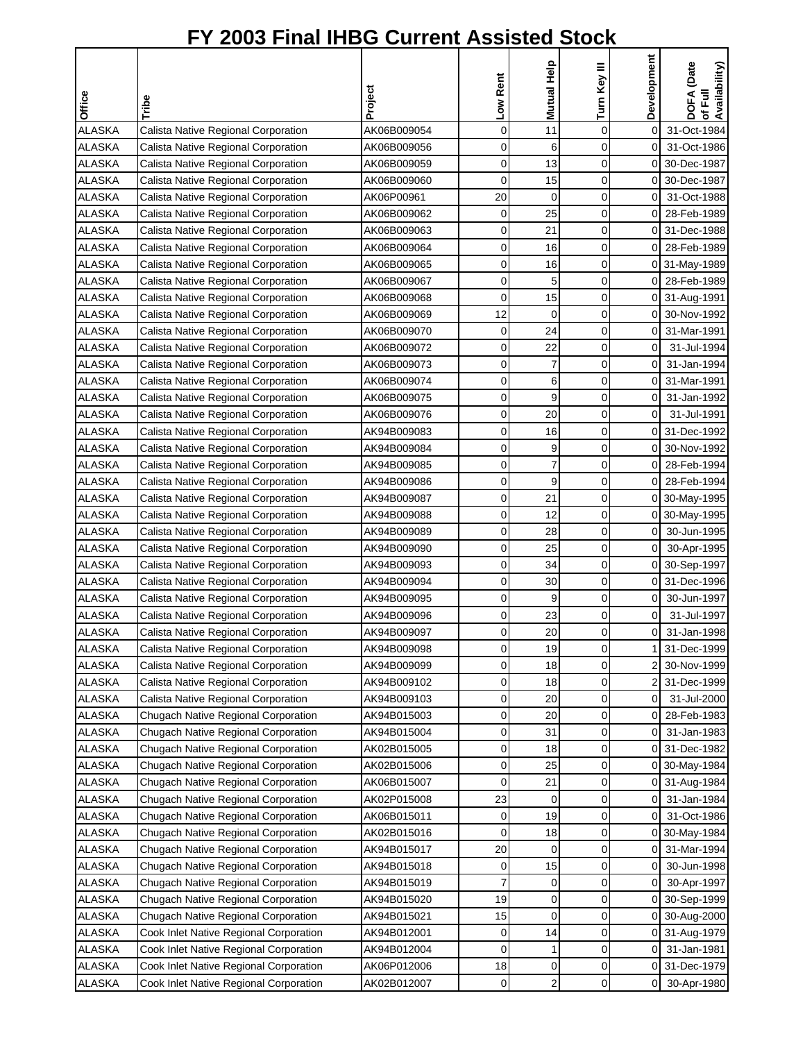| Office        | Tribe                                  | Project     | Low Rent    | Mutual Help    | Turn Key III | Development    | DOFA (Date<br>of Full<br>Availability) |
|---------------|----------------------------------------|-------------|-------------|----------------|--------------|----------------|----------------------------------------|
|               |                                        |             |             |                |              |                |                                        |
| <b>ALASKA</b> | Calista Native Regional Corporation    | AK06B009054 | $\mathbf 0$ | 11             | 0            | $\mathbf 0$    | 31-Oct-1984                            |
| <b>ALASKA</b> | Calista Native Regional Corporation    | AK06B009056 | 0           | 6              | 0            | $\overline{O}$ | 31-Oct-1986                            |
| <b>ALASKA</b> | Calista Native Regional Corporation    | AK06B009059 | $\mathbf 0$ | 13             | $\mathbf 0$  |                | 0 30-Dec-1987                          |
| <b>ALASKA</b> | Calista Native Regional Corporation    | AK06B009060 | $\mathbf 0$ | 15             | $\mathbf 0$  | ΟI             | 30-Dec-1987                            |
| <b>ALASKA</b> | Calista Native Regional Corporation    | AK06P00961  | 20          | 0              | 0            | 0              | 31-Oct-1988                            |
| <b>ALASKA</b> | Calista Native Regional Corporation    | AK06B009062 | 0           | 25             | 0            | οI             | 28-Feb-1989                            |
| <b>ALASKA</b> | Calista Native Regional Corporation    | AK06B009063 | 0           | 21             | 0            | ΟI             | 31-Dec-1988                            |
| <b>ALASKA</b> | Calista Native Regional Corporation    | AK06B009064 | $\mathbf 0$ | 16             | 0            | οI             | 28-Feb-1989                            |
| <b>ALASKA</b> | Calista Native Regional Corporation    | AK06B009065 | 0           | 16             | 0            |                | 0 31-May-1989                          |
| <b>ALASKA</b> | Calista Native Regional Corporation    | AK06B009067 | 0           | 5              | $\mathbf 0$  |                | 0 28-Feb-1989                          |
| <b>ALASKA</b> | Calista Native Regional Corporation    | AK06B009068 | 0           | 15             | 0            |                | 0 31-Aug-1991                          |
| <b>ALASKA</b> | Calista Native Regional Corporation    | AK06B009069 | 12          | 0              | $\mathbf 0$  |                | 0 30-Nov-1992                          |
| <b>ALASKA</b> | Calista Native Regional Corporation    | AK06B009070 | 0           | 24             | 0            | 0              | 31-Mar-1991                            |
| <b>ALASKA</b> | Calista Native Regional Corporation    | AK06B009072 | 0           | 22             | 0            | $\overline{0}$ | 31-Jul-1994                            |
| <b>ALASKA</b> | Calista Native Regional Corporation    | AK06B009073 | 0           | $\overline{7}$ | 0            | $\overline{0}$ | 31-Jan-1994                            |
| <b>ALASKA</b> | Calista Native Regional Corporation    | AK06B009074 | $\mathbf 0$ | 6              | 0            | $\overline{0}$ | 31-Mar-1991                            |
| <b>ALASKA</b> | Calista Native Regional Corporation    | AK06B009075 | 0           | 9              | 0            | $\overline{0}$ | 31-Jan-1992                            |
| <b>ALASKA</b> | Calista Native Regional Corporation    | AK06B009076 | 0           | 20             | 0            | $\overline{0}$ | 31-Jul-1991                            |
| <b>ALASKA</b> | Calista Native Regional Corporation    | AK94B009083 | 0           | 16             | 0            |                | 0 31-Dec-1992                          |
| <b>ALASKA</b> | Calista Native Regional Corporation    | AK94B009084 | $\mathbf 0$ | 9              | 0            | 01             | 30-Nov-1992                            |
| <b>ALASKA</b> | Calista Native Regional Corporation    | AK94B009085 | 0           | $\overline{7}$ | 0            | 01             | 28-Feb-1994                            |
| ALASKA        | Calista Native Regional Corporation    | AK94B009086 | 0           | 9              | 0            | $\Omega$       | 28-Feb-1994                            |
| <b>ALASKA</b> | Calista Native Regional Corporation    | AK94B009087 | 0           | 21             | 0            |                | 0 30-May-1995                          |
| <b>ALASKA</b> | Calista Native Regional Corporation    | AK94B009088 | 0           | 12             | 0            |                | 0 30-May-1995                          |
| <b>ALASKA</b> | Calista Native Regional Corporation    | AK94B009089 | 0           | 28             | 0            | $\overline{0}$ | 30-Jun-1995                            |
| <b>ALASKA</b> | Calista Native Regional Corporation    | AK94B009090 | 0           | 25             | 0            | οI             | 30-Apr-1995                            |
| <b>ALASKA</b> | Calista Native Regional Corporation    | AK94B009093 | 0           | 34             | $\mathbf 0$  |                | 0 30-Sep-1997                          |
| <b>ALASKA</b> | Calista Native Regional Corporation    | AK94B009094 | 0           | 30             | 0            |                | 0 31-Dec-1996                          |
| <b>ALASKA</b> | Calista Native Regional Corporation    | AK94B009095 | 0           | 9              | 0            | $\overline{0}$ | 30-Jun-1997                            |
| <b>ALASKA</b> | Calista Native Regional Corporation    | AK94B009096 | 0           | 23             | 0            | $\overline{0}$ | 31-Jul-1997                            |
| <b>ALASKA</b> | Calista Native Regional Corporation    | AK94B009097 | $\Omega$    | 20             | $\Omega$     | οI             | 31-Jan-1998                            |
| <b>ALASKA</b> | Calista Native Regional Corporation    | AK94B009098 | $\mathbf 0$ | 19             | 0            |                | 31-Dec-1999                            |
| <b>ALASKA</b> | Calista Native Regional Corporation    | AK94B009099 | 0           | 18             | 0            |                | 30-Nov-1999                            |
| <b>ALASKA</b> | Calista Native Regional Corporation    | AK94B009102 | 0           | 18             | 0            |                | 2 31-Dec-1999                          |
| <b>ALASKA</b> | Calista Native Regional Corporation    | AK94B009103 | 0           | 20             | 0            | $\overline{0}$ | 31-Jul-2000                            |
| <b>ALASKA</b> | Chugach Native Regional Corporation    | AK94B015003 | 0           | 20             | 0            | 01             | 28-Feb-1983                            |
| <b>ALASKA</b> | Chugach Native Regional Corporation    | AK94B015004 | 0           | 31             | 0            | 0              | 31-Jan-1983                            |
| ALASKA        | Chugach Native Regional Corporation    | AK02B015005 | 0           | 18             | 0            |                | 0 31-Dec-1982                          |
| ALASKA        | Chugach Native Regional Corporation    | AK02B015006 | 0           | 25             | 0            |                | 0 30-May-1984                          |
| ALASKA        | Chugach Native Regional Corporation    | AK06B015007 | 0           | 21             | 0            |                | 0 31-Aug-1984                          |
| <b>ALASKA</b> | Chugach Native Regional Corporation    | AK02P015008 | 23          | 0              | 0            | $\overline{0}$ | 31-Jan-1984                            |
| <b>ALASKA</b> | Chugach Native Regional Corporation    | AK06B015011 | 0           | 19             | 0            | $\mathsf{O}$   | 31-Oct-1986                            |
| <b>ALASKA</b> | Chugach Native Regional Corporation    | AK02B015016 | 0           | 18             | 0            |                | 0 30-May-1984                          |
| <b>ALASKA</b> | Chugach Native Regional Corporation    | AK94B015017 | 20          | 0              | 0            |                | 0 31-Mar-1994                          |
| <b>ALASKA</b> | Chugach Native Regional Corporation    | AK94B015018 | 0           | 15             | 0            | 0              | 30-Jun-1998                            |
| ALASKA        | Chugach Native Regional Corporation    | AK94B015019 | 7           | 0              | 0            | 0              | 30-Apr-1997                            |
| ALASKA        | Chugach Native Regional Corporation    | AK94B015020 | 19          | 0              | 0            |                | 0 30-Sep-1999                          |
| ALASKA        | Chugach Native Regional Corporation    | AK94B015021 | 15          | 0              | 0            |                | 0 30-Aug-2000                          |
| <b>ALASKA</b> | Cook Inlet Native Regional Corporation | AK94B012001 | 0           | 14             | 0            |                | 0 31-Aug-1979                          |
| ALASKA        | Cook Inlet Native Regional Corporation | AK94B012004 | 0           | $\mathbf{1}$   | 0            | $\overline{0}$ | 31-Jan-1981                            |
| ALASKA        | Cook Inlet Native Regional Corporation | AK06P012006 | 18          | 0              | 0            |                | 0 31-Dec-1979                          |
| ALASKA        | Cook Inlet Native Regional Corporation | AK02B012007 | 0           | $\overline{2}$ | 0            | $\overline{0}$ | 30-Apr-1980                            |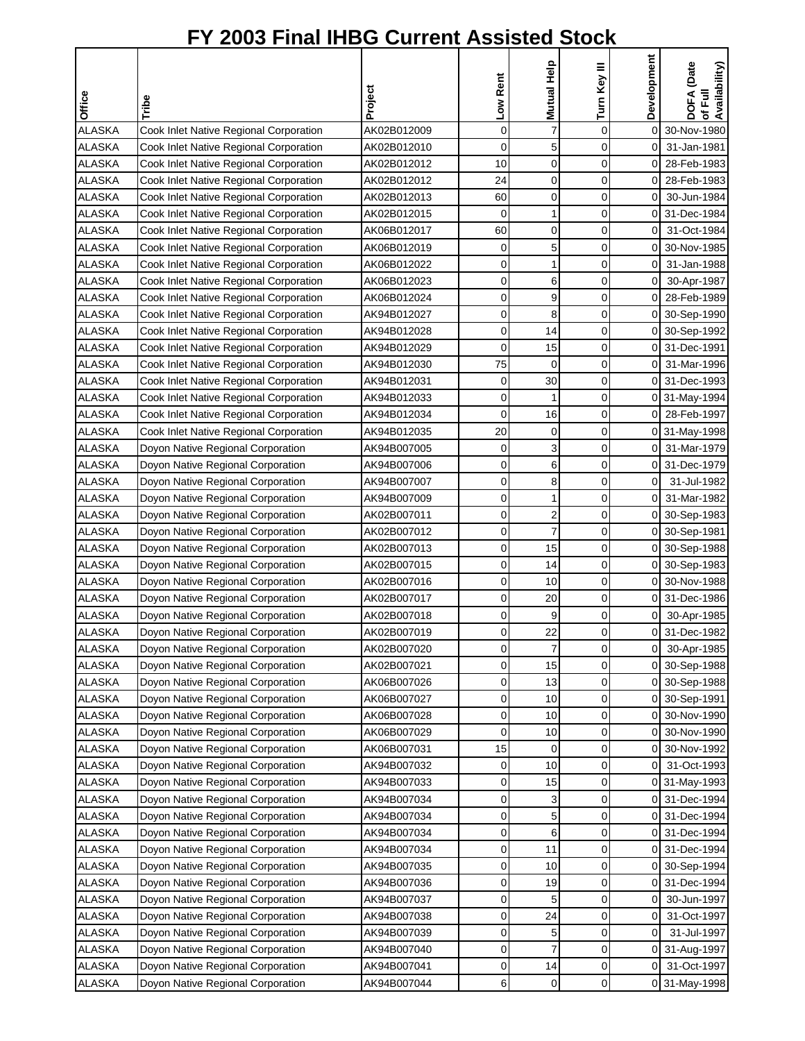| <b>Office</b> | Tribe                                  | Project     | Low Rent    | Mutual Help             | Turn Key III | Development    | DOFA (Date<br>of Full<br>Availability) |
|---------------|----------------------------------------|-------------|-------------|-------------------------|--------------|----------------|----------------------------------------|
| <b>ALASKA</b> | Cook Inlet Native Regional Corporation | AK02B012009 | $\mathbf 0$ | 7                       | $\mathbf 0$  |                | 0 30-Nov-1980                          |
| <b>ALASKA</b> | Cook Inlet Native Regional Corporation | AK02B012010 | 0           | 5                       | 0            | 01             | 31-Jan-1981                            |
| <b>ALASKA</b> | Cook Inlet Native Regional Corporation | AK02B012012 | 10          | 0                       | 0            | 0              | 28-Feb-1983                            |
| <b>ALASKA</b> | Cook Inlet Native Regional Corporation | AK02B012012 | 24          | 0                       | 0            | 0              | 28-Feb-1983                            |
| <b>ALASKA</b> | Cook Inlet Native Regional Corporation | AK02B012013 | 60          | 0                       | 0            | $\overline{0}$ | 30-Jun-1984                            |
| ALASKA        | Cook Inlet Native Regional Corporation | AK02B012015 | 0           | 1                       | 0            | 0              | 31-Dec-1984                            |
| <b>ALASKA</b> | Cook Inlet Native Regional Corporation | AK06B012017 | 60          | 0                       | 0            | 0              | 31-Oct-1984                            |
| <b>ALASKA</b> | Cook Inlet Native Regional Corporation | AK06B012019 | 0           | 5                       | 0            | ΟI             | 30-Nov-1985                            |
| <b>ALASKA</b> | Cook Inlet Native Regional Corporation | AK06B012022 | 0           | 1                       | 0            | 0              | 31-Jan-1988                            |
| <b>ALASKA</b> | Cook Inlet Native Regional Corporation | AK06B012023 | 0           | 6                       | 0            | 0              | 30-Apr-1987                            |
| <b>ALASKA</b> | Cook Inlet Native Regional Corporation | AK06B012024 | 0           | 9                       | 0            |                | 0 28-Feb-1989                          |
| <b>ALASKA</b> | Cook Inlet Native Regional Corporation | AK94B012027 | 0           | 8                       | 0            |                | 0 30-Sep-1990                          |
| <b>ALASKA</b> | Cook Inlet Native Regional Corporation | AK94B012028 | 0           | 14                      | 0            |                | 0 30-Sep-1992                          |
| <b>ALASKA</b> | Cook Inlet Native Regional Corporation | AK94B012029 | 0           | 15                      | 0            | 0              | 31-Dec-1991                            |
| <b>ALASKA</b> | Cook Inlet Native Regional Corporation | AK94B012030 | 75          | $\mathbf 0$             | 0            | 0              | 31-Mar-1996                            |
| <b>ALASKA</b> | Cook Inlet Native Regional Corporation | AK94B012031 | 0           | 30                      | 0            |                | 0 31-Dec-1993                          |
| <b>ALASKA</b> | Cook Inlet Native Regional Corporation | AK94B012033 | 0           | 1                       | 0            |                | 0 31-May-1994                          |
| <b>ALASKA</b> | Cook Inlet Native Regional Corporation | AK94B012034 | 0           | 16                      | 0            |                | 0 28-Feb-1997                          |
| <b>ALASKA</b> | Cook Inlet Native Regional Corporation | AK94B012035 | 20          | 0                       | 0            |                | 0 31-May-1998                          |
| <b>ALASKA</b> | Doyon Native Regional Corporation      | AK94B007005 | 0           | 3                       | 0            |                | 0 31-Mar-1979                          |
| <b>ALASKA</b> | Doyon Native Regional Corporation      | AK94B007006 | 0           | 6                       | 0            |                | 0 31-Dec-1979                          |
| ALASKA        | Doyon Native Regional Corporation      | AK94B007007 | 0           | 8                       | 0            | $\overline{0}$ | 31-Jul-1982                            |
| <b>ALASKA</b> | Doyon Native Regional Corporation      | AK94B007009 | 0           | 1                       | 0            | οI             | 31-Mar-1982                            |
| <b>ALASKA</b> | Doyon Native Regional Corporation      | AK02B007011 | 0           | $\overline{\mathbf{c}}$ | 0            | οı             | 30-Sep-1983                            |
| <b>ALASKA</b> | Doyon Native Regional Corporation      | AK02B007012 | 0           | $\overline{7}$          | 0            |                | 0 30-Sep-1981                          |
| <b>ALASKA</b> | Doyon Native Regional Corporation      | AK02B007013 | 0           | 15                      | 0            |                | 0 30-Sep-1988                          |
| <b>ALASKA</b> | Doyon Native Regional Corporation      | AK02B007015 | 0           | 14                      | 0            |                | 0 30-Sep-1983                          |
| <b>ALASKA</b> | Doyon Native Regional Corporation      | AK02B007016 | 0           | 10                      | 0            |                | 0 30-Nov-1988                          |
| <b>ALASKA</b> | Doyon Native Regional Corporation      | AK02B007017 | 0           | 20                      | 0            | 0              | 31-Dec-1986                            |
| <b>ALASKA</b> | Doyon Native Regional Corporation      | AK02B007018 | 0           | 9                       | 0            | 0              | 30-Apr-1985                            |
| <b>ALASKA</b> | Doyon Native Regional Corporation      | AK02B007019 | $\Omega$    | 22                      | $\Omega$     |                | 0 31-Dec-1982                          |
| <b>ALASKA</b> | Doyon Native Regional Corporation      | AK02B007020 | 0           | 7                       | 0            | 0              | 30-Apr-1985                            |
| <b>ALASKA</b> | Doyon Native Regional Corporation      | AK02B007021 | 0           | 15                      | 0            |                | 0 30-Sep-1988                          |
| <b>ALASKA</b> | Doyon Native Regional Corporation      | AK06B007026 | 0           | 13                      | 0            |                | 0 30-Sep-1988                          |
| <b>ALASKA</b> | Doyon Native Regional Corporation      | AK06B007027 | 0           | 10                      | 0            |                | 0 30-Sep-1991                          |
| <b>ALASKA</b> | Doyon Native Regional Corporation      | AK06B007028 | 0           | 10                      | 0            |                | 0 30-Nov-1990                          |
| <b>ALASKA</b> | Doyon Native Regional Corporation      | AK06B007029 | 0           | 10                      | 0            |                | 0 30-Nov-1990                          |
| <b>ALASKA</b> | Doyon Native Regional Corporation      | AK06B007031 | 15          | 0                       | 0            | 0              | 30-Nov-1992                            |
| ALASKA        | Doyon Native Regional Corporation      | AK94B007032 | 0           | 10                      | 0            | 0              | 31-Oct-1993                            |
| ALASKA        | Doyon Native Regional Corporation      | AK94B007033 | 0           | 15                      | 0            |                | 0 31-May-1993                          |
| <b>ALASKA</b> | Doyon Native Regional Corporation      | AK94B007034 | 0           | 3                       | 0            |                | 0 31-Dec-1994                          |
| <b>ALASKA</b> | Doyon Native Regional Corporation      | AK94B007034 | 0           | 5                       | 0            |                | 0 31-Dec-1994                          |
| <b>ALASKA</b> | Doyon Native Regional Corporation      | AK94B007034 | 0           | 6                       | 0            |                | 0 31-Dec-1994                          |
| <b>ALASKA</b> | Doyon Native Regional Corporation      | AK94B007034 | 0           | 11                      | 0            |                | 0 31-Dec-1994                          |
| <b>ALASKA</b> | Doyon Native Regional Corporation      | AK94B007035 | 0           | 10                      | 0            |                | 0 30-Sep-1994                          |
| <b>ALASKA</b> | Doyon Native Regional Corporation      | AK94B007036 | 0           | 19                      | 0            |                | 0 31-Dec-1994                          |
| ALASKA        | Doyon Native Regional Corporation      | AK94B007037 | 0           | 5                       | 0            | 0              | 30-Jun-1997                            |
| <b>ALASKA</b> | Doyon Native Regional Corporation      | AK94B007038 | 0           | 24                      | 0            | 0              | 31-Oct-1997                            |
| <b>ALASKA</b> | Doyon Native Regional Corporation      | AK94B007039 | 0           | 5                       | 0            | $\overline{0}$ | 31-Jul-1997                            |
| <b>ALASKA</b> | Doyon Native Regional Corporation      | AK94B007040 | 0           | 7                       | $\mathbf 0$  |                | 0 31-Aug-1997                          |
| <b>ALASKA</b> | Doyon Native Regional Corporation      | AK94B007041 | 0           | 14                      | 0            | 01             | 31-Oct-1997                            |
| <b>ALASKA</b> | Doyon Native Regional Corporation      | AK94B007044 | 6           | 0                       | 0            |                | 0 31-May-1998                          |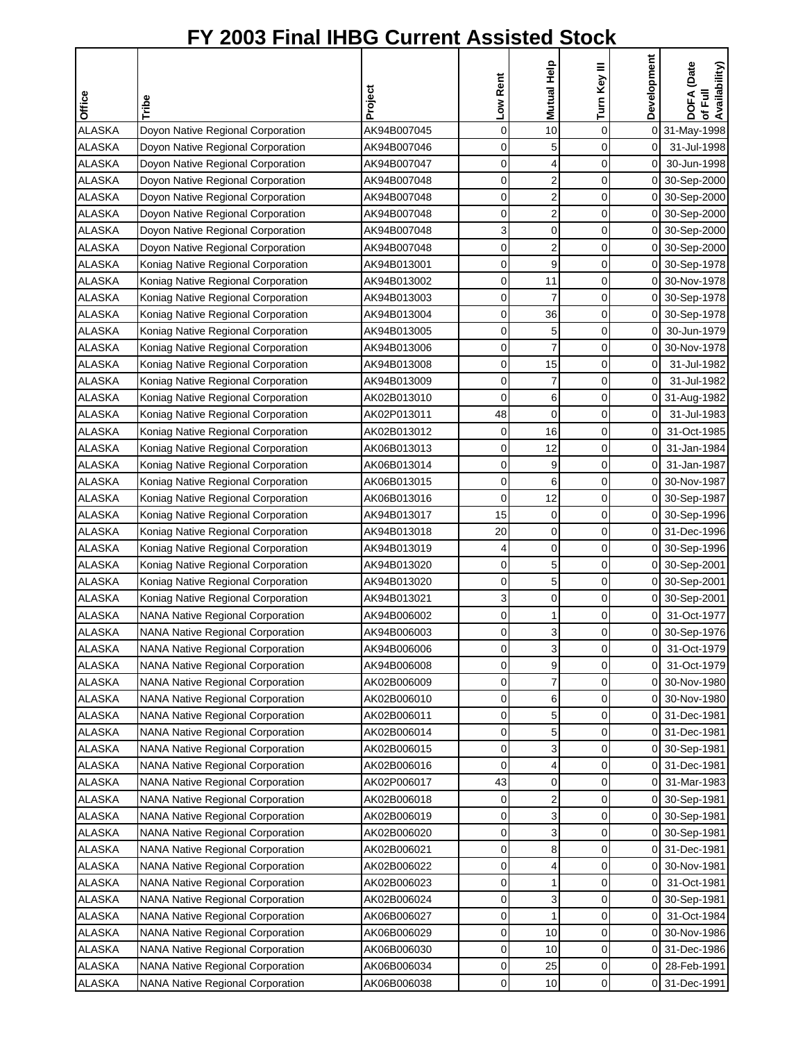|               |                                         |             | Low Rent    | Mutual Help             | Turn Key III | Development    | DOFA (Date<br>of Full<br>Availability) |
|---------------|-----------------------------------------|-------------|-------------|-------------------------|--------------|----------------|----------------------------------------|
| Office        | Tribe                                   | Project     |             |                         |              |                |                                        |
| <b>ALASKA</b> | Doyon Native Regional Corporation       | AK94B007045 | $\mathbf 0$ | 10                      | 0            |                | 0 31-May-1998                          |
| <b>ALASKA</b> | Doyon Native Regional Corporation       | AK94B007046 | 0           | 5                       | 0            | $\overline{0}$ | 31-Jul-1998                            |
| <b>ALASKA</b> | Doyon Native Regional Corporation       | AK94B007047 | 0           | 4                       | 0            | $\overline{0}$ | 30-Jun-1998                            |
| <b>ALASKA</b> | Doyon Native Regional Corporation       | AK94B007048 | 0           | $\overline{\mathbf{c}}$ | 0            |                | 0 30-Sep-2000                          |
| <b>ALASKA</b> | Doyon Native Regional Corporation       | AK94B007048 | 0           | $\overline{\mathbf{c}}$ | $\mathbf 0$  |                | 0 30-Sep-2000                          |
| <b>ALASKA</b> | Doyon Native Regional Corporation       | AK94B007048 | 0           | $\overline{\mathbf{c}}$ | 0            |                | 0 30-Sep-2000                          |
| <b>ALASKA</b> | Doyon Native Regional Corporation       | AK94B007048 | 3           | 0                       | 0            |                | 0 30-Sep-2000                          |
| <b>ALASKA</b> | Doyon Native Regional Corporation       | AK94B007048 | $\mathbf 0$ | $\overline{2}$          | 0            |                | 0 30-Sep-2000                          |
| <b>ALASKA</b> | Koniag Native Regional Corporation      | AK94B013001 | $\mathbf 0$ | 9                       | 0            |                | 0 30-Sep-1978                          |
| <b>ALASKA</b> | Koniag Native Regional Corporation      | AK94B013002 | 0           | 11                      | 0            |                | 0 30-Nov-1978                          |
| <b>ALASKA</b> | Koniag Native Regional Corporation      | AK94B013003 | 0           | 7                       | 0            |                | 0 30-Sep-1978                          |
| <b>ALASKA</b> | Koniag Native Regional Corporation      | AK94B013004 | 0           | 36                      | 0            |                | 0 30-Sep-1978                          |
| <b>ALASKA</b> | Koniag Native Regional Corporation      | AK94B013005 | $\mathbf 0$ | 5                       | $\mathbf 0$  | 0              | 30-Jun-1979                            |
| <b>ALASKA</b> | Koniag Native Regional Corporation      | AK94B013006 | 0           | 7                       | 0            | $\overline{0}$ | 30-Nov-1978                            |
| <b>ALASKA</b> | Koniag Native Regional Corporation      | AK94B013008 | 0           | 15                      | 0            | $\overline{0}$ | 31-Jul-1982                            |
| <b>ALASKA</b> | Koniag Native Regional Corporation      | AK94B013009 | 0           | 7                       | 0            | $\overline{0}$ | 31-Jul-1982                            |
| <b>ALASKA</b> | Koniag Native Regional Corporation      | AK02B013010 | 0           | 6                       | 0            |                | 0 31-Aug-1982                          |
| <b>ALASKA</b> | Koniag Native Regional Corporation      | AK02P013011 | 48          | $\mathbf 0$             | 0            | $\overline{0}$ | 31-Jul-1983                            |
| <b>ALASKA</b> | Koniag Native Regional Corporation      | AK02B013012 | 0           | 16                      | 0            | $\overline{0}$ | 31-Oct-1985                            |
| <b>ALASKA</b> | Koniag Native Regional Corporation      | AK06B013013 | 0           | 12                      | 0            | 0              | 31-Jan-1984                            |
| <b>ALASKA</b> | Koniag Native Regional Corporation      | AK06B013014 | $\mathbf 0$ | 9                       | 0            | $\overline{0}$ | 31-Jan-1987                            |
| <b>ALASKA</b> | Koniag Native Regional Corporation      | AK06B013015 | 0           | 6                       | 0            | 01             | 30-Nov-1987                            |
| ALASKA        | Koniag Native Regional Corporation      | AK06B013016 | 0           | 12                      | 0            | 0              | 30-Sep-1987                            |
| <b>ALASKA</b> | Koniag Native Regional Corporation      | AK94B013017 | 15          | 0                       | 0            | $\Omega$       | 30-Sep-1996                            |
| <b>ALASKA</b> | Koniag Native Regional Corporation      | AK94B013018 | 20          | $\mathbf 0$             | 0            |                | 0 31-Dec-1996                          |
| <b>ALASKA</b> | Koniag Native Regional Corporation      | AK94B013019 | 4           | 0                       | 0            |                | 0 30-Sep-1996                          |
| <b>ALASKA</b> | Koniag Native Regional Corporation      | AK94B013020 | 0           | 5                       | 0            |                | 0 30-Sep-2001                          |
| <b>ALASKA</b> | Koniag Native Regional Corporation      | AK94B013020 | 0           | 5                       | $\mathbf 0$  |                | 0 30-Sep-2001                          |
| <b>ALASKA</b> | Koniag Native Regional Corporation      | AK94B013021 | 3           | $\mathbf 0$             | 0            |                | 0 30-Sep-2001                          |
| <b>ALASKA</b> | <b>NANA Native Regional Corporation</b> | AK94B006002 | 0           | 1                       | 0            | $\overline{0}$ | 31-Oct-1977                            |
| <b>ALASKA</b> | <b>NANA Native Regional Corporation</b> | AK94B006003 | 0           | 3                       | $\Omega$     | οI             | 30-Sep-1976                            |
| <b>ALASKA</b> | <b>NANA Native Regional Corporation</b> | AK94B006006 | 0           | 3                       | 0            | $\overline{O}$ | 31-Oct-1979                            |
| <b>ALASKA</b> | <b>NANA Native Regional Corporation</b> | AK94B006008 | 0           | 9                       | 0            | $\overline{0}$ | 31-Oct-1979                            |
| ALASKA        | <b>NANA Native Regional Corporation</b> | AK02B006009 | 0           | $\overline{7}$          | 0            | $\mathsf{O}$   | 30-Nov-1980                            |
| <b>ALASKA</b> | <b>NANA Native Regional Corporation</b> | AK02B006010 | 0           | 6                       | 0            |                | 0 30-Nov-1980                          |
| <b>ALASKA</b> | <b>NANA Native Regional Corporation</b> | AK02B006011 | 0           | 5                       | 0            |                | 0 31-Dec-1981                          |
| <b>ALASKA</b> | <b>NANA Native Regional Corporation</b> | AK02B006014 | 0           | 5                       | 0            |                | 0 31-Dec-1981                          |
| <b>ALASKA</b> | <b>NANA Native Regional Corporation</b> | AK02B006015 | 0           | 3                       | 0            |                | 0 30-Sep-1981                          |
| ALASKA        | <b>NANA Native Regional Corporation</b> | AK02B006016 | 0           | 4                       | 0            |                | 0 31-Dec-1981                          |
| <b>ALASKA</b> | <b>NANA Native Regional Corporation</b> | AK02P006017 | 43          | 0                       | 0            | 01             | 31-Mar-1983                            |
| <b>ALASKA</b> | <b>NANA Native Regional Corporation</b> | AK02B006018 | 0           | $\overline{\mathbf{c}}$ | 0            | 01             | 30-Sep-1981                            |
| <b>ALASKA</b> | <b>NANA Native Regional Corporation</b> | AK02B006019 | $\mathbf 0$ | 3                       | 0            |                | 0 30-Sep-1981                          |
| <b>ALASKA</b> | <b>NANA Native Regional Corporation</b> | AK02B006020 | 0           | 3                       | 0            |                | 0 30-Sep-1981                          |
| <b>ALASKA</b> | <b>NANA Native Regional Corporation</b> | AK02B006021 | 0           | 8                       | 0            |                | 0 31-Dec-1981                          |
| <b>ALASKA</b> | <b>NANA Native Regional Corporation</b> | AK02B006022 | 0           | 4                       | 0            |                | 0 30-Nov-1981                          |
| <b>ALASKA</b> | <b>NANA Native Regional Corporation</b> | AK02B006023 | 0           | 1                       | 0            | 0              | 31-Oct-1981                            |
| <b>ALASKA</b> | <b>NANA Native Regional Corporation</b> | AK02B006024 | 0           | 3                       | 0            | 01             | 30-Sep-1981                            |
| <b>ALASKA</b> | <b>NANA Native Regional Corporation</b> | AK06B006027 | 0           | 1                       | 0            | 01             | 31-Oct-1984                            |
| ALASKA        | <b>NANA Native Regional Corporation</b> | AK06B006029 | 0           | 10                      | 0            | $\overline{0}$ | 30-Nov-1986                            |
| <b>ALASKA</b> | <b>NANA Native Regional Corporation</b> | AK06B006030 | 0           | 10                      | 0            |                | 0 31-Dec-1986                          |
| ALASKA        | NANA Native Regional Corporation        | AK06B006034 | 0           | 25                      | 0            | 01             | 28-Feb-1991                            |
| ALASKA        | <b>NANA Native Regional Corporation</b> | AK06B006038 | $\pmb{0}$   | 10                      | 0            |                | 0 31-Dec-1991                          |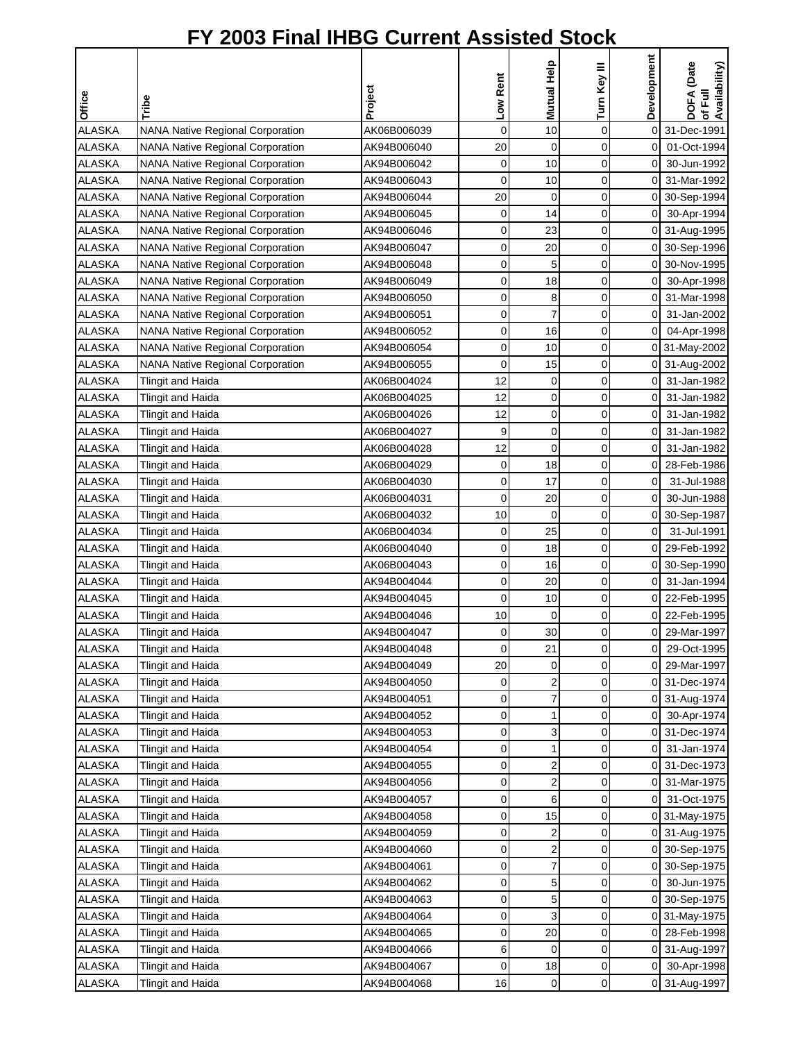| Low Rent<br>Project<br>Office<br>Tribe<br><b>ALASKA</b><br>$\mathbf 0$<br>$\mathbf 0$<br>$\overline{O}$<br>31-Dec-1991<br><b>NANA Native Regional Corporation</b><br>AK06B006039<br>10<br>$\overline{O}$<br><b>ALASKA</b><br>$\mathbf 0$<br>0<br>01-Oct-1994<br><b>NANA Native Regional Corporation</b><br>AK94B006040<br>20<br><b>ALASKA</b><br>0<br>10<br>0<br>$\overline{0}$<br><b>NANA Native Regional Corporation</b><br>AK94B006042<br>30-Jun-1992<br>$\mathbf 0$<br><b>ALASKA</b><br>0<br>10<br>NANA Native Regional Corporation<br>AK94B006043<br>0I<br>31-Mar-1992<br>$\mathbf 0$<br><b>ALASKA</b><br>20<br>$\mathbf 0$<br>NANA Native Regional Corporation<br>AK94B006044<br>0 30-Sep-1994<br>0<br><b>ALASKA</b><br>0<br>14<br>NANA Native Regional Corporation<br>0<br>30-Apr-1994<br>AK94B006045<br><b>ALASKA</b><br>0<br>23<br>0<br><b>NANA Native Regional Corporation</b><br>AK94B006046<br>0 31-Aug-1995<br><b>ALASKA</b><br>$\mathbf 0$<br>0<br><b>NANA Native Regional Corporation</b><br>20<br>οI<br>30-Sep-1996<br>AK94B006047<br>$\mathbf 0$<br>0<br><b>ALASKA</b><br><b>NANA Native Regional Corporation</b><br>AK94B006048<br>5<br>$\overline{0}$<br>30-Nov-1995<br><b>ALASKA</b><br><b>NANA Native Regional Corporation</b><br>0<br>0<br>οI<br>AK94B006049<br>18<br>30-Apr-1998<br><b>ALASKA</b><br><b>NANA Native Regional Corporation</b><br>0<br>8<br>0<br>οI<br>AK94B006050<br>31-Mar-1998<br><b>ALASKA</b><br><b>NANA Native Regional Corporation</b><br>0<br>$\overline{7}$<br>0<br>31-Jan-2002<br>AK94B006051<br>$\overline{0}$<br>$\mathbf 0$<br>$\mathbf 0$<br>16<br><b>ALASKA</b><br>$\overline{0}$<br>04-Apr-1998<br>NANA Native Regional Corporation<br>AK94B006052<br><b>ALASKA</b><br>0<br>10<br>0<br><b>NANA Native Regional Corporation</b><br>0 31-May-2002<br>AK94B006054<br>15<br><b>ALASKA</b><br>$\mathbf 0$<br>0<br><b>NANA Native Regional Corporation</b><br>AK94B006055<br>0 31-Aug-2002<br><b>ALASKA</b><br>12<br>$\mathbf 0$<br>0<br><b>Tlingit and Haida</b><br>AK06B004024<br>0<br>31-Jan-1982<br>12<br>0<br><b>ALASKA</b><br>AK06B004025<br>$\mathbf 0$<br>$\mathbf 0$<br>31-Jan-1982<br><b>Tlingit and Haida</b><br>0<br><b>ALASKA</b><br>AK06B004026<br>12<br>0<br>$\overline{0}$<br>31-Jan-1982<br>Tlingit and Haida<br>9<br><b>ALASKA</b><br>$\mathbf 0$<br>0<br>οI<br>31-Jan-1982<br>Tlingit and Haida<br>AK06B004027<br>12<br>$\overline{0}$<br>0<br><b>ALASKA</b><br>$\overline{0}$<br>31-Jan-1982<br><b>Tlingit and Haida</b><br>AK06B004028<br>$\mathbf 0$<br>0<br><b>ALASKA</b><br>18<br>28-Feb-1986<br><b>Tlingit and Haida</b><br>AK06B004029<br>$\overline{0}$<br>0<br><b>ALASKA</b><br>0<br>17<br>0<br>31-Jul-1988<br>Tlingit and Haida<br>AK06B004030<br><b>ALASKA</b><br>0<br>Tlingit and Haida<br>AK06B004031<br>0<br>20<br>$\Omega$<br>30-Jun-1988<br><b>ALASKA</b><br>10<br>$\mathbf 0$<br>0<br><b>Tlingit and Haida</b><br>AK06B004032<br>$\overline{0}$<br>30-Sep-1987<br><b>ALASKA</b><br>$\mathbf 0$<br>$\overline{0}$<br>AK06B004034<br>0<br>25<br>31-Jul-1991<br>Tlingit and Haida<br><b>ALASKA</b><br>AK06B004040<br>0<br>0<br>οI<br>29-Feb-1992<br><b>Tlingit and Haida</b><br>18<br><b>ALASKA</b><br>0<br>0<br><b>Tlingit and Haida</b><br>AK06B004043<br>16<br>0 30-Sep-1990<br><b>ALASKA</b><br>0<br>0<br>$\overline{0}$<br><b>Tlingit and Haida</b><br>AK94B004044<br>20<br>31-Jan-1994<br>$\mathbf 0$<br><b>ALASKA</b><br>0<br>10<br>22-Feb-1995<br>AK94B004045<br>οI<br>Tlingit and Haida<br>0<br><b>ALASKA</b><br>AK94B004046<br>10<br>$\overline{O}$<br>22-Feb-1995<br>Tlingit and Haida<br>0<br>30<br>$\mathbf 0$<br><b>ALASKA</b><br>0<br>οI<br><b>Tlingit and Haida</b><br>29-Mar-1997<br>AK94B004047<br><b>ALASKA</b><br><b>Tlingit and Haida</b><br>AK94B004048<br>0<br>21<br>0<br>οI<br>29-Oct-1995<br><b>ALASKA</b><br>AK94B004049<br>20<br>0<br>29-Mar-1997<br>Tlingit and Haida<br>0<br>0<br>ALASKA<br><b>Tlingit and Haida</b><br>AK94B004050<br>0<br>$\overline{\mathbf{c}}$<br>$\pmb{0}$<br>0 31-Dec-1974<br>0<br>$\overline{7}$<br>0<br><b>ALASKA</b><br><b>Tlingit and Haida</b><br>AK94B004051<br>0 31-Aug-1974<br>0<br><b>ALASKA</b><br><b>Tlingit and Haida</b><br>AK94B004052<br>1<br>0<br>$\mathsf{O}$<br>30-Apr-1974<br>3<br><b>ALASKA</b><br>0<br>0<br>Tlingit and Haida<br>AK94B004053<br>0 31-Dec-1974<br><b>ALASKA</b><br>0<br>0<br><b>Tlingit and Haida</b><br>AK94B004054<br>31-Jan-1974<br>1<br>0<br>ALASKA<br>0<br>$\overline{2}$<br>0<br><b>Tlingit and Haida</b><br>AK94B004055<br>0 31-Dec-1973<br>$\overline{\mathbf{c}}$<br>ALASKA<br>Tlingit and Haida<br>0<br>0<br>31-Mar-1975<br>AK94B004056<br>01<br><b>ALASKA</b><br>0<br>6<br>0<br>Tlingit and Haida<br>AK94B004057<br>0<br>31-Oct-1975<br>$\mathbf 0$<br>0<br><b>ALASKA</b><br>15<br>Tlingit and Haida<br>AK94B004058<br>0 31-May-1975<br><b>ALASKA</b><br>0<br>0<br><b>Tlingit and Haida</b><br>AK94B004059<br>2<br>0 31-Aug-1975<br>0<br>0<br><b>ALASKA</b><br><b>Tlingit and Haida</b><br>AK94B004060<br>2<br>0 30-Sep-1975<br><b>ALASKA</b><br>0<br>7<br>0<br><b>Tlingit and Haida</b><br>AK94B004061<br>0 30-Sep-1975<br>$\mathbf 0$<br>5<br>0<br><b>ALASKA</b><br>AK94B004062<br>30-Jun-1975<br>Tlingit and Haida<br>0<br><b>ALASKA</b><br>0<br>5<br>0<br><b>Tlingit and Haida</b><br>AK94B004063<br>0 30-Sep-1975<br>3<br><b>ALASKA</b><br>Tlingit and Haida<br>AK94B004064<br>0<br>0<br>0 31-May-1975<br>0<br>ALASKA<br>Tlingit and Haida<br>AK94B004065<br>20<br>0<br>28-Feb-1998<br>ΟI<br>ALASKA<br>6<br>0<br>Tlingit and Haida<br>AK94B004066<br>0<br>31-Aug-1997<br>$\overline{0}$<br>ALASKA<br>AK94B004067<br>0<br>0<br><b>Tlingit and Haida</b><br>18<br>$\mathsf{O}$<br>30-Apr-1998 |               |                   |             |    | Mutual Help | Turn Key III | Development | DOFA (Date<br>of Full<br>Availability) |
|-------------------------------------------------------------------------------------------------------------------------------------------------------------------------------------------------------------------------------------------------------------------------------------------------------------------------------------------------------------------------------------------------------------------------------------------------------------------------------------------------------------------------------------------------------------------------------------------------------------------------------------------------------------------------------------------------------------------------------------------------------------------------------------------------------------------------------------------------------------------------------------------------------------------------------------------------------------------------------------------------------------------------------------------------------------------------------------------------------------------------------------------------------------------------------------------------------------------------------------------------------------------------------------------------------------------------------------------------------------------------------------------------------------------------------------------------------------------------------------------------------------------------------------------------------------------------------------------------------------------------------------------------------------------------------------------------------------------------------------------------------------------------------------------------------------------------------------------------------------------------------------------------------------------------------------------------------------------------------------------------------------------------------------------------------------------------------------------------------------------------------------------------------------------------------------------------------------------------------------------------------------------------------------------------------------------------------------------------------------------------------------------------------------------------------------------------------------------------------------------------------------------------------------------------------------------------------------------------------------------------------------------------------------------------------------------------------------------------------------------------------------------------------------------------------------------------------------------------------------------------------------------------------------------------------------------------------------------------------------------------------------------------------------------------------------------------------------------------------------------------------------------------------------------------------------------------------------------------------------------------------------------------------------------------------------------------------------------------------------------------------------------------------------------------------------------------------------------------------------------------------------------------------------------------------------------------------------------------------------------------------------------------------------------------------------------------------------------------------------------------------------------------------------------------------------------------------------------------------------------------------------------------------------------------------------------------------------------------------------------------------------------------------------------------------------------------------------------------------------------------------------------------------------------------------------------------------------------------------------------------------------------------------------------------------------------------------------------------------------------------------------------------------------------------------------------------------------------------------------------------------------------------------------------------------------------------------------------------------------------------------------------------------------------------------------------------------------------------------------------------------------------------------------------------------------------------------------------------------------------------------------------------------------------------------------------------------------------------------------------------------------------------------------------------------------------------------------------------------------------------------------------------------------------------------------------------------------------------------------------------------------------------------------------------------------------------------------------------------------------------------------------------------------------------------------------------------------------------------------------------------------------------------------------------------------------------------------------------------------------------------------------------------------------------------------|---------------|-------------------|-------------|----|-------------|--------------|-------------|----------------------------------------|
|                                                                                                                                                                                                                                                                                                                                                                                                                                                                                                                                                                                                                                                                                                                                                                                                                                                                                                                                                                                                                                                                                                                                                                                                                                                                                                                                                                                                                                                                                                                                                                                                                                                                                                                                                                                                                                                                                                                                                                                                                                                                                                                                                                                                                                                                                                                                                                                                                                                                                                                                                                                                                                                                                                                                                                                                                                                                                                                                                                                                                                                                                                                                                                                                                                                                                                                                                                                                                                                                                                                                                                                                                                                                                                                                                                                                                                                                                                                                                                                                                                                                                                                                                                                                                                                                                                                                                                                                                                                                                                                                                                                                                                                                                                                                                                                                                                                                                                                                                                                                                                                                                                                                                                                                                                                                                                                                                                                                                                                                                                                                                                                                                                                                                     |               |                   |             |    |             |              |             |                                        |
|                                                                                                                                                                                                                                                                                                                                                                                                                                                                                                                                                                                                                                                                                                                                                                                                                                                                                                                                                                                                                                                                                                                                                                                                                                                                                                                                                                                                                                                                                                                                                                                                                                                                                                                                                                                                                                                                                                                                                                                                                                                                                                                                                                                                                                                                                                                                                                                                                                                                                                                                                                                                                                                                                                                                                                                                                                                                                                                                                                                                                                                                                                                                                                                                                                                                                                                                                                                                                                                                                                                                                                                                                                                                                                                                                                                                                                                                                                                                                                                                                                                                                                                                                                                                                                                                                                                                                                                                                                                                                                                                                                                                                                                                                                                                                                                                                                                                                                                                                                                                                                                                                                                                                                                                                                                                                                                                                                                                                                                                                                                                                                                                                                                                                     |               |                   |             |    |             |              |             |                                        |
|                                                                                                                                                                                                                                                                                                                                                                                                                                                                                                                                                                                                                                                                                                                                                                                                                                                                                                                                                                                                                                                                                                                                                                                                                                                                                                                                                                                                                                                                                                                                                                                                                                                                                                                                                                                                                                                                                                                                                                                                                                                                                                                                                                                                                                                                                                                                                                                                                                                                                                                                                                                                                                                                                                                                                                                                                                                                                                                                                                                                                                                                                                                                                                                                                                                                                                                                                                                                                                                                                                                                                                                                                                                                                                                                                                                                                                                                                                                                                                                                                                                                                                                                                                                                                                                                                                                                                                                                                                                                                                                                                                                                                                                                                                                                                                                                                                                                                                                                                                                                                                                                                                                                                                                                                                                                                                                                                                                                                                                                                                                                                                                                                                                                                     |               |                   |             |    |             |              |             |                                        |
|                                                                                                                                                                                                                                                                                                                                                                                                                                                                                                                                                                                                                                                                                                                                                                                                                                                                                                                                                                                                                                                                                                                                                                                                                                                                                                                                                                                                                                                                                                                                                                                                                                                                                                                                                                                                                                                                                                                                                                                                                                                                                                                                                                                                                                                                                                                                                                                                                                                                                                                                                                                                                                                                                                                                                                                                                                                                                                                                                                                                                                                                                                                                                                                                                                                                                                                                                                                                                                                                                                                                                                                                                                                                                                                                                                                                                                                                                                                                                                                                                                                                                                                                                                                                                                                                                                                                                                                                                                                                                                                                                                                                                                                                                                                                                                                                                                                                                                                                                                                                                                                                                                                                                                                                                                                                                                                                                                                                                                                                                                                                                                                                                                                                                     |               |                   |             |    |             |              |             |                                        |
|                                                                                                                                                                                                                                                                                                                                                                                                                                                                                                                                                                                                                                                                                                                                                                                                                                                                                                                                                                                                                                                                                                                                                                                                                                                                                                                                                                                                                                                                                                                                                                                                                                                                                                                                                                                                                                                                                                                                                                                                                                                                                                                                                                                                                                                                                                                                                                                                                                                                                                                                                                                                                                                                                                                                                                                                                                                                                                                                                                                                                                                                                                                                                                                                                                                                                                                                                                                                                                                                                                                                                                                                                                                                                                                                                                                                                                                                                                                                                                                                                                                                                                                                                                                                                                                                                                                                                                                                                                                                                                                                                                                                                                                                                                                                                                                                                                                                                                                                                                                                                                                                                                                                                                                                                                                                                                                                                                                                                                                                                                                                                                                                                                                                                     |               |                   |             |    |             |              |             |                                        |
|                                                                                                                                                                                                                                                                                                                                                                                                                                                                                                                                                                                                                                                                                                                                                                                                                                                                                                                                                                                                                                                                                                                                                                                                                                                                                                                                                                                                                                                                                                                                                                                                                                                                                                                                                                                                                                                                                                                                                                                                                                                                                                                                                                                                                                                                                                                                                                                                                                                                                                                                                                                                                                                                                                                                                                                                                                                                                                                                                                                                                                                                                                                                                                                                                                                                                                                                                                                                                                                                                                                                                                                                                                                                                                                                                                                                                                                                                                                                                                                                                                                                                                                                                                                                                                                                                                                                                                                                                                                                                                                                                                                                                                                                                                                                                                                                                                                                                                                                                                                                                                                                                                                                                                                                                                                                                                                                                                                                                                                                                                                                                                                                                                                                                     |               |                   |             |    |             |              |             |                                        |
|                                                                                                                                                                                                                                                                                                                                                                                                                                                                                                                                                                                                                                                                                                                                                                                                                                                                                                                                                                                                                                                                                                                                                                                                                                                                                                                                                                                                                                                                                                                                                                                                                                                                                                                                                                                                                                                                                                                                                                                                                                                                                                                                                                                                                                                                                                                                                                                                                                                                                                                                                                                                                                                                                                                                                                                                                                                                                                                                                                                                                                                                                                                                                                                                                                                                                                                                                                                                                                                                                                                                                                                                                                                                                                                                                                                                                                                                                                                                                                                                                                                                                                                                                                                                                                                                                                                                                                                                                                                                                                                                                                                                                                                                                                                                                                                                                                                                                                                                                                                                                                                                                                                                                                                                                                                                                                                                                                                                                                                                                                                                                                                                                                                                                     |               |                   |             |    |             |              |             |                                        |
|                                                                                                                                                                                                                                                                                                                                                                                                                                                                                                                                                                                                                                                                                                                                                                                                                                                                                                                                                                                                                                                                                                                                                                                                                                                                                                                                                                                                                                                                                                                                                                                                                                                                                                                                                                                                                                                                                                                                                                                                                                                                                                                                                                                                                                                                                                                                                                                                                                                                                                                                                                                                                                                                                                                                                                                                                                                                                                                                                                                                                                                                                                                                                                                                                                                                                                                                                                                                                                                                                                                                                                                                                                                                                                                                                                                                                                                                                                                                                                                                                                                                                                                                                                                                                                                                                                                                                                                                                                                                                                                                                                                                                                                                                                                                                                                                                                                                                                                                                                                                                                                                                                                                                                                                                                                                                                                                                                                                                                                                                                                                                                                                                                                                                     |               |                   |             |    |             |              |             |                                        |
|                                                                                                                                                                                                                                                                                                                                                                                                                                                                                                                                                                                                                                                                                                                                                                                                                                                                                                                                                                                                                                                                                                                                                                                                                                                                                                                                                                                                                                                                                                                                                                                                                                                                                                                                                                                                                                                                                                                                                                                                                                                                                                                                                                                                                                                                                                                                                                                                                                                                                                                                                                                                                                                                                                                                                                                                                                                                                                                                                                                                                                                                                                                                                                                                                                                                                                                                                                                                                                                                                                                                                                                                                                                                                                                                                                                                                                                                                                                                                                                                                                                                                                                                                                                                                                                                                                                                                                                                                                                                                                                                                                                                                                                                                                                                                                                                                                                                                                                                                                                                                                                                                                                                                                                                                                                                                                                                                                                                                                                                                                                                                                                                                                                                                     |               |                   |             |    |             |              |             |                                        |
|                                                                                                                                                                                                                                                                                                                                                                                                                                                                                                                                                                                                                                                                                                                                                                                                                                                                                                                                                                                                                                                                                                                                                                                                                                                                                                                                                                                                                                                                                                                                                                                                                                                                                                                                                                                                                                                                                                                                                                                                                                                                                                                                                                                                                                                                                                                                                                                                                                                                                                                                                                                                                                                                                                                                                                                                                                                                                                                                                                                                                                                                                                                                                                                                                                                                                                                                                                                                                                                                                                                                                                                                                                                                                                                                                                                                                                                                                                                                                                                                                                                                                                                                                                                                                                                                                                                                                                                                                                                                                                                                                                                                                                                                                                                                                                                                                                                                                                                                                                                                                                                                                                                                                                                                                                                                                                                                                                                                                                                                                                                                                                                                                                                                                     |               |                   |             |    |             |              |             |                                        |
|                                                                                                                                                                                                                                                                                                                                                                                                                                                                                                                                                                                                                                                                                                                                                                                                                                                                                                                                                                                                                                                                                                                                                                                                                                                                                                                                                                                                                                                                                                                                                                                                                                                                                                                                                                                                                                                                                                                                                                                                                                                                                                                                                                                                                                                                                                                                                                                                                                                                                                                                                                                                                                                                                                                                                                                                                                                                                                                                                                                                                                                                                                                                                                                                                                                                                                                                                                                                                                                                                                                                                                                                                                                                                                                                                                                                                                                                                                                                                                                                                                                                                                                                                                                                                                                                                                                                                                                                                                                                                                                                                                                                                                                                                                                                                                                                                                                                                                                                                                                                                                                                                                                                                                                                                                                                                                                                                                                                                                                                                                                                                                                                                                                                                     |               |                   |             |    |             |              |             |                                        |
|                                                                                                                                                                                                                                                                                                                                                                                                                                                                                                                                                                                                                                                                                                                                                                                                                                                                                                                                                                                                                                                                                                                                                                                                                                                                                                                                                                                                                                                                                                                                                                                                                                                                                                                                                                                                                                                                                                                                                                                                                                                                                                                                                                                                                                                                                                                                                                                                                                                                                                                                                                                                                                                                                                                                                                                                                                                                                                                                                                                                                                                                                                                                                                                                                                                                                                                                                                                                                                                                                                                                                                                                                                                                                                                                                                                                                                                                                                                                                                                                                                                                                                                                                                                                                                                                                                                                                                                                                                                                                                                                                                                                                                                                                                                                                                                                                                                                                                                                                                                                                                                                                                                                                                                                                                                                                                                                                                                                                                                                                                                                                                                                                                                                                     |               |                   |             |    |             |              |             |                                        |
|                                                                                                                                                                                                                                                                                                                                                                                                                                                                                                                                                                                                                                                                                                                                                                                                                                                                                                                                                                                                                                                                                                                                                                                                                                                                                                                                                                                                                                                                                                                                                                                                                                                                                                                                                                                                                                                                                                                                                                                                                                                                                                                                                                                                                                                                                                                                                                                                                                                                                                                                                                                                                                                                                                                                                                                                                                                                                                                                                                                                                                                                                                                                                                                                                                                                                                                                                                                                                                                                                                                                                                                                                                                                                                                                                                                                                                                                                                                                                                                                                                                                                                                                                                                                                                                                                                                                                                                                                                                                                                                                                                                                                                                                                                                                                                                                                                                                                                                                                                                                                                                                                                                                                                                                                                                                                                                                                                                                                                                                                                                                                                                                                                                                                     |               |                   |             |    |             |              |             |                                        |
|                                                                                                                                                                                                                                                                                                                                                                                                                                                                                                                                                                                                                                                                                                                                                                                                                                                                                                                                                                                                                                                                                                                                                                                                                                                                                                                                                                                                                                                                                                                                                                                                                                                                                                                                                                                                                                                                                                                                                                                                                                                                                                                                                                                                                                                                                                                                                                                                                                                                                                                                                                                                                                                                                                                                                                                                                                                                                                                                                                                                                                                                                                                                                                                                                                                                                                                                                                                                                                                                                                                                                                                                                                                                                                                                                                                                                                                                                                                                                                                                                                                                                                                                                                                                                                                                                                                                                                                                                                                                                                                                                                                                                                                                                                                                                                                                                                                                                                                                                                                                                                                                                                                                                                                                                                                                                                                                                                                                                                                                                                                                                                                                                                                                                     |               |                   |             |    |             |              |             |                                        |
|                                                                                                                                                                                                                                                                                                                                                                                                                                                                                                                                                                                                                                                                                                                                                                                                                                                                                                                                                                                                                                                                                                                                                                                                                                                                                                                                                                                                                                                                                                                                                                                                                                                                                                                                                                                                                                                                                                                                                                                                                                                                                                                                                                                                                                                                                                                                                                                                                                                                                                                                                                                                                                                                                                                                                                                                                                                                                                                                                                                                                                                                                                                                                                                                                                                                                                                                                                                                                                                                                                                                                                                                                                                                                                                                                                                                                                                                                                                                                                                                                                                                                                                                                                                                                                                                                                                                                                                                                                                                                                                                                                                                                                                                                                                                                                                                                                                                                                                                                                                                                                                                                                                                                                                                                                                                                                                                                                                                                                                                                                                                                                                                                                                                                     |               |                   |             |    |             |              |             |                                        |
|                                                                                                                                                                                                                                                                                                                                                                                                                                                                                                                                                                                                                                                                                                                                                                                                                                                                                                                                                                                                                                                                                                                                                                                                                                                                                                                                                                                                                                                                                                                                                                                                                                                                                                                                                                                                                                                                                                                                                                                                                                                                                                                                                                                                                                                                                                                                                                                                                                                                                                                                                                                                                                                                                                                                                                                                                                                                                                                                                                                                                                                                                                                                                                                                                                                                                                                                                                                                                                                                                                                                                                                                                                                                                                                                                                                                                                                                                                                                                                                                                                                                                                                                                                                                                                                                                                                                                                                                                                                                                                                                                                                                                                                                                                                                                                                                                                                                                                                                                                                                                                                                                                                                                                                                                                                                                                                                                                                                                                                                                                                                                                                                                                                                                     |               |                   |             |    |             |              |             |                                        |
|                                                                                                                                                                                                                                                                                                                                                                                                                                                                                                                                                                                                                                                                                                                                                                                                                                                                                                                                                                                                                                                                                                                                                                                                                                                                                                                                                                                                                                                                                                                                                                                                                                                                                                                                                                                                                                                                                                                                                                                                                                                                                                                                                                                                                                                                                                                                                                                                                                                                                                                                                                                                                                                                                                                                                                                                                                                                                                                                                                                                                                                                                                                                                                                                                                                                                                                                                                                                                                                                                                                                                                                                                                                                                                                                                                                                                                                                                                                                                                                                                                                                                                                                                                                                                                                                                                                                                                                                                                                                                                                                                                                                                                                                                                                                                                                                                                                                                                                                                                                                                                                                                                                                                                                                                                                                                                                                                                                                                                                                                                                                                                                                                                                                                     |               |                   |             |    |             |              |             |                                        |
|                                                                                                                                                                                                                                                                                                                                                                                                                                                                                                                                                                                                                                                                                                                                                                                                                                                                                                                                                                                                                                                                                                                                                                                                                                                                                                                                                                                                                                                                                                                                                                                                                                                                                                                                                                                                                                                                                                                                                                                                                                                                                                                                                                                                                                                                                                                                                                                                                                                                                                                                                                                                                                                                                                                                                                                                                                                                                                                                                                                                                                                                                                                                                                                                                                                                                                                                                                                                                                                                                                                                                                                                                                                                                                                                                                                                                                                                                                                                                                                                                                                                                                                                                                                                                                                                                                                                                                                                                                                                                                                                                                                                                                                                                                                                                                                                                                                                                                                                                                                                                                                                                                                                                                                                                                                                                                                                                                                                                                                                                                                                                                                                                                                                                     |               |                   |             |    |             |              |             |                                        |
|                                                                                                                                                                                                                                                                                                                                                                                                                                                                                                                                                                                                                                                                                                                                                                                                                                                                                                                                                                                                                                                                                                                                                                                                                                                                                                                                                                                                                                                                                                                                                                                                                                                                                                                                                                                                                                                                                                                                                                                                                                                                                                                                                                                                                                                                                                                                                                                                                                                                                                                                                                                                                                                                                                                                                                                                                                                                                                                                                                                                                                                                                                                                                                                                                                                                                                                                                                                                                                                                                                                                                                                                                                                                                                                                                                                                                                                                                                                                                                                                                                                                                                                                                                                                                                                                                                                                                                                                                                                                                                                                                                                                                                                                                                                                                                                                                                                                                                                                                                                                                                                                                                                                                                                                                                                                                                                                                                                                                                                                                                                                                                                                                                                                                     |               |                   |             |    |             |              |             |                                        |
|                                                                                                                                                                                                                                                                                                                                                                                                                                                                                                                                                                                                                                                                                                                                                                                                                                                                                                                                                                                                                                                                                                                                                                                                                                                                                                                                                                                                                                                                                                                                                                                                                                                                                                                                                                                                                                                                                                                                                                                                                                                                                                                                                                                                                                                                                                                                                                                                                                                                                                                                                                                                                                                                                                                                                                                                                                                                                                                                                                                                                                                                                                                                                                                                                                                                                                                                                                                                                                                                                                                                                                                                                                                                                                                                                                                                                                                                                                                                                                                                                                                                                                                                                                                                                                                                                                                                                                                                                                                                                                                                                                                                                                                                                                                                                                                                                                                                                                                                                                                                                                                                                                                                                                                                                                                                                                                                                                                                                                                                                                                                                                                                                                                                                     |               |                   |             |    |             |              |             |                                        |
|                                                                                                                                                                                                                                                                                                                                                                                                                                                                                                                                                                                                                                                                                                                                                                                                                                                                                                                                                                                                                                                                                                                                                                                                                                                                                                                                                                                                                                                                                                                                                                                                                                                                                                                                                                                                                                                                                                                                                                                                                                                                                                                                                                                                                                                                                                                                                                                                                                                                                                                                                                                                                                                                                                                                                                                                                                                                                                                                                                                                                                                                                                                                                                                                                                                                                                                                                                                                                                                                                                                                                                                                                                                                                                                                                                                                                                                                                                                                                                                                                                                                                                                                                                                                                                                                                                                                                                                                                                                                                                                                                                                                                                                                                                                                                                                                                                                                                                                                                                                                                                                                                                                                                                                                                                                                                                                                                                                                                                                                                                                                                                                                                                                                                     |               |                   |             |    |             |              |             |                                        |
|                                                                                                                                                                                                                                                                                                                                                                                                                                                                                                                                                                                                                                                                                                                                                                                                                                                                                                                                                                                                                                                                                                                                                                                                                                                                                                                                                                                                                                                                                                                                                                                                                                                                                                                                                                                                                                                                                                                                                                                                                                                                                                                                                                                                                                                                                                                                                                                                                                                                                                                                                                                                                                                                                                                                                                                                                                                                                                                                                                                                                                                                                                                                                                                                                                                                                                                                                                                                                                                                                                                                                                                                                                                                                                                                                                                                                                                                                                                                                                                                                                                                                                                                                                                                                                                                                                                                                                                                                                                                                                                                                                                                                                                                                                                                                                                                                                                                                                                                                                                                                                                                                                                                                                                                                                                                                                                                                                                                                                                                                                                                                                                                                                                                                     |               |                   |             |    |             |              |             |                                        |
|                                                                                                                                                                                                                                                                                                                                                                                                                                                                                                                                                                                                                                                                                                                                                                                                                                                                                                                                                                                                                                                                                                                                                                                                                                                                                                                                                                                                                                                                                                                                                                                                                                                                                                                                                                                                                                                                                                                                                                                                                                                                                                                                                                                                                                                                                                                                                                                                                                                                                                                                                                                                                                                                                                                                                                                                                                                                                                                                                                                                                                                                                                                                                                                                                                                                                                                                                                                                                                                                                                                                                                                                                                                                                                                                                                                                                                                                                                                                                                                                                                                                                                                                                                                                                                                                                                                                                                                                                                                                                                                                                                                                                                                                                                                                                                                                                                                                                                                                                                                                                                                                                                                                                                                                                                                                                                                                                                                                                                                                                                                                                                                                                                                                                     |               |                   |             |    |             |              |             |                                        |
|                                                                                                                                                                                                                                                                                                                                                                                                                                                                                                                                                                                                                                                                                                                                                                                                                                                                                                                                                                                                                                                                                                                                                                                                                                                                                                                                                                                                                                                                                                                                                                                                                                                                                                                                                                                                                                                                                                                                                                                                                                                                                                                                                                                                                                                                                                                                                                                                                                                                                                                                                                                                                                                                                                                                                                                                                                                                                                                                                                                                                                                                                                                                                                                                                                                                                                                                                                                                                                                                                                                                                                                                                                                                                                                                                                                                                                                                                                                                                                                                                                                                                                                                                                                                                                                                                                                                                                                                                                                                                                                                                                                                                                                                                                                                                                                                                                                                                                                                                                                                                                                                                                                                                                                                                                                                                                                                                                                                                                                                                                                                                                                                                                                                                     |               |                   |             |    |             |              |             |                                        |
|                                                                                                                                                                                                                                                                                                                                                                                                                                                                                                                                                                                                                                                                                                                                                                                                                                                                                                                                                                                                                                                                                                                                                                                                                                                                                                                                                                                                                                                                                                                                                                                                                                                                                                                                                                                                                                                                                                                                                                                                                                                                                                                                                                                                                                                                                                                                                                                                                                                                                                                                                                                                                                                                                                                                                                                                                                                                                                                                                                                                                                                                                                                                                                                                                                                                                                                                                                                                                                                                                                                                                                                                                                                                                                                                                                                                                                                                                                                                                                                                                                                                                                                                                                                                                                                                                                                                                                                                                                                                                                                                                                                                                                                                                                                                                                                                                                                                                                                                                                                                                                                                                                                                                                                                                                                                                                                                                                                                                                                                                                                                                                                                                                                                                     |               |                   |             |    |             |              |             |                                        |
|                                                                                                                                                                                                                                                                                                                                                                                                                                                                                                                                                                                                                                                                                                                                                                                                                                                                                                                                                                                                                                                                                                                                                                                                                                                                                                                                                                                                                                                                                                                                                                                                                                                                                                                                                                                                                                                                                                                                                                                                                                                                                                                                                                                                                                                                                                                                                                                                                                                                                                                                                                                                                                                                                                                                                                                                                                                                                                                                                                                                                                                                                                                                                                                                                                                                                                                                                                                                                                                                                                                                                                                                                                                                                                                                                                                                                                                                                                                                                                                                                                                                                                                                                                                                                                                                                                                                                                                                                                                                                                                                                                                                                                                                                                                                                                                                                                                                                                                                                                                                                                                                                                                                                                                                                                                                                                                                                                                                                                                                                                                                                                                                                                                                                     |               |                   |             |    |             |              |             |                                        |
|                                                                                                                                                                                                                                                                                                                                                                                                                                                                                                                                                                                                                                                                                                                                                                                                                                                                                                                                                                                                                                                                                                                                                                                                                                                                                                                                                                                                                                                                                                                                                                                                                                                                                                                                                                                                                                                                                                                                                                                                                                                                                                                                                                                                                                                                                                                                                                                                                                                                                                                                                                                                                                                                                                                                                                                                                                                                                                                                                                                                                                                                                                                                                                                                                                                                                                                                                                                                                                                                                                                                                                                                                                                                                                                                                                                                                                                                                                                                                                                                                                                                                                                                                                                                                                                                                                                                                                                                                                                                                                                                                                                                                                                                                                                                                                                                                                                                                                                                                                                                                                                                                                                                                                                                                                                                                                                                                                                                                                                                                                                                                                                                                                                                                     |               |                   |             |    |             |              |             |                                        |
|                                                                                                                                                                                                                                                                                                                                                                                                                                                                                                                                                                                                                                                                                                                                                                                                                                                                                                                                                                                                                                                                                                                                                                                                                                                                                                                                                                                                                                                                                                                                                                                                                                                                                                                                                                                                                                                                                                                                                                                                                                                                                                                                                                                                                                                                                                                                                                                                                                                                                                                                                                                                                                                                                                                                                                                                                                                                                                                                                                                                                                                                                                                                                                                                                                                                                                                                                                                                                                                                                                                                                                                                                                                                                                                                                                                                                                                                                                                                                                                                                                                                                                                                                                                                                                                                                                                                                                                                                                                                                                                                                                                                                                                                                                                                                                                                                                                                                                                                                                                                                                                                                                                                                                                                                                                                                                                                                                                                                                                                                                                                                                                                                                                                                     |               |                   |             |    |             |              |             |                                        |
|                                                                                                                                                                                                                                                                                                                                                                                                                                                                                                                                                                                                                                                                                                                                                                                                                                                                                                                                                                                                                                                                                                                                                                                                                                                                                                                                                                                                                                                                                                                                                                                                                                                                                                                                                                                                                                                                                                                                                                                                                                                                                                                                                                                                                                                                                                                                                                                                                                                                                                                                                                                                                                                                                                                                                                                                                                                                                                                                                                                                                                                                                                                                                                                                                                                                                                                                                                                                                                                                                                                                                                                                                                                                                                                                                                                                                                                                                                                                                                                                                                                                                                                                                                                                                                                                                                                                                                                                                                                                                                                                                                                                                                                                                                                                                                                                                                                                                                                                                                                                                                                                                                                                                                                                                                                                                                                                                                                                                                                                                                                                                                                                                                                                                     |               |                   |             |    |             |              |             |                                        |
|                                                                                                                                                                                                                                                                                                                                                                                                                                                                                                                                                                                                                                                                                                                                                                                                                                                                                                                                                                                                                                                                                                                                                                                                                                                                                                                                                                                                                                                                                                                                                                                                                                                                                                                                                                                                                                                                                                                                                                                                                                                                                                                                                                                                                                                                                                                                                                                                                                                                                                                                                                                                                                                                                                                                                                                                                                                                                                                                                                                                                                                                                                                                                                                                                                                                                                                                                                                                                                                                                                                                                                                                                                                                                                                                                                                                                                                                                                                                                                                                                                                                                                                                                                                                                                                                                                                                                                                                                                                                                                                                                                                                                                                                                                                                                                                                                                                                                                                                                                                                                                                                                                                                                                                                                                                                                                                                                                                                                                                                                                                                                                                                                                                                                     |               |                   |             |    |             |              |             |                                        |
|                                                                                                                                                                                                                                                                                                                                                                                                                                                                                                                                                                                                                                                                                                                                                                                                                                                                                                                                                                                                                                                                                                                                                                                                                                                                                                                                                                                                                                                                                                                                                                                                                                                                                                                                                                                                                                                                                                                                                                                                                                                                                                                                                                                                                                                                                                                                                                                                                                                                                                                                                                                                                                                                                                                                                                                                                                                                                                                                                                                                                                                                                                                                                                                                                                                                                                                                                                                                                                                                                                                                                                                                                                                                                                                                                                                                                                                                                                                                                                                                                                                                                                                                                                                                                                                                                                                                                                                                                                                                                                                                                                                                                                                                                                                                                                                                                                                                                                                                                                                                                                                                                                                                                                                                                                                                                                                                                                                                                                                                                                                                                                                                                                                                                     |               |                   |             |    |             |              |             |                                        |
|                                                                                                                                                                                                                                                                                                                                                                                                                                                                                                                                                                                                                                                                                                                                                                                                                                                                                                                                                                                                                                                                                                                                                                                                                                                                                                                                                                                                                                                                                                                                                                                                                                                                                                                                                                                                                                                                                                                                                                                                                                                                                                                                                                                                                                                                                                                                                                                                                                                                                                                                                                                                                                                                                                                                                                                                                                                                                                                                                                                                                                                                                                                                                                                                                                                                                                                                                                                                                                                                                                                                                                                                                                                                                                                                                                                                                                                                                                                                                                                                                                                                                                                                                                                                                                                                                                                                                                                                                                                                                                                                                                                                                                                                                                                                                                                                                                                                                                                                                                                                                                                                                                                                                                                                                                                                                                                                                                                                                                                                                                                                                                                                                                                                                     |               |                   |             |    |             |              |             |                                        |
|                                                                                                                                                                                                                                                                                                                                                                                                                                                                                                                                                                                                                                                                                                                                                                                                                                                                                                                                                                                                                                                                                                                                                                                                                                                                                                                                                                                                                                                                                                                                                                                                                                                                                                                                                                                                                                                                                                                                                                                                                                                                                                                                                                                                                                                                                                                                                                                                                                                                                                                                                                                                                                                                                                                                                                                                                                                                                                                                                                                                                                                                                                                                                                                                                                                                                                                                                                                                                                                                                                                                                                                                                                                                                                                                                                                                                                                                                                                                                                                                                                                                                                                                                                                                                                                                                                                                                                                                                                                                                                                                                                                                                                                                                                                                                                                                                                                                                                                                                                                                                                                                                                                                                                                                                                                                                                                                                                                                                                                                                                                                                                                                                                                                                     |               |                   |             |    |             |              |             |                                        |
|                                                                                                                                                                                                                                                                                                                                                                                                                                                                                                                                                                                                                                                                                                                                                                                                                                                                                                                                                                                                                                                                                                                                                                                                                                                                                                                                                                                                                                                                                                                                                                                                                                                                                                                                                                                                                                                                                                                                                                                                                                                                                                                                                                                                                                                                                                                                                                                                                                                                                                                                                                                                                                                                                                                                                                                                                                                                                                                                                                                                                                                                                                                                                                                                                                                                                                                                                                                                                                                                                                                                                                                                                                                                                                                                                                                                                                                                                                                                                                                                                                                                                                                                                                                                                                                                                                                                                                                                                                                                                                                                                                                                                                                                                                                                                                                                                                                                                                                                                                                                                                                                                                                                                                                                                                                                                                                                                                                                                                                                                                                                                                                                                                                                                     |               |                   |             |    |             |              |             |                                        |
|                                                                                                                                                                                                                                                                                                                                                                                                                                                                                                                                                                                                                                                                                                                                                                                                                                                                                                                                                                                                                                                                                                                                                                                                                                                                                                                                                                                                                                                                                                                                                                                                                                                                                                                                                                                                                                                                                                                                                                                                                                                                                                                                                                                                                                                                                                                                                                                                                                                                                                                                                                                                                                                                                                                                                                                                                                                                                                                                                                                                                                                                                                                                                                                                                                                                                                                                                                                                                                                                                                                                                                                                                                                                                                                                                                                                                                                                                                                                                                                                                                                                                                                                                                                                                                                                                                                                                                                                                                                                                                                                                                                                                                                                                                                                                                                                                                                                                                                                                                                                                                                                                                                                                                                                                                                                                                                                                                                                                                                                                                                                                                                                                                                                                     |               |                   |             |    |             |              |             |                                        |
|                                                                                                                                                                                                                                                                                                                                                                                                                                                                                                                                                                                                                                                                                                                                                                                                                                                                                                                                                                                                                                                                                                                                                                                                                                                                                                                                                                                                                                                                                                                                                                                                                                                                                                                                                                                                                                                                                                                                                                                                                                                                                                                                                                                                                                                                                                                                                                                                                                                                                                                                                                                                                                                                                                                                                                                                                                                                                                                                                                                                                                                                                                                                                                                                                                                                                                                                                                                                                                                                                                                                                                                                                                                                                                                                                                                                                                                                                                                                                                                                                                                                                                                                                                                                                                                                                                                                                                                                                                                                                                                                                                                                                                                                                                                                                                                                                                                                                                                                                                                                                                                                                                                                                                                                                                                                                                                                                                                                                                                                                                                                                                                                                                                                                     |               |                   |             |    |             |              |             |                                        |
|                                                                                                                                                                                                                                                                                                                                                                                                                                                                                                                                                                                                                                                                                                                                                                                                                                                                                                                                                                                                                                                                                                                                                                                                                                                                                                                                                                                                                                                                                                                                                                                                                                                                                                                                                                                                                                                                                                                                                                                                                                                                                                                                                                                                                                                                                                                                                                                                                                                                                                                                                                                                                                                                                                                                                                                                                                                                                                                                                                                                                                                                                                                                                                                                                                                                                                                                                                                                                                                                                                                                                                                                                                                                                                                                                                                                                                                                                                                                                                                                                                                                                                                                                                                                                                                                                                                                                                                                                                                                                                                                                                                                                                                                                                                                                                                                                                                                                                                                                                                                                                                                                                                                                                                                                                                                                                                                                                                                                                                                                                                                                                                                                                                                                     |               |                   |             |    |             |              |             |                                        |
|                                                                                                                                                                                                                                                                                                                                                                                                                                                                                                                                                                                                                                                                                                                                                                                                                                                                                                                                                                                                                                                                                                                                                                                                                                                                                                                                                                                                                                                                                                                                                                                                                                                                                                                                                                                                                                                                                                                                                                                                                                                                                                                                                                                                                                                                                                                                                                                                                                                                                                                                                                                                                                                                                                                                                                                                                                                                                                                                                                                                                                                                                                                                                                                                                                                                                                                                                                                                                                                                                                                                                                                                                                                                                                                                                                                                                                                                                                                                                                                                                                                                                                                                                                                                                                                                                                                                                                                                                                                                                                                                                                                                                                                                                                                                                                                                                                                                                                                                                                                                                                                                                                                                                                                                                                                                                                                                                                                                                                                                                                                                                                                                                                                                                     |               |                   |             |    |             |              |             |                                        |
|                                                                                                                                                                                                                                                                                                                                                                                                                                                                                                                                                                                                                                                                                                                                                                                                                                                                                                                                                                                                                                                                                                                                                                                                                                                                                                                                                                                                                                                                                                                                                                                                                                                                                                                                                                                                                                                                                                                                                                                                                                                                                                                                                                                                                                                                                                                                                                                                                                                                                                                                                                                                                                                                                                                                                                                                                                                                                                                                                                                                                                                                                                                                                                                                                                                                                                                                                                                                                                                                                                                                                                                                                                                                                                                                                                                                                                                                                                                                                                                                                                                                                                                                                                                                                                                                                                                                                                                                                                                                                                                                                                                                                                                                                                                                                                                                                                                                                                                                                                                                                                                                                                                                                                                                                                                                                                                                                                                                                                                                                                                                                                                                                                                                                     |               |                   |             |    |             |              |             |                                        |
|                                                                                                                                                                                                                                                                                                                                                                                                                                                                                                                                                                                                                                                                                                                                                                                                                                                                                                                                                                                                                                                                                                                                                                                                                                                                                                                                                                                                                                                                                                                                                                                                                                                                                                                                                                                                                                                                                                                                                                                                                                                                                                                                                                                                                                                                                                                                                                                                                                                                                                                                                                                                                                                                                                                                                                                                                                                                                                                                                                                                                                                                                                                                                                                                                                                                                                                                                                                                                                                                                                                                                                                                                                                                                                                                                                                                                                                                                                                                                                                                                                                                                                                                                                                                                                                                                                                                                                                                                                                                                                                                                                                                                                                                                                                                                                                                                                                                                                                                                                                                                                                                                                                                                                                                                                                                                                                                                                                                                                                                                                                                                                                                                                                                                     |               |                   |             |    |             |              |             |                                        |
|                                                                                                                                                                                                                                                                                                                                                                                                                                                                                                                                                                                                                                                                                                                                                                                                                                                                                                                                                                                                                                                                                                                                                                                                                                                                                                                                                                                                                                                                                                                                                                                                                                                                                                                                                                                                                                                                                                                                                                                                                                                                                                                                                                                                                                                                                                                                                                                                                                                                                                                                                                                                                                                                                                                                                                                                                                                                                                                                                                                                                                                                                                                                                                                                                                                                                                                                                                                                                                                                                                                                                                                                                                                                                                                                                                                                                                                                                                                                                                                                                                                                                                                                                                                                                                                                                                                                                                                                                                                                                                                                                                                                                                                                                                                                                                                                                                                                                                                                                                                                                                                                                                                                                                                                                                                                                                                                                                                                                                                                                                                                                                                                                                                                                     |               |                   |             |    |             |              |             |                                        |
|                                                                                                                                                                                                                                                                                                                                                                                                                                                                                                                                                                                                                                                                                                                                                                                                                                                                                                                                                                                                                                                                                                                                                                                                                                                                                                                                                                                                                                                                                                                                                                                                                                                                                                                                                                                                                                                                                                                                                                                                                                                                                                                                                                                                                                                                                                                                                                                                                                                                                                                                                                                                                                                                                                                                                                                                                                                                                                                                                                                                                                                                                                                                                                                                                                                                                                                                                                                                                                                                                                                                                                                                                                                                                                                                                                                                                                                                                                                                                                                                                                                                                                                                                                                                                                                                                                                                                                                                                                                                                                                                                                                                                                                                                                                                                                                                                                                                                                                                                                                                                                                                                                                                                                                                                                                                                                                                                                                                                                                                                                                                                                                                                                                                                     |               |                   |             |    |             |              |             |                                        |
|                                                                                                                                                                                                                                                                                                                                                                                                                                                                                                                                                                                                                                                                                                                                                                                                                                                                                                                                                                                                                                                                                                                                                                                                                                                                                                                                                                                                                                                                                                                                                                                                                                                                                                                                                                                                                                                                                                                                                                                                                                                                                                                                                                                                                                                                                                                                                                                                                                                                                                                                                                                                                                                                                                                                                                                                                                                                                                                                                                                                                                                                                                                                                                                                                                                                                                                                                                                                                                                                                                                                                                                                                                                                                                                                                                                                                                                                                                                                                                                                                                                                                                                                                                                                                                                                                                                                                                                                                                                                                                                                                                                                                                                                                                                                                                                                                                                                                                                                                                                                                                                                                                                                                                                                                                                                                                                                                                                                                                                                                                                                                                                                                                                                                     |               |                   |             |    |             |              |             |                                        |
|                                                                                                                                                                                                                                                                                                                                                                                                                                                                                                                                                                                                                                                                                                                                                                                                                                                                                                                                                                                                                                                                                                                                                                                                                                                                                                                                                                                                                                                                                                                                                                                                                                                                                                                                                                                                                                                                                                                                                                                                                                                                                                                                                                                                                                                                                                                                                                                                                                                                                                                                                                                                                                                                                                                                                                                                                                                                                                                                                                                                                                                                                                                                                                                                                                                                                                                                                                                                                                                                                                                                                                                                                                                                                                                                                                                                                                                                                                                                                                                                                                                                                                                                                                                                                                                                                                                                                                                                                                                                                                                                                                                                                                                                                                                                                                                                                                                                                                                                                                                                                                                                                                                                                                                                                                                                                                                                                                                                                                                                                                                                                                                                                                                                                     |               |                   |             |    |             |              |             |                                        |
|                                                                                                                                                                                                                                                                                                                                                                                                                                                                                                                                                                                                                                                                                                                                                                                                                                                                                                                                                                                                                                                                                                                                                                                                                                                                                                                                                                                                                                                                                                                                                                                                                                                                                                                                                                                                                                                                                                                                                                                                                                                                                                                                                                                                                                                                                                                                                                                                                                                                                                                                                                                                                                                                                                                                                                                                                                                                                                                                                                                                                                                                                                                                                                                                                                                                                                                                                                                                                                                                                                                                                                                                                                                                                                                                                                                                                                                                                                                                                                                                                                                                                                                                                                                                                                                                                                                                                                                                                                                                                                                                                                                                                                                                                                                                                                                                                                                                                                                                                                                                                                                                                                                                                                                                                                                                                                                                                                                                                                                                                                                                                                                                                                                                                     |               |                   |             |    |             |              |             |                                        |
|                                                                                                                                                                                                                                                                                                                                                                                                                                                                                                                                                                                                                                                                                                                                                                                                                                                                                                                                                                                                                                                                                                                                                                                                                                                                                                                                                                                                                                                                                                                                                                                                                                                                                                                                                                                                                                                                                                                                                                                                                                                                                                                                                                                                                                                                                                                                                                                                                                                                                                                                                                                                                                                                                                                                                                                                                                                                                                                                                                                                                                                                                                                                                                                                                                                                                                                                                                                                                                                                                                                                                                                                                                                                                                                                                                                                                                                                                                                                                                                                                                                                                                                                                                                                                                                                                                                                                                                                                                                                                                                                                                                                                                                                                                                                                                                                                                                                                                                                                                                                                                                                                                                                                                                                                                                                                                                                                                                                                                                                                                                                                                                                                                                                                     |               |                   |             |    |             |              |             |                                        |
|                                                                                                                                                                                                                                                                                                                                                                                                                                                                                                                                                                                                                                                                                                                                                                                                                                                                                                                                                                                                                                                                                                                                                                                                                                                                                                                                                                                                                                                                                                                                                                                                                                                                                                                                                                                                                                                                                                                                                                                                                                                                                                                                                                                                                                                                                                                                                                                                                                                                                                                                                                                                                                                                                                                                                                                                                                                                                                                                                                                                                                                                                                                                                                                                                                                                                                                                                                                                                                                                                                                                                                                                                                                                                                                                                                                                                                                                                                                                                                                                                                                                                                                                                                                                                                                                                                                                                                                                                                                                                                                                                                                                                                                                                                                                                                                                                                                                                                                                                                                                                                                                                                                                                                                                                                                                                                                                                                                                                                                                                                                                                                                                                                                                                     |               |                   |             |    |             |              |             |                                        |
|                                                                                                                                                                                                                                                                                                                                                                                                                                                                                                                                                                                                                                                                                                                                                                                                                                                                                                                                                                                                                                                                                                                                                                                                                                                                                                                                                                                                                                                                                                                                                                                                                                                                                                                                                                                                                                                                                                                                                                                                                                                                                                                                                                                                                                                                                                                                                                                                                                                                                                                                                                                                                                                                                                                                                                                                                                                                                                                                                                                                                                                                                                                                                                                                                                                                                                                                                                                                                                                                                                                                                                                                                                                                                                                                                                                                                                                                                                                                                                                                                                                                                                                                                                                                                                                                                                                                                                                                                                                                                                                                                                                                                                                                                                                                                                                                                                                                                                                                                                                                                                                                                                                                                                                                                                                                                                                                                                                                                                                                                                                                                                                                                                                                                     |               |                   |             |    |             |              |             |                                        |
|                                                                                                                                                                                                                                                                                                                                                                                                                                                                                                                                                                                                                                                                                                                                                                                                                                                                                                                                                                                                                                                                                                                                                                                                                                                                                                                                                                                                                                                                                                                                                                                                                                                                                                                                                                                                                                                                                                                                                                                                                                                                                                                                                                                                                                                                                                                                                                                                                                                                                                                                                                                                                                                                                                                                                                                                                                                                                                                                                                                                                                                                                                                                                                                                                                                                                                                                                                                                                                                                                                                                                                                                                                                                                                                                                                                                                                                                                                                                                                                                                                                                                                                                                                                                                                                                                                                                                                                                                                                                                                                                                                                                                                                                                                                                                                                                                                                                                                                                                                                                                                                                                                                                                                                                                                                                                                                                                                                                                                                                                                                                                                                                                                                                                     |               |                   |             |    |             |              |             |                                        |
|                                                                                                                                                                                                                                                                                                                                                                                                                                                                                                                                                                                                                                                                                                                                                                                                                                                                                                                                                                                                                                                                                                                                                                                                                                                                                                                                                                                                                                                                                                                                                                                                                                                                                                                                                                                                                                                                                                                                                                                                                                                                                                                                                                                                                                                                                                                                                                                                                                                                                                                                                                                                                                                                                                                                                                                                                                                                                                                                                                                                                                                                                                                                                                                                                                                                                                                                                                                                                                                                                                                                                                                                                                                                                                                                                                                                                                                                                                                                                                                                                                                                                                                                                                                                                                                                                                                                                                                                                                                                                                                                                                                                                                                                                                                                                                                                                                                                                                                                                                                                                                                                                                                                                                                                                                                                                                                                                                                                                                                                                                                                                                                                                                                                                     |               |                   |             |    |             |              |             |                                        |
|                                                                                                                                                                                                                                                                                                                                                                                                                                                                                                                                                                                                                                                                                                                                                                                                                                                                                                                                                                                                                                                                                                                                                                                                                                                                                                                                                                                                                                                                                                                                                                                                                                                                                                                                                                                                                                                                                                                                                                                                                                                                                                                                                                                                                                                                                                                                                                                                                                                                                                                                                                                                                                                                                                                                                                                                                                                                                                                                                                                                                                                                                                                                                                                                                                                                                                                                                                                                                                                                                                                                                                                                                                                                                                                                                                                                                                                                                                                                                                                                                                                                                                                                                                                                                                                                                                                                                                                                                                                                                                                                                                                                                                                                                                                                                                                                                                                                                                                                                                                                                                                                                                                                                                                                                                                                                                                                                                                                                                                                                                                                                                                                                                                                                     |               |                   |             |    |             |              |             |                                        |
|                                                                                                                                                                                                                                                                                                                                                                                                                                                                                                                                                                                                                                                                                                                                                                                                                                                                                                                                                                                                                                                                                                                                                                                                                                                                                                                                                                                                                                                                                                                                                                                                                                                                                                                                                                                                                                                                                                                                                                                                                                                                                                                                                                                                                                                                                                                                                                                                                                                                                                                                                                                                                                                                                                                                                                                                                                                                                                                                                                                                                                                                                                                                                                                                                                                                                                                                                                                                                                                                                                                                                                                                                                                                                                                                                                                                                                                                                                                                                                                                                                                                                                                                                                                                                                                                                                                                                                                                                                                                                                                                                                                                                                                                                                                                                                                                                                                                                                                                                                                                                                                                                                                                                                                                                                                                                                                                                                                                                                                                                                                                                                                                                                                                                     |               |                   |             |    |             |              |             |                                        |
|                                                                                                                                                                                                                                                                                                                                                                                                                                                                                                                                                                                                                                                                                                                                                                                                                                                                                                                                                                                                                                                                                                                                                                                                                                                                                                                                                                                                                                                                                                                                                                                                                                                                                                                                                                                                                                                                                                                                                                                                                                                                                                                                                                                                                                                                                                                                                                                                                                                                                                                                                                                                                                                                                                                                                                                                                                                                                                                                                                                                                                                                                                                                                                                                                                                                                                                                                                                                                                                                                                                                                                                                                                                                                                                                                                                                                                                                                                                                                                                                                                                                                                                                                                                                                                                                                                                                                                                                                                                                                                                                                                                                                                                                                                                                                                                                                                                                                                                                                                                                                                                                                                                                                                                                                                                                                                                                                                                                                                                                                                                                                                                                                                                                                     | <b>ALASKA</b> | Tlingit and Haida | AK94B004068 | 16 | 0           | 0            |             | 0 31-Aug-1997                          |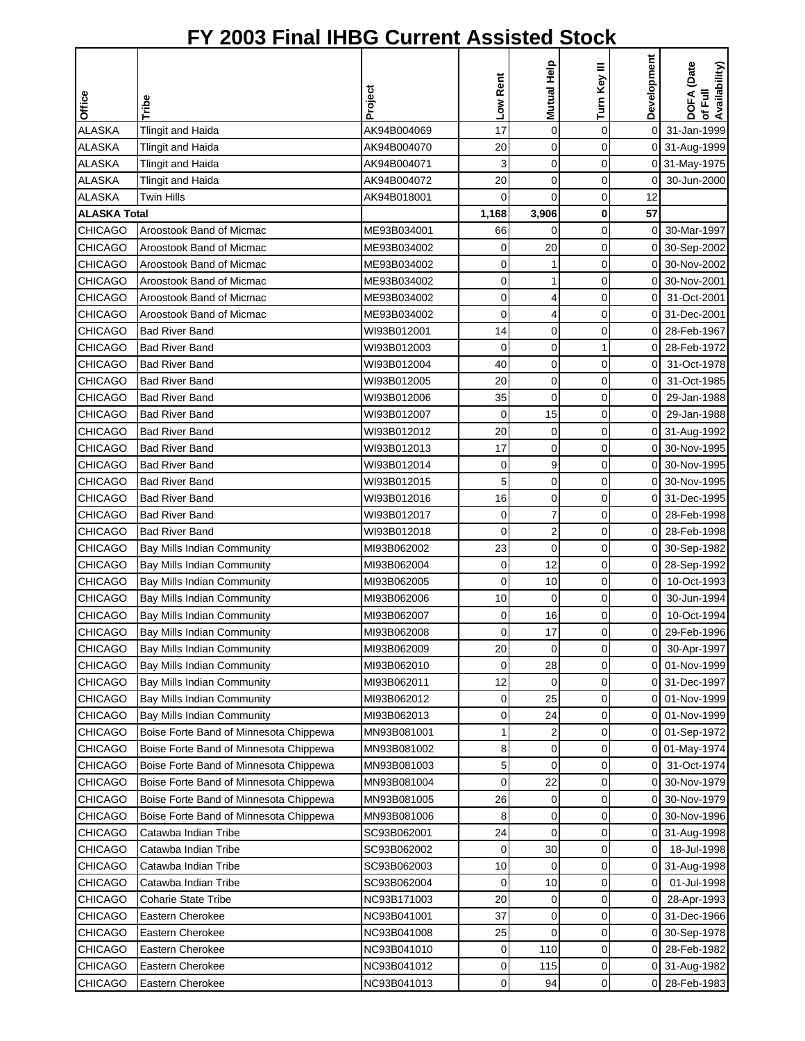| Office              | Tribe                                  | Project     | Low Rent       | Mutual Help             | Turn Key III | Development    | DOFA (Date<br>of Full<br>Availability) |
|---------------------|----------------------------------------|-------------|----------------|-------------------------|--------------|----------------|----------------------------------------|
| <b>ALASKA</b>       | <b>Tlingit and Haida</b>               | AK94B004069 | 17             | $\mathbf 0$             | $\mathbf 0$  | $\mathbf 0$    | 31-Jan-1999                            |
| <b>ALASKA</b>       | Tlingit and Haida                      | AK94B004070 | 20             | $\mathbf 0$             | 0            |                | 0 31-Aug-1999                          |
| <b>ALASKA</b>       | <b>Tlingit and Haida</b>               | AK94B004071 | 3              | $\mathbf 0$             | 0            |                | 0 31-May-1975                          |
| <b>ALASKA</b>       | <b>Tlingit and Haida</b>               | AK94B004072 | 20             | $\mathbf 0$             | 0            | $\overline{0}$ | 30-Jun-2000                            |
| <b>ALASKA</b>       | Twin Hills                             | AK94B018001 | 0              | $\Omega$                | 0            | 12             |                                        |
| <b>ALASKA Total</b> |                                        |             | 1,168          | 3,906                   | 0            | 57             |                                        |
| <b>CHICAGO</b>      | Aroostook Band of Micmac               | ME93B034001 | 66             | 0                       | 0            | $\Omega$       | 30-Mar-1997                            |
| <b>CHICAGO</b>      | Aroostook Band of Micmac               | ME93B034002 | 0              | 20                      | 0            | 0              | 30-Sep-2002                            |
| <b>CHICAGO</b>      | Aroostook Band of Micmac               | ME93B034002 | 0              | 1                       | 0            | ΟI             | 30-Nov-2002                            |
| <b>CHICAGO</b>      | Aroostook Band of Micmac               | ME93B034002 | 0              | 1                       | 0            | οI             | 30-Nov-2001                            |
| <b>CHICAGO</b>      | Aroostook Band of Micmac               | ME93B034002 | 0              | 4                       | 0            | 0              | 31-Oct-2001                            |
| <b>CHICAGO</b>      | Aroostook Band of Micmac               | ME93B034002 | 0              | 4                       | 0            | $\overline{0}$ | 31-Dec-2001                            |
| <b>CHICAGO</b>      | <b>Bad River Band</b>                  | WI93B012001 | 14             | $\mathbf 0$             | $\mathbf 0$  | 0              | 28-Feb-1967                            |
| <b>CHICAGO</b>      | <b>Bad River Band</b>                  | WI93B012003 | 0              | $\mathbf 0$             | 1            | $\overline{0}$ | 28-Feb-1972                            |
| <b>CHICAGO</b>      | <b>Bad River Band</b>                  | WI93B012004 | 40             | 0                       | 0            | $\overline{0}$ | 31-Oct-1978                            |
| <b>CHICAGO</b>      | <b>Bad River Band</b>                  | WI93B012005 | 20             | $\mathbf 0$             | 0            | $\overline{0}$ | 31-Oct-1985                            |
| <b>CHICAGO</b>      | <b>Bad River Band</b>                  | WI93B012006 | 35             | $\mathbf 0$             | 0            | $\overline{0}$ | 29-Jan-1988                            |
| <b>CHICAGO</b>      | <b>Bad River Band</b>                  | WI93B012007 | $\mathbf 0$    | 15                      | 0            | $\overline{0}$ | 29-Jan-1988                            |
| <b>CHICAGO</b>      | <b>Bad River Band</b>                  | WI93B012012 | 20             | $\mathbf 0$             | 0            |                | 0 31-Aug-1992                          |
| <b>CHICAGO</b>      | <b>Bad River Band</b>                  | WI93B012013 | 17             | $\mathbf 0$             | 0            |                | 0 30-Nov-1995                          |
| <b>CHICAGO</b>      | <b>Bad River Band</b>                  | WI93B012014 | 0              | 9                       | 0            |                | 0 30-Nov-1995                          |
| CHICAGO             | <b>Bad River Band</b>                  | WI93B012015 | 5              | $\mathbf 0$             | $\mathbf 0$  | ΟI             | 30-Nov-1995                            |
| <b>CHICAGO</b>      | <b>Bad River Band</b>                  | WI93B012016 | 16             | 0                       | 0            |                | 0 31-Dec-1995                          |
| <b>CHICAGO</b>      | <b>Bad River Band</b>                  | WI93B012017 | 0              | 7                       | 0            | $\Omega$       | 28-Feb-1998                            |
| <b>CHICAGO</b>      | <b>Bad River Band</b>                  | WI93B012018 | $\mathbf 0$    | $\overline{\mathbf{c}}$ | 0            | ΟI             | 28-Feb-1998                            |
| <b>CHICAGO</b>      | <b>Bay Mills Indian Community</b>      | MI93B062002 | 23             | $\mathbf 0$             | 0            |                | 0 30-Sep-1982                          |
| <b>CHICAGO</b>      | Bay Mills Indian Community             | MI93B062004 | 0              | 12                      | 0            |                | 0 28-Sep-1992                          |
| <b>CHICAGO</b>      | Bay Mills Indian Community             | MI93B062005 | 0              | 10                      | 0            | οI             | 10-Oct-1993                            |
| <b>CHICAGO</b>      | <b>Bay Mills Indian Community</b>      | MI93B062006 | 10             | 0                       | 0            | $\overline{0}$ | 30-Jun-1994                            |
| <b>CHICAGO</b>      | Bay Mills Indian Community             | MI93B062007 | 0              | 16                      | 0            | $\overline{0}$ | 10-Oct-1994                            |
| <b>CHICAGO</b>      | <b>Bay Mills Indian Community</b>      | MI93B062008 | $\overline{O}$ | 17                      | $\Omega$     | οI             | 29-Feb-1996                            |
| <b>CHICAGO</b>      | Bay Mills Indian Community             | MI93B062009 | 20             | 0                       | 0            | οI             | 30-Apr-1997                            |
| <b>CHICAGO</b>      | Bay Mills Indian Community             | MI93B062010 | 0              | 28                      | 0            | ΟI             | 01-Nov-1999                            |
| <b>CHICAGO</b>      | Bay Mills Indian Community             | MI93B062011 | 12             | 0                       | 0            | 01             | 31-Dec-1997                            |
| <b>CHICAGO</b>      | Bay Mills Indian Community             | MI93B062012 | 0              | 25                      | 0            | 0              | 01-Nov-1999                            |
| <b>CHICAGO</b>      | <b>Bay Mills Indian Community</b>      | MI93B062013 | 0              | 24                      | 0            |                | 0 01-Nov-1999                          |
| <b>CHICAGO</b>      | Boise Forte Band of Minnesota Chippewa | MN93B081001 | 1              | 2                       | 0            |                | 0 01-Sep-1972                          |
| <b>CHICAGO</b>      | Boise Forte Band of Minnesota Chippewa | MN93B081002 | 8              | 0                       | 0            |                | 0 01-May-1974                          |
| CHICAGO             | Boise Forte Band of Minnesota Chippewa | MN93B081003 | 5              | 0                       | 0            | $\overline{0}$ | 31-Oct-1974                            |
| CHICAGO             | Boise Forte Band of Minnesota Chippewa | MN93B081004 | 0              | 22                      | 0            | $\overline{0}$ | 30-Nov-1979                            |
| CHICAGO             | Boise Forte Band of Minnesota Chippewa | MN93B081005 | 26             | 0                       | 0            | $\overline{0}$ | 30-Nov-1979                            |
| <b>CHICAGO</b>      | Boise Forte Band of Minnesota Chippewa | MN93B081006 | 8              | 0                       | 0            | 01             | 30-Nov-1996                            |
| CHICAGO             | Catawba Indian Tribe                   | SC93B062001 | 24             | $\mathbf 0$             | 0            |                | 0 31-Aug-1998                          |
| <b>CHICAGO</b>      | Catawba Indian Tribe                   | SC93B062002 | 0              | 30                      | 0            | 0              | 18-Jul-1998                            |
| <b>CHICAGO</b>      | Catawba Indian Tribe                   | SC93B062003 | 10             | 0                       | 0            |                | 0 31-Aug-1998                          |
| <b>CHICAGO</b>      | Catawba Indian Tribe                   | SC93B062004 | 0              | 10                      | 0            | $\overline{0}$ | 01-Jul-1998                            |
| CHICAGO             | <b>Coharie State Tribe</b>             | NC93B171003 | 20             | 0                       | 0            | $\overline{0}$ | 28-Apr-1993                            |
| <b>CHICAGO</b>      | Eastern Cherokee                       | NC93B041001 | 37             | 0                       | 0            |                | 0 31-Dec-1966                          |
| <b>CHICAGO</b>      | Eastern Cherokee                       | NC93B041008 | 25             | 0                       | 0            | 01             | 30-Sep-1978                            |
| <b>CHICAGO</b>      | Eastern Cherokee                       | NC93B041010 | 0              | 110                     | 0            | $\overline{O}$ | 28-Feb-1982                            |
| <b>CHICAGO</b>      | Eastern Cherokee                       | NC93B041012 | 0              | 115                     | 0            |                | 0 31-Aug-1982                          |
| <b>CHICAGO</b>      | Eastern Cherokee                       | NC93B041013 | 0              | 94                      | 0            | 0I             | 28-Feb-1983                            |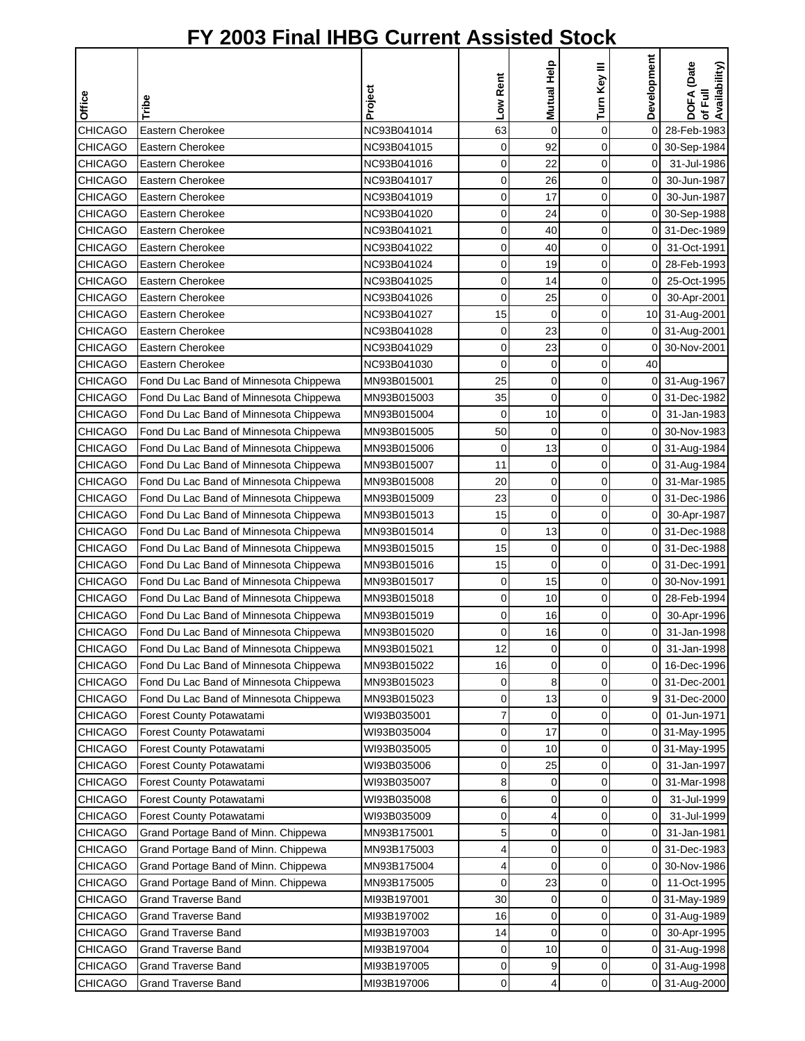| Office         |                                        | Project     | Low Rent       | Mutual Help    | Turn Key III | Development    | DOFA (Date<br>of Full<br>Availability) |
|----------------|----------------------------------------|-------------|----------------|----------------|--------------|----------------|----------------------------------------|
|                | Tribe                                  |             |                |                |              |                |                                        |
| <b>CHICAGO</b> | Eastern Cherokee                       | NC93B041014 | 63             | $\mathbf 0$    | 0            | $\mathbf 0$    | 28-Feb-1983                            |
| <b>CHICAGO</b> | Eastern Cherokee                       | NC93B041015 | 0              | 92             | 0            |                | 0 30-Sep-1984                          |
| <b>CHICAGO</b> | Eastern Cherokee                       | NC93B041016 | 0              | 22             | 0            | $\mathbf 0$    | 31-Jul-1986                            |
| <b>CHICAGO</b> | Eastern Cherokee                       | NC93B041017 | 0              | 26             | 0            | 0              | 30-Jun-1987                            |
| <b>CHICAGO</b> | Eastern Cherokee                       | NC93B041019 | 0              | 17             | 0            | 0              | 30-Jun-1987                            |
| <b>CHICAGO</b> | Eastern Cherokee                       | NC93B041020 | 0              | 24             | 0            | 0              | 30-Sep-1988                            |
| <b>CHICAGO</b> | Eastern Cherokee                       | NC93B041021 | 0              | 40             | 0            | 0              | 31-Dec-1989                            |
| <b>CHICAGO</b> | Eastern Cherokee                       | NC93B041022 | 0              | 40             | 0            | 0              | 31-Oct-1991                            |
| <b>CHICAGO</b> | Eastern Cherokee                       | NC93B041024 | 0              | 19             | 0            | 0              | 28-Feb-1993                            |
| <b>CHICAGO</b> | Eastern Cherokee                       | NC93B041025 | 0              | 14             | 0            | 0              | 25-Oct-1995                            |
| <b>CHICAGO</b> | Eastern Cherokee                       | NC93B041026 | 0              | 25             | 0            | $\overline{0}$ | 30-Apr-2001                            |
| <b>CHICAGO</b> | Eastern Cherokee                       | NC93B041027 | 15             | $\mathbf 0$    | 0            |                | 10 31-Aug-2001                         |
| <b>CHICAGO</b> | Eastern Cherokee                       | NC93B041028 | 0              | 23             | 0            |                | 0 31-Aug-2001                          |
| <b>CHICAGO</b> | Eastern Cherokee                       | NC93B041029 | 0              | 23             | 0            | 0              | 30-Nov-2001                            |
| CHICAGO        | Eastern Cherokee                       | NC93B041030 | 0              | 0              | 0            | 40             |                                        |
| <b>CHICAGO</b> | Fond Du Lac Band of Minnesota Chippewa | MN93B015001 | 25             | 0              | 0            | 0              | 31-Aug-1967                            |
| <b>CHICAGO</b> | Fond Du Lac Band of Minnesota Chippewa | MN93B015003 | 35             | $\overline{0}$ | 0            |                | 0 31-Dec-1982                          |
| <b>CHICAGO</b> | Fond Du Lac Band of Minnesota Chippewa | MN93B015004 | 0              | 10             | 0            | $\overline{O}$ | 31-Jan-1983                            |
| <b>CHICAGO</b> | Fond Du Lac Band of Minnesota Chippewa | MN93B015005 | 50             | $\mathbf 0$    | 0            | 0              | 30-Nov-1983                            |
| <b>CHICAGO</b> | Fond Du Lac Band of Minnesota Chippewa | MN93B015006 | 0              | 13             | 0            |                | 0 31-Aug-1984                          |
| <b>CHICAGO</b> | Fond Du Lac Band of Minnesota Chippewa | MN93B015007 | 11             | 0              | 0            | 0              | 31-Aug-1984                            |
| <b>CHICAGO</b> | Fond Du Lac Band of Minnesota Chippewa | MN93B015008 | 20             | 0              | 0            | 0              | 31-Mar-1985                            |
| <b>CHICAGO</b> | Fond Du Lac Band of Minnesota Chippewa | MN93B015009 | 23             | $\mathbf 0$    | 0            | 0              | 31-Dec-1986                            |
| <b>CHICAGO</b> | Fond Du Lac Band of Minnesota Chippewa | MN93B015013 | 15             | $\mathbf 0$    | 0            | 0              | 30-Apr-1987                            |
| <b>CHICAGO</b> | Fond Du Lac Band of Minnesota Chippewa | MN93B015014 | 0              | 13             | 0            | 0              | 31-Dec-1988                            |
| <b>CHICAGO</b> | Fond Du Lac Band of Minnesota Chippewa | MN93B015015 | 15             | 0              | 0            |                | 0 31-Dec-1988                          |
| <b>CHICAGO</b> | Fond Du Lac Band of Minnesota Chippewa | MN93B015016 | 15             | 0              | 0            |                | 0 31-Dec-1991                          |
| <b>CHICAGO</b> | Fond Du Lac Band of Minnesota Chippewa | MN93B015017 | 0              | 15             | 0            |                | 0 30-Nov-1991                          |
| <b>CHICAGO</b> | Fond Du Lac Band of Minnesota Chippewa | MN93B015018 | 0              | 10             | 0            | 01             | 28-Feb-1994                            |
| <b>CHICAGO</b> | Fond Du Lac Band of Minnesota Chippewa | MN93B015019 | 0              | 16             | 0            | $\overline{0}$ | 30-Apr-1996                            |
| <b>CHICAGO</b> | Fond Du Lac Band of Minnesota Chippewa | MN93B015020 | $\overline{0}$ | 16             | $\Omega$     | οI             | 31-Jan-1998                            |
| <b>CHICAGO</b> | Fond Du Lac Band of Minnesota Chippewa | MN93B015021 | 12             | 0              | 0            | 01             | 31-Jan-1998                            |
| <b>CHICAGO</b> | Fond Du Lac Band of Minnesota Chippewa | MN93B015022 | 16             | 0              | 0            | 01             | 16-Dec-1996                            |
| <b>CHICAGO</b> | Fond Du Lac Band of Minnesota Chippewa | MN93B015023 | 0              | 8              | 0            |                | 0 31-Dec-2001                          |
| <b>CHICAGO</b> | Fond Du Lac Band of Minnesota Chippewa | MN93B015023 | 0              | 13             | 0            |                | 9 31-Dec-2000                          |
| <b>CHICAGO</b> | Forest County Potawatami               | WI93B035001 | 7              | 0              | 0            | 01             | 01-Jun-1971                            |
| <b>CHICAGO</b> | Forest County Potawatami               | WI93B035004 | 0              | 17             | 0            |                | 0 31-May-1995                          |
| <b>CHICAGO</b> | Forest County Potawatami               | WI93B035005 | 0              | 10             | 0            |                | 0 31-May-1995                          |
| CHICAGO        | Forest County Potawatami               | WI93B035006 | 0              | 25             | 0            | 0              | 31-Jan-1997                            |
| CHICAGO        | Forest County Potawatami               | WI93B035007 | 8              | 0              | 0            | 0              | 31-Mar-1998                            |
| CHICAGO        | Forest County Potawatami               | WI93B035008 | 6              | 0              | 0            | 0              | 31-Jul-1999                            |
| <b>CHICAGO</b> | Forest County Potawatami               | WI93B035009 | 0              | 4              | 0            | 0              | 31-Jul-1999                            |
| <b>CHICAGO</b> | Grand Portage Band of Minn. Chippewa   | MN93B175001 | 5              | 0              | 0            | 0              | 31-Jan-1981                            |
| <b>CHICAGO</b> | Grand Portage Band of Minn. Chippewa   | MN93B175003 | 4              | 0              | 0            | 0              | 31-Dec-1983                            |
| <b>CHICAGO</b> | Grand Portage Band of Minn. Chippewa   | MN93B175004 | 4              | 0              | 0            |                | 0 30-Nov-1986                          |
| <b>CHICAGO</b> | Grand Portage Band of Minn. Chippewa   | MN93B175005 | 0              | 23             | 0            | 0              | 11-Oct-1995                            |
| <b>CHICAGO</b> | <b>Grand Traverse Band</b>             | MI93B197001 | 30             | 0              | 0            |                | 0 31-May-1989                          |
| CHICAGO        | <b>Grand Traverse Band</b>             | MI93B197002 | 16             | 0              | 0            | 0              | 31-Aug-1989                            |
| <b>CHICAGO</b> | <b>Grand Traverse Band</b>             | MI93B197003 | 14             | 0              | 0            | 0              | 30-Apr-1995                            |
| <b>CHICAGO</b> | <b>Grand Traverse Band</b>             | MI93B197004 | 0              | 10             | 0            |                | 0 31-Aug-1998                          |
| CHICAGO        | <b>Grand Traverse Band</b>             | MI93B197005 | 0              | 9              | 0            |                | 0 31-Aug-1998                          |
| <b>CHICAGO</b> | <b>Grand Traverse Band</b>             | MI93B197006 | 0              | 4              | 0            |                | 0 31-Aug-2000                          |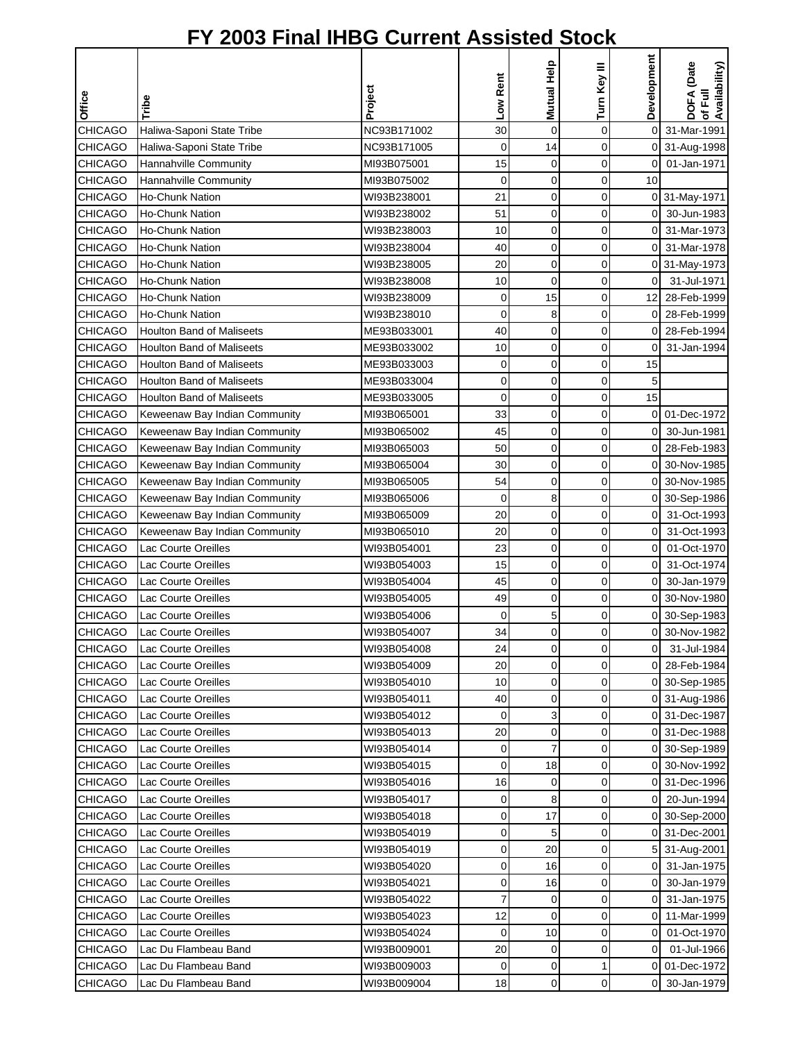|                |                                  | Project     | Low Rent    | Mutual Help    | Turn Key III | Development    | DOFA (Date<br>of Full<br>Availability) |
|----------------|----------------------------------|-------------|-------------|----------------|--------------|----------------|----------------------------------------|
| <b>Office</b>  | Tribe                            |             |             |                |              |                |                                        |
| <b>CHICAGO</b> | Haliwa-Saponi State Tribe        | NC93B171002 | 30          | $\mathbf 0$    | 0            | $\mathsf{O}$   | 31-Mar-1991                            |
| <b>CHICAGO</b> | Haliwa-Saponi State Tribe        | NC93B171005 | 0           | 14             | 0            |                | 0 31-Aug-1998                          |
| <b>CHICAGO</b> | Hannahville Community            | MI93B075001 | 15          | 0              | 0            |                | 0 01-Jan-1971                          |
| <b>CHICAGO</b> | Hannahville Community            | MI93B075002 | 0           | 0              | 0            | 10             |                                        |
| CHICAGO        | Ho-Chunk Nation                  | WI93B238001 | 21          | 0              | 0            |                | 0 31-May-1971                          |
| <b>CHICAGO</b> | <b>Ho-Chunk Nation</b>           | WI93B238002 | 51          | 0              | 0            | 01             | 30-Jun-1983                            |
| <b>CHICAGO</b> | <b>Ho-Chunk Nation</b>           | WI93B238003 | 10          | 0              | 0            | $\Omega$       | 31-Mar-1973                            |
| <b>CHICAGO</b> | <b>Ho-Chunk Nation</b>           | WI93B238004 | 40          | 0              | 0            | οI             | 31-Mar-1978                            |
| <b>CHICAGO</b> | <b>Ho-Chunk Nation</b>           | WI93B238005 | 20          | 0              | 0            |                | 0 31-May-1973                          |
| <b>CHICAGO</b> | <b>Ho-Chunk Nation</b>           | WI93B238008 | 10          | $\overline{0}$ | 0            | $\overline{0}$ | 31-Jul-1971                            |
| <b>CHICAGO</b> | <b>Ho-Chunk Nation</b>           | WI93B238009 | 0           | 15             | 0            |                | 12 28-Feb-1999                         |
| <b>CHICAGO</b> | Ho-Chunk Nation                  | WI93B238010 | 0           | 8              | 0            | 01             | 28-Feb-1999                            |
| <b>CHICAGO</b> | <b>Houlton Band of Maliseets</b> | ME93B033001 | 40          | 0              | 0            | 0              | 28-Feb-1994                            |
| <b>CHICAGO</b> | <b>Houlton Band of Maliseets</b> | ME93B033002 | 10          | 0              | 0            | 0              | 31-Jan-1994                            |
| CHICAGO        | <b>Houlton Band of Maliseets</b> | ME93B033003 | 0           | 0              | 0            | 15             |                                        |
| <b>CHICAGO</b> | <b>Houlton Band of Maliseets</b> | ME93B033004 | 0           | 0              | 0            | 5              |                                        |
| <b>CHICAGO</b> | <b>Houlton Band of Maliseets</b> | ME93B033005 | 0           | 0              | 0            | 15             |                                        |
| <b>CHICAGO</b> | Keweenaw Bay Indian Community    | MI93B065001 | 33          | 0              | 0            | 0I             | 01-Dec-1972                            |
| <b>CHICAGO</b> | Keweenaw Bay Indian Community    | MI93B065002 | 45          | 0              | 0            | 0              | 30-Jun-1981                            |
| <b>CHICAGO</b> | Keweenaw Bay Indian Community    | MI93B065003 | 50          | 0              | 0            |                | 0 28-Feb-1983                          |
| <b>CHICAGO</b> | Keweenaw Bay Indian Community    | MI93B065004 | 30          | 0              | 0            | 0              | 30-Nov-1985                            |
| <b>CHICAGO</b> | Keweenaw Bay Indian Community    | MI93B065005 | 54          | 0              | 0            | 0              | 30-Nov-1985                            |
| CHICAGO        | Keweenaw Bay Indian Community    | MI93B065006 | $\mathbf 0$ | 8              | 0            | 0              | 30-Sep-1986                            |
| <b>CHICAGO</b> | Keweenaw Bay Indian Community    | MI93B065009 | 20          | 0              | 0            | 0              | 31-Oct-1993                            |
| <b>CHICAGO</b> | Keweenaw Bay Indian Community    | MI93B065010 | 20          | 0              | 0            | $\overline{0}$ | 31-Oct-1993                            |
| <b>CHICAGO</b> | Lac Courte Oreilles              | WI93B054001 | 23          | 0              | 0            | $\overline{0}$ | 01-Oct-1970                            |
| <b>CHICAGO</b> | Lac Courte Oreilles              | WI93B054003 | 15          | 0              | 0            | $\overline{0}$ | 31-Oct-1974                            |
| <b>CHICAGO</b> | Lac Courte Oreilles              | WI93B054004 | 45          | 0              | 0            | 0              | 30-Jan-1979                            |
| <b>CHICAGO</b> | Lac Courte Oreilles              | WI93B054005 | 49          | 0              | 0            |                | 0 30-Nov-1980                          |
| <b>CHICAGO</b> | Lac Courte Oreilles              | WI93B054006 | 0           | 5              | 0            |                | 0 30-Sep-1983                          |
| <b>CHICAGO</b> | Lac Courte Oreilles              | WI93B054007 | 34          | $\overline{0}$ | $\Omega$     |                | 0 30-Nov-1982                          |
| <b>CHICAGO</b> | Lac Courte Oreilles              | WI93B054008 | 24          | 0              | 0            | $\overline{0}$ | 31-Jul-1984                            |
| <b>CHICAGO</b> | Lac Courte Oreilles              | WI93B054009 | 20          | 0              | 0            |                | 0 28-Feb-1984                          |
| <b>CHICAGO</b> | Lac Courte Oreilles              | WI93B054010 | 10          | 0              | 0            |                | 0 30-Sep-1985                          |
| <b>CHICAGO</b> | Lac Courte Oreilles              | WI93B054011 | 40          | 0              | 0            |                | 0 31-Aug-1986                          |
| <b>CHICAGO</b> | Lac Courte Oreilles              | WI93B054012 | 0           | 3              | 0            |                | 0 31-Dec-1987                          |
| <b>CHICAGO</b> | Lac Courte Oreilles              | WI93B054013 | 20          | 0              | 0            |                | 0 31-Dec-1988                          |
| <b>CHICAGO</b> | Lac Courte Oreilles              | WI93B054014 | 0           | 7              | 0            |                | 0 30-Sep-1989                          |
| <b>CHICAGO</b> | Lac Courte Oreilles              | WI93B054015 | 0           | 18             | 0            |                | 0 30-Nov-1992                          |
| CHICAGO        | Lac Courte Oreilles              | WI93B054016 | 16          | 0              | 0            | 0              | 31-Dec-1996                            |
| <b>CHICAGO</b> | Lac Courte Oreilles              | WI93B054017 | 0           | 8              | 0            | 0              | 20-Jun-1994                            |
| <b>CHICAGO</b> | Lac Courte Oreilles              | WI93B054018 | 0           | 17             | 0            |                | 0 30-Sep-2000                          |
| <b>CHICAGO</b> | Lac Courte Oreilles              | WI93B054019 | 0           | 5              | 0            |                | 0 31-Dec-2001                          |
| <b>CHICAGO</b> | Lac Courte Oreilles              | WI93B054019 | 0           | 20             | 0            |                | 5 31-Aug-2001                          |
| <b>CHICAGO</b> | Lac Courte Oreilles              | WI93B054020 | 0           | 16             | 0            | 01             | 31-Jan-1975                            |
| <b>CHICAGO</b> | Lac Courte Oreilles              | WI93B054021 | 0           | 16             | 0            | 0              | 30-Jan-1979                            |
| <b>CHICAGO</b> | Lac Courte Oreilles              | WI93B054022 | 7           | 0              | 0            | 0              | 31-Jan-1975                            |
| <b>CHICAGO</b> | Lac Courte Oreilles              | WI93B054023 | 12          | $\mathbf 0$    | 0            | οı             | 11-Mar-1999                            |
| <b>CHICAGO</b> | Lac Courte Oreilles              | WI93B054024 | 0           | 10             | 0            | 0              | 01-Oct-1970                            |
| <b>CHICAGO</b> | Lac Du Flambeau Band             | WI93B009001 | 20          | 0              | 0            | οI             | 01-Jul-1966                            |
| <b>CHICAGO</b> | Lac Du Flambeau Band             | WI93B009003 | 0           | 0              | 1            |                | 0 01-Dec-1972                          |
| <b>CHICAGO</b> | Lac Du Flambeau Band             | WI93B009004 | 18          | $\pmb{0}$      | 0            | $\overline{0}$ | 30-Jan-1979                            |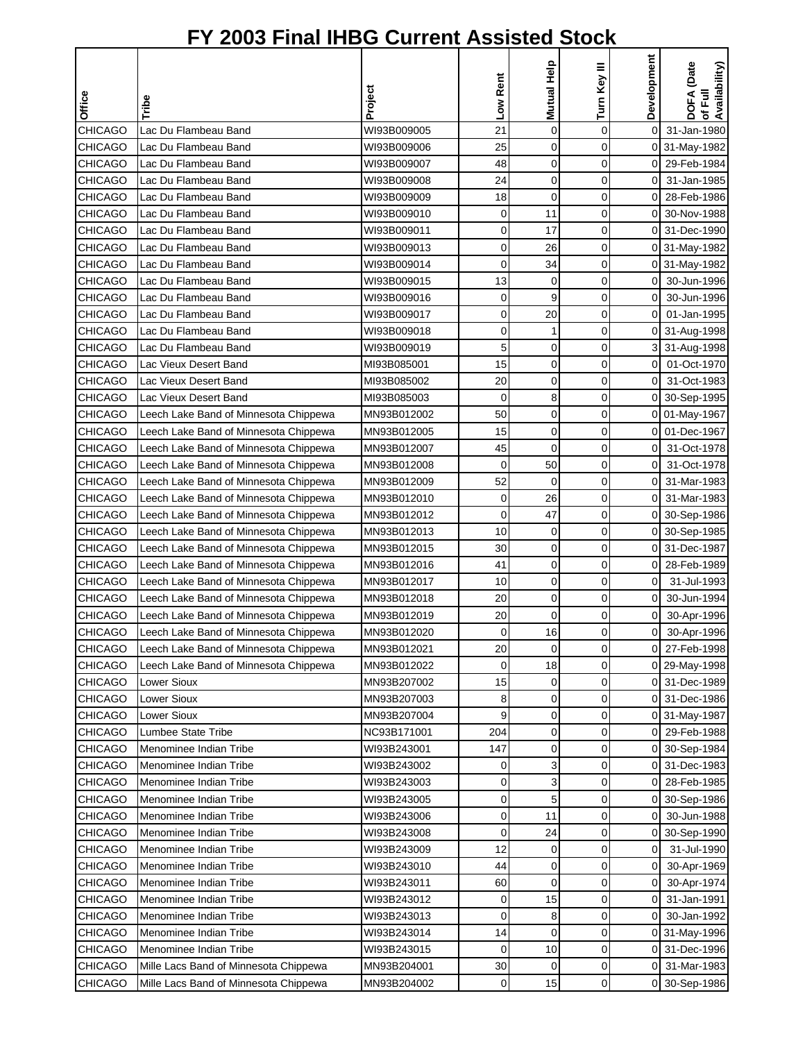|                |                                       |             | Low Rent    | Mutual Help    | Turn Key III | Development    | DOFA (Date<br>of Full<br>Availability) |
|----------------|---------------------------------------|-------------|-------------|----------------|--------------|----------------|----------------------------------------|
| <b>Office</b>  | Tribe                                 | Project     |             |                |              |                |                                        |
| <b>CHICAGO</b> | Lac Du Flambeau Band                  | WI93B009005 | 21          | $\mathbf 0$    | 0            | $\mathbf 0$    | 31-Jan-1980                            |
| <b>CHICAGO</b> | Lac Du Flambeau Band                  | WI93B009006 | 25          | 0              | 0            |                | 0 31-May-1982                          |
| <b>CHICAGO</b> | Lac Du Flambeau Band                  | WI93B009007 | 48          | 0              | 0            |                | 0 29-Feb-1984                          |
| <b>CHICAGO</b> | Lac Du Flambeau Band                  | WI93B009008 | 24          | 0              | 0            | 0              | 31-Jan-1985                            |
| <b>CHICAGO</b> | Lac Du Flambeau Band                  | WI93B009009 | 18          | $\overline{0}$ | 0            | 0              | 28-Feb-1986                            |
| <b>CHICAGO</b> | Lac Du Flambeau Band                  | WI93B009010 | 0           | 11             | 0            | 0              | 30-Nov-1988                            |
| <b>CHICAGO</b> | Lac Du Flambeau Band                  | WI93B009011 | 0           | 17             | 0            | $\Omega$       | 31-Dec-1990                            |
| <b>CHICAGO</b> | Lac Du Flambeau Band                  | WI93B009013 | 0           | 26             | 0            |                | 0 31-May-1982                          |
| <b>CHICAGO</b> | Lac Du Flambeau Band                  | WI93B009014 | 0           | 34             | 0            |                | 0 31-May-1982                          |
| <b>CHICAGO</b> | Lac Du Flambeau Band                  | WI93B009015 | 13          | 0              | 0            | 0              | 30-Jun-1996                            |
| <b>CHICAGO</b> | Lac Du Flambeau Band                  | WI93B009016 | 0           | 9              | 0            | 0              | 30-Jun-1996                            |
| <b>CHICAGO</b> | Lac Du Flambeau Band                  | WI93B009017 | 0           | 20             | 0            | 0              | 01-Jan-1995                            |
| <b>CHICAGO</b> | Lac Du Flambeau Band                  | WI93B009018 | 0           | 1              | 0            | 0              | 31-Aug-1998                            |
| <b>CHICAGO</b> | Lac Du Flambeau Band                  | WI93B009019 | 5           | 0              | 0            | 3              | 31-Aug-1998                            |
| CHICAGO        | Lac Vieux Desert Band                 | MI93B085001 | 15          | 0              | 0            | 0              | 01-Oct-1970                            |
| <b>CHICAGO</b> | Lac Vieux Desert Band                 | MI93B085002 | 20          | 0              | 0            | 0              | 31-Oct-1983                            |
| <b>CHICAGO</b> | Lac Vieux Desert Band                 | MI93B085003 | 0           | 8              | 0            | οI             | 30-Sep-1995                            |
| <b>CHICAGO</b> | Leech Lake Band of Minnesota Chippewa | MN93B012002 | 50          | 0              | 0            |                | 0 01-May-1967                          |
| <b>CHICAGO</b> | Leech Lake Band of Minnesota Chippewa | MN93B012005 | 15          | 0              | 0            | 0              | 01-Dec-1967                            |
| <b>CHICAGO</b> | Leech Lake Band of Minnesota Chippewa | MN93B012007 | 45          | $\mathbf 0$    | 0            | 0              | 31-Oct-1978                            |
| <b>CHICAGO</b> | Leech Lake Band of Minnesota Chippewa | MN93B012008 | 0           | 50             | 0            | 0              | 31-Oct-1978                            |
| <b>CHICAGO</b> | Leech Lake Band of Minnesota Chippewa | MN93B012009 | 52          | 0              | 0            | 0              | 31-Mar-1983                            |
| <b>CHICAGO</b> | Leech Lake Band of Minnesota Chippewa | MN93B012010 | 0           | 26             | 0            | 0              | 31-Mar-1983                            |
| <b>CHICAGO</b> | Leech Lake Band of Minnesota Chippewa | MN93B012012 | 0           | 47             | 0            | 0              | 30-Sep-1986                            |
| <b>CHICAGO</b> | Leech Lake Band of Minnesota Chippewa | MN93B012013 | 10          | 0              | 0            | 0              | 30-Sep-1985                            |
| <b>CHICAGO</b> | Leech Lake Band of Minnesota Chippewa | MN93B012015 | 30          | 0              | 0            |                | 0 31-Dec-1987                          |
| <b>CHICAGO</b> | Leech Lake Band of Minnesota Chippewa | MN93B012016 | 41          | 0              | 0            | 0              | 28-Feb-1989                            |
| <b>CHICAGO</b> | Leech Lake Band of Minnesota Chippewa | MN93B012017 | 10          | 0              | 0            | $\mathbf 0$    | 31-Jul-1993                            |
| <b>CHICAGO</b> | Leech Lake Band of Minnesota Chippewa | MN93B012018 | 20          | 0              | 0            | 0              | 30-Jun-1994                            |
| <b>CHICAGO</b> | Leech Lake Band of Minnesota Chippewa | MN93B012019 | 20          | 0              | 0            | 0              | 30-Apr-1996                            |
| <b>CHICAGO</b> | Leech Lake Band of Minnesota Chippewa | MN93B012020 | $\mathbf 0$ | 16             | $\Omega$     | οI             | 30-Apr-1996                            |
| CHICAGO        | Leech Lake Band of Minnesota Chippewa | MN93B012021 | 20          | $\mathbf 0$    | 0            |                | 0 27-Feb-1998                          |
| <b>CHICAGO</b> | Leech Lake Band of Minnesota Chippewa | MN93B012022 | $\mathbf 0$ | 18             | 0            |                | 0 29-May-1998                          |
| <b>CHICAGO</b> | Lower Sioux                           | MN93B207002 | 15          | 0              | 0            |                | 0 31-Dec-1989                          |
| <b>CHICAGO</b> | Lower Sioux                           | MN93B207003 | 8           | 0              | 0            |                | 0 31-Dec-1986                          |
| <b>CHICAGO</b> | <b>Lower Sioux</b>                    | MN93B207004 | 9           | 0              | 0            |                | 0 31-May-1987                          |
| <b>CHICAGO</b> | Lumbee State Tribe                    | NC93B171001 | 204         | 0              | 0            |                | 0 29-Feb-1988                          |
| <b>CHICAGO</b> | Menominee Indian Tribe                | WI93B243001 | 147         | 0              | 0            |                | 0 30-Sep-1984                          |
| <b>CHICAGO</b> | Menominee Indian Tribe                | WI93B243002 | 0           | 3              | 0            |                | 0 31-Dec-1983                          |
| CHICAGO        | Menominee Indian Tribe                | WI93B243003 | 0           | 3              | 0            | 0              | 28-Feb-1985                            |
| CHICAGO        | Menominee Indian Tribe                | WI93B243005 | 0           | 5              | 0            | 0              | 30-Sep-1986                            |
| <b>CHICAGO</b> | Menominee Indian Tribe                | WI93B243006 | 0           | 11             | 0            | $\overline{0}$ | 30-Jun-1988                            |
| <b>CHICAGO</b> | Menominee Indian Tribe                | WI93B243008 | 0           | 24             | 0            |                | 0 30-Sep-1990                          |
| <b>CHICAGO</b> | Menominee Indian Tribe                | WI93B243009 | 12          | 0              | 0            | $\overline{0}$ | 31-Jul-1990                            |
| <b>CHICAGO</b> | Menominee Indian Tribe                | WI93B243010 | 44          | 0              | 0            | 0              | 30-Apr-1969                            |
| <b>CHICAGO</b> | Menominee Indian Tribe                | WI93B243011 | 60          | 0              | 0            | 0              | 30-Apr-1974                            |
| <b>CHICAGO</b> | Menominee Indian Tribe                | WI93B243012 | 0           | 15             | 0            | 0              | 31-Jan-1991                            |
| CHICAGO        | Menominee Indian Tribe                | WI93B243013 | 0           | 8              | 0            | 0              | 30-Jan-1992                            |
| <b>CHICAGO</b> | Menominee Indian Tribe                | WI93B243014 | 14          | $\mathbf 0$    | 0            | 0              | 31-May-1996                            |
| <b>CHICAGO</b> | Menominee Indian Tribe                | WI93B243015 | 0           | 10             | 0            |                | 0 31-Dec-1996                          |
| CHICAGO        | Mille Lacs Band of Minnesota Chippewa | MN93B204001 | 30          | 0              | 0            | $\overline{0}$ | 31-Mar-1983                            |
| <b>CHICAGO</b> | Mille Lacs Band of Minnesota Chippewa | MN93B204002 | $\mathbf 0$ | 15             | 0            |                | 0 30-Sep-1986                          |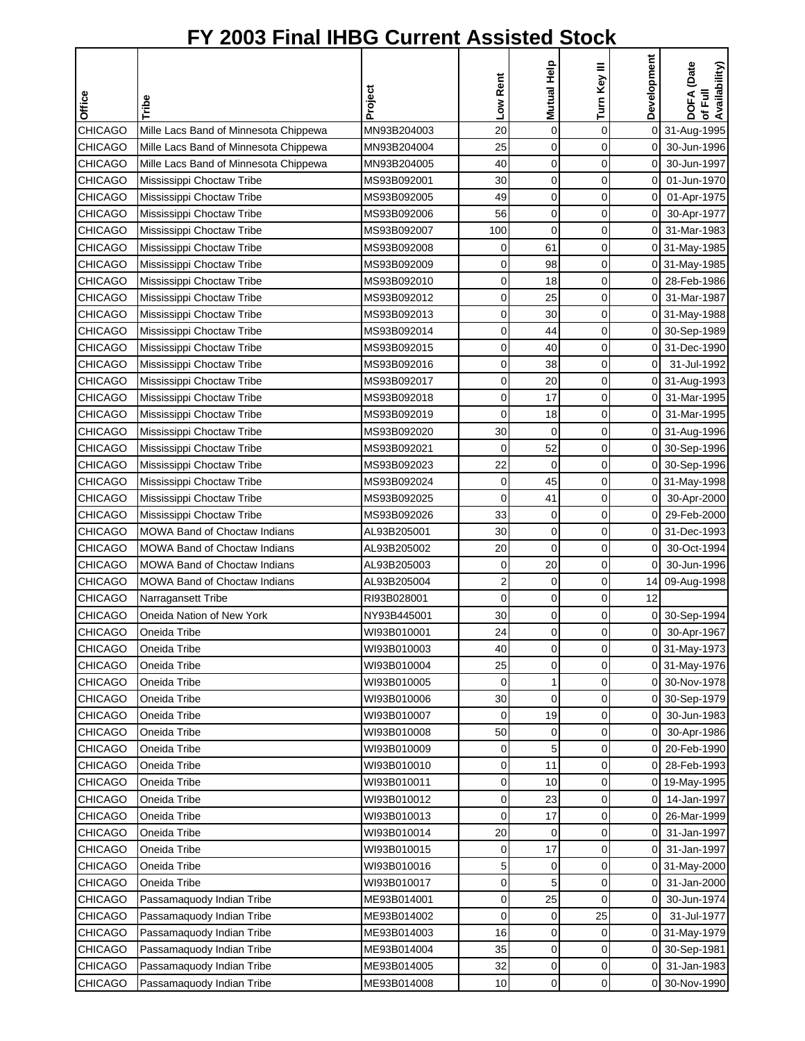|                |                                       | Project     | Low Rent    | Mutual Help    | Turn Key III | Development    | DOFA (Date<br>of Full<br>Availability) |
|----------------|---------------------------------------|-------------|-------------|----------------|--------------|----------------|----------------------------------------|
| Office         | Tribe                                 |             |             |                |              |                |                                        |
| <b>CHICAGO</b> | Mille Lacs Band of Minnesota Chippewa | MN93B204003 | 20          | $\mathbf 0$    | 0            |                | 0 31-Aug-1995                          |
| <b>CHICAGO</b> | Mille Lacs Band of Minnesota Chippewa | MN93B204004 | 25          | $\overline{0}$ | 0            | 0              | 30-Jun-1996                            |
| <b>CHICAGO</b> | Mille Lacs Band of Minnesota Chippewa | MN93B204005 | 40          | 0              | 0            | 0              | 30-Jun-1997                            |
| <b>CHICAGO</b> | Mississippi Choctaw Tribe             | MS93B092001 | 30          | $\mathbf 0$    | 0            | $\overline{0}$ | 01-Jun-1970                            |
| <b>CHICAGO</b> | Mississippi Choctaw Tribe             | MS93B092005 | 49          | $\mathbf 0$    | 0            | $\overline{0}$ | 01-Apr-1975                            |
| <b>CHICAGO</b> | Mississippi Choctaw Tribe             | MS93B092006 | 56          | $\overline{0}$ | 0            | $\overline{0}$ | 30-Apr-1977                            |
| <b>CHICAGO</b> | Mississippi Choctaw Tribe             | MS93B092007 | 100         | $\overline{0}$ | 0            | 0              | 31-Mar-1983                            |
| <b>CHICAGO</b> | Mississippi Choctaw Tribe             | MS93B092008 | 0           | 61             | 0            |                | 0 31-May-1985                          |
| <b>CHICAGO</b> | Mississippi Choctaw Tribe             | MS93B092009 | 0           | 98             | 0            |                | 0 31-May-1985                          |
| <b>CHICAGO</b> | Mississippi Choctaw Tribe             | MS93B092010 | 0           | 18             | 0            |                | 0 28-Feb-1986                          |
| <b>CHICAGO</b> | Mississippi Choctaw Tribe             | MS93B092012 | 0           | 25             | 0            |                | 0 31-Mar-1987                          |
| <b>CHICAGO</b> | Mississippi Choctaw Tribe             | MS93B092013 | 0           | 30             | 0            |                | 0 31-May-1988                          |
| <b>CHICAGO</b> | Mississippi Choctaw Tribe             | MS93B092014 | 0           | 44             | 0            |                | 0 30-Sep-1989                          |
| <b>CHICAGO</b> | Mississippi Choctaw Tribe             | MS93B092015 | 0           | 40             | 0            |                | 0 31-Dec-1990                          |
| <b>CHICAGO</b> | Mississippi Choctaw Tribe             | MS93B092016 | 0           | 38             | 0            | $\overline{0}$ | 31-Jul-1992                            |
| <b>CHICAGO</b> | Mississippi Choctaw Tribe             | MS93B092017 | 0           | 20             | 0            |                | 0 31-Aug-1993                          |
| <b>CHICAGO</b> | Mississippi Choctaw Tribe             | MS93B092018 | 0           | 17             | 0            | $\overline{0}$ | 31-Mar-1995                            |
| <b>CHICAGO</b> | Mississippi Choctaw Tribe             | MS93B092019 | 0           | 18             | 0            |                | 0 31-Mar-1995                          |
| <b>CHICAGO</b> | Mississippi Choctaw Tribe             | MS93B092020 | 30          | $\mathbf 0$    | 0            |                | 0 31-Aug-1996                          |
| <b>CHICAGO</b> | Mississippi Choctaw Tribe             | MS93B092021 | 0           | 52             | 0            |                | 0 30-Sep-1996                          |
| <b>CHICAGO</b> | Mississippi Choctaw Tribe             | MS93B092023 | 22          | $\mathbf 0$    | 0            |                | 0 30-Sep-1996                          |
| <b>CHICAGO</b> | Mississippi Choctaw Tribe             | MS93B092024 | 0           | 45             | 0            |                | 0 31-May-1998                          |
| <b>CHICAGO</b> | Mississippi Choctaw Tribe             | MS93B092025 | $\mathbf 0$ | 41             | 0            | 01             | 30-Apr-2000                            |
| <b>CHICAGO</b> | Mississippi Choctaw Tribe             | MS93B092026 | 33          | 0              | 0            | 0              | 29-Feb-2000                            |
| <b>CHICAGO</b> | <b>MOWA Band of Choctaw Indians</b>   | AL93B205001 | 30          | $\overline{0}$ | 0            |                | 0 31-Dec-1993                          |
| <b>CHICAGO</b> | <b>MOWA Band of Choctaw Indians</b>   | AL93B205002 | 20          | $\mathbf 0$    | 0            | $\mathbf 0$    | 30-Oct-1994                            |
| <b>CHICAGO</b> | <b>MOWA Band of Choctaw Indians</b>   | AL93B205003 | 0           | 20             | 0            | $\overline{0}$ | 30-Jun-1996                            |
| <b>CHICAGO</b> | <b>MOWA Band of Choctaw Indians</b>   | AL93B205004 | 2           | 0              | 0            |                | 14 09-Aug-1998                         |
| <b>CHICAGO</b> | Narragansett Tribe                    | RI93B028001 | 0           | 0              | 0            | 12             |                                        |
| <b>CHICAGO</b> | Oneida Nation of New York             | NY93B445001 | 30          | 0              | 0            |                | 0 30-Sep-1994                          |
| <b>CHICAGO</b> | Oneida Tribe                          | WI93B010001 | 24          | $\Omega$       | 0            | οI             | 30-Apr-1967                            |
| <b>CHICAGO</b> | Oneida Tribe                          | WI93B010003 | 40          | 0              | 0            |                | 0 31-May-1973                          |
| <b>CHICAGO</b> | Oneida Tribe                          | WI93B010004 | 25          | 0              | 0            |                | 0 31-May-1976                          |
| <b>CHICAGO</b> | Oneida Tribe                          | WI93B010005 | 0           | 1              | 0            |                | 0 30-Nov-1978                          |
| <b>CHICAGO</b> | Oneida Tribe                          | WI93B010006 | 30          | $\mathbf 0$    | 0            |                | 0 30-Sep-1979                          |
| <b>CHICAGO</b> | Oneida Tribe                          | WI93B010007 | 0           | 19             | 0            | 0              | 30-Jun-1983                            |
| <b>CHICAGO</b> | Oneida Tribe                          | WI93B010008 | 50          | 0              | 0            | 0              | 30-Apr-1986                            |
| CHICAGO        | Oneida Tribe                          | WI93B010009 | 0           | 5              | 0            |                | 0 20-Feb-1990                          |
| <b>CHICAGO</b> | Oneida Tribe                          | WI93B010010 | 0           | 11             | 0            | 0              | 28-Feb-1993                            |
| <b>CHICAGO</b> | Oneida Tribe                          | WI93B010011 | 0           | 10             | 0            |                | 0 19-May-1995                          |
| <b>CHICAGO</b> | Oneida Tribe                          | WI93B010012 | 0           | 23             | 0            | 01             | 14-Jan-1997                            |
| CHICAGO        | Oneida Tribe                          | WI93B010013 | 0           | 17             | 0            | $\overline{0}$ | 26-Mar-1999                            |
| <b>CHICAGO</b> | Oneida Tribe                          | WI93B010014 | 20          | 0              | 0            | 01             | 31-Jan-1997                            |
| <b>CHICAGO</b> | Oneida Tribe                          | WI93B010015 | 0           | 17             | 0            | οI             | 31-Jan-1997                            |
| <b>CHICAGO</b> | Oneida Tribe                          | WI93B010016 | 5           | 0              | 0            |                | 0 31-May-2000                          |
| CHICAGO        | Oneida Tribe                          | WI93B010017 | 0           | 5              | 0            | 0              | 31-Jan-2000                            |
| <b>CHICAGO</b> | Passamaquody Indian Tribe             | ME93B014001 | 0           | 25             | 0            | 0              | 30-Jun-1974                            |
| <b>CHICAGO</b> | Passamaquody Indian Tribe             | ME93B014002 | $\mathbf 0$ | 0              | 25           | $\overline{0}$ | 31-Jul-1977                            |
| <b>CHICAGO</b> | Passamaquody Indian Tribe             | ME93B014003 | 16          | 0              | 0            |                | 0 31-May-1979                          |
| <b>CHICAGO</b> | Passamaquody Indian Tribe             | ME93B014004 | 35          | 0              | 0            |                | 0 30-Sep-1981                          |
| <b>CHICAGO</b> | Passamaquody Indian Tribe             | ME93B014005 | 32          | 0              | 0            | 01             | 31-Jan-1983                            |
| <b>CHICAGO</b> | Passamaquody Indian Tribe             | ME93B014008 | 10          | 0              | 0            |                | 0 30-Nov-1990                          |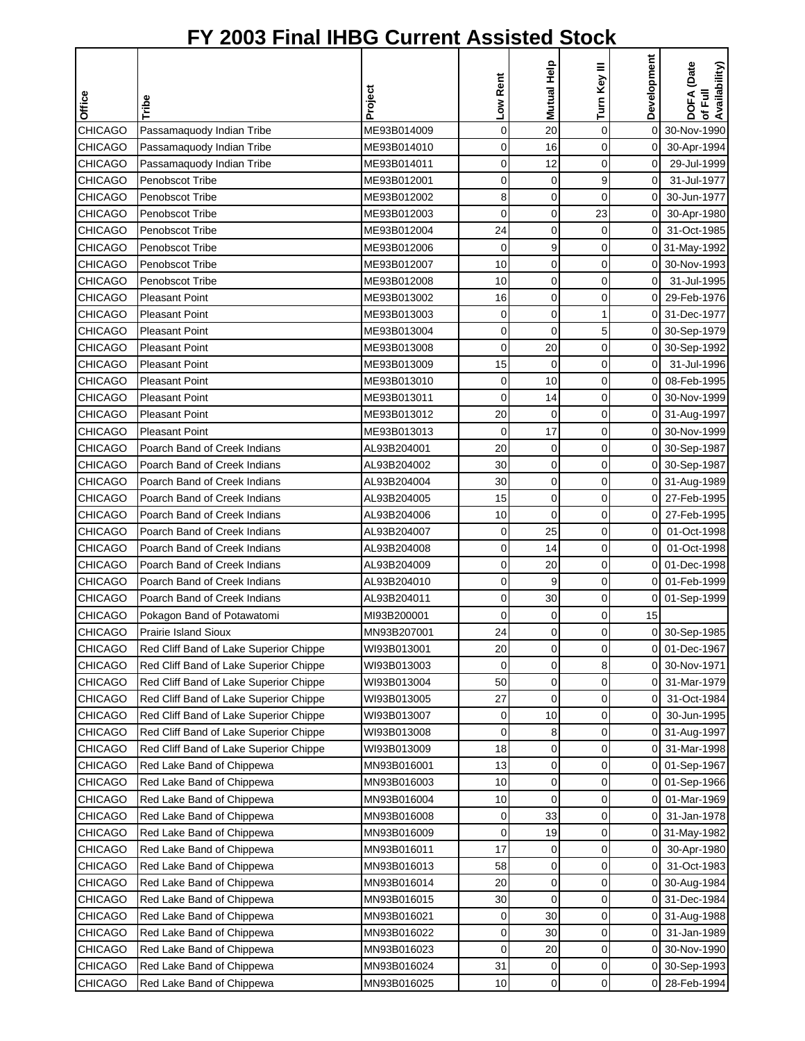|                |                                        |             |             | Mutual Help    | Turn Key III | Development    | DOFA (Date<br>Availability) |
|----------------|----------------------------------------|-------------|-------------|----------------|--------------|----------------|-----------------------------|
| Office         | Tribe                                  | Project     | Low Rent    |                |              |                | 쿦                           |
|                |                                        |             |             |                |              |                | ৳                           |
| <b>CHICAGO</b> | Passamaquody Indian Tribe              | ME93B014009 | 0           | 20             | 0            | 0              | 30-Nov-1990                 |
| <b>CHICAGO</b> | Passamaquody Indian Tribe              | ME93B014010 | 0           | 16             | 0            | $\mathbf 0$    | 30-Apr-1994                 |
| <b>CHICAGO</b> | Passamaquody Indian Tribe              | ME93B014011 | 0           | 12             | 0            | $\overline{0}$ | 29-Jul-1999                 |
| <b>CHICAGO</b> | Penobscot Tribe                        | ME93B012001 | 0           | 0              | 9            | $\mathbf 0$    | 31-Jul-1977                 |
| <b>CHICAGO</b> | Penobscot Tribe                        | ME93B012002 | 8           | 0              | 0            | οI             | 30-Jun-1977                 |
| <b>CHICAGO</b> | Penobscot Tribe                        | ME93B012003 | 0           | $\mathbf 0$    | 23           | $\overline{0}$ | 30-Apr-1980                 |
| <b>CHICAGO</b> | Penobscot Tribe                        | ME93B012004 | 24          | 0              | 0            | $\overline{0}$ | 31-Oct-1985                 |
| <b>CHICAGO</b> | Penobscot Tribe                        | ME93B012006 | $\mathbf 0$ | 9              | 0            |                | 0 31-May-1992               |
| <b>CHICAGO</b> | Penobscot Tribe                        | ME93B012007 | 10          | 0              | 0            | οI             | 30-Nov-1993                 |
| <b>CHICAGO</b> | Penobscot Tribe                        | ME93B012008 | 10          | 0              | 0            | $\mathbf 0$    | 31-Jul-1995                 |
| <b>CHICAGO</b> | <b>Pleasant Point</b>                  | ME93B013002 | 16          | 0              | 0            | οI             | 29-Feb-1976                 |
| <b>CHICAGO</b> | <b>Pleasant Point</b>                  | ME93B013003 | 0           | $\mathbf 0$    | 1            | $\overline{0}$ | 31-Dec-1977                 |
| <b>CHICAGO</b> | <b>Pleasant Point</b>                  | ME93B013004 | 0           | $\mathbf 0$    | 5            |                | 0 30-Sep-1979               |
| <b>CHICAGO</b> | <b>Pleasant Point</b>                  | ME93B013008 | 0           | 20             | 0            | 0              | 30-Sep-1992                 |
| <b>CHICAGO</b> | <b>Pleasant Point</b>                  | ME93B013009 | 15          | 0              | 0            | 0              | 31-Jul-1996                 |
| <b>CHICAGO</b> | <b>Pleasant Point</b>                  | ME93B013010 | 0           | 10             | 0            | 0              | 08-Feb-1995                 |
| <b>CHICAGO</b> | <b>Pleasant Point</b>                  | ME93B013011 | 0           | 14             | 0            | 0              | 30-Nov-1999                 |
| <b>CHICAGO</b> | <b>Pleasant Point</b>                  | ME93B013012 | 20          | 0              | 0            |                | 0 31-Aug-1997               |
| <b>CHICAGO</b> | <b>Pleasant Point</b>                  | ME93B013013 | $\mathbf 0$ | 17             | 0            |                | 0 30-Nov-1999               |
| <b>CHICAGO</b> | Poarch Band of Creek Indians           | AL93B204001 | 20          | 0              | 0            |                | 0 30-Sep-1987               |
| <b>CHICAGO</b> | Poarch Band of Creek Indians           | AL93B204002 | 30          | 0              | 0            |                | 0 30-Sep-1987               |
| <b>CHICAGO</b> | Poarch Band of Creek Indians           | AL93B204004 | 30          | $\mathbf 0$    | 0            |                | 0 31-Aug-1989               |
| <b>CHICAGO</b> | Poarch Band of Creek Indians           | AL93B204005 | 15          | 0              | 0            | $\overline{0}$ | 27-Feb-1995                 |
| <b>CHICAGO</b> | Poarch Band of Creek Indians           | AL93B204006 | 10          | $\overline{0}$ | 0            | 0              | 27-Feb-1995                 |
| <b>CHICAGO</b> | Poarch Band of Creek Indians           | AL93B204007 | 0           | 25             | 0            | 0              | 01-Oct-1998                 |
| <b>CHICAGO</b> | Poarch Band of Creek Indians           | AL93B204008 | 0           | 14             | 0            | οI             | 01-Oct-1998                 |
| <b>CHICAGO</b> | Poarch Band of Creek Indians           | AL93B204009 | 0           | 20             | 0            |                | 0 01-Dec-1998               |
| <b>CHICAGO</b> | Poarch Band of Creek Indians           | AL93B204010 | 0           | 9              | 0            |                | 0 01-Feb-1999               |
| <b>CHICAGO</b> | Poarch Band of Creek Indians           | AL93B204011 | 0           | 30             | 0            |                | 0 01-Sep-1999               |
| <b>CHICAGO</b> | Pokagon Band of Potawatomi             | MI93B200001 | 0           | 0              | 0            | 15             |                             |
| <b>CHICAGO</b> | <b>Prairie Island Sioux</b>            | MN93B207001 | 24          | $\Omega$       | $\Omega$     |                | 0 30-Sep-1985               |
| <b>CHICAGO</b> | Red Cliff Band of Lake Superior Chippe | WI93B013001 | 20          | 0              | 0            | 0              | 01-Dec-1967                 |
| CHICAGO        | Red Cliff Band of Lake Superior Chippe | WI93B013003 | 0           | 0              | 8            | 0              | 30-Nov-1971                 |
| <b>CHICAGO</b> | Red Cliff Band of Lake Superior Chippe | WI93B013004 | 50          | 0              | 0            | 0              | 31-Mar-1979                 |
| <b>CHICAGO</b> | Red Cliff Band of Lake Superior Chippe | WI93B013005 | 27          | 0              | 0            | 0              | 31-Oct-1984                 |
| <b>CHICAGO</b> | Red Cliff Band of Lake Superior Chippe | WI93B013007 | 0           | 10             | 0            | 0              | 30-Jun-1995                 |
| <b>CHICAGO</b> | Red Cliff Band of Lake Superior Chippe | WI93B013008 | 0           | 8              | 0            | 0              | 31-Aug-1997                 |
| <b>CHICAGO</b> | Red Cliff Band of Lake Superior Chippe | WI93B013009 | 18          | 0              | 0            | 0              | 31-Mar-1998                 |
| <b>CHICAGO</b> | Red Lake Band of Chippewa              | MN93B016001 | 13          | 0              | 0            | 0              | 01-Sep-1967                 |
| CHICAGO        | Red Lake Band of Chippewa              | MN93B016003 | 10          | 0              | 0            | 0              | 01-Sep-1966                 |
| <b>CHICAGO</b> | Red Lake Band of Chippewa              | MN93B016004 | 10          | 0              | 0            | 0              | 01-Mar-1969                 |
| CHICAGO        | Red Lake Band of Chippewa              | MN93B016008 | 0           | 33             | 0            | 0              | 31-Jan-1978                 |
| <b>CHICAGO</b> | Red Lake Band of Chippewa              | MN93B016009 | 0           | 19             | 0            |                | 0 31-May-1982               |
| <b>CHICAGO</b> | Red Lake Band of Chippewa              | MN93B016011 | 17          | 0              | 0            | 0              | 30-Apr-1980                 |
| <b>CHICAGO</b> | Red Lake Band of Chippewa              | MN93B016013 | 58          | 0              | 0            | 01             | 31-Oct-1983                 |
| <b>CHICAGO</b> | Red Lake Band of Chippewa              | MN93B016014 | 20          | 0              | 0            |                | 0 30-Aug-1984               |
| <b>CHICAGO</b> | Red Lake Band of Chippewa              | MN93B016015 | 30          | 0              | 0            | 0              | 31-Dec-1984                 |
| <b>CHICAGO</b> | Red Lake Band of Chippewa              | MN93B016021 | 0           | 30             | 0            | 0              | 31-Aug-1988                 |
| CHICAGO        | Red Lake Band of Chippewa              | MN93B016022 | 0           | 30             | 0            | 0              | 31-Jan-1989                 |
| CHICAGO        | Red Lake Band of Chippewa              | MN93B016023 | 0           | 20             | 0            | 0              | 30-Nov-1990                 |
| <b>CHICAGO</b> | Red Lake Band of Chippewa              | MN93B016024 | 31          | 0              | 0            | 0              | 30-Sep-1993                 |
| CHICAGO        | Red Lake Band of Chippewa              | MN93B016025 | 10          | 0              | 0            | 01             | 28-Feb-1994                 |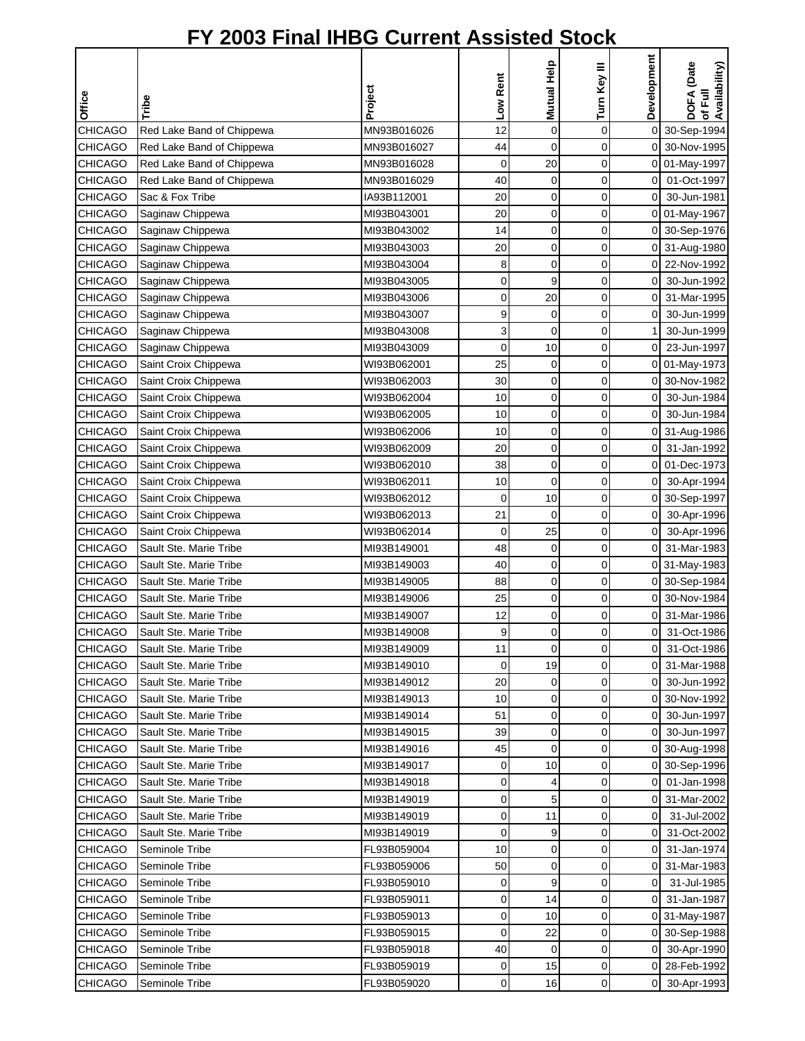|                                  |                                                  |                            |                | Mutual Help | Turn Key III      | Development                | <b>DOFA</b> (Date<br>of Full<br>Availability) |
|----------------------------------|--------------------------------------------------|----------------------------|----------------|-------------|-------------------|----------------------------|-----------------------------------------------|
| Office                           | Tribe                                            | Project                    | Low Rent       |             |                   |                            |                                               |
|                                  |                                                  |                            |                |             |                   |                            |                                               |
| <b>CHICAGO</b>                   | Red Lake Band of Chippewa                        | MN93B016026                | 12             | 0           | 0                 | $\overline{O}$             | 30-Sep-1994                                   |
| <b>CHICAGO</b>                   | Red Lake Band of Chippewa                        | MN93B016027                | 44             | $\mathbf 0$ | 0                 |                            | 0 30-Nov-1995                                 |
| <b>CHICAGO</b>                   | Red Lake Band of Chippewa                        | MN93B016028                | 0              | 20          | 0                 |                            | 0 01-May-1997                                 |
| <b>CHICAGO</b>                   | Red Lake Band of Chippewa                        | MN93B016029                | 40             | 0           | $\mathbf 0$       | $\overline{0}$             | 01-Oct-1997                                   |
| <b>CHICAGO</b>                   | Sac & Fox Tribe                                  | IA93B112001                | 20             | $\mathbf 0$ | 0                 | $\mathbf 0$                | 30-Jun-1981                                   |
| <b>CHICAGO</b>                   | Saginaw Chippewa                                 | MI93B043001                | 20             | 0           | 0                 | $\overline{0}$             | 01-May-1967                                   |
| <b>CHICAGO</b>                   | Saginaw Chippewa                                 | MI93B043002                | 14             | $\mathbf 0$ | $\mathbf 0$       | 0                          | 30-Sep-1976                                   |
| <b>CHICAGO</b>                   | Saginaw Chippewa                                 | MI93B043003                | 20             | 0           | 0                 |                            | 0 31-Aug-1980                                 |
| <b>CHICAGO</b>                   | Saginaw Chippewa                                 | MI93B043004                | 8              | 0           | 0                 |                            | 0 22-Nov-1992                                 |
| <b>CHICAGO</b>                   | Saginaw Chippewa                                 | MI93B043005                | 0              | 9           | 0                 | $\overline{0}$             | 30-Jun-1992                                   |
| <b>CHICAGO</b>                   | Saginaw Chippewa                                 | MI93B043006                | 0<br>9         | 20          | $\mathbf 0$<br>0  | 0                          | 31-Mar-1995                                   |
| <b>CHICAGO</b>                   | Saginaw Chippewa                                 | MI93B043007                |                | 0           |                   | 0                          | 30-Jun-1999                                   |
| <b>CHICAGO</b>                   | Saginaw Chippewa                                 | MI93B043008<br>MI93B043009 | 3              | 0<br>10     | 0                 | 0                          | 30-Jun-1999<br>23-Jun-1997                    |
| <b>CHICAGO</b>                   | Saginaw Chippewa                                 |                            | 0              |             | 0                 |                            |                                               |
| <b>CHICAGO</b>                   | Saint Croix Chippewa                             | WI93B062001                | 25             | $\mathbf 0$ | 0                 | 0                          | 01-May-1973                                   |
| <b>CHICAGO</b>                   | Saint Croix Chippewa                             | WI93B062003                | 30             | $\mathbf 0$ | $\mathbf 0$       | 0                          | 30-Nov-1982                                   |
| CHICAGO                          | Saint Croix Chippewa                             | WI93B062004                | 10             | 0           | 0                 | $\mathbf 0$                | 30-Jun-1984                                   |
| CHICAGO                          | Saint Croix Chippewa                             | WI93B062005                | 10             | 0           | 0                 | $\overline{0}$             | 30-Jun-1984                                   |
| <b>CHICAGO</b>                   | Saint Croix Chippewa                             | WI93B062006                | 10             | 0           | 0                 |                            | 0 31-Aug-1986                                 |
| <b>CHICAGO</b>                   | Saint Croix Chippewa                             | WI93B062009                | 20             | $\mathbf 0$ | 0                 | $\overline{0}$             | 31-Jan-1992                                   |
| <b>CHICAGO</b>                   | Saint Croix Chippewa                             | WI93B062010                | 38             | 0           | 0                 | $\mathbf 0$                | 01-Dec-1973                                   |
| <b>CHICAGO</b>                   | Saint Croix Chippewa                             | WI93B062011                | 10             | $\mathbf 0$ | 0                 | $\Omega$                   | 30-Apr-1994                                   |
| <b>CHICAGO</b>                   | Saint Croix Chippewa                             | WI93B062012                | 0              | 10          | 0                 | $\overline{0}$             | 30-Sep-1997                                   |
| <b>CHICAGO</b>                   | Saint Croix Chippewa                             | WI93B062013                | 21             | $\mathbf 0$ | $\mathbf 0$       | 0                          | 30-Apr-1996                                   |
| <b>CHICAGO</b>                   | Saint Croix Chippewa                             | WI93B062014                | 0              | 25          | 0                 | $\overline{0}$             | 30-Apr-1996                                   |
| <b>CHICAGO</b>                   | Sault Ste. Marie Tribe                           | MI93B149001                | 48             | 0           | 0                 | οI                         | 31-Mar-1983                                   |
| <b>CHICAGO</b>                   | Sault Ste. Marie Tribe                           | MI93B149003                | 40             | 0           | 0                 |                            | 0 31-May-1983                                 |
| <b>CHICAGO</b>                   | Sault Ste. Marie Tribe                           | MI93B149005                | 88             | 0           | 0                 |                            | 0 30-Sep-1984                                 |
| <b>CHICAGO</b>                   | Sault Ste. Marie Tribe                           | MI93B149006                | 25             | 0           | 0                 | $\overline{0}$             | 30-Nov-1984                                   |
| <b>CHICAGO</b>                   | Sault Ste. Marie Tribe                           | MI93B149007                | 12<br>9        | 0           | 0<br>$\mathbf{0}$ | $\overline{0}$<br>$\Omega$ | 31-Mar-1986                                   |
| <b>CHICAGO</b>                   | Sault Ste. Marie Tribe                           | MI93B149008                |                | $\Omega$    |                   |                            | 31-Oct-1986                                   |
| <b>CHICAGO</b>                   | Sault Ste. Marie Tribe                           | MI93B149009                | 11             | 0           | 0                 | ΟI<br>οI                   | 31-Oct-1986                                   |
| <b>CHICAGO</b>                   | Sault Ste. Marie Tribe                           | MI93B149010                | 0              | 19          | 0                 |                            | 31-Mar-1988                                   |
| <b>CHICAGO</b>                   | Sault Ste. Marie Tribe                           | MI93B149012                | 20             | 0           | 0                 | ΟI                         | 30-Jun-1992                                   |
| <b>CHICAGO</b>                   | Sault Ste. Marie Tribe                           | MI93B149013                | 10             | 0           | 0                 |                            | 0 30-Nov-1992                                 |
| <b>CHICAGO</b><br><b>CHICAGO</b> | Sault Ste. Marie Tribe<br>Sault Ste. Marie Tribe | MI93B149014<br>MI93B149015 | 51<br>39       | 0<br>0      | 0<br>0            | 0<br>0                     | 30-Jun-1997<br>30-Jun-1997                    |
| <b>CHICAGO</b>                   | Sault Ste. Marie Tribe                           | MI93B149016                | 45             | 0           | 0                 |                            | 0 30-Aug-1998                                 |
| <b>CHICAGO</b>                   | Sault Ste. Marie Tribe                           | MI93B149017                | 0              |             | 0                 |                            | 0 30-Sep-1996                                 |
| <b>CHICAGO</b>                   | Sault Ste. Marie Tribe                           | MI93B149018                | 0              | 10<br>4     | 0                 | 01                         | 01-Jan-1998                                   |
| <b>CHICAGO</b>                   | Sault Ste. Marie Tribe                           | MI93B149019                | $\mathbf 0$    | 5           | 0                 | ΟI                         | 31-Mar-2002                                   |
| <b>CHICAGO</b>                   |                                                  | MI93B149019                | 0              |             | 0                 | $\overline{0}$             | 31-Jul-2002                                   |
| <b>CHICAGO</b>                   | Sault Ste. Marie Tribe                           | MI93B149019                | 0              | 11<br>9     | 0                 | $\mathsf{O}$               |                                               |
|                                  | Sault Ste. Marie Tribe                           |                            |                |             |                   |                            | 31-Oct-2002                                   |
| <b>CHICAGO</b><br><b>CHICAGO</b> | Seminole Tribe<br>Seminole Tribe                 | FL93B059004<br>FL93B059006 | 10<br>50       | 0<br>0      | 0<br>0            | 01<br>0                    | 31-Jan-1974<br>31-Mar-1983                    |
|                                  |                                                  |                            |                |             |                   |                            |                                               |
| <b>CHICAGO</b>                   | Seminole Tribe                                   | FL93B059010                | 0              | 9           | 0                 | $\overline{0}$             | 31-Jul-1985                                   |
| CHICAGO                          | Seminole Tribe                                   | FL93B059011                | 0              | 14          | 0                 | $\Omega$                   | 31-Jan-1987                                   |
| <b>CHICAGO</b>                   | Seminole Tribe                                   | FL93B059013                | 0<br>0         | 10          | 0<br>0            |                            | 0 31-May-1987                                 |
| <b>CHICAGO</b><br><b>CHICAGO</b> | Seminole Tribe                                   | FL93B059015<br>FL93B059018 | 40             | 22<br>0     | 0                 | 01<br>$\overline{0}$       | 30-Sep-1988<br>30-Apr-1990                    |
| <b>CHICAGO</b>                   | Seminole Tribe<br>Seminole Tribe                 | FL93B059019                | 0              |             | 0                 | οI                         | 28-Feb-1992                                   |
| <b>CHICAGO</b>                   | Seminole Tribe                                   | FL93B059020                | $\overline{0}$ | 15<br>16    | 0                 | $\overline{0}$             | 30-Apr-1993                                   |
|                                  |                                                  |                            |                |             |                   |                            |                                               |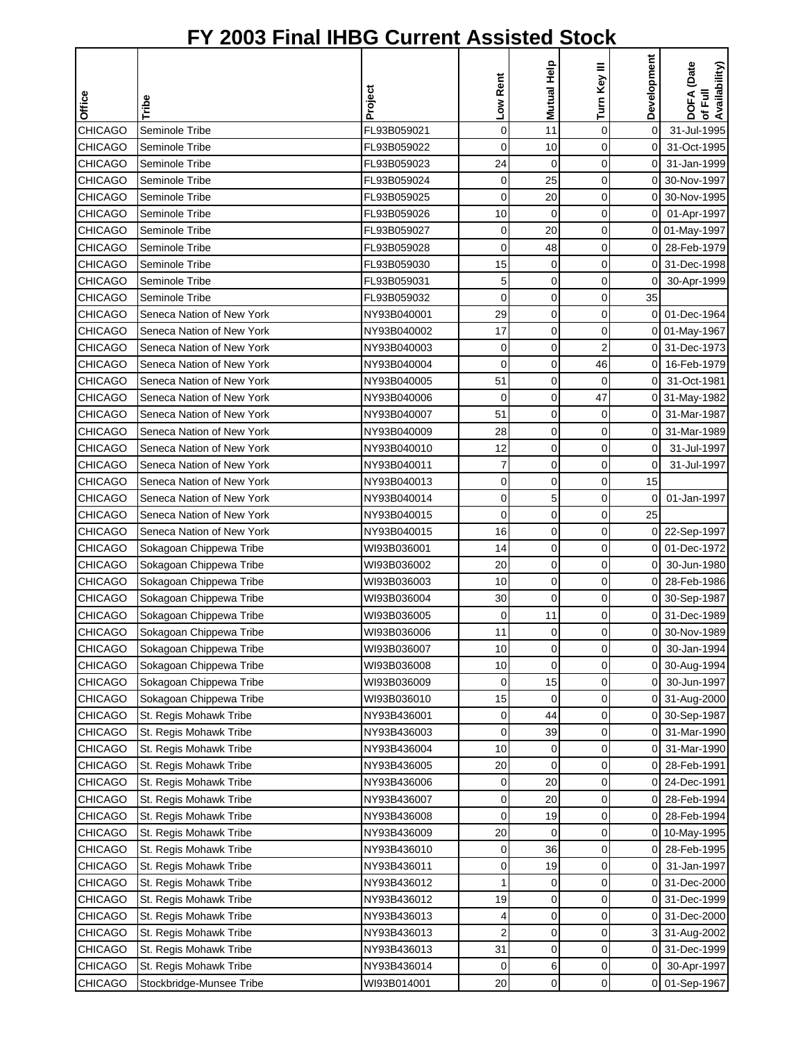| Mutual Help<br>Turn Key III<br>Low Rent<br>Project<br>Office<br>Tribe                                                                     | Development    |                                        |
|-------------------------------------------------------------------------------------------------------------------------------------------|----------------|----------------------------------------|
|                                                                                                                                           |                |                                        |
|                                                                                                                                           |                | DOFA (Date<br>of Full<br>Availability) |
| $\mathbf 0$<br><b>CHICAGO</b><br>Seminole Tribe<br>FL93B059021<br>0<br>11                                                                 | 0              | 31-Jul-1995                            |
| <b>CHICAGO</b><br>0<br>Seminole Tribe<br>FL93B059022<br>0<br>10                                                                           | 0              | 31-Oct-1995                            |
| CHICAGO<br>24<br>$\mathbf 0$<br>$\mathbf 0$<br>Seminole Tribe<br>FL93B059023                                                              | 0              | 31-Jan-1999                            |
| 25<br><b>CHICAGO</b><br>0<br>Seminole Tribe<br>FL93B059024<br>0                                                                           | 0              | 30-Nov-1997                            |
| <b>CHICAGO</b><br>Seminole Tribe<br>0<br>20<br>$\mathbf 0$<br>FL93B059025                                                                 | 0              | 30-Nov-1995                            |
| <b>CHICAGO</b><br>0<br>Seminole Tribe<br>FL93B059026<br>0<br>10                                                                           | 0              | 01-Apr-1997                            |
| <b>CHICAGO</b><br>20<br>$\mathbf 0$<br>Seminole Tribe<br>FL93B059027<br>0                                                                 | 0              | 01-May-1997                            |
| <b>CHICAGO</b><br>0<br>Seminole Tribe<br>FL93B059028<br>0<br>48                                                                           | 0              | 28-Feb-1979                            |
| <b>CHICAGO</b><br>Seminole Tribe<br>0<br>$\mathbf 0$<br>FL93B059030<br>15                                                                 | $\Omega$       | 31-Dec-1998                            |
| <b>CHICAGO</b><br>Seminole Tribe<br>FL93B059031<br>5<br>0<br>0                                                                            | 0              | 30-Apr-1999                            |
| 0<br>$\mathbf 0$<br><b>CHICAGO</b><br>Seminole Tribe<br>FL93B059032<br>0                                                                  | 35             |                                        |
| <b>CHICAGO</b><br>29<br>Seneca Nation of New York<br>NY93B040001<br>0<br>0                                                                | 0              | 01-Dec-1964                            |
| <b>CHICAGO</b><br>Seneca Nation of New York<br>17<br>0<br>$\mathbf 0$<br>NY93B040002                                                      |                | 0 01-May-1967                          |
| <b>CHICAGO</b><br>0<br>$\overline{2}$<br>Seneca Nation of New York<br>NY93B040003<br>0                                                    | 0              | 31-Dec-1973                            |
| 0<br>46<br><b>CHICAGO</b><br>Seneca Nation of New York<br>NY93B040004<br>0                                                                | 0              | 16-Feb-1979                            |
| <b>CHICAGO</b><br>Seneca Nation of New York<br>NY93B040005<br>51<br>0<br>0                                                                | 0              | 31-Oct-1981                            |
| 0<br>47<br><b>CHICAGO</b><br>Seneca Nation of New York<br>NY93B040006<br>0                                                                | 0              | 31-May-1982                            |
| <b>CHICAGO</b><br>0<br>0<br>Seneca Nation of New York<br>NY93B040007<br>51                                                                | 0              | 31-Mar-1987                            |
| <b>CHICAGO</b><br>Seneca Nation of New York<br>NY93B040009<br>28<br>0<br>$\mathbf 0$                                                      | 0              | 31-Mar-1989                            |
| <b>CHICAGO</b><br>0<br>0<br>Seneca Nation of New York<br>NY93B040010<br>12                                                                | 0              | 31-Jul-1997                            |
| 7<br>$\mathbf 0$<br><b>CHICAGO</b><br>0<br>Seneca Nation of New York<br>NY93B040011                                                       | 0              | 31-Jul-1997                            |
| <b>CHICAGO</b><br>0<br>$\mathbf 0$<br>Seneca Nation of New York<br>NY93B040013<br>0                                                       | 15             |                                        |
| <b>CHICAGO</b><br>Seneca Nation of New York<br>5<br>NY93B040014<br>0<br>0                                                                 | 0              | 01-Jan-1997                            |
| Seneca Nation of New York<br>0<br><b>CHICAGO</b><br>NY93B040015<br>0<br>$\mathbf 0$                                                       | 25             |                                        |
| <b>CHICAGO</b><br>Seneca Nation of New York<br>0<br>$\mathbf 0$<br>NY93B040015<br>16                                                      | 0              | 22-Sep-1997                            |
| <b>CHICAGO</b><br>Sokagoan Chippewa Tribe<br>0<br>0<br>WI93B036001<br>14                                                                  | $\overline{0}$ | 01-Dec-1972                            |
| Sokagoan Chippewa Tribe<br><b>CHICAGO</b><br>WI93B036002<br>0<br>0<br>20                                                                  | 0              | 30-Jun-1980                            |
| <b>CHICAGO</b><br>Sokagoan Chippewa Tribe<br>0<br>$\mathbf 0$<br>WI93B036003<br>10                                                        | 0              | 28-Feb-1986                            |
| 0<br>0<br><b>CHICAGO</b><br>Sokagoan Chippewa Tribe<br>WI93B036004<br>30                                                                  | 0              | 30-Sep-1987                            |
| <b>CHICAGO</b><br>Sokagoan Chippewa Tribe<br>11<br>$\mathbf 0$<br>WI93B036005<br>0                                                        | 0              | 31-Dec-1989                            |
| $\mathbf 0$<br><b>CHICAGO</b><br>Sokagoan Chippewa Tribe<br>11<br>0<br>WI93B036006                                                        | οI             | 30-Nov-1989                            |
| <b>CHICAGO</b><br>Sokagoan Chippewa Tribe<br>0<br>0<br>WI93B036007<br>10                                                                  | 0              | 30-Jan-1994                            |
| <b>CHICAGO</b><br>Sokagoan Chippewa Tribe<br>WI93B036008<br>0<br>10<br>0                                                                  | 0              | 30-Aug-1994                            |
| <b>CHICAGO</b><br>Sokagoan Chippewa Tribe<br>WI93B036009<br>0<br>0<br>15                                                                  | 0              | 30-Jun-1997                            |
| <b>CHICAGO</b><br>Sokagoan Chippewa Tribe<br>WI93B036010<br>0<br>0<br>15                                                                  | 0              | 31-Aug-2000                            |
| 0<br><b>CHICAGO</b><br>St. Regis Mohawk Tribe<br>NY93B436001<br>0<br>44                                                                   | 0              | 30-Sep-1987                            |
| <b>CHICAGO</b><br>St. Regis Mohawk Tribe<br>NY93B436003<br>39<br>0<br>0                                                                   | 0              | 31-Mar-1990                            |
| 0<br><b>CHICAGO</b><br>St. Regis Mohawk Tribe<br>NY93B436004<br>10<br>0                                                                   | 0              | 31-Mar-1990                            |
| CHICAGO<br>0<br>St. Regis Mohawk Tribe<br>NY93B436005<br>20<br>0                                                                          | 0              | 28-Feb-1991                            |
| 20<br>0<br><b>CHICAGO</b><br>St. Regis Mohawk Tribe<br>NY93B436006<br>0                                                                   | 0              | 24-Dec-1991                            |
| CHICAGO<br>20<br>0<br>St. Regis Mohawk Tribe<br>NY93B436007<br>0                                                                          | 0              | 28-Feb-1994                            |
| $\mathbf 0$<br>CHICAGO<br>St. Regis Mohawk Tribe<br>NY93B436008<br>0<br>19                                                                | 0              | 28-Feb-1994                            |
| <b>CHICAGO</b><br>NY93B436009<br>0<br>St. Regis Mohawk Tribe<br>20<br>0                                                                   | 0              | 10-May-1995                            |
| <b>CHICAGO</b><br>St. Regis Mohawk Tribe<br>NY93B436010<br>36<br>0<br>0                                                                   | 0              | 28-Feb-1995                            |
| <b>CHICAGO</b><br>19<br>0<br>St. Regis Mohawk Tribe<br>NY93B436011<br>0                                                                   | 0              | 31-Jan-1997                            |
| 0<br><b>CHICAGO</b><br>St. Regis Mohawk Tribe<br>NY93B436012<br>0<br>1                                                                    | 0              | 31-Dec-2000                            |
| CHICAGO<br>0<br>St. Regis Mohawk Tribe<br>NY93B436012<br>19<br>0                                                                          | 0              | 31-Dec-1999                            |
| CHICAGO<br>St. Regis Mohawk Tribe<br>NY93B436013<br>0<br>0<br>4<br><b>CHICAGO</b><br>St. Regis Mohawk Tribe<br>NY93B436013<br>2<br>0<br>0 | 0              | 31-Dec-2000<br>31-Aug-2002             |
| <b>CHICAGO</b><br>0<br>0<br>St. Regis Mohawk Tribe<br>NY93B436013<br>31                                                                   | 0              | 31-Dec-1999                            |
| CHICAGO<br>NY93B436014<br>St. Regis Mohawk Tribe<br>6<br>0<br>0                                                                           | 0              | 30-Apr-1997                            |
| $\mathbf 0$<br>$\mathbf 0$<br>CHICAGO<br>Stockbridge-Munsee Tribe<br>WI93B014001<br>20                                                    |                | 0 01-Sep-1967                          |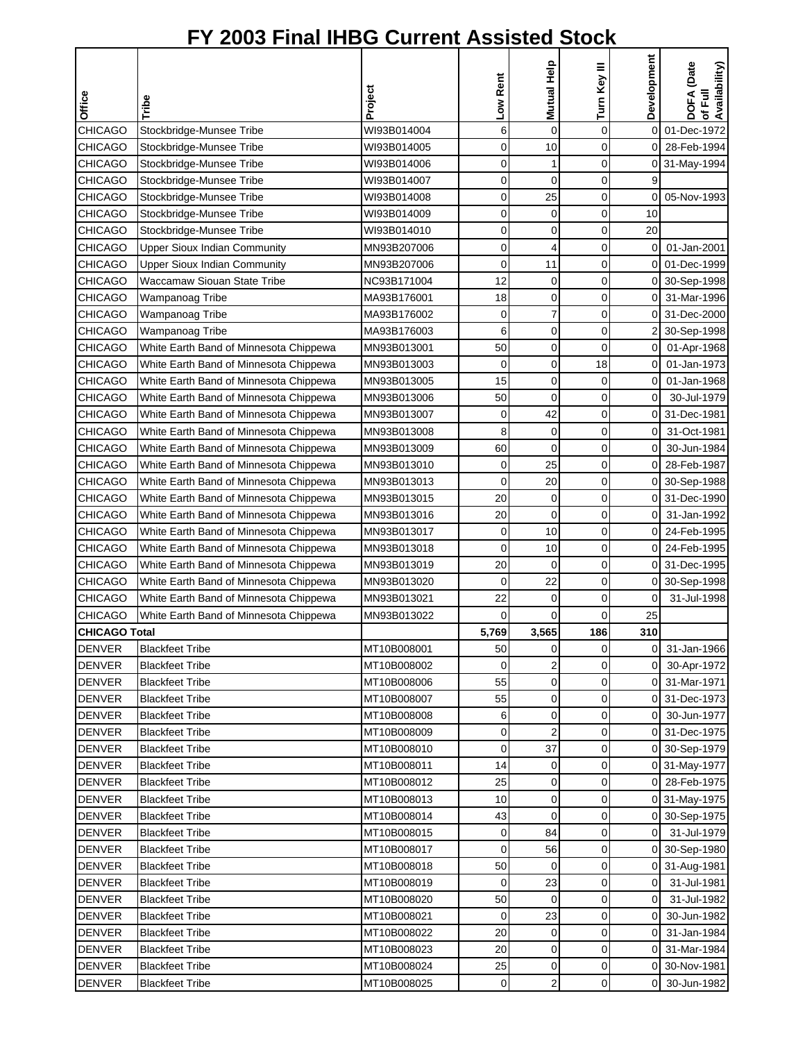| Office               | Tribe                                  | Project     | Low Rent    | Mutual Help    | Turn Key III   | Development    | DOFA (Date<br>of Full<br>Availability) |
|----------------------|----------------------------------------|-------------|-------------|----------------|----------------|----------------|----------------------------------------|
| <b>CHICAGO</b>       | Stockbridge-Munsee Tribe               | WI93B014004 | 6           | $\overline{0}$ | 0              | $\mathbf 0$    | 01-Dec-1972                            |
| <b>CHICAGO</b>       | Stockbridge-Munsee Tribe               | WI93B014005 | 0           | 10             | 0              | $\mathsf{O}$   | 28-Feb-1994                            |
| <b>CHICAGO</b>       | Stockbridge-Munsee Tribe               | WI93B014006 | 0           | $\mathbf{1}$   | $\mathbf 0$    |                | 0 31-May-1994                          |
| <b>CHICAGO</b>       | Stockbridge-Munsee Tribe               | WI93B014007 | $\mathbf 0$ | $\mathbf 0$    | 0              | 9              |                                        |
| <b>CHICAGO</b>       | Stockbridge-Munsee Tribe               | WI93B014008 | 0           | 25             | 0              | 0              | 05-Nov-1993                            |
| <b>CHICAGO</b>       | Stockbridge-Munsee Tribe               | WI93B014009 | 0           | 0              | 0              | 10             |                                        |
| <b>CHICAGO</b>       | Stockbridge-Munsee Tribe               | WI93B014010 | 0           | 0              | 0              | 20             |                                        |
| <b>CHICAGO</b>       | <b>Upper Sioux Indian Community</b>    | MN93B207006 | $\mathbf 0$ | $\overline{4}$ | $\overline{0}$ | $\overline{0}$ | 01-Jan-2001                            |
| <b>CHICAGO</b>       | <b>Upper Sioux Indian Community</b>    | MN93B207006 | 0           | 11             | 0              | οI             | 01-Dec-1999                            |
| <b>CHICAGO</b>       | Waccamaw Siouan State Tribe            | NC93B171004 | 12          | 0              | 0              |                | 0 30-Sep-1998                          |
| <b>CHICAGO</b>       | Wampanoag Tribe                        | MA93B176001 | 18          | $\mathbf 0$    | 0              | οI             | 31-Mar-1996                            |
| <b>CHICAGO</b>       | Wampanoag Tribe                        | MA93B176002 | 0           | $\overline{7}$ | $\mathbf 0$    | $\overline{0}$ | 31-Dec-2000                            |
| <b>CHICAGO</b>       | Wampanoag Tribe                        | MA93B176003 | 6           | $\mathbf 0$    | 0              | 2              | 30-Sep-1998                            |
| <b>CHICAGO</b>       | White Earth Band of Minnesota Chippewa | MN93B013001 | 50          | $\mathbf 0$    | $\mathbf 0$    | $\overline{0}$ | 01-Apr-1968                            |
| <b>CHICAGO</b>       | White Earth Band of Minnesota Chippewa | MN93B013003 | 0           | 0              | 18             | $\overline{0}$ | 01-Jan-1973                            |
| <b>CHICAGO</b>       | White Earth Band of Minnesota Chippewa | MN93B013005 | 15          | $\mathbf 0$    | 0              | $\mathbf 0$    | 01-Jan-1968                            |
| <b>CHICAGO</b>       | White Earth Band of Minnesota Chippewa | MN93B013006 | 50          | $\mathbf 0$    | 0              | $\overline{0}$ | 30-Jul-1979                            |
| <b>CHICAGO</b>       | White Earth Band of Minnesota Chippewa | MN93B013007 | 0           | 42             | $\mathbf 0$    |                | 0 31-Dec-1981                          |
| <b>CHICAGO</b>       |                                        | MN93B013008 | 8           | $\mathbf 0$    | $\mathbf 0$    | $\overline{0}$ | 31-Oct-1981                            |
|                      | White Earth Band of Minnesota Chippewa |             | 60          | $\overline{0}$ | $\mathbf 0$    |                |                                        |
| <b>CHICAGO</b>       | White Earth Band of Minnesota Chippewa | MN93B013009 |             |                |                | 0              | 30-Jun-1984                            |
| <b>CHICAGO</b>       | White Earth Band of Minnesota Chippewa | MN93B013010 | 0           | 25             | $\mathbf 0$    | $\overline{0}$ | 28-Feb-1987                            |
| <b>CHICAGO</b>       | White Earth Band of Minnesota Chippewa | MN93B013013 | $\mathbf 0$ | 20             | $\mathbf 0$    | 0              | 30-Sep-1988                            |
| <b>CHICAGO</b>       | White Earth Band of Minnesota Chippewa | MN93B013015 | 20          | 0              | 0              | $\Omega$       | 31-Dec-1990                            |
| <b>CHICAGO</b>       | White Earth Band of Minnesota Chippewa | MN93B013016 | 20          | $\mathbf 0$    | 0              | $\overline{0}$ | 31-Jan-1992                            |
| <b>CHICAGO</b>       | White Earth Band of Minnesota Chippewa | MN93B013017 | 0           | 10             | $\overline{0}$ | οI             | 24-Feb-1995                            |
| <b>CHICAGO</b>       | White Earth Band of Minnesota Chippewa | MN93B013018 | 0           | 10             | 0              | ΟI             | 24-Feb-1995                            |
| <b>CHICAGO</b>       | White Earth Band of Minnesota Chippewa | MN93B013019 | 20          | 0              | 0              |                | 0 31-Dec-1995                          |
| <b>CHICAGO</b>       | White Earth Band of Minnesota Chippewa | MN93B013020 | 0           | 22             | 0              |                | 0 30-Sep-1998                          |
| <b>CHICAGO</b>       | White Earth Band of Minnesota Chippewa | MN93B013021 | 22          | $\mathbf 0$    | 0              | 0              | 31-Jul-1998                            |
| <b>CHICAGO</b>       | White Earth Band of Minnesota Chippewa | MN93B013022 | 0           | $\mathbf 0$    | 0              | 25             |                                        |
| <b>CHICAGO Total</b> |                                        |             | 5,769       | 3,565          | 186            | 310            |                                        |
| <b>DENVER</b>        | <b>Blackfeet Tribe</b>                 | MT10B008001 | 50          | 0              | 0              | ΟI             | 31-Jan-1966                            |
| <b>DENVER</b>        | <b>Blackfeet Tribe</b>                 | MT10B008002 | 0           | $\overline{2}$ | 0              | $\overline{0}$ | 30-Apr-1972                            |
| <b>DENVER</b>        | <b>Blackfeet Tribe</b>                 | MT10B008006 | 55          | 0              | 0              | $\overline{0}$ | 31-Mar-1971                            |
| <b>DENVER</b>        | <b>Blackfeet Tribe</b>                 | MT10B008007 | 55          | 0              | 0              |                | 0 31-Dec-1973                          |
| <b>DENVER</b>        | <b>Blackfeet Tribe</b>                 | MT10B008008 | 6           | 0              | 0              | 01             | 30-Jun-1977                            |
| <b>DENVER</b>        | <b>Blackfeet Tribe</b>                 | MT10B008009 | 0           | $\overline{2}$ | 0              |                | 0 31-Dec-1975                          |
| <b>DENVER</b>        | <b>Blackfeet Tribe</b>                 | MT10B008010 | 0           | 37             | 0              |                | 0 30-Sep-1979                          |
| <b>DENVER</b>        | <b>Blackfeet Tribe</b>                 | MT10B008011 | 14          | 0              | 0              |                | 0 31-May-1977                          |
| <b>DENVER</b>        | <b>Blackfeet Tribe</b>                 | MT10B008012 | 25          | 0              | 0              |                | 0 28-Feb-1975                          |
| <b>DENVER</b>        | <b>Blackfeet Tribe</b>                 | MT10B008013 | 10          | $\mathbf 0$    | $\mathbf 0$    |                | 0 31-May-1975                          |
| <b>DENVER</b>        | <b>Blackfeet Tribe</b>                 | MT10B008014 | 43          | $\mathbf 0$    | $\mathbf 0$    |                | 0 30-Sep-1975                          |
| <b>DENVER</b>        | <b>Blackfeet Tribe</b>                 | MT10B008015 | 0           | 84             | 0              | οI             | 31-Jul-1979                            |
| <b>DENVER</b>        | <b>Blackfeet Tribe</b>                 | MT10B008017 | 0           | 56             | 0              |                | 0 30-Sep-1980                          |
| <b>DENVER</b>        | <b>Blackfeet Tribe</b>                 | MT10B008018 | 50          | 0              | 0              |                | 0 31-Aug-1981                          |
| <b>DENVER</b>        | <b>Blackfeet Tribe</b>                 | MT10B008019 | 0           | 23             | $\mathbf 0$    | $\overline{0}$ | 31-Jul-1981                            |
| <b>DENVER</b>        | <b>Blackfeet Tribe</b>                 | MT10B008020 | 50          | 0              | 0              | $\overline{0}$ | 31-Jul-1982                            |
| <b>DENVER</b>        | <b>Blackfeet Tribe</b>                 | MT10B008021 | 0           | 23             | 0              | 0              | 30-Jun-1982                            |
| <b>DENVER</b>        | <b>Blackfeet Tribe</b>                 | MT10B008022 | 20          | 0              | 0              | 0              | 31-Jan-1984                            |
| <b>DENVER</b>        | <b>Blackfeet Tribe</b>                 | MT10B008023 | 20          | 0              | 0              | ΟI             | 31-Mar-1984                            |
| <b>DENVER</b>        | <b>Blackfeet Tribe</b>                 | MT10B008024 | 25          | 0              | 0              | οI             | 30-Nov-1981                            |
| <b>DENVER</b>        | <b>Blackfeet Tribe</b>                 | MT10B008025 | $\pmb{0}$   | $\overline{2}$ | 0              | $\overline{0}$ | 30-Jun-1982                            |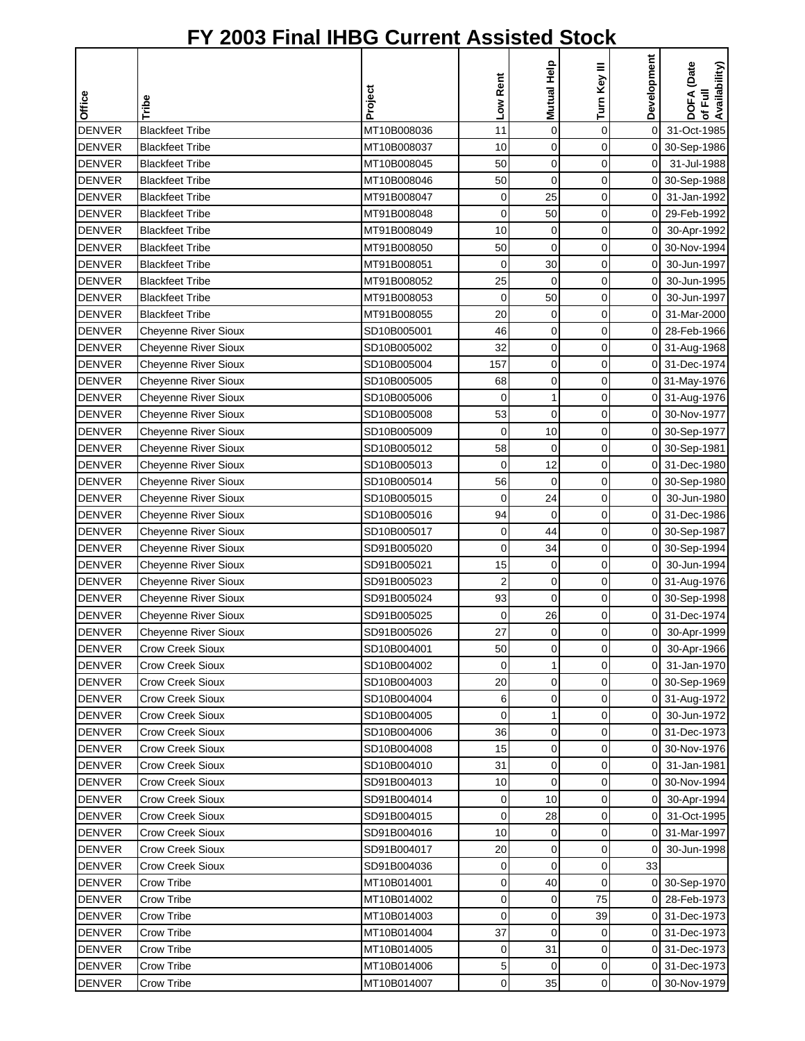|               |                             |             |             | Mutual Help  | Turn Key III | Development    | DOFA (Date<br>of Full<br>Availability) |
|---------------|-----------------------------|-------------|-------------|--------------|--------------|----------------|----------------------------------------|
| Office        | Tribe                       | Project     | Low Rent    |              |              |                |                                        |
| <b>DENVER</b> | <b>Blackfeet Tribe</b>      | MT10B008036 | 11          | $\mathbf 0$  | $\mathbf 0$  | $\overline{0}$ | 31-Oct-1985                            |
| <b>DENVER</b> | <b>Blackfeet Tribe</b>      | MT10B008037 | 10          | $\mathbf 0$  | 0            |                | 0 30-Sep-1986                          |
| <b>DENVER</b> | <b>Blackfeet Tribe</b>      | MT10B008045 | 50          | $\mathbf 0$  | $\mathbf 0$  | $\mathbf 0$    | 31-Jul-1988                            |
| <b>DENVER</b> | <b>Blackfeet Tribe</b>      | MT10B008046 | 50          | $\mathbf 0$  | $\mathbf 0$  |                | 0 30-Sep-1988                          |
| <b>DENVER</b> | <b>Blackfeet Tribe</b>      | MT91B008047 | 0           | 25           | 0            | οI             | 31-Jan-1992                            |
| <b>DENVER</b> | <b>Blackfeet Tribe</b>      | MT91B008048 | $\mathbf 0$ | 50           | 0            | $\overline{0}$ | 29-Feb-1992                            |
| <b>DENVER</b> | <b>Blackfeet Tribe</b>      | MT91B008049 | 10          | $\mathbf 0$  | $\mathbf 0$  | $\overline{0}$ | 30-Apr-1992                            |
| <b>DENVER</b> | <b>Blackfeet Tribe</b>      | MT91B008050 | 50          | $\mathbf 0$  | $\mathbf 0$  | οI             | 30-Nov-1994                            |
| <b>DENVER</b> | <b>Blackfeet Tribe</b>      | MT91B008051 | 0           | 30           | 0            | οI             | 30-Jun-1997                            |
| <b>DENVER</b> | <b>Blackfeet Tribe</b>      | MT91B008052 | 25          | $\mathbf 0$  | 0            | $\overline{0}$ | 30-Jun-1995                            |
| <b>DENVER</b> | <b>Blackfeet Tribe</b>      | MT91B008053 | 0           | 50           | 0            | $\overline{0}$ | 30-Jun-1997                            |
| <b>DENVER</b> | <b>Blackfeet Tribe</b>      | MT91B008055 | 20          | 0            | $\mathbf 0$  | οI             | 31-Mar-2000                            |
| <b>DENVER</b> | <b>Cheyenne River Sioux</b> | SD10B005001 | 46          | $\mathbf 0$  | $\mathbf 0$  | 0              | 28-Feb-1966                            |
| <b>DENVER</b> | <b>Cheyenne River Sioux</b> | SD10B005002 | 32          | 0            | 0            |                | 0 31-Aug-1968                          |
| <b>DENVER</b> | Cheyenne River Sioux        | SD10B005004 | 157         | $\mathbf 0$  | 0            |                | 0 31-Dec-1974                          |
| <b>DENVER</b> | <b>Cheyenne River Sioux</b> | SD10B005005 | 68          | $\mathbf 0$  | 0            |                | 0 31-May-1976                          |
| <b>DENVER</b> | <b>Cheyenne River Sioux</b> | SD10B005006 | 0           | $\mathbf{1}$ | $\mathbf 0$  |                | 0 31-Aug-1976                          |
| <b>DENVER</b> | Cheyenne River Sioux        | SD10B005008 | 53          | $\mathbf 0$  | 0            |                | 0 30-Nov-1977                          |
| <b>DENVER</b> | Cheyenne River Sioux        | SD10B005009 | 0           | 10           | $\mathbf 0$  |                | 0 30-Sep-1977                          |
| <b>DENVER</b> | <b>Cheyenne River Sioux</b> | SD10B005012 | 58          | $\mathbf 0$  | $\mathbf 0$  |                | 0 30-Sep-1981                          |
| <b>DENVER</b> | Cheyenne River Sioux        | SD10B005013 | 0           | 12           | $\mathbf 0$  |                | 0 31-Dec-1980                          |
| <b>DENVER</b> | Cheyenne River Sioux        | SD10B005014 | 56          | $\mathbf 0$  | 0            | $\Omega$       | 30-Sep-1980                            |
| <b>DENVER</b> | <b>Cheyenne River Sioux</b> | SD10B005015 | $\mathbf 0$ | 24           | 0            | $\overline{0}$ | 30-Jun-1980                            |
| <b>DENVER</b> | Cheyenne River Sioux        | SD10B005016 | 94          | $\mathbf 0$  | 0            | οI             | 31-Dec-1986                            |
| <b>DENVER</b> | <b>Cheyenne River Sioux</b> | SD10B005017 | 0           | 44           | $\mathbf 0$  |                | 0 30-Sep-1987                          |
| <b>DENVER</b> | Cheyenne River Sioux        | SD91B005020 | 0           | 34           | 0            |                | 0 30-Sep-1994                          |
| <b>DENVER</b> | <b>Cheyenne River Sioux</b> | SD91B005021 | 15          | $\mathbf 0$  | 0            |                | 0 30-Jun-1994                          |
| <b>DENVER</b> | Cheyenne River Sioux        | SD91B005023 | 2           | $\mathbf 0$  | 0            |                | 0 31-Aug-1976                          |
| <b>DENVER</b> | Cheyenne River Sioux        | SD91B005024 | 93          | $\mathbf 0$  | $\mathbf 0$  |                | 0 30-Sep-1998                          |
| <b>DENVER</b> | Cheyenne River Sioux        | SD91B005025 | 0           | 26           | 0            |                | 0 31-Dec-1974                          |
| <b>DENVER</b> | <b>Cheyenne River Sioux</b> | SD91B005026 | 27          | $\Omega$     | $\Omega$     | $\mathbf{0}$   | 30-Apr-1999                            |
| <b>DENVER</b> | <b>Crow Creek Sioux</b>     | SD10B004001 | 50          | 0            | 0            | οI             | 30-Apr-1966                            |
| <b>DENVER</b> | <b>Crow Creek Sioux</b>     | SD10B004002 | $\mathbf 0$ | 1            | $\mathbf 0$  | $\mathsf{O}$   | 31-Jan-1970                            |
| <b>DENVER</b> | <b>Crow Creek Sioux</b>     | SD10B004003 | 20          | 0            | 0            |                | 0 30-Sep-1969                          |
| <b>DENVER</b> | <b>Crow Creek Sioux</b>     | SD10B004004 | 6           | 0            | 0            |                | 0 31-Aug-1972                          |
| <b>DENVER</b> | <b>Crow Creek Sioux</b>     | SD10B004005 | 0           | 1            | 0            | 0I             | 30-Jun-1972                            |
| <b>DENVER</b> | <b>Crow Creek Sioux</b>     | SD10B004006 | 36          | 0            | $\mathbf 0$  |                | 0 31-Dec-1973                          |
| <b>DENVER</b> | <b>Crow Creek Sioux</b>     | SD10B004008 | 15          | 0            | 0            |                | 0 30-Nov-1976                          |
| <b>DENVER</b> | <b>Crow Creek Sioux</b>     | SD10B004010 | 31          | 0            | 0            | $\Omega$       | 31-Jan-1981                            |
| <b>DENVER</b> | <b>Crow Creek Sioux</b>     | SD91B004013 | 10          | 0            | 0            | ΟI             | 30-Nov-1994                            |
| <b>DENVER</b> | <b>Crow Creek Sioux</b>     | SD91B004014 | 0           | 10           | 0            | οI             | 30-Apr-1994                            |
| <b>DENVER</b> | <b>Crow Creek Sioux</b>     | SD91B004015 | 0           | 28           | 0            | $\overline{0}$ | 31-Oct-1995                            |
| <b>DENVER</b> | <b>Crow Creek Sioux</b>     | SD91B004016 | 10          | 0            | 0            |                | 0 31-Mar-1997                          |
| <b>DENVER</b> | <b>Crow Creek Sioux</b>     | SD91B004017 | 20          | 0            | 0            | 0              | 30-Jun-1998                            |
| <b>DENVER</b> | <b>Crow Creek Sioux</b>     | SD91B004036 | 0           | $\mathbf 0$  | 0            | 33             |                                        |
| <b>DENVER</b> | Crow Tribe                  | MT10B014001 | 0           | 40           | $\mathbf 0$  |                | 0 30-Sep-1970                          |
| <b>DENVER</b> | Crow Tribe                  | MT10B014002 | 0           | 0            | 75           |                | 0 28-Feb-1973                          |
| <b>DENVER</b> | Crow Tribe                  | MT10B014003 | 0           | $\mathbf 0$  | 39           |                | 0 31-Dec-1973                          |
| <b>DENVER</b> | Crow Tribe                  | MT10B014004 | 37          | $\mathbf 0$  | 0            |                | 0 31-Dec-1973                          |
| <b>DENVER</b> | Crow Tribe                  | MT10B014005 | 0           | 31           | 0            |                | 0 31-Dec-1973                          |
| <b>DENVER</b> | Crow Tribe                  | MT10B014006 | 5           | 0            | 0            |                | 0 31-Dec-1973                          |
| <b>DENVER</b> | Crow Tribe                  | MT10B014007 | $\pmb{0}$   | 35           | 0            |                | 0 30-Nov-1979                          |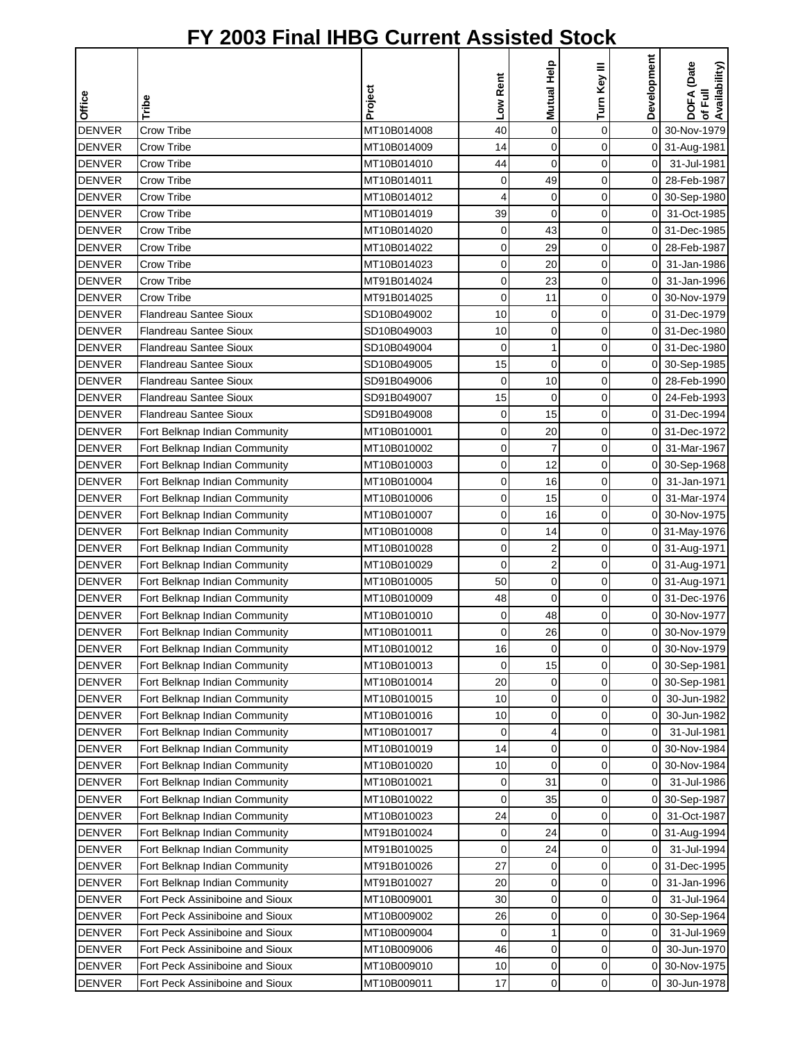|               |                                 |             |                |                |              | Development    |                                        |
|---------------|---------------------------------|-------------|----------------|----------------|--------------|----------------|----------------------------------------|
|               |                                 |             | Low Rent       | Mutual Help    | Turn Key III |                | DOFA (Date<br>of Full<br>Availability) |
| <b>Office</b> | Tribe                           | Project     |                |                |              |                |                                        |
| <b>DENVER</b> | Crow Tribe                      | MT10B014008 | 40             | $\mathbf 0$    | 0            | $\overline{0}$ | 30-Nov-1979                            |
| <b>DENVER</b> | Crow Tribe                      | MT10B014009 | 14             | 0              | 0            |                | 0 31-Aug-1981                          |
| <b>DENVER</b> | Crow Tribe                      | MT10B014010 | 44             | $\mathbf 0$    | 0            | $\overline{0}$ | 31-Jul-1981                            |
| <b>DENVER</b> | Crow Tribe                      | MT10B014011 | 0              | 49             | 0            | 01             | 28-Feb-1987                            |
| <b>DENVER</b> | Crow Tribe                      | MT10B014012 | 4              | 0              | 0            |                | 0 30-Sep-1980                          |
| <b>DENVER</b> | Crow Tribe                      | MT10B014019 | 39             | 0              | 0            | 0              | 31-Oct-1985                            |
| <b>DENVER</b> | Crow Tribe                      | MT10B014020 | 0              | 43             | 0            | 0              | 31-Dec-1985                            |
| <b>DENVER</b> | Crow Tribe                      | MT10B014022 | 0              | 29             | 0            | 0              | 28-Feb-1987                            |
| <b>DENVER</b> | Crow Tribe                      | MT10B014023 | 0              | 20             | 0            | $\overline{0}$ | 31-Jan-1986                            |
| <b>DENVER</b> | Crow Tribe                      | MT91B014024 | 0              | 23             | 0            | 0              | 31-Jan-1996                            |
| <b>DENVER</b> | Crow Tribe                      | MT91B014025 | 0              | 11             | 0            |                | 0 30-Nov-1979                          |
| <b>DENVER</b> | Flandreau Santee Sioux          | SD10B049002 | 10             | 0              | 0            | 0              | 31-Dec-1979                            |
| <b>DENVER</b> | Flandreau Santee Sioux          | SD10B049003 | 10             | 0              | 0            | 0              | 31-Dec-1980                            |
| <b>DENVER</b> | <b>Flandreau Santee Sioux</b>   | SD10B049004 | 0              | 1              | 0            | 0              | 31-Dec-1980                            |
| <b>DENVER</b> | <b>Flandreau Santee Sioux</b>   | SD10B049005 | 15             | $\mathbf 0$    | 0            | 0              | 30-Sep-1985                            |
| <b>DENVER</b> | <b>Flandreau Santee Sioux</b>   | SD91B049006 | 0              | 10             | 0            | 0              | 28-Feb-1990                            |
| <b>DENVER</b> | Flandreau Santee Sioux          | SD91B049007 | 15             | $\mathbf 0$    | 0            | $\overline{0}$ | 24-Feb-1993                            |
| <b>DENVER</b> | <b>Flandreau Santee Sioux</b>   | SD91B049008 | 0              | 15             | 0            |                | 0 31-Dec-1994                          |
| <b>DENVER</b> | Fort Belknap Indian Community   | MT10B010001 | 0              | 20             | 0            | 0              | 31-Dec-1972                            |
| <b>DENVER</b> | Fort Belknap Indian Community   | MT10B010002 | 0              | $\overline{7}$ | 0            | 01             | 31-Mar-1967                            |
| <b>DENVER</b> | Fort Belknap Indian Community   | MT10B010003 | 0              | 12             | 0            | 0              | 30-Sep-1968                            |
| <b>DENVER</b> | Fort Belknap Indian Community   | MT10B010004 | 0              | 16             | 0            | $\overline{0}$ | 31-Jan-1971                            |
| <b>DENVER</b> | Fort Belknap Indian Community   | MT10B010006 | 0              | 15             | 0            | 0              | 31-Mar-1974                            |
| <b>DENVER</b> | Fort Belknap Indian Community   | MT10B010007 | 0              | 16             | 0            | 0              | 30-Nov-1975                            |
| <b>DENVER</b> | Fort Belknap Indian Community   | MT10B010008 | 0              | 14             | 0            |                | 0 31-May-1976                          |
| <b>DENVER</b> | Fort Belknap Indian Community   | MT10B010028 | 0              | 2              | 0            |                | 0 31-Aug-1971                          |
| <b>DENVER</b> | Fort Belknap Indian Community   | MT10B010029 | 0              | 2              | 0            |                | 0 31-Aug-1971                          |
| <b>DENVER</b> | Fort Belknap Indian Community   | MT10B010005 | 50             | 0              | 0            |                | 0 31-Aug-1971                          |
| <b>DENVER</b> | Fort Belknap Indian Community   | MT10B010009 | 48             | 0              | 0            |                | 0 31-Dec-1976                          |
| <b>DENVER</b> | Fort Belknap Indian Community   | MT10B010010 | 0              | 48             | 0            |                | 0 30-Nov-1977                          |
| <b>DENVER</b> | Fort Belknap Indian Community   | MT10B010011 | $\overline{0}$ | 26             | $\Omega$     |                | 0 30-Nov-1979                          |
| <b>DENVER</b> | Fort Belknap Indian Community   | MT10B010012 | 16             | 0              | 0            | 0              | 30-Nov-1979                            |
| <b>DENVER</b> | Fort Belknap Indian Community   | MT10B010013 | 0              | 15             | 0            |                | 0 30-Sep-1981                          |
| <b>DENVER</b> | Fort Belknap Indian Community   | MT10B010014 | 20             | 0              | 0            |                | 0 30-Sep-1981                          |
| <b>DENVER</b> | Fort Belknap Indian Community   | MT10B010015 | 10             | 0              | 0            | 0              | 30-Jun-1982                            |
| <b>DENVER</b> | Fort Belknap Indian Community   | MT10B010016 | 10             | 0              | 0            | 0              | 30-Jun-1982                            |
| <b>DENVER</b> | Fort Belknap Indian Community   | MT10B010017 | 0              | 4              | 0            | 0              | 31-Jul-1981                            |
| <b>DENVER</b> | Fort Belknap Indian Community   | MT10B010019 | 14             | 0              | 0            | 0              | 30-Nov-1984                            |
| <b>DENVER</b> | Fort Belknap Indian Community   | MT10B010020 | 10             | 0              | 0            | 0              | 30-Nov-1984                            |
| <b>DENVER</b> | Fort Belknap Indian Community   | MT10B010021 | 0              | 31             | 0            | $\overline{0}$ | 31-Jul-1986                            |
| <b>DENVER</b> | Fort Belknap Indian Community   | MT10B010022 | 0              | 35             | 0            | 0              | 30-Sep-1987                            |
| <b>DENVER</b> | Fort Belknap Indian Community   | MT10B010023 | 24             | 0              | 0            | $\overline{0}$ | 31-Oct-1987                            |
| <b>DENVER</b> | Fort Belknap Indian Community   | MT91B010024 | 0              | 24             | 0            |                | 0 31-Aug-1994                          |
| <b>DENVER</b> | Fort Belknap Indian Community   | MT91B010025 | 0              | 24             | 0            | 0              | 31-Jul-1994                            |
| <b>DENVER</b> | Fort Belknap Indian Community   | MT91B010026 | 27             | 0              | 0            | 0              | 31-Dec-1995                            |
| <b>DENVER</b> | Fort Belknap Indian Community   | MT91B010027 | 20             | 0              | 0            | 0              | 31-Jan-1996                            |
| <b>DENVER</b> | Fort Peck Assiniboine and Sioux | MT10B009001 | 30             | 0              | 0            | 0              | 31-Jul-1964                            |
| <b>DENVER</b> | Fort Peck Assiniboine and Sioux | MT10B009002 | 26             | 0              | 0            | 0              | 30-Sep-1964                            |
| <b>DENVER</b> | Fort Peck Assiniboine and Sioux | MT10B009004 | 0              | 1              | 0            | 0              | 31-Jul-1969                            |
| <b>DENVER</b> | Fort Peck Assiniboine and Sioux | MT10B009006 | 46             | 0              | 0            | 0              | 30-Jun-1970                            |
| <b>DENVER</b> | Fort Peck Assiniboine and Sioux | MT10B009010 | 10             | 0              | 0            | 01             | 30-Nov-1975                            |
| <b>DENVER</b> | Fort Peck Assiniboine and Sioux | MT10B009011 | 17             | $\mathbf 0$    | 0            | 01             | 30-Jun-1978                            |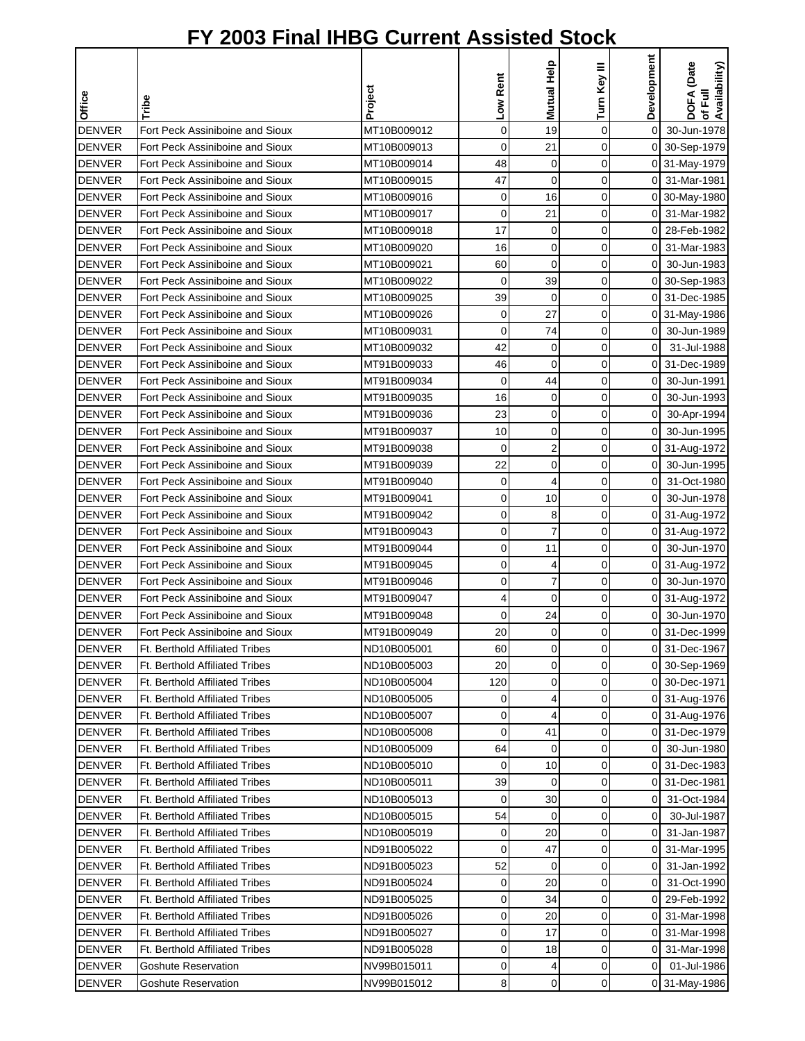|               |                                       |             |             | Mutual Help    | Turn Key III | Development    | DOFA (Date<br>Availability) |
|---------------|---------------------------------------|-------------|-------------|----------------|--------------|----------------|-----------------------------|
|               |                                       |             |             |                |              |                |                             |
| Office        | Tribe                                 | Project     | Low Rent    |                |              |                | ৳                           |
| <b>DENVER</b> | Fort Peck Assiniboine and Sioux       | MT10B009012 | $\mathbf 0$ | 19             | $\mathbf 0$  | $\overline{0}$ | 30-Jun-1978                 |
| <b>DENVER</b> | Fort Peck Assiniboine and Sioux       | MT10B009013 | 0           | 21             | 0            |                | 0 30-Sep-1979               |
| <b>DENVER</b> | Fort Peck Assiniboine and Sioux       | MT10B009014 | 48          | 0              | $\mathbf 0$  |                | 0 31-May-1979               |
| <b>DENVER</b> | Fort Peck Assiniboine and Sioux       | MT10B009015 | 47          | $\mathbf 0$    | $\mathbf 0$  |                | 0 31-Mar-1981               |
| <b>DENVER</b> | Fort Peck Assiniboine and Sioux       | MT10B009016 | 0           | 16             | 0            |                | 0 30-May-1980               |
| <b>DENVER</b> | Fort Peck Assiniboine and Sioux       | MT10B009017 | $\mathbf 0$ | 21             | 0            |                | 0 31-Mar-1982               |
| <b>DENVER</b> | Fort Peck Assiniboine and Sioux       | MT10B009018 | 17          | $\mathbf 0$    | $\mathbf 0$  | ΟI             | 28-Feb-1982                 |
| <b>DENVER</b> | Fort Peck Assiniboine and Sioux       | MT10B009020 | 16          | $\mathbf 0$    | $\mathbf 0$  | οI             | 31-Mar-1983                 |
| <b>DENVER</b> | Fort Peck Assiniboine and Sioux       | MT10B009021 | 60          | $\mathbf 0$    | 0            | οI             | 30-Jun-1983                 |
| <b>DENVER</b> | Fort Peck Assiniboine and Sioux       | MT10B009022 | $\mathbf 0$ | 39             | $\mathbf 0$  |                | 0 30-Sep-1983               |
| <b>DENVER</b> | Fort Peck Assiniboine and Sioux       | MT10B009025 | 39          | 0              | 0            |                | 0 31-Dec-1985               |
| <b>DENVER</b> | Fort Peck Assiniboine and Sioux       | MT10B009026 | 0           | 27             | $\mathbf 0$  |                | 0 31-May-1986               |
| <b>DENVER</b> | Fort Peck Assiniboine and Sioux       | MT10B009031 | $\mathbf 0$ | 74             | 0            | $\overline{0}$ | 30-Jun-1989                 |
| <b>DENVER</b> | Fort Peck Assiniboine and Sioux       | MT10B009032 | 42          | 0              | 0            | $\Omega$       | 31-Jul-1988                 |
| <b>DENVER</b> | Fort Peck Assiniboine and Sioux       | MT91B009033 | 46          | $\mathbf 0$    | 0            | $\overline{0}$ | 31-Dec-1989                 |
| <b>DENVER</b> | Fort Peck Assiniboine and Sioux       | MT91B009034 | $\mathbf 0$ | 44             | 0            | $\mathbf 0$    | 30-Jun-1991                 |
| <b>DENVER</b> | Fort Peck Assiniboine and Sioux       | MT91B009035 | 16          | 0              | 0            | $\mathbf 0$    | 30-Jun-1993                 |
| <b>DENVER</b> | Fort Peck Assiniboine and Sioux       | MT91B009036 | 23          | 0              | 0            | $\overline{0}$ | 30-Apr-1994                 |
| <b>DENVER</b> | Fort Peck Assiniboine and Sioux       | MT91B009037 | 10          | 0              | 0            | $\overline{O}$ | 30-Jun-1995                 |
| <b>DENVER</b> | Fort Peck Assiniboine and Sioux       | MT91B009038 | $\mathbf 0$ | $\overline{c}$ | 0            | οI             | 31-Aug-1972                 |
| <b>DENVER</b> | Fort Peck Assiniboine and Sioux       | MT91B009039 | 22          | 0              | 0            | $\overline{0}$ | 30-Jun-1995                 |
| <b>DENVER</b> | Fort Peck Assiniboine and Sioux       | MT91B009040 | 0           | 4              | 0            | $\Omega$       | 31-Oct-1980                 |
| <b>DENVER</b> | Fort Peck Assiniboine and Sioux       | MT91B009041 | 0           | 10             | 0            | $\overline{0}$ | 30-Jun-1978                 |
| <b>DENVER</b> | Fort Peck Assiniboine and Sioux       | MT91B009042 | $\mathbf 0$ | 8              | 0            | 01             | 31-Aug-1972                 |
| <b>DENVER</b> | Fort Peck Assiniboine and Sioux       | MT91B009043 | 0           | 7              | $\mathbf 0$  |                | 0 31-Aug-1972               |
| <b>DENVER</b> | Fort Peck Assiniboine and Sioux       | MT91B009044 | 0           | 11             | 0            | οI             | 30-Jun-1970                 |
| <b>DENVER</b> | Fort Peck Assiniboine and Sioux       | MT91B009045 | $\mathbf 0$ | 4              | $\mathbf 0$  |                | 0 31-Aug-1972               |
| <b>DENVER</b> | Fort Peck Assiniboine and Sioux       | MT91B009046 | 0           | 7              | 0            | $\overline{0}$ | 30-Jun-1970                 |
| <b>DENVER</b> | Fort Peck Assiniboine and Sioux       | MT91B009047 | 4           | $\overline{0}$ | $\mathbf 0$  |                | 0 31-Aug-1972               |
| <b>DENVER</b> | Fort Peck Assiniboine and Sioux       | MT91B009048 | 0           | 24             | 0            | $\overline{0}$ | 30-Jun-1970                 |
| <b>DENVER</b> | Fort Peck Assiniboine and Sioux       | MT91B009049 | 20          | $\Omega$       | $\Omega$     |                | 0 31-Dec-1999               |
| <b>DENVER</b> | Ft. Berthold Affiliated Tribes        | ND10B005001 | 60          | 0              | 0            |                | 0 31-Dec-1967               |
| <b>DENVER</b> | <b>Ft. Berthold Affiliated Tribes</b> | ND10B005003 | 20          | 0              | $\mathbf 0$  |                | 0 30-Sep-1969               |
| <b>DENVER</b> | <b>Ft. Berthold Affiliated Tribes</b> | ND10B005004 | 120         | 0              | 0            |                | 0 30-Dec-1971               |
| <b>DENVER</b> | Ft. Berthold Affiliated Tribes        | ND10B005005 | 0           | 4              | 0            |                | 0 31-Aug-1976               |
| <b>DENVER</b> | Ft. Berthold Affiliated Tribes        | ND10B005007 | 0           | 4              | 0            |                | 0 31-Aug-1976               |
| <b>DENVER</b> | <b>Ft. Berthold Affiliated Tribes</b> | ND10B005008 | 0           | 41             | $\mathbf 0$  |                | 0 31-Dec-1979               |
| <b>DENVER</b> | <b>Ft. Berthold Affiliated Tribes</b> | ND10B005009 | 64          | 0              | 0            | 01             | 30-Jun-1980                 |
| <b>DENVER</b> | <b>Ft. Berthold Affiliated Tribes</b> | ND10B005010 | 0           | 10             | 0            | 0              | 31-Dec-1983                 |
| <b>DENVER</b> | Ft. Berthold Affiliated Tribes        | ND10B005011 | 39          | 0              | 0            | ΟI             | 31-Dec-1981                 |
| <b>DENVER</b> | Ft. Berthold Affiliated Tribes        | ND10B005013 | $\mathbf 0$ | 30             | 0            | $\overline{0}$ | 31-Oct-1984                 |
| <b>DENVER</b> | <b>Ft. Berthold Affiliated Tribes</b> | ND10B005015 | 54          | $\mathbf 0$    | 0            | $\overline{0}$ | 30-Jul-1987                 |
| <b>DENVER</b> | Ft. Berthold Affiliated Tribes        | ND10B005019 | 0           | 20             | 0            | 01             | 31-Jan-1987                 |
| <b>DENVER</b> | <b>Ft. Berthold Affiliated Tribes</b> | ND91B005022 | 0           | 47             | 0            | ΟI             | 31-Mar-1995                 |
| <b>DENVER</b> | Ft. Berthold Affiliated Tribes        | ND91B005023 | 52          | 0              | $\mathbf 0$  | 01             | 31-Jan-1992                 |
| <b>DENVER</b> | <b>Ft. Berthold Affiliated Tribes</b> | ND91B005024 | 0           | 20             | 0            | $\overline{0}$ | 31-Oct-1990                 |
| <b>DENVER</b> | Ft. Berthold Affiliated Tribes        | ND91B005025 | 0           | 34             | 0            | ΟI             | 29-Feb-1992                 |
| <b>DENVER</b> | Ft. Berthold Affiliated Tribes        | ND91B005026 | $\mathbf 0$ | 20             | 0            | ΟI             | 31-Mar-1998                 |
| <b>DENVER</b> | Ft. Berthold Affiliated Tribes        | ND91B005027 | $\mathbf 0$ | 17             | 0            | 01             | 31-Mar-1998                 |
| <b>DENVER</b> | Ft. Berthold Affiliated Tribes        | ND91B005028 | 0           | 18             | 0            | ΟI             | 31-Mar-1998                 |
| <b>DENVER</b> | Goshute Reservation                   | NV99B015011 | 0           |                | 0            | 0              | 01-Jul-1986                 |
| <b>DENVER</b> | Goshute Reservation                   | NV99B015012 | 8           | $\mathbf 0$    | 0            |                | 0 31-May-1986               |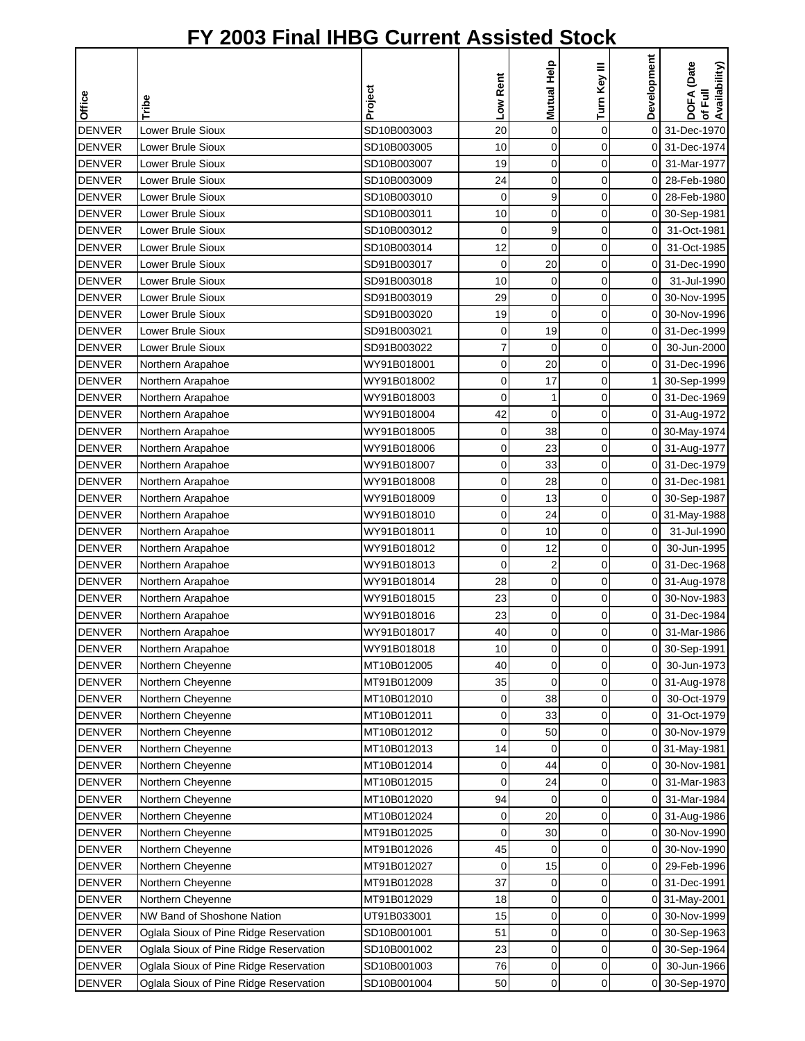|               |                                        |             |             |                  |              | Development    |                                        |
|---------------|----------------------------------------|-------------|-------------|------------------|--------------|----------------|----------------------------------------|
| Office        | Tribe                                  | Project     | Low Rent    | Mutual Help      | Turn Key III |                | DOFA (Date<br>of Full<br>Availability) |
| <b>DENVER</b> | Lower Brule Sioux                      | SD10B003003 | 20          | $\pmb{0}$        | 0            |                | 0 31-Dec-1970                          |
| <b>DENVER</b> | Lower Brule Sioux                      | SD10B003005 | 10          | $\mathbf 0$      | 0            | 0              | 31-Dec-1974                            |
| <b>DENVER</b> | Lower Brule Sioux                      | SD10B003007 | 19          | $\mathbf 0$      | 0            | 0              | 31-Mar-1977                            |
| <b>DENVER</b> | Lower Brule Sioux                      | SD10B003009 | 24          | $\mathbf 0$      | 0            | 0              | 28-Feb-1980                            |
| <b>DENVER</b> | Lower Brule Sioux                      | SD10B003010 | 0           | 9                | 0            | 0              | 28-Feb-1980                            |
| <b>DENVER</b> | Lower Brule Sioux                      | SD10B003011 | 10          | $\mathbf 0$      | 0            | 0              | 30-Sep-1981                            |
| <b>DENVER</b> | Lower Brule Sioux                      | SD10B003012 | $\mathbf 0$ | 9                | 0            | 0              | 31-Oct-1981                            |
| <b>DENVER</b> | Lower Brule Sioux                      | SD10B003014 | 12          | $\mathbf 0$      | 0            | $\mathbf 0$    | 31-Oct-1985                            |
| <b>DENVER</b> | Lower Brule Sioux                      | SD91B003017 | 0           | 20               | 0            | $\overline{0}$ | 31-Dec-1990                            |
| <b>DENVER</b> | Lower Brule Sioux                      | SD91B003018 | 10          | 0                | 0            | 0              | 31-Jul-1990                            |
| <b>DENVER</b> | Lower Brule Sioux                      | SD91B003019 | 29          | 0                | 0            | 0              | 30-Nov-1995                            |
| <b>DENVER</b> | Lower Brule Sioux                      | SD91B003020 | 19          | $\mathbf 0$      | 0            | 01             | 30-Nov-1996                            |
| <b>DENVER</b> | Lower Brule Sioux                      | SD91B003021 | 0           | 19               | 0            | 0              | 31-Dec-1999                            |
| <b>DENVER</b> | Lower Brule Sioux                      | SD91B003022 | 7           | $\mathbf 0$      | 0            | 0              | 30-Jun-2000                            |
| <b>DENVER</b> | Northern Arapahoe                      | WY91B018001 | 0           | 20               | 0            | 0              | 31-Dec-1996                            |
| <b>DENVER</b> | Northern Arapahoe                      | WY91B018002 | 0           | 17               | 0            |                | 30-Sep-1999                            |
| <b>DENVER</b> | Northern Arapahoe                      | WY91B018003 | 0           | 1                | 0            |                | 0 31-Dec-1969                          |
| <b>DENVER</b> | Northern Arapahoe                      | WY91B018004 | 42          | $\mathbf 0$      | 0            |                | 0 31-Aug-1972                          |
| <b>DENVER</b> | Northern Arapahoe                      | WY91B018005 | 0           | 38               | $\mathbf 0$  |                | 0 30-May-1974                          |
| <b>DENVER</b> | Northern Arapahoe                      | WY91B018006 | 0           | 23               | 0            |                | 0 31-Aug-1977                          |
| <b>DENVER</b> | Northern Arapahoe                      | WY91B018007 | 0           | 33               | 0            |                | 0 31-Dec-1979                          |
| <b>DENVER</b> | Northern Arapahoe                      | WY91B018008 | 0           | 28               | 0            | $\Omega$       | 31-Dec-1981                            |
| <b>DENVER</b> | Northern Arapahoe                      | WY91B018009 | 0           | 13               | 0            | 0              | 30-Sep-1987                            |
| <b>DENVER</b> | Northern Arapahoe                      | WY91B018010 | 0           | 24               | 0            |                | 0 31-May-1988                          |
| <b>DENVER</b> | Northern Arapahoe                      | WY91B018011 | 0           | 10               | 0            | $\overline{O}$ | 31-Jul-1990                            |
| <b>DENVER</b> | Northern Arapahoe                      | WY91B018012 | 0           | 12               | 0            | $\overline{0}$ | 30-Jun-1995                            |
| <b>DENVER</b> | Northern Arapahoe                      | WY91B018013 | 0           | $\boldsymbol{2}$ | 0            | $\overline{0}$ | 31-Dec-1968                            |
| <b>DENVER</b> | Northern Arapahoe                      | WY91B018014 | 28          | 0                | 0            |                | 0 31-Aug-1978                          |
| <b>DENVER</b> | Northern Arapahoe                      | WY91B018015 | 23          | 0                | 0            | 0              | 30-Nov-1983                            |
| <b>DENVER</b> | Northern Arapahoe                      | WY91B018016 | 23          | 0                | 0            | 0              | 31-Dec-1984                            |
| <b>DENVER</b> | Northern Arapahoe                      | WY91B018017 | 40          | $\Omega$         | $\Omega$     | οI             | 31-Mar-1986                            |
| <b>DENVER</b> | Northern Arapahoe                      | WY91B018018 | 10          | $\mathbf 0$      | 0            | 0              | 30-Sep-1991                            |
| <b>DENVER</b> | Northern Cheyenne                      | MT10B012005 | 40          | 0                | 0            | 0              | 30-Jun-1973                            |
| <b>DENVER</b> | Northern Cheyenne                      | MT91B012009 | 35          | $\mathbf 0$      | 0            |                | 0 31-Aug-1978                          |
| <b>DENVER</b> | Northern Cheyenne                      | MT10B012010 | 0           | 38               | 0            | 0              | 30-Oct-1979                            |
| <b>DENVER</b> | Northern Cheyenne                      | MT10B012011 | 0           | 33               | 0            | 0              | 31-Oct-1979                            |
| <b>DENVER</b> | Northern Cheyenne                      | MT10B012012 | 0           | 50               | 0            | 01             | 30-Nov-1979                            |
| <b>DENVER</b> | Northern Cheyenne                      | MT10B012013 | 14          | 0                | 0            |                | 0 31-May-1981                          |
| <b>DENVER</b> | Northern Cheyenne                      | MT10B012014 | 0           | 44               | 0            | 0              | 30-Nov-1981                            |
| <b>DENVER</b> | Northern Cheyenne                      | MT10B012015 | 0           | 24               | 0            | 0              | 31-Mar-1983                            |
| <b>DENVER</b> | Northern Cheyenne                      | MT10B012020 | 94          | $\mathbf 0$      | 0            | 01             | 31-Mar-1984                            |
| <b>DENVER</b> | Northern Cheyenne                      | MT10B012024 | 0           | 20               | 0            |                | 0 31-Aug-1986                          |
| <b>DENVER</b> | Northern Cheyenne                      | MT91B012025 | 0           | 30               | 0            |                | 0 30-Nov-1990                          |
| <b>DENVER</b> | Northern Cheyenne                      | MT91B012026 | 45          | 0                | 0            |                | 0 30-Nov-1990                          |
| <b>DENVER</b> | Northern Cheyenne                      | MT91B012027 | 0           | 15               | 0            |                | 0 29-Feb-1996                          |
| <b>DENVER</b> | Northern Cheyenne                      | MT91B012028 | 37          | 0                | 0            |                | 0 31-Dec-1991                          |
| <b>DENVER</b> | Northern Cheyenne                      | MT91B012029 | 18          | 0                | 0            |                | 0 31-May-2001                          |
| <b>DENVER</b> | NW Band of Shoshone Nation             | UT91B033001 | 15          | 0                | 0            | 0              | 30-Nov-1999                            |
| <b>DENVER</b> | Oglala Sioux of Pine Ridge Reservation | SD10B001001 | 51          | 0                | 0            | 0              | 30-Sep-1963                            |
| <b>DENVER</b> | Oglala Sioux of Pine Ridge Reservation | SD10B001002 | 23          | 0                | 0            |                | 0 30-Sep-1964                          |
| <b>DENVER</b> | Oglala Sioux of Pine Ridge Reservation | SD10B001003 | 76          | 0                | 0            | $\overline{0}$ | 30-Jun-1966                            |
| <b>DENVER</b> | Oglala Sioux of Pine Ridge Reservation | SD10B001004 | 50          | 0                | 0            |                | 0 30-Sep-1970                          |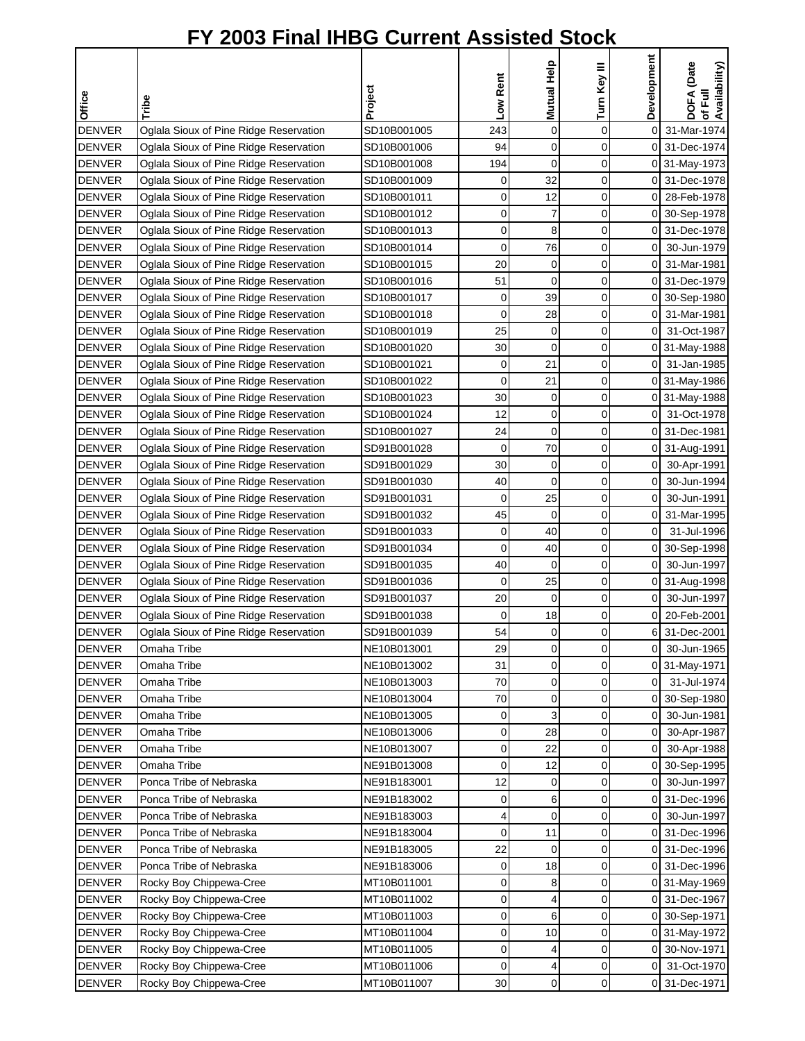| Office        | Tribe                                  | Project     | Low Rent | Mutual Help    | Turn Key III | Development | DOFA (Date<br>of Full<br>Availability) |
|---------------|----------------------------------------|-------------|----------|----------------|--------------|-------------|----------------------------------------|
| <b>DENVER</b> | Oglala Sioux of Pine Ridge Reservation | SD10B001005 | 243      | 0              | 0            | 0           | 31-Mar-1974                            |
| <b>DENVER</b> | Oglala Sioux of Pine Ridge Reservation | SD10B001006 | 94       | 0              | 0            | 0           | 31-Dec-1974                            |
| <b>DENVER</b> | Oglala Sioux of Pine Ridge Reservation | SD10B001008 | 194      | 0              | 0            | 0           | 31-May-1973                            |
| <b>DENVER</b> | Oglala Sioux of Pine Ridge Reservation | SD10B001009 | 0        | 32             | $\mathbf 0$  | 0           | 31-Dec-1978                            |
| <b>DENVER</b> | Oglala Sioux of Pine Ridge Reservation | SD10B001011 | 0        | 12             | 0            | 0           | 28-Feb-1978                            |
| <b>DENVER</b> | Oglala Sioux of Pine Ridge Reservation | SD10B001012 | 0        | 7              | 0            | 0           | 30-Sep-1978                            |
| <b>DENVER</b> | Oglala Sioux of Pine Ridge Reservation | SD10B001013 | 0        | 8              | 0            | 0           | 31-Dec-1978                            |
| <b>DENVER</b> | Oglala Sioux of Pine Ridge Reservation | SD10B001014 | 0        | 76             | 0            | 0           | 30-Jun-1979                            |
| <b>DENVER</b> | Oglala Sioux of Pine Ridge Reservation | SD10B001015 | 20       | 0              | 0            | 0           | 31-Mar-1981                            |
| <b>DENVER</b> | Oglala Sioux of Pine Ridge Reservation | SD10B001016 | 51       | 0              | 0            | 0           | 31-Dec-1979                            |
| <b>DENVER</b> | Oglala Sioux of Pine Ridge Reservation | SD10B001017 | 0        | 39             | 0            | 0           | 30-Sep-1980                            |
| <b>DENVER</b> | Oglala Sioux of Pine Ridge Reservation | SD10B001018 | 0        | 28             | 0            | 0           | 31-Mar-1981                            |
| <b>DENVER</b> | Oglala Sioux of Pine Ridge Reservation | SD10B001019 | 25       | 0              | 0            | 0           | 31-Oct-1987                            |
| <b>DENVER</b> | Oglala Sioux of Pine Ridge Reservation | SD10B001020 | 30       | 0              | 0            | 0           | 31-May-1988                            |
| <b>DENVER</b> | Oglala Sioux of Pine Ridge Reservation | SD10B001021 | 0        | 21             | 0            | 0           | 31-Jan-1985                            |
| <b>DENVER</b> | Oglala Sioux of Pine Ridge Reservation | SD10B001022 | 0        | 21             | 0            | 0           | 31-May-1986                            |
| <b>DENVER</b> | Oglala Sioux of Pine Ridge Reservation | SD10B001023 | 30       | 0              | 0            | 0           | 31-May-1988                            |
| <b>DENVER</b> | Oglala Sioux of Pine Ridge Reservation | SD10B001024 | 12       | 0              | 0            | 0           | 31-Oct-1978                            |
| <b>DENVER</b> | Oglala Sioux of Pine Ridge Reservation | SD10B001027 | 24       | 0              | 0            | 0           | 31-Dec-1981                            |
| <b>DENVER</b> | Oglala Sioux of Pine Ridge Reservation | SD91B001028 | 0        | 70             | 0            | 0           | 31-Aug-1991                            |
| <b>DENVER</b> | Oglala Sioux of Pine Ridge Reservation | SD91B001029 | 30       | 0              | 0            | 0           | 30-Apr-1991                            |
| <b>DENVER</b> | Oglala Sioux of Pine Ridge Reservation | SD91B001030 | 40       | 0              | 0            | 0           | 30-Jun-1994                            |
| <b>DENVER</b> | Oglala Sioux of Pine Ridge Reservation | SD91B001031 | 0        | 25             | 0            | 0           | 30-Jun-1991                            |
| <b>DENVER</b> | Oglala Sioux of Pine Ridge Reservation | SD91B001032 | 45       | 0              | 0            | 0           | 31-Mar-1995                            |
| <b>DENVER</b> | Oglala Sioux of Pine Ridge Reservation | SD91B001033 | 0        | 40             | $\mathbf 0$  | $\mathbf 0$ | 31-Jul-1996                            |
| <b>DENVER</b> | Oglala Sioux of Pine Ridge Reservation | SD91B001034 | 0        | 40             | 0            | 0           | 30-Sep-1998                            |
| <b>DENVER</b> | Oglala Sioux of Pine Ridge Reservation | SD91B001035 | 40       | 0              | 0            | 0           | 30-Jun-1997                            |
| <b>DENVER</b> | Oglala Sioux of Pine Ridge Reservation | SD91B001036 | 0        | 25             | 0            | 0           | 31-Aug-1998                            |
| <b>DENVER</b> | Oglala Sioux of Pine Ridge Reservation | SD91B001037 | 20       | 0              | $\mathbf 0$  | 0           | 30-Jun-1997                            |
| <b>DENVER</b> | Oglala Sioux of Pine Ridge Reservation | SD91B001038 | 0        | 18             | 0            | 0           | 20-Feb-2001                            |
| <b>DENVER</b> | Oglala Sioux of Pine Ridge Reservation | SD91B001039 | 54       | $\overline{0}$ | $\Omega$     | 6           | 31-Dec-2001                            |
| <b>DENVER</b> | Omaha Tribe                            | NE10B013001 | 29       | 0              | 0            | 0           | 30-Jun-1965                            |
| <b>DENVER</b> | Omaha Tribe                            | NE10B013002 | 31       | 0              | 0            | 0           | 31-May-1971                            |
| <b>DENVER</b> | Omaha Tribe                            | NE10B013003 | 70       | 0              | 0            | $\mathbf 0$ | 31-Jul-1974                            |
| <b>DENVER</b> | Omaha Tribe                            | NE10B013004 | 70       | 0              | 0            | 0           | 30-Sep-1980                            |
| <b>DENVER</b> | Omaha Tribe                            | NE10B013005 | 0        | 3              | 0            | 0           | 30-Jun-1981                            |
| <b>DENVER</b> | Omaha Tribe                            | NE10B013006 | 0        | 28             | 0            | 0           | 30-Apr-1987                            |
| <b>DENVER</b> | Omaha Tribe                            | NE10B013007 | 0        | 22             | 0            | 0           | 30-Apr-1988                            |
| <b>DENVER</b> | Omaha Tribe                            | NE91B013008 | 0        | 12             | 0            | 0           | 30-Sep-1995                            |
| <b>DENVER</b> | Ponca Tribe of Nebraska                | NE91B183001 | 12       | 0              | 0            | 0           | 30-Jun-1997                            |
| <b>DENVER</b> | Ponca Tribe of Nebraska                | NE91B183002 | 0        | 6              | 0            | 0           | 31-Dec-1996                            |
| <b>DENVER</b> | Ponca Tribe of Nebraska                | NE91B183003 | 4        | 0              | 0            | 0           | 30-Jun-1997                            |
| <b>DENVER</b> | Ponca Tribe of Nebraska                | NE91B183004 | 0        | 11             | $\pmb{0}$    | 0           | 31-Dec-1996                            |
| <b>DENVER</b> | Ponca Tribe of Nebraska                | NE91B183005 | 22       | 0              | 0            | 0           | 31-Dec-1996                            |
| <b>DENVER</b> | Ponca Tribe of Nebraska                | NE91B183006 | 0        | 18             | 0            | 0           | 31-Dec-1996                            |
| <b>DENVER</b> | Rocky Boy Chippewa-Cree                | MT10B011001 | 0        | 8              | 0            | 0           | 31-May-1969                            |
| <b>DENVER</b> | Rocky Boy Chippewa-Cree                | MT10B011002 | 0        | 4              | 0            | 0           | 31-Dec-1967                            |
| <b>DENVER</b> | Rocky Boy Chippewa-Cree                | MT10B011003 | 0        | 6              | 0            | 0           | 30-Sep-1971                            |
| <b>DENVER</b> | Rocky Boy Chippewa-Cree                | MT10B011004 | 0        | 10             | 0            | 0           | 31-May-1972                            |
| <b>DENVER</b> | Rocky Boy Chippewa-Cree                | MT10B011005 | 0        | 4              | $\mathbf 0$  | 0           | 30-Nov-1971                            |
| <b>DENVER</b> | Rocky Boy Chippewa-Cree                | MT10B011006 | 0        | 4              | 0            | 0           | 31-Oct-1970                            |
| <b>DENVER</b> | Rocky Boy Chippewa-Cree                | MT10B011007 | 30       | 0              | 0            |             | 0 31-Dec-1971                          |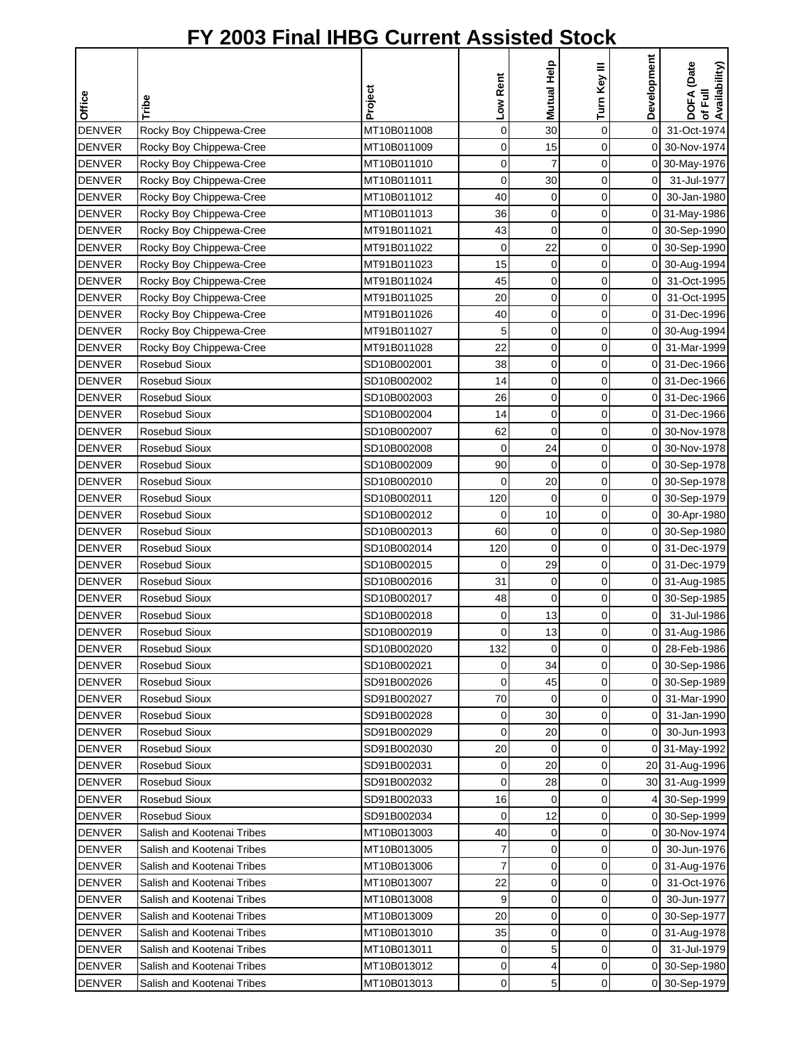|               |                            |             |             | Mutual Help | Turn Key III | Development    | DOFA (Date<br>of Full<br>Availability) |
|---------------|----------------------------|-------------|-------------|-------------|--------------|----------------|----------------------------------------|
|               |                            |             |             |             |              |                |                                        |
| Office        | Tribe                      | Project     | Low Rent    |             |              |                |                                        |
| <b>DENVER</b> | Rocky Boy Chippewa-Cree    | MT10B011008 | $\mathbf 0$ | 30          | $\pmb{0}$    | 0              | 31-Oct-1974                            |
| <b>DENVER</b> | Rocky Boy Chippewa-Cree    | MT10B011009 | 0           | 15          | 0            |                | 0 30-Nov-1974                          |
| <b>DENVER</b> | Rocky Boy Chippewa-Cree    | MT10B011010 | 0           | 7           | 0            |                | 0 30-May-1976                          |
| <b>DENVER</b> | Rocky Boy Chippewa-Cree    | MT10B011011 | 0           | 30          | 0            | $\overline{O}$ | 31-Jul-1977                            |
| <b>DENVER</b> | Rocky Boy Chippewa-Cree    | MT10B011012 | 40          | 0           | 0            | $\mathbf 0$    | 30-Jan-1980                            |
| <b>DENVER</b> | Rocky Boy Chippewa-Cree    | MT10B011013 | 36          | 0           | 0            |                | 0 31-May-1986                          |
| <b>DENVER</b> | Rocky Boy Chippewa-Cree    | MT91B011021 | 43          | $\mathbf 0$ | 0            |                | 0 30-Sep-1990                          |
| <b>DENVER</b> | Rocky Boy Chippewa-Cree    | MT91B011022 | $\mathbf 0$ | 22          | 0            |                | 0 30-Sep-1990                          |
| <b>DENVER</b> | Rocky Boy Chippewa-Cree    | MT91B011023 | 15          | 0           | 0            |                | 0 30-Aug-1994                          |
| <b>DENVER</b> | Rocky Boy Chippewa-Cree    | MT91B011024 | 45          | 0           | 0            | 01             | 31-Oct-1995                            |
| <b>DENVER</b> | Rocky Boy Chippewa-Cree    | MT91B011025 | 20          | $\mathbf 0$ | 0            | 0              | 31-Oct-1995                            |
| <b>DENVER</b> | Rocky Boy Chippewa-Cree    | MT91B011026 | 40          | $\mathbf 0$ | 0            |                | 0 31-Dec-1996                          |
| <b>DENVER</b> | Rocky Boy Chippewa-Cree    | MT91B011027 | 5           | 0           | 0            | $\overline{0}$ | 30-Aug-1994                            |
| <b>DENVER</b> | Rocky Boy Chippewa-Cree    | MT91B011028 | 22          | $\mathbf 0$ | 0            | 0              | 31-Mar-1999                            |
| <b>DENVER</b> | Rosebud Sioux              | SD10B002001 | 38          | 0           | 0            | 0              | 31-Dec-1966                            |
| <b>DENVER</b> | Rosebud Sioux              | SD10B002002 | 14          | 0           | 0            | 0              | 31-Dec-1966                            |
| <b>DENVER</b> | Rosebud Sioux              | SD10B002003 | 26          | 0           | 0            |                | 0 31-Dec-1966                          |
| <b>DENVER</b> | <b>Rosebud Sioux</b>       | SD10B002004 | 14          | $\mathbf 0$ | 0            | 0              | 31-Dec-1966                            |
| <b>DENVER</b> | Rosebud Sioux              | SD10B002007 | 62          | $\mathbf 0$ | 0            | 0              | 30-Nov-1978                            |
| <b>DENVER</b> | Rosebud Sioux              | SD10B002008 | $\mathbf 0$ | 24          | 0            | 0              | 30-Nov-1978                            |
| <b>DENVER</b> | Rosebud Sioux              | SD10B002009 | 90          | 0           | 0            | 0              | 30-Sep-1978                            |
| <b>DENVER</b> | Rosebud Sioux              | SD10B002010 | 0           | 20          | 0            | 0              | 30-Sep-1978                            |
| <b>DENVER</b> | Rosebud Sioux              | SD10B002011 | 120         | $\mathbf 0$ | 0            | 0              | 30-Sep-1979                            |
| <b>DENVER</b> | Rosebud Sioux              | SD10B002012 | $\mathbf 0$ | 10          | 0            | $\overline{0}$ | 30-Apr-1980                            |
| <b>DENVER</b> | Rosebud Sioux              | SD10B002013 | 60          | 0           | 0            | $\overline{0}$ | 30-Sep-1980                            |
| <b>DENVER</b> | Rosebud Sioux              | SD10B002014 | 120         | $\mathbf 0$ | 0            |                | 0 31-Dec-1979                          |
| <b>DENVER</b> | Rosebud Sioux              | SD10B002015 | $\mathbf 0$ | 29          | 0            |                | 0 31-Dec-1979                          |
| <b>DENVER</b> | Rosebud Sioux              | SD10B002016 | 31          | 0           | 0            |                | 0 31-Aug-1985                          |
| <b>DENVER</b> | Rosebud Sioux              | SD10B002017 | 48          | $\mathbf 0$ | 0            |                | 0 30-Sep-1985                          |
| <b>DENVER</b> | Rosebud Sioux              | SD10B002018 | 0           | 13          | 0            | 0              | 31-Jul-1986                            |
| <b>DENVER</b> | <b>Rosebud Sioux</b>       | SD10B002019 | 0           | 13          | $\Omega$     |                | 0 31-Aug-1986                          |
| <b>DENVER</b> | Rosebud Sioux              | SD10B002020 | 132         | 0           | 0            | 01             | 28-Feb-1986                            |
| <b>DENVER</b> | Rosebud Sioux              | SD10B002021 | 0           | 34          | 0            |                | 0 30-Sep-1986                          |
| <b>DENVER</b> | Rosebud Sioux              | SD91B002026 | 0           | 45          | 0            |                | 0 30-Sep-1989                          |
| <b>DENVER</b> | Rosebud Sioux              | SD91B002027 | 70          | $\mathbf 0$ | 0            |                | 0 31-Mar-1990                          |
| <b>DENVER</b> | Rosebud Sioux              | SD91B002028 | 0           | 30          | 0            | 01             | 31-Jan-1990                            |
| <b>DENVER</b> | Rosebud Sioux              | SD91B002029 | 0           | 20          | 0            | 01             | 30-Jun-1993                            |
| <b>DENVER</b> | Rosebud Sioux              | SD91B002030 | 20          | 0           | 0            |                | 0 31-May-1992                          |
| <b>DENVER</b> | Rosebud Sioux              | SD91B002031 | $\mathbf 0$ | 20          | 0            |                | 20 31-Aug-1996                         |
| <b>DENVER</b> | Rosebud Sioux              | SD91B002032 | 0           | 28          | 0            |                | 30 31-Aug-1999                         |
| <b>DENVER</b> | <b>Rosebud Sioux</b>       | SD91B002033 | 16          | $\mathbf 0$ | 0            | $\overline{4}$ | 30-Sep-1999                            |
| <b>DENVER</b> | Rosebud Sioux              | SD91B002034 | 0           | 12          | 0            |                | 0 30-Sep-1999                          |
| <b>DENVER</b> | Salish and Kootenai Tribes | MT10B013003 | 40          | 0           | 0            |                | 0 30-Nov-1974                          |
| <b>DENVER</b> | Salish and Kootenai Tribes | MT10B013005 | 7           | 0           | 0            | 01             | 30-Jun-1976                            |
| <b>DENVER</b> | Salish and Kootenai Tribes | MT10B013006 | 7           | $\mathbf 0$ | 0            |                | 0 31-Aug-1976                          |
| <b>DENVER</b> | Salish and Kootenai Tribes | MT10B013007 | 22          | 0           | 0            | ΟI             | 31-Oct-1976                            |
| <b>DENVER</b> | Salish and Kootenai Tribes | MT10B013008 | 9           | $\mathbf 0$ | 0            | $\Omega$       | 30-Jun-1977                            |
| <b>DENVER</b> | Salish and Kootenai Tribes | MT10B013009 | 20          | 0           | 0            | ΟI             | 30-Sep-1977                            |
| <b>DENVER</b> | Salish and Kootenai Tribes | MT10B013010 | 35          | 0           | 0            |                | 0 31-Aug-1978                          |
| <b>DENVER</b> | Salish and Kootenai Tribes | MT10B013011 | 0           | 5           | 0            | οI             | 31-Jul-1979                            |
| <b>DENVER</b> | Salish and Kootenai Tribes | MT10B013012 | 0           | 4           | 0            |                | 0 30-Sep-1980                          |
| <b>DENVER</b> | Salish and Kootenai Tribes | MT10B013013 | 0           | 5           | 0            |                | 0 30-Sep-1979                          |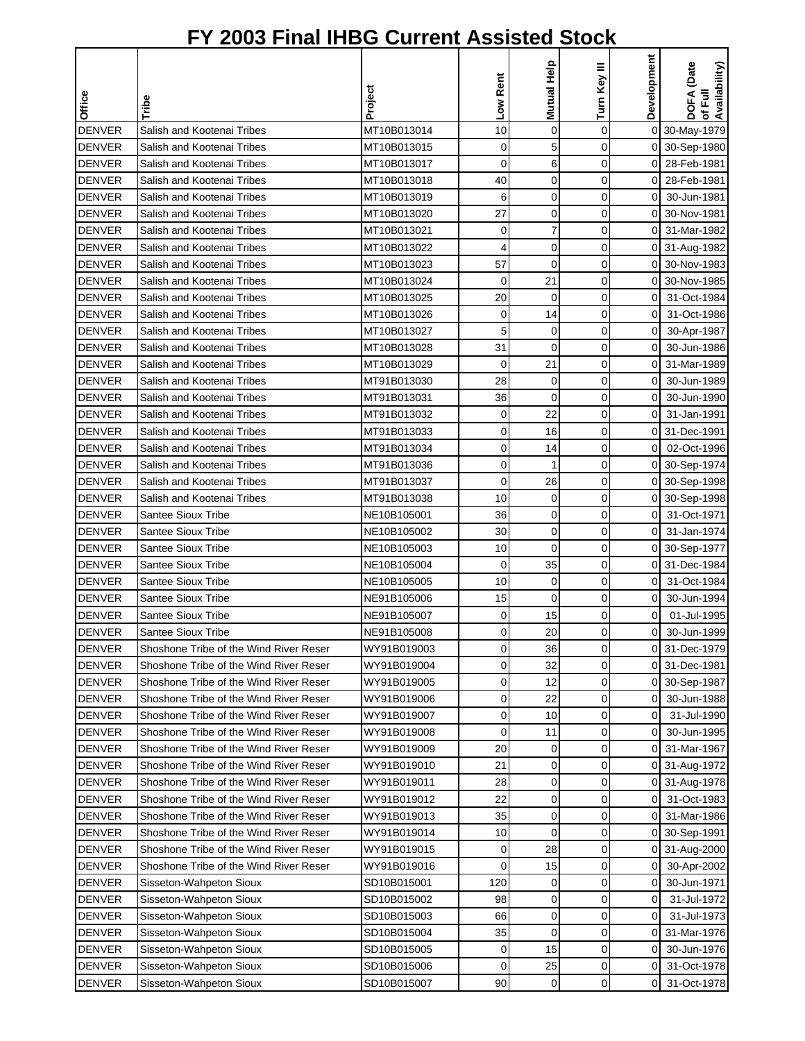|               |                                        |             | Low Rent    | Mutual Help | Turn Key III | Development    | DOFA (Date<br>Availability) |
|---------------|----------------------------------------|-------------|-------------|-------------|--------------|----------------|-----------------------------|
| Office        | Tribe                                  | Project     |             |             |              |                | 定<br>৳                      |
| <b>DENVER</b> | Salish and Kootenai Tribes             | MT10B013014 | 10          | $\mathbf 0$ | 0            |                | 0 30-May-1979               |
| <b>DENVER</b> | Salish and Kootenai Tribes             | MT10B013015 | $\mathbf 0$ | 5           | 0            |                | 0 30-Sep-1980               |
| <b>DENVER</b> | Salish and Kootenai Tribes             | MT10B013017 | 0           | 6           | 0            | 0              | 28-Feb-1981                 |
| <b>DENVER</b> | Salish and Kootenai Tribes             | MT10B013018 | 40          | 0           | 0            | 0              | 28-Feb-1981                 |
| <b>DENVER</b> | Salish and Kootenai Tribes             | MT10B013019 | 6           | 0           | 0            | 0              | 30-Jun-1981                 |
| <b>DENVER</b> | Salish and Kootenai Tribes             | MT10B013020 | 27          | $\mathbf 0$ | 0            | 0              | 30-Nov-1981                 |
| <b>DENVER</b> | Salish and Kootenai Tribes             | MT10B013021 | $\mathbf 0$ | 7           | 0            | 0              | 31-Mar-1982                 |
| <b>DENVER</b> | Salish and Kootenai Tribes             | MT10B013022 | 4           | 0           | 0            |                | 0 31-Aug-1982               |
| <b>DENVER</b> | Salish and Kootenai Tribes             | MT10B013023 | 57          | $\mathbf 0$ | 0            |                | 0 30-Nov-1983               |
| <b>DENVER</b> | Salish and Kootenai Tribes             | MT10B013024 | 0           | 21          | 0            |                | 0 30-Nov-1985               |
| <b>DENVER</b> | Salish and Kootenai Tribes             | MT10B013025 | 20          | 0           | 0            | 0              | 31-Oct-1984                 |
| <b>DENVER</b> | Salish and Kootenai Tribes             | MT10B013026 | 0           | 14          | 0            | 0              | 31-Oct-1986                 |
| <b>DENVER</b> | Salish and Kootenai Tribes             | MT10B013027 | 5           | 0           | 0            | 0              | 30-Apr-1987                 |
| <b>DENVER</b> | Salish and Kootenai Tribes             | MT10B013028 | 31          | $\mathbf 0$ | 0            | 0              | 30-Jun-1986                 |
| <b>DENVER</b> | Salish and Kootenai Tribes             | MT10B013029 | 0           | 21          | 0            | 0              | 31-Mar-1989                 |
| <b>DENVER</b> | Salish and Kootenai Tribes             | MT91B013030 | 28          | $\mathbf 0$ | 0            | $\overline{0}$ | 30-Jun-1989                 |
| <b>DENVER</b> | Salish and Kootenai Tribes             | MT91B013031 | 36          | 0           | 0            | οI             | 30-Jun-1990                 |
| <b>DENVER</b> | Salish and Kootenai Tribes             | MT91B013032 | 0           | 22          | 0            | οI             | 31-Jan-1991                 |
| <b>DENVER</b> | Salish and Kootenai Tribes             | MT91B013033 | 0           | 16          | 0            |                | 0 31-Dec-1991               |
| <b>DENVER</b> | Salish and Kootenai Tribes             | MT91B013034 | 0           | 14          | 0            | 01             | 02-Oct-1996                 |
| <b>DENVER</b> | Salish and Kootenai Tribes             | MT91B013036 | 0           | 1           | 0            |                | 0 30-Sep-1974               |
| <b>DENVER</b> | Salish and Kootenai Tribes             | MT91B013037 | 0           | 26          | 0            | $\Omega$       | 30-Sep-1998                 |
| <b>DENVER</b> | Salish and Kootenai Tribes             | MT91B013038 | 10          | 0           | 0            | $\overline{0}$ | 30-Sep-1998                 |
| <b>DENVER</b> | Santee Sioux Tribe                     | NE10B105001 | 36          | 0           | 0            | $\overline{0}$ | 31-Oct-1971                 |
| <b>DENVER</b> | Santee Sioux Tribe                     | NE10B105002 | 30          | $\mathbf 0$ | 0            | οI             | 31-Jan-1974                 |
| <b>DENVER</b> | Santee Sioux Tribe                     | NE10B105003 | 10          | $\mathbf 0$ | 0            |                | 0 30-Sep-1977               |
| <b>DENVER</b> | <b>Santee Sioux Tribe</b>              | NE10B105004 | $\mathbf 0$ | 35          | 0            |                | 0 31-Dec-1984               |
| <b>DENVER</b> | Santee Sioux Tribe                     | NE10B105005 | 10          | 0           | 0            | 0              | 31-Oct-1984                 |
| <b>DENVER</b> | Santee Sioux Tribe                     | NE91B105006 | 15          | $\mathbf 0$ | 0            | 0              | 30-Jun-1994                 |
| <b>DENVER</b> | Santee Sioux Tribe                     | NE91B105007 | 0           | 15          | 0            | 0              | 01-Jul-1995                 |
| <b>DENVER</b> | Santee Sioux Tribe                     | NE91B105008 | $\Omega$    | 20          | $\Omega$     | οI             | 30-Jun-1999                 |
| <b>DENVER</b> | Shoshone Tribe of the Wind River Reser | WY91B019003 | 0           | 36          | 0            |                | 0 31-Dec-1979               |
| <b>DENVER</b> | Shoshone Tribe of the Wind River Reser | WY91B019004 | 0           | 32          | 0            |                | 0 31-Dec-1981               |
| <b>DENVER</b> | Shoshone Tribe of the Wind River Reser | WY91B019005 | 0           | 12          | 0            |                | 0 30-Sep-1987               |
| <b>DENVER</b> | Shoshone Tribe of the Wind River Reser | WY91B019006 | 0           | 22          | 0            | 01             | 30-Jun-1988                 |
| <b>DENVER</b> | Shoshone Tribe of the Wind River Reser | WY91B019007 | 0           | 10          | 0            | 0              | 31-Jul-1990                 |
| <b>DENVER</b> | Shoshone Tribe of the Wind River Reser | WY91B019008 | 0           | 11          | 0            | 0              | 30-Jun-1995                 |
| <b>DENVER</b> | Shoshone Tribe of the Wind River Reser | WY91B019009 | 20          | 0           | 0            | 0              | 31-Mar-1967                 |
| <b>DENVER</b> | Shoshone Tribe of the Wind River Reser | WY91B019010 | 21          | 0           | 0            |                | 0 31-Aug-1972               |
| <b>DENVER</b> | Shoshone Tribe of the Wind River Reser | WY91B019011 | 28          | 0           | 0            |                | 0 31-Aug-1978               |
| <b>DENVER</b> | Shoshone Tribe of the Wind River Reser | WY91B019012 | 22          | 0           | 0            | 01             | 31-Oct-1983                 |
| <b>DENVER</b> | Shoshone Tribe of the Wind River Reser | WY91B019013 | 35          | 0           | 0            | $\overline{0}$ | 31-Mar-1986                 |
| <b>DENVER</b> | Shoshone Tribe of the Wind River Reser | WY91B019014 | 10          | $\mathbf 0$ | 0            |                | 0 30-Sep-1991               |
| <b>DENVER</b> | Shoshone Tribe of the Wind River Reser | WY91B019015 | 0           | 28          | 0            |                | 0 31-Aug-2000               |
| <b>DENVER</b> | Shoshone Tribe of the Wind River Reser | WY91B019016 | 0           | 15          | 0            | 0              | 30-Apr-2002                 |
| <b>DENVER</b> | Sisseton-Wahpeton Sioux                | SD10B015001 | 120         | 0           | 0            | 0              | 30-Jun-1971                 |
| <b>DENVER</b> | Sisseton-Wahpeton Sioux                | SD10B015002 | 98          | 0           | 0            | $\overline{0}$ | 31-Jul-1972                 |
| <b>DENVER</b> | Sisseton-Wahpeton Sioux                | SD10B015003 | 66          | 0           | 0            | $\overline{0}$ | 31-Jul-1973                 |
| <b>DENVER</b> | Sisseton-Wahpeton Sioux                | SD10B015004 | 35          | $\mathbf 0$ | 0            | 0              | 31-Mar-1976                 |
| <b>DENVER</b> | Sisseton-Wahpeton Sioux                | SD10B015005 | 0           | 15          | 0            | 01             | 30-Jun-1976                 |
| <b>DENVER</b> | Sisseton-Wahpeton Sioux                | SD10B015006 | 0           | 25          | 0            | 0              | 31-Oct-1978                 |
| <b>DENVER</b> | Sisseton-Wahpeton Sioux                | SD10B015007 | 90          | 0           | 0            | $\overline{0}$ | 31-Oct-1978                 |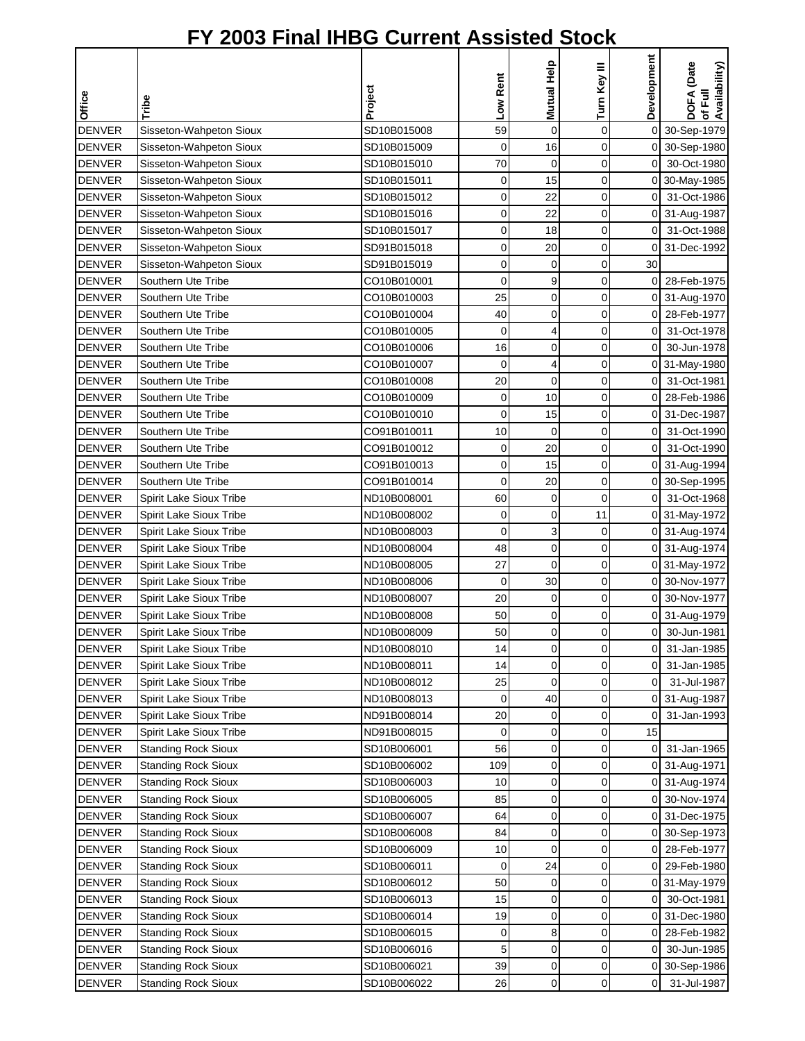|               |                            |             |             | Mutual Help    | Turn Key III | Development    | DOFA (Date<br>Availability) |
|---------------|----------------------------|-------------|-------------|----------------|--------------|----------------|-----------------------------|
| Office        | Tribe                      | Project     | Low Rent    |                |              |                | 쿦                           |
| <b>DENVER</b> | Sisseton-Wahpeton Sioux    | SD10B015008 | 59          | $\mathbf 0$    | $\mathbf 0$  |                | ৳<br>0 30-Sep-1979          |
| <b>DENVER</b> | Sisseton-Wahpeton Sioux    | SD10B015009 | 0           | 16             | 0            |                | 0 30-Sep-1980               |
| <b>DENVER</b> | Sisseton-Wahpeton Sioux    | SD10B015010 | 70          | 0              | $\mathbf 0$  | $\overline{0}$ | 30-Oct-1980                 |
| <b>DENVER</b> | Sisseton-Wahpeton Sioux    | SD10B015011 | 0           | 15             | 0            |                | 0 30-May-1985               |
| <b>DENVER</b> | Sisseton-Wahpeton Sioux    | SD10B015012 | 0           | 22             | 0            | $\overline{0}$ | 31-Oct-1986                 |
| <b>DENVER</b> | Sisseton-Wahpeton Sioux    | SD10B015016 | 0           | 22             | 0            | 0              | 31-Aug-1987                 |
| <b>DENVER</b> | Sisseton-Wahpeton Sioux    | SD10B015017 | 0           | 18             | 0            | $\overline{0}$ | 31-Oct-1988                 |
| <b>DENVER</b> | Sisseton-Wahpeton Sioux    | SD91B015018 | 0           | 20             | 0            |                | 0 31-Dec-1992               |
| <b>DENVER</b> | Sisseton-Wahpeton Sioux    | SD91B015019 | 0           | 0              | 0            | 30             |                             |
| <b>DENVER</b> | Southern Ute Tribe         | CO10B010001 | 0           | 9              | 0            | $\overline{0}$ | 28-Feb-1975                 |
| <b>DENVER</b> | Southern Ute Tribe         | CO10B010003 | 25          | 0              | 0            |                | 0 31-Aug-1970               |
| <b>DENVER</b> | Southern Ute Tribe         | CO10B010004 | 40          | 0              | 0            | 0              | 28-Feb-1977                 |
| <b>DENVER</b> | Southern Ute Tribe         | CO10B010005 | 0           | 4              | 0            | 0              | 31-Oct-1978                 |
| <b>DENVER</b> | Southern Ute Tribe         | CO10B010006 | 16          | 0              | 0            | $\overline{0}$ | 30-Jun-1978                 |
| <b>DENVER</b> | Southern Ute Tribe         | CO10B010007 | 0           | 4              | 0            | 0              | 31-May-1980                 |
| <b>DENVER</b> | Southern Ute Tribe         | CO10B010008 | 20          | $\mathbf 0$    | 0            | 0              | 31-Oct-1981                 |
| <b>DENVER</b> | Southern Ute Tribe         | CO10B010009 | $\mathbf 0$ | 10             | 0            | $\overline{0}$ | 28-Feb-1986                 |
| <b>DENVER</b> | Southern Ute Tribe         | CO10B010010 | 0           | 15             | 0            |                | 0 31-Dec-1987               |
| <b>DENVER</b> | Southern Ute Tribe         | CO91B010011 | 10          | $\mathbf 0$    | 0            | 0              | 31-Oct-1990                 |
| <b>DENVER</b> | Southern Ute Tribe         | CO91B010012 | 0           | 20             | 0            | 0              | 31-Oct-1990                 |
| <b>DENVER</b> | Southern Ute Tribe         | CO91B010013 | 0           | 15             | 0            | 0              | 31-Aug-1994                 |
| <b>DENVER</b> | Southern Ute Tribe         | CO91B010014 | 0           | 20             | 0            | $\overline{0}$ | 30-Sep-1995                 |
| <b>DENVER</b> | Spirit Lake Sioux Tribe    | ND10B008001 | 60          | $\mathbf 0$    | 0            | 0              | 31-Oct-1968                 |
| <b>DENVER</b> | Spirit Lake Sioux Tribe    | ND10B008002 | 0           | 0              | 11           | 0              | 31-May-1972                 |
| <b>DENVER</b> | Spirit Lake Sioux Tribe    | ND10B008003 | 0           | 3              | 0            |                | 0 31-Aug-1974               |
| <b>DENVER</b> | Spirit Lake Sioux Tribe    | ND10B008004 | 48          | 0              | 0            |                | 0 31-Aug-1974               |
| <b>DENVER</b> | Spirit Lake Sioux Tribe    | ND10B008005 | 27          | $\mathbf 0$    | 0            |                | 0 31-May-1972               |
| <b>DENVER</b> | Spirit Lake Sioux Tribe    | ND10B008006 | $\mathbf 0$ | 30             | 0            |                | 0 30-Nov-1977               |
| <b>DENVER</b> | Spirit Lake Sioux Tribe    | ND10B008007 | 20          | 0              | 0            |                | 0 30-Nov-1977               |
| <b>DENVER</b> | Spirit Lake Sioux Tribe    | ND10B008008 | 50          | 0              | 0            |                | 0 31-Aug-1979               |
| <b>DENVER</b> | Spirit Lake Sioux Tribe    | ND10B008009 | 50          | $\overline{0}$ | $\Omega$     | οI             | 30-Jun-1981                 |
| <b>DENVER</b> | Spirit Lake Sioux Tribe    | ND10B008010 | 14          | 0              | 0            | 0              | 31-Jan-1985                 |
| <b>DENVER</b> | Spirit Lake Sioux Tribe    | ND10B008011 | 14          | 0              | 0            | 01             | 31-Jan-1985                 |
| <b>DENVER</b> | Spirit Lake Sioux Tribe    | ND10B008012 | 25          | 0              | 0            | $\overline{0}$ | 31-Jul-1987                 |
| <b>DENVER</b> | Spirit Lake Sioux Tribe    | ND10B008013 | 0           | 40             | 0            |                | 0 31-Aug-1987               |
| <b>DENVER</b> | Spirit Lake Sioux Tribe    | ND91B008014 | 20          | 0              | 0            | 0              | 31-Jan-1993                 |
| <b>DENVER</b> | Spirit Lake Sioux Tribe    | ND91B008015 | 0           | 0              | 0            | 15             |                             |
| <b>DENVER</b> | <b>Standing Rock Sioux</b> | SD10B006001 | 56          | 0              | 0            | 0              | 31-Jan-1965                 |
| <b>DENVER</b> | <b>Standing Rock Sioux</b> | SD10B006002 | 109         | 0              | 0            |                | 0 31-Aug-1971               |
| <b>DENVER</b> | <b>Standing Rock Sioux</b> | SD10B006003 | 10          | 0              | 0            | 0              | 31-Aug-1974                 |
| <b>DENVER</b> | <b>Standing Rock Sioux</b> | SD10B006005 | 85          | 0              | 0            | 0              | 30-Nov-1974                 |
| <b>DENVER</b> | <b>Standing Rock Sioux</b> | SD10B006007 | 64          | 0              | 0            | 01             | 31-Dec-1975                 |
| <b>DENVER</b> | <b>Standing Rock Sioux</b> | SD10B006008 | 84          | 0              | 0            |                | 0 30-Sep-1973               |
| <b>DENVER</b> | <b>Standing Rock Sioux</b> | SD10B006009 | 10          | 0              | 0            | 0              | 28-Feb-1977                 |
| <b>DENVER</b> | <b>Standing Rock Sioux</b> | SD10B006011 | 0           | 24             | 0            |                | 0 29-Feb-1980               |
| <b>DENVER</b> | <b>Standing Rock Sioux</b> | SD10B006012 | 50          | 0              | 0            |                | 0 31-May-1979               |
| <b>DENVER</b> | <b>Standing Rock Sioux</b> | SD10B006013 | 15          | 0              | 0            | 0              | 30-Oct-1981                 |
| <b>DENVER</b> | <b>Standing Rock Sioux</b> | SD10B006014 | 19          | 0              | 0            | 0              | 31-Dec-1980                 |
| <b>DENVER</b> | <b>Standing Rock Sioux</b> | SD10B006015 | 0           | 8              | 0            | 0              | 28-Feb-1982                 |
| <b>DENVER</b> | <b>Standing Rock Sioux</b> | SD10B006016 | 5           | 0              | 0            | 0              | 30-Jun-1985                 |
| <b>DENVER</b> | <b>Standing Rock Sioux</b> | SD10B006021 | 39          | 0              | 0            |                | 0 30-Sep-1986               |
| <b>DENVER</b> | <b>Standing Rock Sioux</b> | SD10B006022 | 26          | 0              | 0            | $\overline{0}$ | 31-Jul-1987                 |
|               |                            |             |             |                |              |                |                             |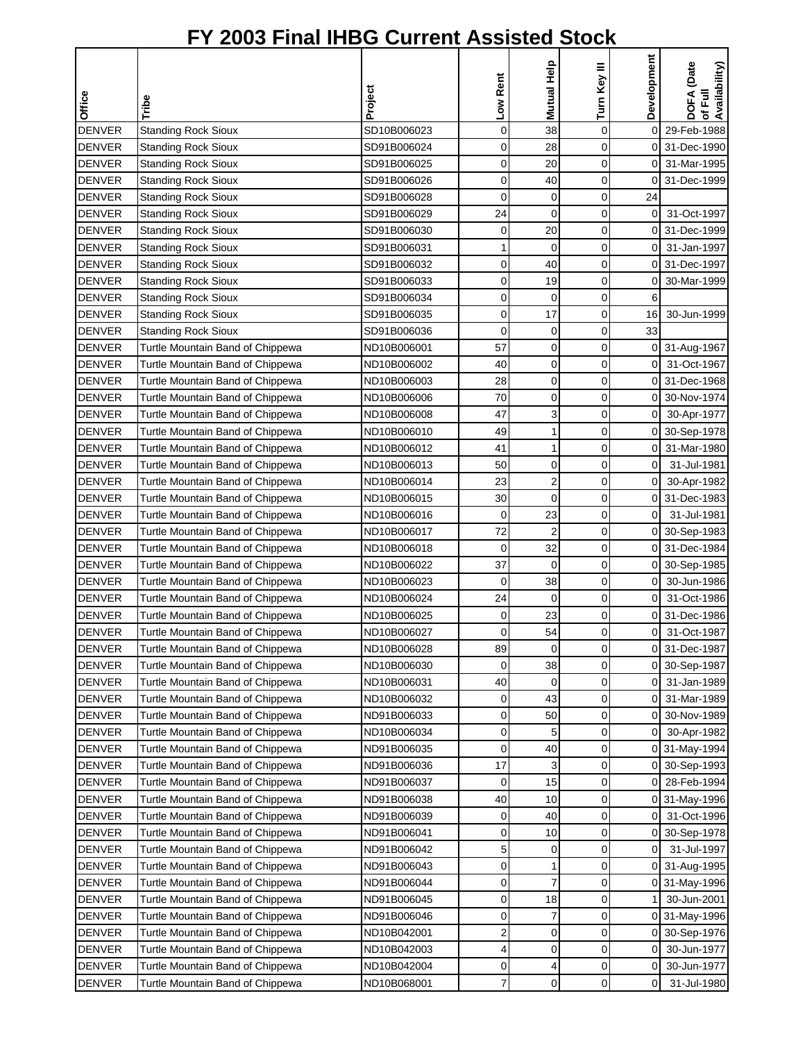|                                |                                                                      |                            |             | Mutual Help             |              | Development         | DOFA (Date<br>of Full<br>Availability) |
|--------------------------------|----------------------------------------------------------------------|----------------------------|-------------|-------------------------|--------------|---------------------|----------------------------------------|
|                                |                                                                      |                            |             |                         |              |                     |                                        |
| Office                         | Tribe                                                                | Project                    | Low Rent    |                         | Turn Key III |                     |                                        |
| <b>DENVER</b>                  |                                                                      | SD10B006023                | $\mathbf 0$ | 38                      | 0            | 0                   | 29-Feb-1988                            |
| <b>DENVER</b>                  | <b>Standing Rock Sioux</b>                                           | SD91B006024                | 0           | 28                      | 0            |                     | 0 31-Dec-1990                          |
| <b>DENVER</b>                  | <b>Standing Rock Sioux</b>                                           | SD91B006025                | 0           | 20                      | 0            | 01                  | 31-Mar-1995                            |
| <b>DENVER</b>                  | <b>Standing Rock Sioux</b><br><b>Standing Rock Sioux</b>             | SD91B006026                | 0           | 40                      | 0            | $\overline{0}$      | 31-Dec-1999                            |
| <b>DENVER</b>                  |                                                                      | SD91B006028                | 0           | 0                       | 0            | 24                  |                                        |
| <b>DENVER</b>                  | <b>Standing Rock Sioux</b><br><b>Standing Rock Sioux</b>             | SD91B006029                | 24          | $\mathbf 0$             | 0            | $\overline{0}$      | 31-Oct-1997                            |
| <b>DENVER</b>                  | <b>Standing Rock Sioux</b>                                           | SD91B006030                | 0           | 20                      | 0            | οI                  | 31-Dec-1999                            |
| <b>DENVER</b>                  | <b>Standing Rock Sioux</b>                                           | SD91B006031                | 1           | $\mathbf 0$             | 0            | $\overline{0}$      | 31-Jan-1997                            |
| <b>DENVER</b>                  |                                                                      | SD91B006032                | 0           | 40                      | 0            |                     | 0 31-Dec-1997                          |
| <b>DENVER</b>                  | <b>Standing Rock Sioux</b>                                           | SD91B006033                | 0           | 19                      | 0            | 0                   | 30-Mar-1999                            |
| <b>DENVER</b>                  | <b>Standing Rock Sioux</b>                                           | SD91B006034                | 0           | 0                       | 0            | 6                   |                                        |
| <b>DENVER</b>                  | <b>Standing Rock Sioux</b><br><b>Standing Rock Sioux</b>             | SD91B006035                | 0           | 17                      | 0            | 16                  | 30-Jun-1999                            |
| <b>DENVER</b>                  |                                                                      | SD91B006036                | 0           | 0                       | 0            | 33                  |                                        |
| <b>DENVER</b>                  | <b>Standing Rock Sioux</b>                                           | ND10B006001                | 57          | $\mathbf 0$             | 0            | 0                   | 31-Aug-1967                            |
| <b>DENVER</b>                  | Turtle Mountain Band of Chippewa                                     | ND10B006002                | 40          | 0                       | 0            | 0                   | 31-Oct-1967                            |
| <b>DENVER</b>                  | Turtle Mountain Band of Chippewa<br>Turtle Mountain Band of Chippewa | ND10B006003                | 28          | 0                       | 0            | 0                   | 31-Dec-1968                            |
| <b>DENVER</b>                  |                                                                      | ND10B006006                | 70          | 0                       | 0            | οI                  | 30-Nov-1974                            |
| <b>DENVER</b>                  | Turtle Mountain Band of Chippewa<br>Turtle Mountain Band of Chippewa | ND10B006008                | 47          | 3                       | 0            | $\overline{0}$      | 30-Apr-1977                            |
|                                |                                                                      |                            | 49          | 1                       | 0            |                     |                                        |
| <b>DENVER</b>                  | Turtle Mountain Band of Chippewa                                     | ND10B006010                |             |                         | 0            | 0                   | 30-Sep-1978                            |
| <b>DENVER</b>                  | Turtle Mountain Band of Chippewa                                     | ND10B006012                | 41<br>50    | 1                       |              | 0                   | 31-Mar-1980                            |
| <b>DENVER</b>                  | Turtle Mountain Band of Chippewa                                     | ND10B006013                |             | 0                       | 0            | 0                   | 31-Jul-1981                            |
| <b>DENVER</b>                  | Turtle Mountain Band of Chippewa                                     | ND10B006014                | 23          | $\overline{\mathbf{c}}$ | 0            | $\Omega$            | 30-Apr-1982                            |
| <b>DENVER</b><br><b>DENVER</b> | Turtle Mountain Band of Chippewa                                     | ND10B006015                | 30<br>0     | $\mathbf 0$<br>23       | 0<br>0       | 0<br>$\overline{0}$ | 31-Dec-1983<br>31-Jul-1981             |
| <b>DENVER</b>                  | Turtle Mountain Band of Chippewa                                     | ND10B006016<br>ND10B006017 | 72          | $\overline{2}$          | 0            | $\overline{0}$      |                                        |
| <b>DENVER</b>                  | Turtle Mountain Band of Chippewa                                     | ND10B006018                | 0           | 32                      | 0            |                     | 30-Sep-1983<br>0 31-Dec-1984           |
| <b>DENVER</b>                  | Turtle Mountain Band of Chippewa                                     | ND10B006022                | 37          | $\mathbf 0$             | 0            |                     |                                        |
| <b>DENVER</b>                  | Turtle Mountain Band of Chippewa<br>Turtle Mountain Band of Chippewa |                            | 0           | 38                      | 0            |                     | 0 30-Sep-1985                          |
| <b>DENVER</b>                  |                                                                      | ND10B006023                | 24          | 0                       | 0            | 0<br>0              | 30-Jun-1986<br>31-Oct-1986             |
| <b>DENVER</b>                  | Turtle Mountain Band of Chippewa                                     | ND10B006024                | 0           | 23                      | 0            | 0                   | 31-Dec-1986                            |
|                                | Turtle Mountain Band of Chippewa                                     | ND10B006025                | 0           | 54                      | $\Omega$     | οI                  |                                        |
| <b>DENVER</b><br><b>DENVER</b> | Turtle Mountain Band of Chippewa                                     | ND10B006027<br>ND10B006028 |             | 0                       |              |                     | 31-Oct-1987                            |
|                                | Turtle Mountain Band of Chippewa                                     | ND10B006030                | 89          |                         | 0            | 01                  | 31-Dec-1987                            |
| <b>DENVER</b>                  | Turtle Mountain Band of Chippewa                                     |                            | 0           | 38                      | 0            |                     | 0 30-Sep-1987                          |
| <b>DENVER</b>                  | Turtle Mountain Band of Chippewa                                     | ND10B006031                | 40          | 0                       | 0            | 0                   | 31-Jan-1989                            |
| <b>DENVER</b>                  | Turtle Mountain Band of Chippewa                                     | ND10B006032                | 0           | 43                      | 0            | 0                   | 31-Mar-1989                            |
| <b>DENVER</b>                  | Turtle Mountain Band of Chippewa                                     | ND91B006033<br>ND10B006034 | 0<br>0      | 50                      | 0<br>0       | 0                   | 30-Nov-1989                            |
| <b>DENVER</b>                  | Turtle Mountain Band of Chippewa                                     |                            |             | 5                       |              | 0                   | 30-Apr-1982                            |
| <b>DENVER</b>                  | Turtle Mountain Band of Chippewa                                     | ND91B006035                | 0           | 40                      | 0            |                     | 0 31-May-1994                          |
| <b>DENVER</b>                  | Turtle Mountain Band of Chippewa                                     | ND91B006036                | 17          | 3                       | 0            | 0                   | 30-Sep-1993                            |
| <b>DENVER</b>                  | Turtle Mountain Band of Chippewa                                     | ND91B006037                | 0           | 15                      | 0            | 0                   | 28-Feb-1994                            |
| <b>DENVER</b>                  | Turtle Mountain Band of Chippewa                                     | ND91B006038                | 40          | 10                      | 0            |                     | 0 31-May-1996                          |
| <b>DENVER</b>                  | Turtle Mountain Band of Chippewa                                     | ND91B006039                | 0           | 40                      | 0            | 0                   | 31-Oct-1996                            |
| <b>DENVER</b>                  | Turtle Mountain Band of Chippewa                                     | ND91B006041                | 0           | 10                      | 0            | 0                   | 30-Sep-1978                            |
| <b>DENVER</b>                  | Turtle Mountain Band of Chippewa                                     | ND91B006042                | 5           | 0                       | 0            | 0                   | 31-Jul-1997                            |
| <b>DENVER</b>                  | Turtle Mountain Band of Chippewa                                     | ND91B006043                | 0           | 1                       | 0            | 0                   | 31-Aug-1995                            |
| <b>DENVER</b>                  | Turtle Mountain Band of Chippewa                                     | ND91B006044                | 0           | 7                       | 0            |                     | 0 31-May-1996                          |
| <b>DENVER</b>                  | Turtle Mountain Band of Chippewa                                     | ND91B006045                | 0           | 18                      | 0            |                     | 30-Jun-2001                            |
| <b>DENVER</b>                  | Turtle Mountain Band of Chippewa                                     | ND91B006046                | 0           | 7                       | 0            | 0                   | 31-May-1996                            |
| <b>DENVER</b>                  | Turtle Mountain Band of Chippewa                                     | ND10B042001                | 2           | 0                       | 0            | 0                   | 30-Sep-1976                            |
| <b>DENVER</b>                  | Turtle Mountain Band of Chippewa                                     | ND10B042003                | 4           | 0                       | 0            | 0                   | 30-Jun-1977                            |
| <b>DENVER</b>                  | Turtle Mountain Band of Chippewa                                     | ND10B042004                | 0           | 4                       | 0            | 0                   | 30-Jun-1977                            |
| <b>DENVER</b>                  | Turtle Mountain Band of Chippewa                                     | ND10B068001                | 7           | 0                       | 0            | 0                   | 31-Jul-1980                            |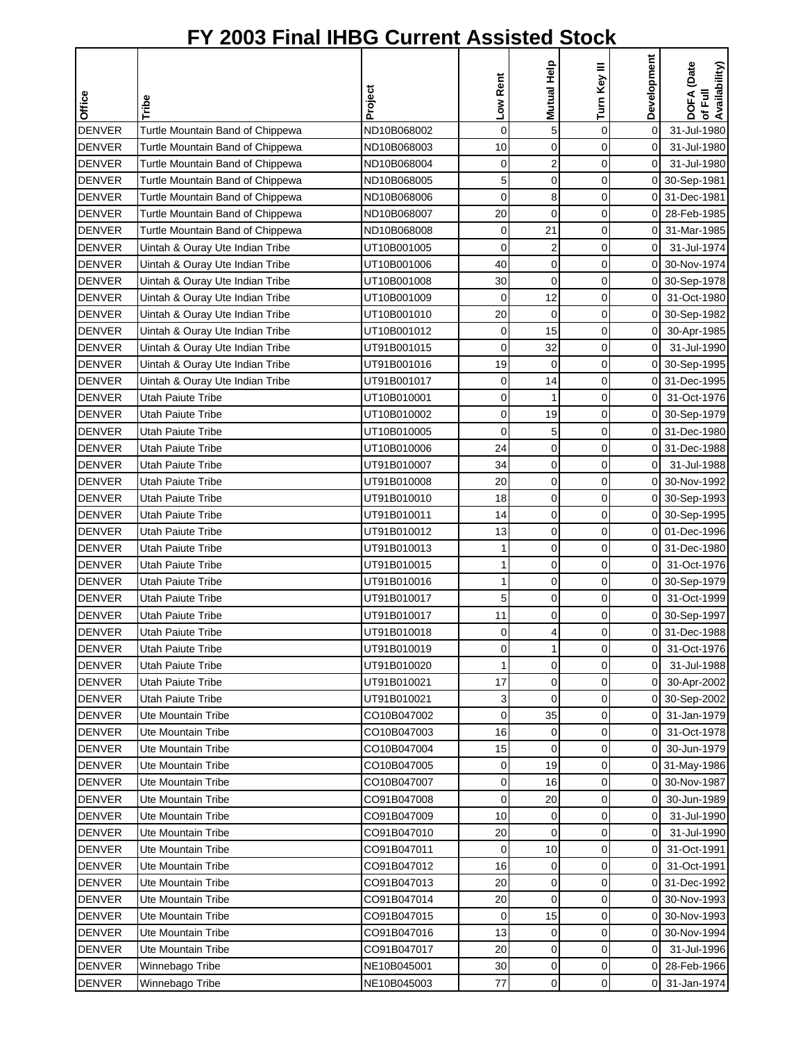| Office        | Tribe                            | Project     | Low Rent    | Mutual Help             | Turn Key III   | Development    | DOFA (Date<br>of Full<br>Availability) |
|---------------|----------------------------------|-------------|-------------|-------------------------|----------------|----------------|----------------------------------------|
| <b>DENVER</b> | Turtle Mountain Band of Chippewa | ND10B068002 | $\mathbf 0$ | 5                       | $\mathbf 0$    | 0              | 31-Jul-1980                            |
| <b>DENVER</b> | Turtle Mountain Band of Chippewa | ND10B068003 | 10          | $\mathbf 0$             | 0              | $\mathbf 0$    | 31-Jul-1980                            |
| <b>DENVER</b> | Turtle Mountain Band of Chippewa | ND10B068004 | 0           | $\boldsymbol{2}$        | $\mathbf 0$    | $\mathbf 0$    | 31-Jul-1980                            |
| <b>DENVER</b> | Turtle Mountain Band of Chippewa | ND10B068005 | 5           | $\mathbf 0$             | $\mathbf 0$    |                | 0 30-Sep-1981                          |
| <b>DENVER</b> | Turtle Mountain Band of Chippewa | ND10B068006 | 0           | 8                       | 0              |                | 0 31-Dec-1981                          |
| <b>DENVER</b> | Turtle Mountain Band of Chippewa | ND10B068007 | 20          | $\mathbf 0$             | 0              | $\Omega$       | 28-Feb-1985                            |
| <b>DENVER</b> | Turtle Mountain Band of Chippewa | ND10B068008 | 0           | 21                      | 0              | $\overline{0}$ | 31-Mar-1985                            |
| <b>DENVER</b> | Uintah & Ouray Ute Indian Tribe  | UT10B001005 | $\mathbf 0$ | $\overline{\mathbf{c}}$ | $\overline{0}$ | $\overline{0}$ | 31-Jul-1974                            |
| <b>DENVER</b> | Uintah & Ouray Ute Indian Tribe  | UT10B001006 | 40          | 0                       | 0              | οI             | 30-Nov-1974                            |
| <b>DENVER</b> | Uintah & Ouray Ute Indian Tribe  | UT10B001008 | 30          | $\mathbf 0$             | 0              |                | 0 30-Sep-1978                          |
| <b>DENVER</b> | Uintah & Ouray Ute Indian Tribe  | UT10B001009 | $\mathbf 0$ | 12                      | 0              | $\overline{O}$ | 31-Oct-1980                            |
| <b>DENVER</b> | Uintah & Ouray Ute Indian Tribe  | UT10B001010 | 20          | $\mathbf 0$             | $\mathbf 0$    | 01             | 30-Sep-1982                            |
| <b>DENVER</b> | Uintah & Ouray Ute Indian Tribe  | UT10B001012 | 0           | 15                      | $\mathbf 0$    | $\overline{O}$ | 30-Apr-1985                            |
| <b>DENVER</b> | Uintah & Ouray Ute Indian Tribe  | UT91B001015 | 0           | 32                      | 0              | $\overline{0}$ | 31-Jul-1990                            |
| <b>DENVER</b> | Uintah & Ouray Ute Indian Tribe  | UT91B001016 | 19          | $\mathbf 0$             | 0              |                | 0 30-Sep-1995                          |
| <b>DENVER</b> | Uintah & Ouray Ute Indian Tribe  | UT91B001017 | 0           | 14                      | 0              | οI             | 31-Dec-1995                            |
| <b>DENVER</b> | <b>Utah Paiute Tribe</b>         | UT10B010001 | 0           | $\mathbf{1}$            | 0              | $\overline{0}$ | 31-Oct-1976                            |
| <b>DENVER</b> | <b>Utah Paiute Tribe</b>         | UT10B010002 | $\mathbf 0$ | 19                      | $\mathbf 0$    |                | 0 30-Sep-1979                          |
| <b>DENVER</b> | <b>Utah Paiute Tribe</b>         | UT10B010005 | 0           | 5                       | 0              |                | 0 31-Dec-1980                          |
| <b>DENVER</b> | <b>Utah Paiute Tribe</b>         | UT10B010006 | 24          | $\mathbf 0$             | $\mathbf 0$    |                | 0 31-Dec-1988                          |
| <b>DENVER</b> | Utah Paiute Tribe                | UT91B010007 | 34          | 0                       | $\mathbf 0$    | $\overline{0}$ | 31-Jul-1988                            |
| <b>DENVER</b> | Utah Paiute Tribe                | UT91B010008 | 20          | $\mathbf 0$             | $\mathbf 0$    | $\Omega$       | 30-Nov-1992                            |
| <b>DENVER</b> | Utah Paiute Tribe                | UT91B010010 | 18          | $\mathbf 0$             | 0              |                | 0 30-Sep-1993                          |
| <b>DENVER</b> | Utah Paiute Tribe                | UT91B010011 | 14          | $\mathbf 0$             | 0              | οI             | 30-Sep-1995                            |
| <b>DENVER</b> | Utah Paiute Tribe                | UT91B010012 | 13          | $\mathbf 0$             | 0              |                | 0 01-Dec-1996                          |
| <b>DENVER</b> | <b>Utah Paiute Tribe</b>         | UT91B010013 | 1           | 0                       | 0              |                | 0 31-Dec-1980                          |
| <b>DENVER</b> | <b>Utah Paiute Tribe</b>         | UT91B010015 | 1           | 0                       | 0              | οI             | 31-Oct-1976                            |
| <b>DENVER</b> | Utah Paiute Tribe                | UT91B010016 | 1           | $\mathbf 0$             | 0              |                | 0 30-Sep-1979                          |
| <b>DENVER</b> | Utah Paiute Tribe                | UT91B010017 | 5           | $\mathbf 0$             | 0              | 0              | 31-Oct-1999                            |
| <b>DENVER</b> | <b>Utah Paiute Tribe</b>         | UT91B010017 | 11          | $\mathbf 0$             | 0              |                | 0 30-Sep-1997                          |
| <b>DENVER</b> | Utah Paiute Tribe                | UT91B010018 | 0           | $\overline{4}$          | $\Omega$       |                | 0 31-Dec-1988                          |
| <b>DENVER</b> | <b>Utah Paiute Tribe</b>         | UT91B010019 | 0           | $\mathbf{1}$            | 0              | 0              | 31-Oct-1976                            |
| <b>DENVER</b> | <b>Utah Paiute Tribe</b>         | UT91B010020 | 1           | 0                       | 0              | $\overline{0}$ | 31-Jul-1988                            |
| <b>DENVER</b> | <b>Utah Paiute Tribe</b>         | UT91B010021 | 17          | 0                       | 0              | $\overline{0}$ | 30-Apr-2002                            |
| <b>DENVER</b> | <b>Utah Paiute Tribe</b>         | UT91B010021 | 3           | 0                       | 0              |                | 0 30-Sep-2002                          |
| <b>DENVER</b> | Ute Mountain Tribe               | CO10B047002 | 0           | 35                      | 0              | 01             | 31-Jan-1979                            |
| <b>DENVER</b> | <b>Ute Mountain Tribe</b>        | CO10B047003 | 16          | 0                       | 0              | 0              | 31-Oct-1978                            |
| <b>DENVER</b> | Ute Mountain Tribe               | CO10B047004 | 15          | 0                       | 0              | $\overline{0}$ | 30-Jun-1979                            |
| <b>DENVER</b> | Ute Mountain Tribe               | CO10B047005 | 0           | 19                      | 0              |                | 0 31-May-1986                          |
| <b>DENVER</b> | Ute Mountain Tribe               | CO10B047007 | 0           | 16                      | 0              |                | 0 30-Nov-1987                          |
| <b>DENVER</b> | Ute Mountain Tribe               | CO91B047008 | $\mathbf 0$ | 20                      | 0              | $\overline{0}$ | 30-Jun-1989                            |
| <b>DENVER</b> | Ute Mountain Tribe               | CO91B047009 | 10          | $\mathbf 0$             | $\mathbf 0$    | $\overline{0}$ | 31-Jul-1990                            |
| <b>DENVER</b> | Ute Mountain Tribe               | CO91B047010 | 20          | $\mathbf 0$             | 0              | $\overline{0}$ | 31-Jul-1990                            |
| <b>DENVER</b> | Ute Mountain Tribe               | CO91B047011 | 0           | 10                      | 0              | $\overline{0}$ | 31-Oct-1991                            |
| <b>DENVER</b> | Ute Mountain Tribe               | CO91B047012 | 16          | 0                       | 0              | $\overline{0}$ | 31-Oct-1991                            |
| <b>DENVER</b> | <b>Ute Mountain Tribe</b>        | CO91B047013 | 20          | $\mathbf 0$             | $\mathbf 0$    |                | 0 31-Dec-1992                          |
| <b>DENVER</b> | Ute Mountain Tribe               | CO91B047014 | 20          | 0                       | 0              | 0              | 30-Nov-1993                            |
| <b>DENVER</b> | Ute Mountain Tribe               | CO91B047015 | 0           | 15                      | 0              |                | 0 30-Nov-1993                          |
| <b>DENVER</b> | Ute Mountain Tribe               | CO91B047016 | 13          | 0                       | 0              | 01             | 30-Nov-1994                            |
| <b>DENVER</b> | Ute Mountain Tribe               | CO91B047017 | 20          | 0                       | 0              | $\overline{0}$ | 31-Jul-1996                            |
| <b>DENVER</b> | Winnebago Tribe                  | NE10B045001 | 30          | 0                       | 0              | ΟI             | 28-Feb-1966                            |
| <b>DENVER</b> | Winnebago Tribe                  | NE10B045003 | 77          | 0                       | 0              | οI             | 31-Jan-1974                            |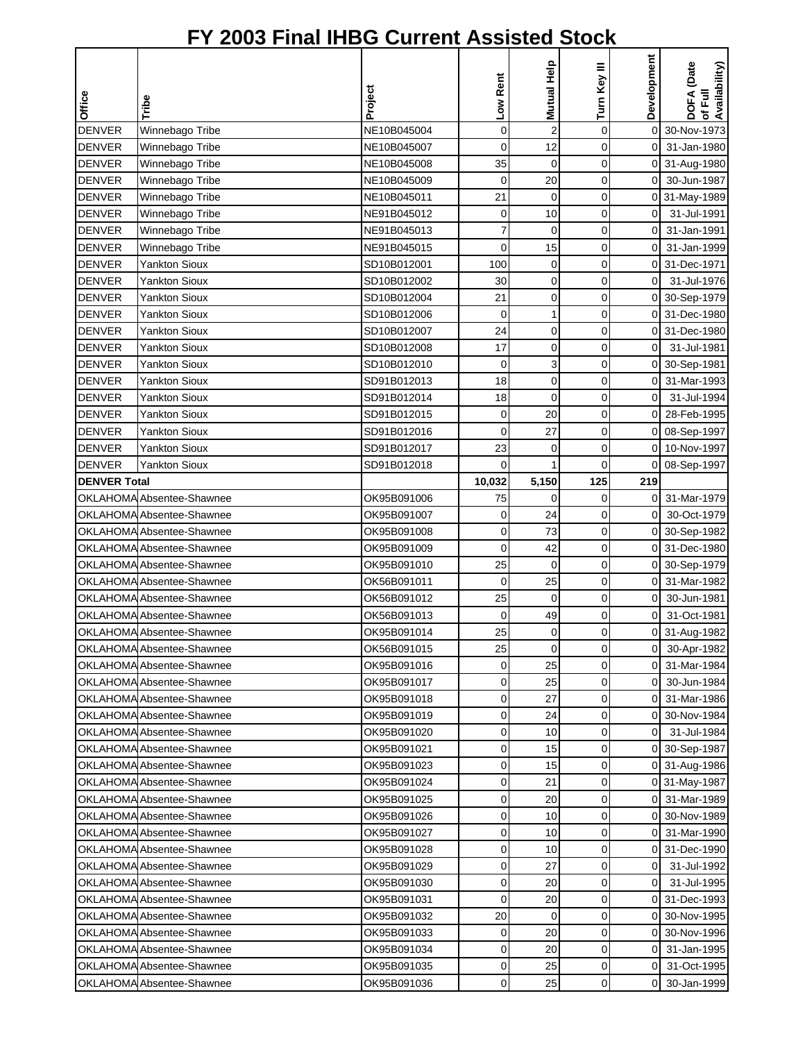|                     |                           |             |             |             |              | Development    |                                               |
|---------------------|---------------------------|-------------|-------------|-------------|--------------|----------------|-----------------------------------------------|
|                     |                           |             | Low Rent    | Mutual Help | Turn Key III |                | <b>DOFA</b> (Date<br>of Full<br>Availability) |
| Office              | Tribe                     | Project     |             |             |              |                |                                               |
| <b>DENVER</b>       | Winnebago Tribe           | NE10B045004 | $\mathbf 0$ | $\sqrt{2}$  | $\mathbf 0$  | 0              | 30-Nov-1973                                   |
| <b>DENVER</b>       | Winnebago Tribe           | NE10B045007 | 0           | 12          | $\mathbf 0$  | 0              | 31-Jan-1980                                   |
| <b>DENVER</b>       | Winnebago Tribe           | NE10B045008 | 35          | 0           | 0            | 0              | 31-Aug-1980                                   |
| <b>DENVER</b>       | Winnebago Tribe           | NE10B045009 | $\mathbf 0$ | 20          | $\mathbf 0$  | 0              | 30-Jun-1987                                   |
| <b>DENVER</b>       | Winnebago Tribe           | NE10B045011 | 21          | $\mathbf 0$ | $\mathbf 0$  | 0              | 31-May-1989                                   |
| <b>DENVER</b>       | Winnebago Tribe           | NE91B045012 | 0           | 10          | 0            | $\mathbf 0$    | 31-Jul-1991                                   |
| <b>DENVER</b>       | Winnebago Tribe           | NE91B045013 | 7           | 0           | $\mathbf 0$  | 0              | 31-Jan-1991                                   |
| <b>DENVER</b>       | Winnebago Tribe           | NE91B045015 | 0           | 15          | $\mathbf 0$  | $\mathbf 0$    | 31-Jan-1999                                   |
| <b>DENVER</b>       | <b>Yankton Sioux</b>      | SD10B012001 | 100         | 0           | $\mathbf 0$  | 0              | 31-Dec-1971                                   |
| <b>DENVER</b>       | <b>Yankton Sioux</b>      | SD10B012002 | 30          | 0           | $\mathbf 0$  | 0              | 31-Jul-1976                                   |
| <b>DENVER</b>       | <b>Yankton Sioux</b>      | SD10B012004 | 21          | 0           | 0            | 0              | 30-Sep-1979                                   |
| <b>DENVER</b>       | <b>Yankton Sioux</b>      | SD10B012006 | $\mathbf 0$ | 1           | $\mathbf 0$  | 0              | 31-Dec-1980                                   |
| <b>DENVER</b>       | <b>Yankton Sioux</b>      | SD10B012007 | 24          | 0           | 0            | 0              | 31-Dec-1980                                   |
| <b>DENVER</b>       | <b>Yankton Sioux</b>      | SD10B012008 | 17          | 0           | $\mathbf 0$  | 0              | 31-Jul-1981                                   |
| <b>DENVER</b>       | <b>Yankton Sioux</b>      | SD10B012010 | 0           | 3           | 0            | 0              | 30-Sep-1981                                   |
| <b>DENVER</b>       | <b>Yankton Sioux</b>      | SD91B012013 | 18          | 0           | $\mathbf 0$  | 0              | 31-Mar-1993                                   |
| <b>DENVER</b>       | <b>Yankton Sioux</b>      | SD91B012014 | 18          | 0           | $\mathbf 0$  | 0              | 31-Jul-1994                                   |
| <b>DENVER</b>       | <b>Yankton Sioux</b>      | SD91B012015 | 0           | 20          | $\mathbf 0$  | 0              | 28-Feb-1995                                   |
| <b>DENVER</b>       | <b>Yankton Sioux</b>      | SD91B012016 | 0           | 27          | 0            | 0              | 08-Sep-1997                                   |
| <b>DENVER</b>       | <b>Yankton Sioux</b>      | SD91B012017 | 23          | 0           | $\mathbf 0$  | 0              | 10-Nov-1997                                   |
| <b>DENVER</b>       | <b>Yankton Sioux</b>      | SD91B012018 | 0           | 1           | $\mathbf 0$  | 0              | 08-Sep-1997                                   |
| <b>DENVER Total</b> |                           |             | 10,032      | 5,150       | 125          | 219            |                                               |
|                     | OKLAHOMA Absentee-Shawnee | OK95B091006 | 75          | 0           | 0            | 0              | 31-Mar-1979                                   |
|                     | OKLAHOMA Absentee-Shawnee | OK95B091007 | 0           | 24          | 0            | 0              | 30-Oct-1979                                   |
|                     | OKLAHOMA Absentee-Shawnee | OK95B091008 | 0           | 73          | 0            | 0              | 30-Sep-1982                                   |
|                     | OKLAHOMA Absentee-Shawnee | OK95B091009 | 0           | 42          | $\mathbf 0$  | 0              | 31-Dec-1980                                   |
|                     | OKLAHOMA Absentee-Shawnee | OK95B091010 | 25          | 0           | $\mathbf 0$  | 0              | 30-Sep-1979                                   |
|                     | OKLAHOMA Absentee-Shawnee | OK56B091011 | 0           | 25          | 0            | 0              | 31-Mar-1982                                   |
|                     | OKLAHOMA Absentee-Shawnee | OK56B091012 | 25          | 0           | $\mathbf 0$  | 0              | 30-Jun-1981                                   |
|                     | OKLAHOMA Absentee-Shawnee | OK56B091013 | 0           | 49          | 0            | 0              | 31-Oct-1981                                   |
|                     | OKLAHOMA Absentee-Shawnee | OK95B091014 | 25          | $\mathbf 0$ | 0            | οI             | 31-Aug-1982                                   |
|                     | OKLAHOMA Absentee-Shawnee | OK56B091015 | 25          | $\mathbf 0$ | 0            | 01             | 30-Apr-1982                                   |
|                     | OKLAHOMA Absentee-Shawnee | OK95B091016 | 0           | 25          | 0            |                | 0 31-Mar-1984                                 |
|                     | OKLAHOMA Absentee-Shawnee | OK95B091017 | 0           | 25          | 0            | 0              | 30-Jun-1984                                   |
|                     | OKLAHOMA Absentee-Shawnee | OK95B091018 | 0           | 27          | 0            | 0              | 31-Mar-1986                                   |
|                     | OKLAHOMA Absentee-Shawnee | OK95B091019 | 0           | 24          | 0            | 0              | 30-Nov-1984                                   |
|                     | OKLAHOMA Absentee-Shawnee | OK95B091020 | 0           | 10          | 0            | $\overline{0}$ | 31-Jul-1984                                   |
|                     | OKLAHOMA Absentee-Shawnee | OK95B091021 | 0           | 15          | 0            |                | 0 30-Sep-1987                                 |
|                     | OKLAHOMA Absentee-Shawnee | OK95B091023 | 0           | 15          | 0            |                | 0 31-Aug-1986                                 |
|                     | OKLAHOMA Absentee-Shawnee | OK95B091024 | 0           | 21          | 0            | 0              | 31-May-1987                                   |
|                     | OKLAHOMA Absentee-Shawnee | OK95B091025 | 0           | 20          | $\mathbf 0$  |                | 0 31-Mar-1989                                 |
|                     | OKLAHOMA Absentee-Shawnee | OK95B091026 | 0           | 10          | 0            | 0              | 30-Nov-1989                                   |
|                     | OKLAHOMA Absentee-Shawnee | OK95B091027 | 0           | 10          | 0            | 0              | 31-Mar-1990                                   |
|                     | OKLAHOMA Absentee-Shawnee | OK95B091028 | 0           | 10          | 0            | 0              | 31-Dec-1990                                   |
|                     | OKLAHOMA Absentee-Shawnee | OK95B091029 | 0           | 27          | $\mathbf 0$  | 0              | 31-Jul-1992                                   |
|                     | OKLAHOMA Absentee-Shawnee | OK95B091030 | 0           | 20          | 0            | $\overline{0}$ | 31-Jul-1995                                   |
|                     | OKLAHOMA Absentee-Shawnee | OK95B091031 | 0           | 20          | 0            | 0              | 31-Dec-1993                                   |
|                     | OKLAHOMA Absentee-Shawnee | OK95B091032 | 20          | 0           | 0            | 0              | 30-Nov-1995                                   |
|                     | OKLAHOMA Absentee-Shawnee | OK95B091033 | 0           | 20          | 0            | 0              | 30-Nov-1996                                   |
|                     | OKLAHOMA Absentee-Shawnee | OK95B091034 | 0           | 20          | 0            | 0              | 31-Jan-1995                                   |
|                     | OKLAHOMA Absentee-Shawnee | OK95B091035 | 0           | 25          | 0            | 0              | 31-Oct-1995                                   |
|                     | OKLAHOMA Absentee-Shawnee | OK95B091036 | 0           | 25          | 0            | $\overline{0}$ | 30-Jan-1999                                   |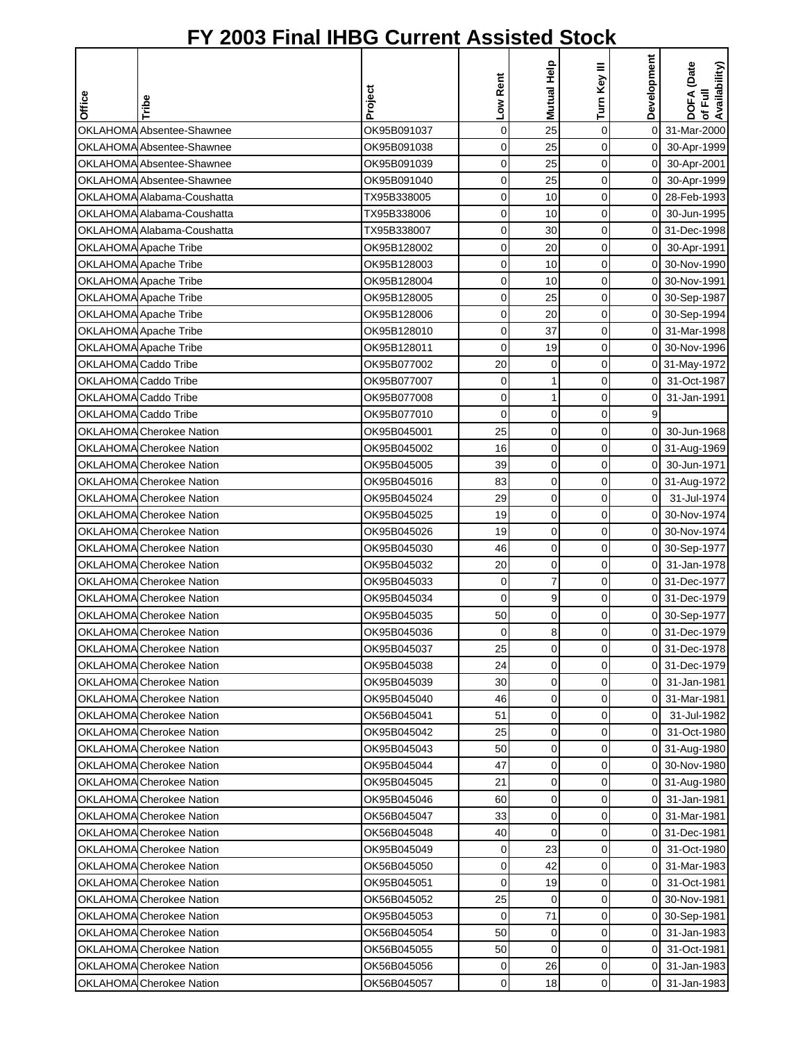|                      |                                 |             |                | Mutual Help    | Turn Key III   | Development    | DOFA (Date<br>of Full<br>Availability) |
|----------------------|---------------------------------|-------------|----------------|----------------|----------------|----------------|----------------------------------------|
| Office               | Tribe                           | Project     | Low Rent       |                |                |                |                                        |
|                      | OKLAHOMA Absentee-Shawnee       | OK95B091037 | $\mathbf 0$    | 25             | $\mathbf 0$    | $\overline{0}$ | 31-Mar-2000                            |
|                      | OKLAHOMA Absentee-Shawnee       | OK95B091038 | $\mathbf 0$    | 25             | 0              | $\overline{0}$ | 30-Apr-1999                            |
|                      | OKLAHOMA Absentee-Shawnee       | OK95B091039 | 0              | 25             | 0              | $\mathsf{O}$   | 30-Apr-2001                            |
|                      | OKLAHOMA Absentee-Shawnee       | OK95B091040 | 0              | 25             | 0              | $\overline{0}$ | 30-Apr-1999                            |
|                      | OKLAHOMA Alabama-Coushatta      | TX95B338005 | 0              | 10             | $\mathbf 0$    | ΟI             | 28-Feb-1993                            |
|                      | OKLAHOMA Alabama-Coushatta      | TX95B338006 | 0              | 10             | 0              | $\overline{0}$ | 30-Jun-1995                            |
|                      | OKLAHOMA Alabama-Coushatta      | TX95B338007 | 0              | 30             | 0              | $\Omega$       | 31-Dec-1998                            |
|                      | OKLAHOMA Apache Tribe           | OK95B128002 | 0              | 20             | 0              | $\overline{0}$ | 30-Apr-1991                            |
|                      | OKLAHOMA Apache Tribe           | OK95B128003 | $\mathbf 0$    | 10             | 0              | οI             | 30-Nov-1990                            |
|                      | OKLAHOMA Apache Tribe           | OK95B128004 | 0              | 10             | 0              |                | 0 30-Nov-1991                          |
|                      | OKLAHOMA Apache Tribe           | OK95B128005 | 0              | 25             | 0              |                | 0 30-Sep-1987                          |
|                      | OKLAHOMA Apache Tribe           | OK95B128006 | 0              | 20             | 0              |                | 0 30-Sep-1994                          |
|                      | OKLAHOMA Apache Tribe           | OK95B128010 | 0              | 37             | 0              | 01             | 31-Mar-1998                            |
|                      | OKLAHOMA Apache Tribe           | OK95B128011 | 0              | 19             | $\mathbf 0$    |                | 0 30-Nov-1996                          |
| OKLAHOMA Caddo Tribe |                                 | OK95B077002 | 20             | 0              | 0              |                | 0 31-May-1972                          |
|                      | <b>OKLAHOMA Caddo Tribe</b>     | OK95B077007 | 0              | 1              | 0              | ΟI             | 31-Oct-1987                            |
| OKLAHOMA Caddo Tribe |                                 | OK95B077008 | 0              | $\mathbf{1}$   | 0              | $\overline{0}$ | 31-Jan-1991                            |
| OKLAHOMA Caddo Tribe |                                 | OK95B077010 | $\mathbf 0$    | 0              | $\mathbf 0$    | 9              |                                        |
|                      | OKLAHOMA Cherokee Nation        | OK95B045001 | 25             | 0              | 0              | $\overline{0}$ | 30-Jun-1968                            |
|                      | OKLAHOMA Cherokee Nation        | OK95B045002 | 16             | 0              | 0              |                | 0 31-Aug-1969                          |
|                      | OKLAHOMA Cherokee Nation        | OK95B045005 | 39             | 0              | 0              | 0I             | 30-Jun-1971                            |
|                      | OKLAHOMA Cherokee Nation        | OK95B045016 | 83             | 0              | $\mathbf 0$    |                | 0 31-Aug-1972                          |
|                      | <b>OKLAHOMA</b> Cherokee Nation | OK95B045024 | 29             | 0              | 0              | $\overline{0}$ | 31-Jul-1974                            |
|                      | <b>OKLAHOMA</b> Cherokee Nation | OK95B045025 | 19             | 0              | 0              | $\Omega$       | 30-Nov-1974                            |
|                      | <b>OKLAHOMA</b> Cherokee Nation | OK95B045026 | 19             | $\mathbf 0$    | 0              | $\Omega$       | 30-Nov-1974                            |
|                      | OKLAHOMA Cherokee Nation        | OK95B045030 | 46             | $\mathbf 0$    | $\mathbf 0$    |                | 0 30-Sep-1977                          |
|                      | OKLAHOMA Cherokee Nation        | OK95B045032 | 20             | 0              | 0              | οI             | 31-Jan-1978                            |
|                      | OKLAHOMA Cherokee Nation        | OK95B045033 | 0              | $\overline{7}$ | 0              |                | 0 31-Dec-1977                          |
|                      | OKLAHOMA Cherokee Nation        | OK95B045034 | 0              | 9              | 0              |                | 0 31-Dec-1979                          |
|                      | OKLAHOMA Cherokee Nation        | OK95B045035 | 50             | $\mathbf 0$    | 0              |                | 0 30-Sep-1977                          |
|                      | OKLAHOMA Cherokee Nation        | OK95B045036 | $\overline{O}$ | 8 <sup>1</sup> | $\overline{0}$ |                | 0 31-Dec-1979                          |
|                      | OKLAHOMA Cherokee Nation        | OK95B045037 | 25             | 0              | 0              |                | 0 31-Dec-1978                          |
|                      | OKLAHOMA Cherokee Nation        | OK95B045038 | 24             | 0              | 0              |                | 0 31-Dec-1979                          |
|                      | OKLAHOMA Cherokee Nation        | OK95B045039 | 30             | $\mathbf 0$    | 0              | ΟI             | 31-Jan-1981                            |
|                      | OKLAHOMA Cherokee Nation        | OK95B045040 | 46             | 0              | 0              | οI             | 31-Mar-1981                            |
|                      | OKLAHOMA Cherokee Nation        | OK56B045041 | 51             | 0              | 0              | ΟI             | 31-Jul-1982                            |
|                      | <b>OKLAHOMA</b> Cherokee Nation | OK95B045042 | 25             | 0              | 0              | 0              | 31-Oct-1980                            |
|                      | <b>OKLAHOMA</b> Cherokee Nation | OK95B045043 | 50             | 0              | 0              |                | 0 31-Aug-1980                          |
|                      | OKLAHOMA Cherokee Nation        | OK95B045044 | 47             | 0              | 0              |                | 0 30-Nov-1980                          |
|                      | OKLAHOMA Cherokee Nation        | OK95B045045 | 21             | 0              | 0              |                | 0 31-Aug-1980                          |
|                      | OKLAHOMA Cherokee Nation        | OK95B045046 | 60             | 0              | 0              |                | 0 31-Jan-1981                          |
|                      | OKLAHOMA Cherokee Nation        | OK56B045047 | 33             | $\mathbf 0$    | 0              |                | 0 31-Mar-1981                          |
|                      | OKLAHOMA Cherokee Nation        | OK56B045048 | 40             | $\mathbf 0$    | 0              |                | 0 31-Dec-1981                          |
|                      | OKLAHOMA Cherokee Nation        | OK95B045049 | 0              | 23             | 0              |                | 0 31-Oct-1980                          |
|                      | OKLAHOMA Cherokee Nation        | OK56B045050 | 0              | 42             | 0              |                | 0 31-Mar-1983                          |
|                      | OKLAHOMA Cherokee Nation        | OK95B045051 | 0              | 19             | 0              | $\mathsf{O}$   | 31-Oct-1981                            |
|                      | OKLAHOMA Cherokee Nation        | OK56B045052 | 25             | 0              | 0              |                | 0 30-Nov-1981                          |
|                      | OKLAHOMA Cherokee Nation        | OK95B045053 | 0              | 71             | 0              |                | 0 30-Sep-1981                          |
|                      | OKLAHOMA Cherokee Nation        | OK56B045054 | 50             | 0              | 0              | οI             | 31-Jan-1983                            |
|                      | OKLAHOMA Cherokee Nation        | OK56B045055 | 50             | 0              | 0              | ΟI             | 31-Oct-1981                            |
|                      | OKLAHOMA Cherokee Nation        | OK56B045056 | 0              | 26             | 0              | ΟI             | 31-Jan-1983                            |
|                      | OKLAHOMA Cherokee Nation        | OK56B045057 | $\mathbf 0$    | 18             | 0              | οI             | 31-Jan-1983                            |
|                      |                                 |             |                |                |                |                |                                        |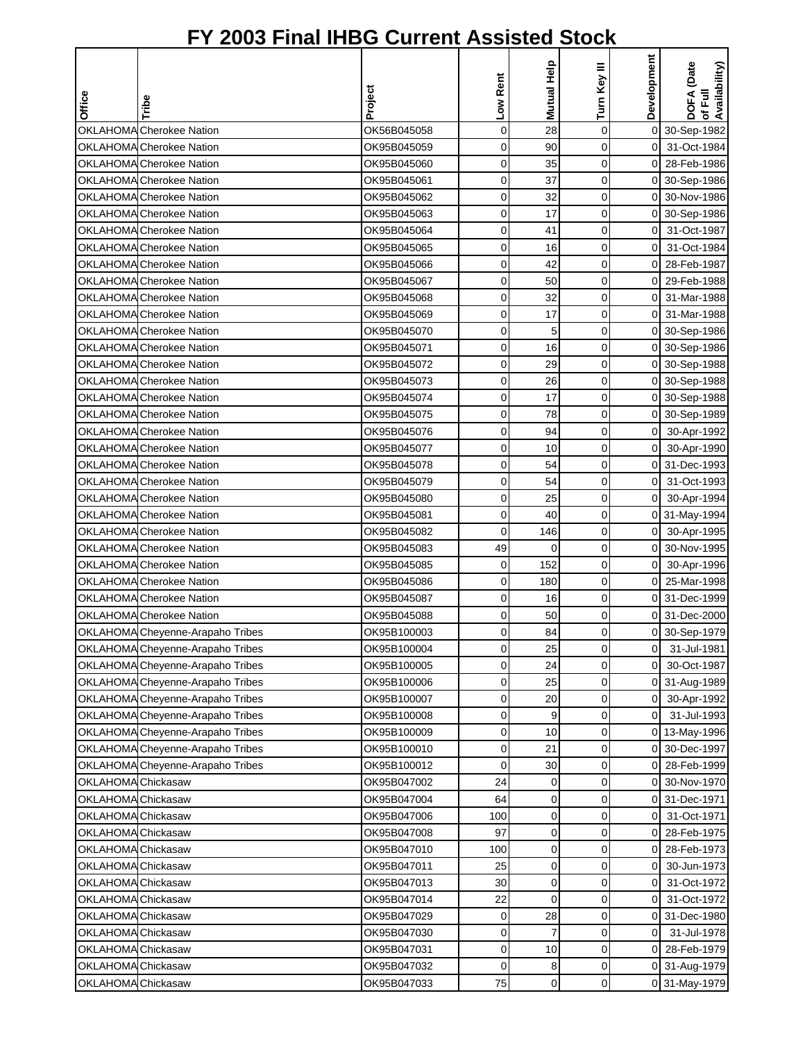| Office             | Tribe                            | Project     | Low Rent       | Mutual Help    | Turn Key III   | Development    | DOFA (Date<br>of Full<br>Availability) |
|--------------------|----------------------------------|-------------|----------------|----------------|----------------|----------------|----------------------------------------|
|                    |                                  |             |                |                |                |                |                                        |
|                    | OKLAHOMA Cherokee Nation         | OK56B045058 | $\mathbf 0$    | 28             | $\mathbf 0$    | $\overline{0}$ | 30-Sep-1982                            |
|                    | OKLAHOMA Cherokee Nation         | OK95B045059 | $\mathbf 0$    | 90             | $\mathbf 0$    | $\mathbf 0$    | 31-Oct-1984                            |
|                    | OKLAHOMA Cherokee Nation         | OK95B045060 | 0              | 35             | 0              |                | 0 28-Feb-1986                          |
|                    | OKLAHOMA Cherokee Nation         | OK95B045061 | 0              | 37             | 0              |                | 0 30-Sep-1986                          |
|                    | OKLAHOMA Cherokee Nation         | OK95B045062 | $\mathbf 0$    | 32             | $\mathbf 0$    |                | 0 30-Nov-1986                          |
|                    | OKLAHOMA Cherokee Nation         | OK95B045063 | 0              | 17             | $\mathbf 0$    | ΟI             | 30-Sep-1986                            |
|                    | OKLAHOMA Cherokee Nation         | OK95B045064 | 0              | 41             | 0              | ΟI             | 31-Oct-1987                            |
|                    | <b>OKLAHOMA</b> Cherokee Nation  | OK95B045065 | 0              | 16             | 0              | $\overline{0}$ | 31-Oct-1984                            |
|                    | OKLAHOMA Cherokee Nation         | OK95B045066 | $\mathbf 0$    | 42             | 0              | οI             | 28-Feb-1987                            |
|                    | OKLAHOMA Cherokee Nation         | OK95B045067 | 0              | 50             | 0              | ΟI             | 29-Feb-1988                            |
|                    | OKLAHOMA Cherokee Nation         | OK95B045068 | 0              | 32             | 0              | οI             | 31-Mar-1988                            |
|                    | OKLAHOMA Cherokee Nation         | OK95B045069 | 0              | 17             | 0              | ΟI             | 31-Mar-1988                            |
|                    | OKLAHOMA Cherokee Nation         | OK95B045070 | 0              | 5              | 0              |                | 0 30-Sep-1986                          |
|                    | OKLAHOMA Cherokee Nation         | OK95B045071 | 0              | 16             | $\mathbf 0$    |                | 0 30-Sep-1986                          |
|                    | OKLAHOMA Cherokee Nation         | OK95B045072 | 0              | 29             | 0              |                | 0 30-Sep-1988                          |
|                    | <b>OKLAHOMA</b> Cherokee Nation  | OK95B045073 | $\mathbf 0$    | 26             | 0              |                | 0 30-Sep-1988                          |
|                    | OKLAHOMA Cherokee Nation         | OK95B045074 | 0              | 17             | $\mathbf 0$    |                | 0 30-Sep-1988                          |
|                    | OKLAHOMA Cherokee Nation         | OK95B045075 | $\mathbf 0$    | 78             | $\mathbf 0$    |                | 0 30-Sep-1989                          |
|                    | OKLAHOMA Cherokee Nation         | OK95B045076 | 0              | 94             | 0              | $\overline{0}$ | 30-Apr-1992                            |
|                    | OKLAHOMA Cherokee Nation         | OK95B045077 | 0              | 10             | 0              | $\overline{0}$ | 30-Apr-1990                            |
|                    | OKLAHOMA Cherokee Nation         | OK95B045078 | 0              | 54             | 0              |                | 0 31-Dec-1993                          |
|                    | OKLAHOMA Cherokee Nation         | OK95B045079 | 0              | 54             | 0              | $\overline{O}$ | 31-Oct-1993                            |
|                    | <b>OKLAHOMA</b> Cherokee Nation  | OK95B045080 | 0              | 25             | 0              | οI             | 30-Apr-1994                            |
|                    | <b>OKLAHOMA</b> Cherokee Nation  | OK95B045081 | 0              | 40             | 0              |                | 0 31-May-1994                          |
|                    | <b>OKLAHOMA</b> Cherokee Nation  | OK95B045082 | 0              | 146            | 0              | οI             | 30-Apr-1995                            |
|                    | OKLAHOMA Cherokee Nation         | OK95B045083 | 49             | 0              | $\mathbf 0$    | $\overline{0}$ | 30-Nov-1995                            |
|                    | OKLAHOMA Cherokee Nation         | OK95B045085 | 0              | 152            | 0              | $\overline{0}$ | 30-Apr-1996                            |
|                    | OKLAHOMA Cherokee Nation         | OK95B045086 | 0              | 180            | 0              | οI             | 25-Mar-1998                            |
|                    | OKLAHOMA Cherokee Nation         | OK95B045087 | 0              | 16             | 0              |                | 0 31-Dec-1999                          |
|                    | OKLAHOMA Cherokee Nation         | OK95B045088 | 0              | 50             | 0              | 01             | 31-Dec-2000                            |
|                    | OKLAHOMA Cheyenne-Arapaho Tribes | OK95B100003 | $\overline{O}$ | 84             | $\overline{0}$ |                | 0 30-Sep-1979                          |
|                    | OKLAHOMA Cheyenne-Arapaho Tribes | OK95B100004 | 0              | 25             | 0              | $\overline{0}$ | 31-Jul-1981                            |
|                    | OKLAHOMA Cheyenne-Arapaho Tribes | OK95B100005 | 0              | 24             | 0              | $\overline{0}$ | 30-Oct-1987                            |
|                    | OKLAHOMA Cheyenne-Arapaho Tribes | OK95B100006 | 0              | 25             | 0              |                | 0 31-Aug-1989                          |
|                    | OKLAHOMA Cheyenne-Arapaho Tribes | OK95B100007 | 0              | 20             | 0              | $\overline{0}$ | 30-Apr-1992                            |
|                    | OKLAHOMA Cheyenne-Arapaho Tribes | OK95B100008 | 0              | 9              | 0              | $\overline{0}$ | 31-Jul-1993                            |
|                    | OKLAHOMA Cheyenne-Arapaho Tribes | OK95B100009 | 0              | 10             | 0              |                | 0 13-May-1996                          |
|                    | OKLAHOMA Cheyenne-Arapaho Tribes | OK95B100010 | 0              | 21             | 0              |                | 0 30-Dec-1997                          |
|                    | OKLAHOMA Cheyenne-Arapaho Tribes | OK95B100012 | 0              | 30             | 0              | οI             | 28-Feb-1999                            |
| OKLAHOMA Chickasaw |                                  | OK95B047002 | 24             | 0              | 0              | 0              | 30-Nov-1970                            |
| OKLAHOMA Chickasaw |                                  | OK95B047004 | 64             | 0              | 0              |                | 0 31-Dec-1971                          |
| OKLAHOMA Chickasaw |                                  | OK95B047006 | 100            | $\mathbf 0$    | 0              | $\overline{0}$ | 31-Oct-1971                            |
| OKLAHOMA Chickasaw |                                  | OK95B047008 | 97             | 0              | 0              | 0I             | 28-Feb-1975                            |
| OKLAHOMA Chickasaw |                                  | OK95B047010 | 100            | $\mathbf 0$    | 0              |                | 0 28-Feb-1973                          |
| OKLAHOMA Chickasaw |                                  | OK95B047011 | 25             | $\mathbf 0$    | 0              | οI             | 30-Jun-1973                            |
| OKLAHOMA Chickasaw |                                  | OK95B047013 | 30             | $\mathbf 0$    | 0              | $\overline{0}$ | 31-Oct-1972                            |
| OKLAHOMA Chickasaw |                                  | OK95B047014 | 22             | $\mathbf 0$    | $\mathbf 0$    | $\overline{0}$ | 31-Oct-1972                            |
| OKLAHOMA Chickasaw |                                  | OK95B047029 | 0              | 28             | 0              |                | 0 31-Dec-1980                          |
| OKLAHOMA Chickasaw |                                  | OK95B047030 | 0              | $\overline{7}$ | 0              | $\overline{0}$ | 31-Jul-1978                            |
| OKLAHOMA Chickasaw |                                  | OK95B047031 | 0              | 10             | 0              | οI             | 28-Feb-1979                            |
| OKLAHOMA Chickasaw |                                  | OK95B047032 | 0              | 8              | 0              |                | 0 31-Aug-1979                          |
| OKLAHOMA Chickasaw |                                  | OK95B047033 | 75             | 0              | $\mathbf 0$    |                | 0 31-May-1979                          |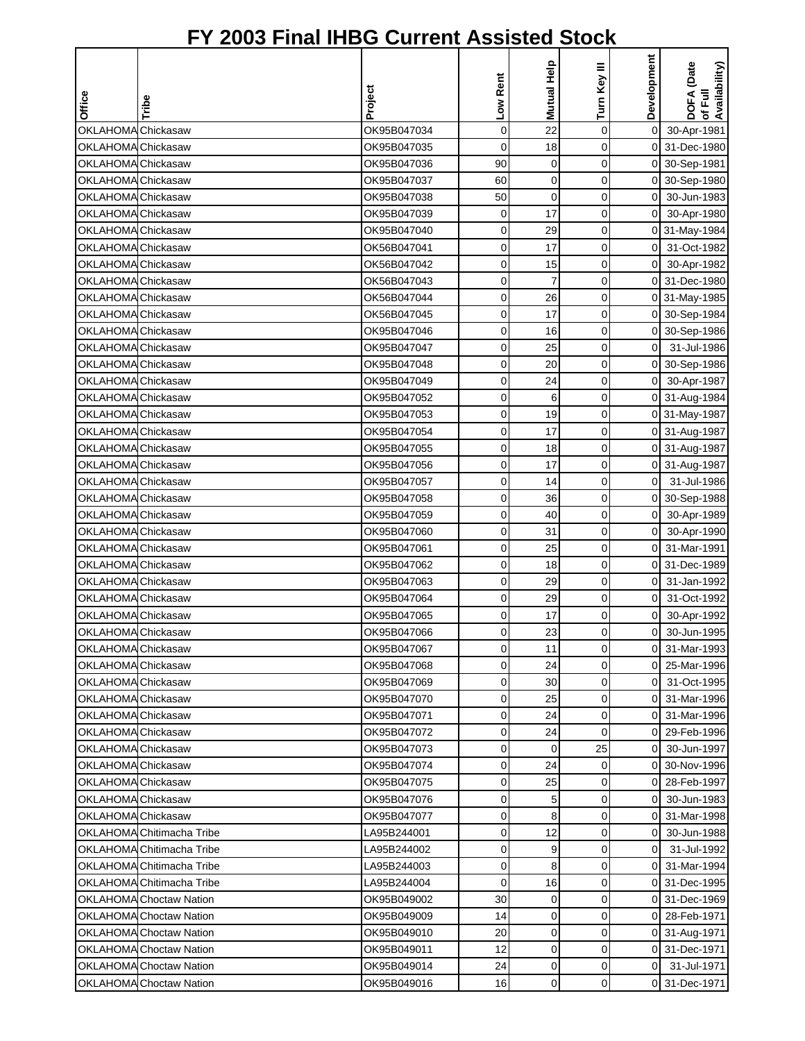|                                          |                                |                            |                     | Mutual Help    |                     | Development                    | DOFA (Date<br>of Full<br>Availability) |
|------------------------------------------|--------------------------------|----------------------------|---------------------|----------------|---------------------|--------------------------------|----------------------------------------|
| <b>Office</b>                            |                                | Project                    | Low Rent            |                | Turn Key III        |                                |                                        |
|                                          | Tribe                          |                            |                     |                |                     |                                |                                        |
| OKLAHOMA Chickasaw                       |                                | OK95B047034                | $\mathsf 0$         | 22             | $\mathbf 0$         | $\overline{0}$                 | 30-Apr-1981                            |
| OKLAHOMA Chickasaw                       |                                | OK95B047035                | 0                   | 18             | $\mathbf 0$         |                                | 0 31-Dec-1980                          |
| OKLAHOMA Chickasaw                       |                                | OK95B047036                | 90                  | 0              | 0                   |                                | 0 30-Sep-1981                          |
| OKLAHOMA Chickasaw                       |                                | OK95B047037                | 60                  | $\mathbf 0$    | 0                   |                                | 0 30-Sep-1980                          |
| OKLAHOMA Chickasaw                       |                                | OK95B047038                | 50                  | $\mathbf 0$    | $\mathbf 0$         | $\overline{0}$                 | 30-Jun-1983                            |
| OKLAHOMA Chickasaw                       |                                | OK95B047039                | 0                   | 17             | $\mathbf 0$         | οI                             | 30-Apr-1980                            |
| OKLAHOMA Chickasaw                       |                                | OK95B047040                | 0                   | 29             | 0                   |                                | 0 31-May-1984                          |
| OKLAHOMA Chickasaw                       |                                | OK56B047041                | $\mathbf 0$         | 17             | $\mathbf 0$         | $\overline{0}$                 | 31-Oct-1982                            |
| OKLAHOMA Chickasaw                       |                                | OK56B047042                | $\mathbf 0$         | 15             | $\mathbf 0$         | $\overline{O}$                 | 30-Apr-1982                            |
| OKLAHOMA Chickasaw                       |                                | OK56B047043                | 0                   | $\overline{7}$ | 0                   |                                | 0 31-Dec-1980                          |
| OKLAHOMA Chickasaw                       |                                | OK56B047044                | 0                   | 26             | 0                   |                                | 0 31-May-1985                          |
| OKLAHOMA Chickasaw                       |                                | OK56B047045                | 0                   | 17             | 0                   |                                | 0 30-Sep-1984                          |
| OKLAHOMA Chickasaw                       |                                | OK95B047046                | $\mathbf 0$         | 16             | $\mathbf 0$         |                                | 0 30-Sep-1986                          |
| OKLAHOMA Chickasaw                       |                                | OK95B047047                | 0                   | 25             | 0                   | $\mathbf 0$                    | 31-Jul-1986                            |
| OKLAHOMA Chickasaw                       |                                | OK95B047048                | $\mathbf 0$         | 20             | 0                   |                                | 0 30-Sep-1986                          |
| OKLAHOMA Chickasaw                       |                                | OK95B047049                | 0                   | 24             | 0                   | οI                             | 30-Apr-1987                            |
| OKLAHOMA Chickasaw                       |                                | OK95B047052                | $\mathbf 0$         | 6              | 0                   |                                | 0 31-Aug-1984                          |
| OKLAHOMA Chickasaw                       |                                | OK95B047053                | $\mathbf 0$         | 19             | $\mathbf 0$         |                                | 0 31-May-1987                          |
| OKLAHOMA Chickasaw                       |                                | OK95B047054                | 0                   | 17             | 0                   |                                | 0 31-Aug-1987                          |
| OKLAHOMA Chickasaw                       |                                | OK95B047055                | 0                   | 18             | $\mathbf 0$         |                                | 0 31-Aug-1987                          |
| OKLAHOMA Chickasaw                       |                                | OK95B047056                | $\mathbf 0$         | 17             | $\mathbf 0$         |                                | 0 31-Aug-1987                          |
| OKLAHOMA Chickasaw                       |                                | OK95B047057                | 0                   | 14             | $\mathbf 0$         | $\overline{0}$                 | 31-Jul-1986                            |
| OKLAHOMA Chickasaw                       |                                | OK95B047058                | 0                   | 36             | 0                   | ΟI                             | 30-Sep-1988                            |
| OKLAHOMA Chickasaw                       |                                | OK95B047059                | 0                   | 40             | 0                   | $\overline{0}$                 | 30-Apr-1989                            |
| OKLAHOMA Chickasaw                       |                                | OK95B047060                | $\mathbf 0$         | 31             | 0                   | $\overline{0}$                 | 30-Apr-1990                            |
| OKLAHOMA Chickasaw                       |                                | OK95B047061                | 0                   | 25             | 0                   | οI                             | 31-Mar-1991                            |
| OKLAHOMA Chickasaw                       |                                | OK95B047062                | 0                   | 18             | 0                   |                                | 0 31-Dec-1989                          |
| OKLAHOMA Chickasaw                       |                                | OK95B047063                | 0                   | 29             | 0                   | 0I                             | 31-Jan-1992                            |
| OKLAHOMA Chickasaw<br>OKLAHOMA Chickasaw |                                | OK95B047064                | 0                   | 29             | 0                   | $\overline{0}$                 | 31-Oct-1992<br>30-Apr-1992             |
| OKLAHOMA Chickasaw                       |                                | OK95B047065                | 0<br>$\overline{O}$ | 17<br>23       | 0<br>$\overline{0}$ | $\overline{0}$<br>$\mathsf{O}$ |                                        |
| OKLAHOMA Chickasaw                       |                                | OK95B047066                | 0                   |                |                     |                                | 30-Jun-1995                            |
| OKLAHOMA Chickasaw                       |                                | OK95B047067<br>OK95B047068 | 0                   | 11<br>24       | 0<br>0              |                                | 0 31-Mar-1993<br>0 25-Mar-1996         |
| OKLAHOMA Chickasaw                       |                                | OK95B047069                | 0                   | 30             | 0                   | ΟI                             | 31-Oct-1995                            |
| OKLAHOMA Chickasaw                       |                                | OK95B047070                | 0                   | 25             | 0                   |                                | 0 31-Mar-1996                          |
| OKLAHOMA Chickasaw                       |                                | OK95B047071                | 0                   | 24             | 0                   |                                | 0 31-Mar-1996                          |
| OKLAHOMA Chickasaw                       |                                | OK95B047072                | 0                   | 24             | 0                   |                                | 0 29-Feb-1996                          |
| OKLAHOMA Chickasaw                       |                                | OK95B047073                | 0                   | 0              | 25                  | 01                             | 30-Jun-1997                            |
| OKLAHOMA Chickasaw                       |                                | OK95B047074                | 0                   | 24             | 0                   |                                | 0 30-Nov-1996                          |
| OKLAHOMA Chickasaw                       |                                | OK95B047075                | 0                   | 25             | 0                   | ΟI                             | 28-Feb-1997                            |
| OKLAHOMA Chickasaw                       |                                | OK95B047076                | 0                   | 5              | 0                   | ΟI                             | 30-Jun-1983                            |
| OKLAHOMA Chickasaw                       |                                | OK95B047077                | $\mathbf 0$         | 8              | 0                   | οI                             | 31-Mar-1998                            |
|                                          | OKLAHOMA Chitimacha Tribe      | LA95B244001                | 0                   | 12             | 0                   | ΟI                             | 30-Jun-1988                            |
|                                          | OKLAHOMA Chitimacha Tribe      | LA95B244002                | 0                   | 9              | 0                   | οI                             | 31-Jul-1992                            |
|                                          | OKLAHOMA Chitimacha Tribe      | LA95B244003                | 0                   | 8              | 0                   |                                | 0 31-Mar-1994                          |
|                                          | OKLAHOMA Chitimacha Tribe      | LA95B244004                | 0                   | 16             | 0                   |                                | 0 31-Dec-1995                          |
|                                          | OKLAHOMA Choctaw Nation        | OK95B049002                | 30                  | 0              | 0                   |                                | 0 31-Dec-1969                          |
|                                          | <b>OKLAHOMA</b> Choctaw Nation | OK95B049009                | 14                  | 0              | 0                   |                                | 0 28-Feb-1971                          |
|                                          | OKLAHOMA Choctaw Nation        | OK95B049010                | 20                  | 0              | 0                   |                                | 0 31-Aug-1971                          |
|                                          | OKLAHOMA Choctaw Nation        | OK95B049011                | 12                  | $\mathbf 0$    | 0                   |                                | 0 31-Dec-1971                          |
|                                          | <b>OKLAHOMA</b> Choctaw Nation | OK95B049014                | 24                  | 0              | 0                   | οI                             | 31-Jul-1971                            |
|                                          | <b>OKLAHOMA</b> Choctaw Nation | OK95B049016                | 16                  | 0              | 0                   |                                | 0 31-Dec-1971                          |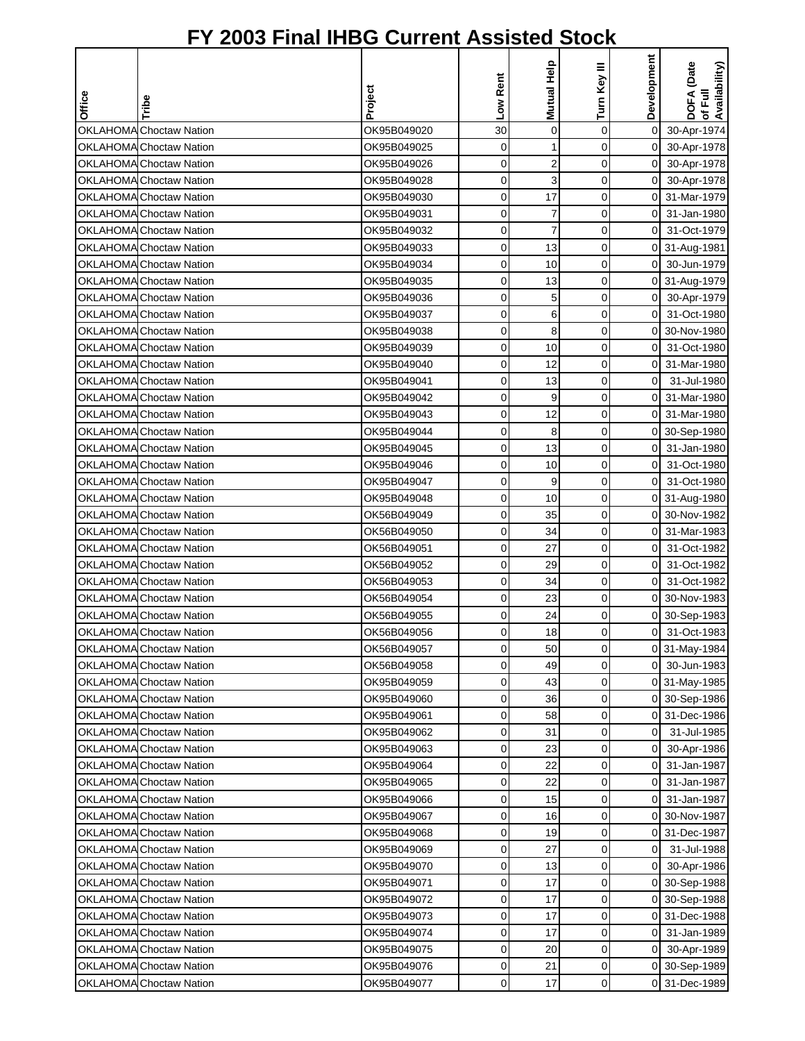|        |                                |             |                | Mutual Help    |                | Development    | DOFA (Date<br>of Full<br> Availability)<br> Availability) |
|--------|--------------------------------|-------------|----------------|----------------|----------------|----------------|-----------------------------------------------------------|
|        |                                | Project     | Low Rent       |                | Turn Key III   |                |                                                           |
| Office | Tribe                          |             |                |                |                |                |                                                           |
|        | <b>OKLAHOMA</b> Choctaw Nation | OK95B049020 | 30             | $\pmb{0}$      | 0              | $\mathbf 0$    | 30-Apr-1974                                               |
|        | <b>OKLAHOMA</b> Choctaw Nation | OK95B049025 | 0              | 1              | 0              | $\overline{0}$ | 30-Apr-1978                                               |
|        | OKLAHOMA Choctaw Nation        | OK95B049026 | 0              | $\overline{c}$ | 0              | $\overline{0}$ | 30-Apr-1978                                               |
|        | OKLAHOMA Choctaw Nation        | OK95B049028 | 0              | 3              | 0              | $\overline{0}$ | 30-Apr-1978                                               |
|        | <b>OKLAHOMA</b> Choctaw Nation | OK95B049030 | 0              | 17             | 0              | 0I             | 31-Mar-1979                                               |
|        | <b>OKLAHOMA</b> Choctaw Nation | OK95B049031 | 0              | 7              | 0              | 0              | 31-Jan-1980                                               |
|        | <b>OKLAHOMA</b> Choctaw Nation | OK95B049032 | 0              | $\overline{7}$ | 0              | ΟI             | 31-Oct-1979                                               |
|        | <b>OKLAHOMA</b> Choctaw Nation | OK95B049033 | 0              | 13             | 0              |                | 0 31-Aug-1981                                             |
|        | <b>OKLAHOMA</b> Choctaw Nation | OK95B049034 | 0              | 10             | 0              | $\overline{0}$ | 30-Jun-1979                                               |
|        | <b>OKLAHOMA</b> Choctaw Nation | OK95B049035 | 0              | 13             | 0              |                | 0 31-Aug-1979                                             |
|        | OKLAHOMA Choctaw Nation        | OK95B049036 | 0              | 5              | 0              | $\overline{0}$ | 30-Apr-1979                                               |
|        | OKLAHOMA Choctaw Nation        | OK95B049037 | 0              | 6              | 0              | 01             | 31-Oct-1980                                               |
|        | <b>OKLAHOMA</b> Choctaw Nation | OK95B049038 | 0              | 8              | 0              | 0              | 30-Nov-1980                                               |
|        | <b>OKLAHOMA</b> Choctaw Nation | OK95B049039 | 0              | 10             | 0              | 0              | 31-Oct-1980                                               |
|        | <b>OKLAHOMA</b> Choctaw Nation | OK95B049040 | 0              | 12             | 0              | 0              | 31-Mar-1980                                               |
|        | <b>OKLAHOMA</b> Choctaw Nation | OK95B049041 | 0              | 13             | 0              | 0              | 31-Jul-1980                                               |
|        | <b>OKLAHOMA</b> Choctaw Nation | OK95B049042 | 0              | 9              | 0              | οI             | 31-Mar-1980                                               |
|        | <b>OKLAHOMA</b> Choctaw Nation | OK95B049043 | 0              | 12             | 0              | $\overline{0}$ | 31-Mar-1980                                               |
|        | <b>OKLAHOMA</b> Choctaw Nation | OK95B049044 | 0              | 8              | 0              | 0              | 30-Sep-1980                                               |
|        | <b>OKLAHOMA</b> Choctaw Nation | OK95B049045 | 0              | 13             | 0              | 01             | 31-Jan-1980                                               |
|        | <b>OKLAHOMA</b> Choctaw Nation | OK95B049046 | 0              | 10             | 0              | 0              | 31-Oct-1980                                               |
|        | <b>OKLAHOMA</b> Choctaw Nation | OK95B049047 | 0              | 9              | 0              | $\overline{0}$ | 31-Oct-1980                                               |
|        | <b>OKLAHOMA</b> Choctaw Nation | OK95B049048 | 0              | 10             | 0              | 0              | 31-Aug-1980                                               |
|        | <b>OKLAHOMA</b> Choctaw Nation | OK56B049049 | 0              | 35             | 0              | 0              | 30-Nov-1982                                               |
|        | <b>OKLAHOMA</b> Choctaw Nation | OK56B049050 | 0              | 34             | 0              | 0              | 31-Mar-1983                                               |
|        | <b>OKLAHOMA</b> Choctaw Nation | OK56B049051 | 0              | 27             | 0              | $\overline{0}$ | 31-Oct-1982                                               |
|        | <b>OKLAHOMA</b> Choctaw Nation | OK56B049052 | 0              | 29             | 0              | 0              | 31-Oct-1982                                               |
|        | <b>OKLAHOMA</b> Choctaw Nation | OK56B049053 | 0              | 34             | 0              | $\overline{0}$ | 31-Oct-1982                                               |
|        | <b>OKLAHOMA</b> Choctaw Nation | OK56B049054 | 0              | 23             | 0              |                | 0 30-Nov-1983                                             |
|        | OKLAHOMA Choctaw Nation        | OK56B049055 | 0              | 24             | 0              |                | 0 30-Sep-1983                                             |
|        | <b>OKLAHOMA</b> Choctaw Nation | OK56B049056 | $\overline{0}$ | 18             | $\overline{0}$ | οI             | 31-Oct-1983                                               |
|        | <b>OKLAHOMA</b> Choctaw Nation | OK56B049057 | 0              | 50             | 0              |                | 0 31-May-1984                                             |
|        | <b>OKLAHOMA</b> Choctaw Nation | OK56B049058 | 0              | 49             | 0              | οI             | 30-Jun-1983                                               |
|        | <b>OKLAHOMA</b> Choctaw Nation | OK95B049059 | 0              | 43             | 0              |                | 0 31-May-1985                                             |
|        | <b>OKLAHOMA Choctaw Nation</b> | OK95B049060 | 0              | 36             | 0              |                | 0 30-Sep-1986                                             |
|        | OKLAHOMA Choctaw Nation        | OK95B049061 | 0              | 58             | 0              |                | 0 31-Dec-1986                                             |
|        | <b>OKLAHOMA</b> Choctaw Nation | OK95B049062 | 0              | 31             | 0              | 0              | 31-Jul-1985                                               |
|        | <b>OKLAHOMA</b> Choctaw Nation | OK95B049063 | 0              | 23             | 0              | 01             | 30-Apr-1986                                               |
|        | OKLAHOMA Choctaw Nation        | OK95B049064 | 0              | 22             | 0              | 01             | 31-Jan-1987                                               |
|        | OKLAHOMA Choctaw Nation        | OK95B049065 | 0              | 22             | 0              | 0              | 31-Jan-1987                                               |
|        | OKLAHOMA Choctaw Nation        | OK95B049066 | 0              | 15             | 0              | 01             | 31-Jan-1987                                               |
|        | <b>OKLAHOMA Choctaw Nation</b> | OK95B049067 | 0              | 16             | 0              |                | 0 30-Nov-1987                                             |
|        | <b>OKLAHOMA Choctaw Nation</b> | OK95B049068 | 0              | 19             | 0              |                | 0 31-Dec-1987                                             |
|        | <b>OKLAHOMA</b> Choctaw Nation | OK95B049069 | 0              | 27             | 0              | $\mathsf{O}$   | 31-Jul-1988                                               |
|        | <b>OKLAHOMA</b> Choctaw Nation | OK95B049070 | 0              | 13             | 0              | 01             | 30-Apr-1986                                               |
|        | <b>OKLAHOMA</b> Choctaw Nation | OK95B049071 | 0              | 17             | 0              |                | 0 30-Sep-1988                                             |
|        | OKLAHOMA Choctaw Nation        | OK95B049072 | 0              | 17             | 0              |                | 0 30-Sep-1988                                             |
|        | OKLAHOMA Choctaw Nation        | OK95B049073 | 0              | 17             | 0              | 0              | 31-Dec-1988                                               |
|        | <b>OKLAHOMA</b> Choctaw Nation | OK95B049074 | 0              | 17             | 0              | 01             | 31-Jan-1989                                               |
|        | OKLAHOMA Choctaw Nation        | OK95B049075 | 0              | 20             | 0              | οI             | 30-Apr-1989                                               |
|        | <b>OKLAHOMA</b> Choctaw Nation | OK95B049076 | 0              | 21             | 0              |                | 0 30-Sep-1989                                             |
|        | <b>OKLAHOMA</b> Choctaw Nation | OK95B049077 | 0              | 17             | $\mathbf 0$    |                | 0 31-Dec-1989                                             |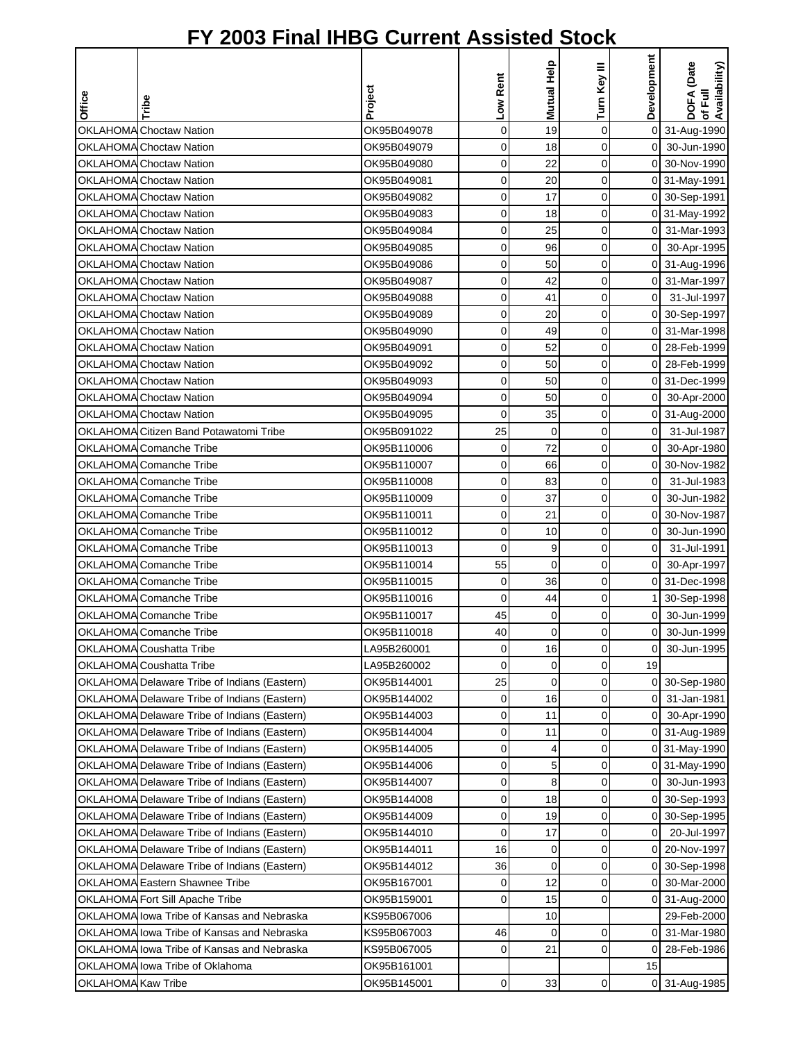|                    |                                              |             |             |                |                | Development    |                                        |
|--------------------|----------------------------------------------|-------------|-------------|----------------|----------------|----------------|----------------------------------------|
|                    |                                              |             | Low Rent    | Mutual Help    | Turn Key III   |                | DOFA (Date<br>of Full<br>Availability) |
| Office             | Tribe                                        | Project     |             |                |                |                |                                        |
|                    | <b>OKLAHOMA</b> Choctaw Nation               | OK95B049078 | $\mathbf 0$ | 19             | $\mathbf 0$    |                | 0 31-Aug-1990                          |
|                    | <b>OKLAHOMA</b> Choctaw Nation               | OK95B049079 | $\mathbf 0$ | 18             | $\mathbf 0$    | $\overline{O}$ | 30-Jun-1990                            |
|                    | <b>OKLAHOMA</b> Choctaw Nation               | OK95B049080 | $\mathbf 0$ | 22             | $\mathbf 0$    |                | 0 30-Nov-1990                          |
|                    | <b>OKLAHOMA</b> Choctaw Nation               | OK95B049081 | $\mathbf 0$ | 20             | $\mathbf 0$    |                | 0 31-May-1991                          |
|                    | <b>OKLAHOMA</b> Choctaw Nation               | OK95B049082 | 0           | 17             | $\mathbf 0$    |                | 0 30-Sep-1991                          |
|                    | <b>OKLAHOMA</b> Choctaw Nation               | OK95B049083 | 0           | 18             | $\mathbf 0$    |                | 0 31-May-1992                          |
|                    | <b>OKLAHOMA</b> Choctaw Nation               | OK95B049084 | 0           | 25             | 0              |                | 0 31-Mar-1993                          |
|                    | <b>OKLAHOMA</b> Choctaw Nation               | OK95B049085 | $\mathbf 0$ | 96             | 0              | οI             | 30-Apr-1995                            |
|                    | <b>OKLAHOMA</b> Choctaw Nation               | OK95B049086 | $\mathbf 0$ | 50             | 0              |                | 0 31-Aug-1996                          |
|                    | <b>OKLAHOMA</b> Choctaw Nation               | OK95B049087 | 0           | 42             | 0              | $\overline{0}$ | 31-Mar-1997                            |
|                    | <b>OKLAHOMA</b> Choctaw Nation               | OK95B049088 | 0           | 41             | 0              | $\overline{0}$ | 31-Jul-1997                            |
|                    | <b>OKLAHOMA</b> Choctaw Nation               | OK95B049089 | 0           | 20             | 0              |                | 0 30-Sep-1997                          |
|                    | <b>OKLAHOMA</b> Choctaw Nation               | OK95B049090 | 0           | 49             | $\mathbf 0$    | 01             | 31-Mar-1998                            |
|                    | OKLAHOMA Choctaw Nation                      | OK95B049091 | 0           | 52             | $\mathbf 0$    | $\overline{0}$ | 28-Feb-1999                            |
|                    | <b>OKLAHOMA</b> Choctaw Nation               | OK95B049092 | $\mathbf 0$ | 50             | 0              | ΟI             | 28-Feb-1999                            |
|                    | OKLAHOMA Choctaw Nation                      | OK95B049093 | $\mathbf 0$ | 50             | 0              | $\Omega$       | 31-Dec-1999                            |
|                    | OKLAHOMA Choctaw Nation                      | OK95B049094 | $\mathbf 0$ | 50             | $\mathbf 0$    | $\overline{0}$ | 30-Apr-2000                            |
|                    | <b>OKLAHOMA</b> Choctaw Nation               | OK95B049095 | $\mathbf 0$ | 35             | $\mathbf 0$    |                | 0 31-Aug-2000                          |
|                    | OKLAHOMA Citizen Band Potawatomi Tribe       | OK95B091022 | 25          | 0              | 0              | $\overline{0}$ | 31-Jul-1987                            |
|                    | OKLAHOMA Comanche Tribe                      | OK95B110006 | 0           | 72             | 0              | $\overline{O}$ | 30-Apr-1980                            |
|                    | OKLAHOMA Comanche Tribe                      | OK95B110007 | 0           | 66             | 0              |                | 0 30-Nov-1982                          |
|                    | OKLAHOMA Comanche Tribe                      | OK95B110008 | 0           | 83             | $\mathbf 0$    | $\mathbf 0$    | 31-Jul-1983                            |
|                    | OKLAHOMA Comanche Tribe                      | OK95B110009 | $\mathbf 0$ | 37             | $\mathbf 0$    | $\mathbf 0$    | 30-Jun-1982                            |
|                    | OKLAHOMA Comanche Tribe                      | OK95B110011 | 0           | 21             | 0              | $\Omega$       | 30-Nov-1987                            |
|                    | OKLAHOMA Comanche Tribe                      | OK95B110012 | $\mathbf 0$ | 10             | 0              | $\overline{0}$ | 30-Jun-1990                            |
|                    | OKLAHOMA Comanche Tribe                      | OK95B110013 | $\Omega$    | 9              | $\mathbf 0$    | $\overline{0}$ | 31-Jul-1991                            |
|                    | OKLAHOMA Comanche Tribe                      | OK95B110014 | 55          | $\mathbf 0$    | 0              | $\overline{O}$ | 30-Apr-1997                            |
|                    | OKLAHOMA Comanche Tribe                      | OK95B110015 | 0           | 36             | 0              |                | 0 31-Dec-1998                          |
|                    | OKLAHOMA Comanche Tribe                      | OK95B110016 | 0           | 44             | 0              |                | 30-Sep-1998                            |
|                    | OKLAHOMA Comanche Tribe                      | OK95B110017 | 45          | 0              | 0              | 0              | 30-Jun-1999                            |
|                    | OKLAHOMA Comanche Tribe                      | OK95B110018 | 40          | $\overline{0}$ | $\overline{0}$ | $\overline{0}$ | 30-Jun-1999                            |
|                    | OKLAHOMA Coushatta Tribe                     | LA95B260001 | $\mathbf 0$ | 16             | 0              | $\Omega$       | 30-Jun-1995                            |
|                    | OKLAHOMA Coushatta Tribe                     | LA95B260002 | 0           | 0              | 0              | 19             |                                        |
|                    | OKLAHOMA Delaware Tribe of Indians (Eastern) | OK95B144001 | 25          | 0              | 0              |                | 0 30-Sep-1980                          |
|                    | OKLAHOMA Delaware Tribe of Indians (Eastern) | OK95B144002 | 0           | 16             | 0              | οI             | 31-Jan-1981                            |
|                    | OKLAHOMA Delaware Tribe of Indians (Eastern) | OK95B144003 | 0           | 11             | 0              | $\overline{0}$ | 30-Apr-1990                            |
|                    | OKLAHOMA Delaware Tribe of Indians (Eastern) | OK95B144004 | 0           | 11             | 0              |                | 0 31-Aug-1989                          |
|                    | OKLAHOMA Delaware Tribe of Indians (Eastern) | OK95B144005 | 0           | 4              | 0              |                | 0 31-May-1990                          |
|                    | OKLAHOMA Delaware Tribe of Indians (Eastern) | OK95B144006 | 0           | 5              | 0              |                | 0 31-May-1990                          |
|                    | OKLAHOMA Delaware Tribe of Indians (Eastern) | OK95B144007 | 0           | 8              | 0              | 01             | 30-Jun-1993                            |
|                    | OKLAHOMA Delaware Tribe of Indians (Eastern) | OK95B144008 | 0           | 18             | 0              |                | 0 30-Sep-1993                          |
|                    | OKLAHOMA Delaware Tribe of Indians (Eastern) | OK95B144009 | 0           | 19             | 0              |                | 0 30-Sep-1995                          |
|                    | OKLAHOMA Delaware Tribe of Indians (Eastern) | OK95B144010 | 0           | 17             | 0              | $\overline{0}$ | 20-Jul-1997                            |
|                    | OKLAHOMA Delaware Tribe of Indians (Eastern) | OK95B144011 | 16          | 0              | 0              |                | 0 20-Nov-1997                          |
|                    | OKLAHOMA Delaware Tribe of Indians (Eastern) | OK95B144012 | 36          | $\mathbf 0$    | 0              |                | 0 30-Sep-1998                          |
|                    | OKLAHOMA Eastern Shawnee Tribe               | OK95B167001 | 0           | 12             | 0              |                | 0 30-Mar-2000                          |
|                    | OKLAHOMA Fort Sill Apache Tribe              | OK95B159001 | 0           | 15             | 0              |                | 0 31-Aug-2000                          |
|                    | OKLAHOMA lowa Tribe of Kansas and Nebraska   | KS95B067006 |             | 10             |                |                | 29-Feb-2000                            |
|                    | OKLAHOMA lowa Tribe of Kansas and Nebraska   | KS95B067003 | 46          | 0              | 0              | ΟI             | 31-Mar-1980                            |
|                    | OKLAHOMA lowa Tribe of Kansas and Nebraska   | KS95B067005 | 0           | 21             | 0              | ΟI             | 28-Feb-1986                            |
|                    | OKLAHOMA lowa Tribe of Oklahoma              | OK95B161001 |             |                |                | 15             |                                        |
| OKLAHOMA Kaw Tribe |                                              | OK95B145001 | 0           | 33             | 0              |                | 0 31-Aug-1985                          |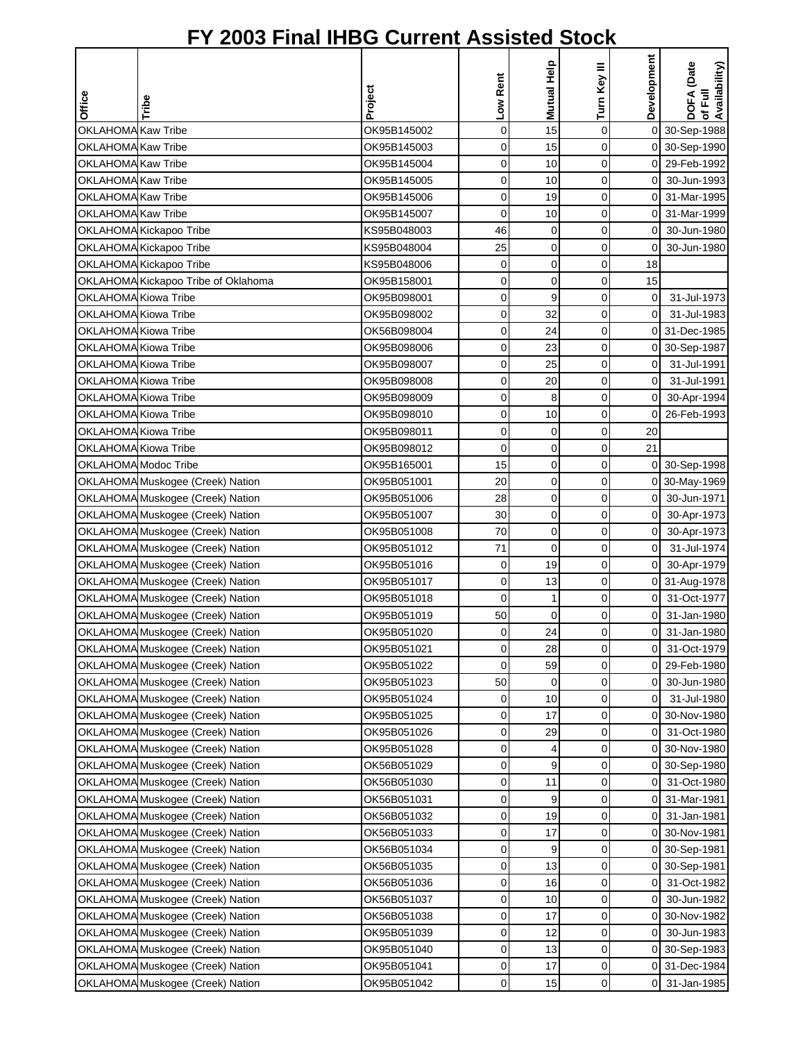|                                          |                                     |                            |                  | Mutual Help | Turn Key III               | Development          | DOFA (Date<br>of Full<br>Availability) |
|------------------------------------------|-------------------------------------|----------------------------|------------------|-------------|----------------------------|----------------------|----------------------------------------|
| Office                                   | Tribe                               | Project                    | Low Rent         |             |                            |                      |                                        |
|                                          |                                     |                            |                  |             |                            |                      |                                        |
| OKLAHOMA Kaw Tribe                       |                                     | OK95B145002                | $\mathbf 0$      | 15          | $\mathbf 0$                | $\overline{0}$       | 30-Sep-1988                            |
| OKLAHOMA Kaw Tribe                       |                                     | OK95B145003                | $\mathbf 0$      | 15          | $\mathbf 0$                |                      | 0 30-Sep-1990                          |
| OKLAHOMA Kaw Tribe                       |                                     | OK95B145004                | 0                | 10          | $\mathbf 0$                |                      | 0 29-Feb-1992                          |
| OKLAHOMA Kaw Tribe<br>OKLAHOMA Kaw Tribe |                                     | OK95B145005                | 0                | 10          | $\mathbf 0$<br>$\mathbf 0$ | ΟI                   | 30-Jun-1993                            |
| OKLAHOMA Kaw Tribe                       |                                     | OK95B145006                | $\mathbf 0$<br>0 | 19<br>10    | $\mathbf 0$                | ΟI<br>$\overline{0}$ | 31-Mar-1995                            |
|                                          | OKLAHOMA Kickapoo Tribe             | OK95B145007<br>KS95B048003 | 46               | 0           | 0                          | $\Omega$             | 31-Mar-1999<br>30-Jun-1980             |
|                                          | OKLAHOMA Kickapoo Tribe             | KS95B048004                | 25               | $\mathbf 0$ | 0                          | $\Omega$             | 30-Jun-1980                            |
|                                          | OKLAHOMA Kickapoo Tribe             | KS95B048006                | $\mathbf 0$      | 0           | 0                          | 18                   |                                        |
|                                          | OKLAHOMA Kickapoo Tribe of Oklahoma | OK95B158001                | 0                | 0           | 0                          | 15                   |                                        |
| OKLAHOMA Kiowa Tribe                     |                                     | OK95B098001                | 0                | 9           | 0                          | $\mathbf 0$          | 31-Jul-1973                            |
| OKLAHOMA Kiowa Tribe                     |                                     | OK95B098002                | 0                | 32          | 0                          | $\mathbf 0$          | 31-Jul-1983                            |
| OKLAHOMA Kiowa Tribe                     |                                     | OK56B098004                | 0                | 24          | 0                          |                      | 0 31-Dec-1985                          |
| OKLAHOMA Kiowa Tribe                     |                                     | OK95B098006                | 0                | 23          | $\mathbf 0$                |                      | 0 30-Sep-1987                          |
| OKLAHOMA Kiowa Tribe                     |                                     | OK95B098007                | 0                | 25          | 0                          | $\overline{0}$       | 31-Jul-1991                            |
| OKLAHOMA Kiowa Tribe                     |                                     | OK95B098008                | $\mathbf 0$      | 20          | 0                          | $\overline{0}$       | 31-Jul-1991                            |
| OKLAHOMA Kiowa Tribe                     |                                     | OK95B098009                | 0                | 8           | 0                          | $\overline{O}$       | 30-Apr-1994                            |
| OKLAHOMA Kiowa Tribe                     |                                     | OK95B098010                | $\mathbf 0$      | 10          | $\mathbf 0$                | $\overline{0}$       | 26-Feb-1993                            |
| OKLAHOMA Kiowa Tribe                     |                                     | OK95B098011                | 0                | 0           | $\mathbf 0$                | 20                   |                                        |
| OKLAHOMA Kiowa Tribe                     |                                     | OK95B098012                | 0                | 0           | 0                          | 21                   |                                        |
|                                          | OKLAHOMA Modoc Tribe                | OK95B165001                | 15               | 0           | $\mathbf 0$                |                      | 0 30-Sep-1998                          |
|                                          | OKLAHOMA Muskogee (Creek) Nation    | OK95B051001                | 20               | 0           | $\mathbf 0$                |                      | 0 30-May-1969                          |
|                                          | OKLAHOMA Muskogee (Creek) Nation    | OK95B051006                | 28               | $\mathbf 0$ | $\mathbf 0$                | οI                   | 30-Jun-1971                            |
|                                          | OKLAHOMA Muskogee (Creek) Nation    | OK95B051007                | 30               | 0           | 0                          | οI                   | 30-Apr-1973                            |
|                                          | OKLAHOMA Muskogee (Creek) Nation    | OK95B051008                | 70               | $\mathbf 0$ | 0                          | οI                   | 30-Apr-1973                            |
|                                          | OKLAHOMA Muskogee (Creek) Nation    | OK95B051012                | 71               | $\mathbf 0$ | $\mathbf 0$                | $\overline{O}$       | 31-Jul-1974                            |
|                                          | OKLAHOMA Muskogee (Creek) Nation    | OK95B051016                | 0                | 19          | 0                          | $\overline{0}$       | 30-Apr-1979                            |
|                                          | OKLAHOMA Muskogee (Creek) Nation    | OK95B051017                | 0                | 13          | 0                          |                      | 0 31-Aug-1978                          |
|                                          | OKLAHOMA Muskogee (Creek) Nation    | OK95B051018                | 0                | 1           | 0                          | $\overline{0}$       | 31-Oct-1977                            |
|                                          | OKLAHOMA Muskogee (Creek) Nation    | OK95B051019                | 50               | $\mathbf 0$ | 0                          | $\overline{0}$       | 31-Jan-1980                            |
|                                          | OKLAHOMA Muskogee (Creek) Nation    | OK95B051020                | $\overline{O}$   | 24          | $\overline{0}$             | οI                   | 31-Jan-1980                            |
|                                          | OKLAHOMA Muskogee (Creek) Nation    | OK95B051021                | 0                | 28          | 0                          | ΟI                   | 31-Oct-1979                            |
|                                          | OKLAHOMA Muskogee (Creek) Nation    | OK95B051022                | 0                | 59          | 0                          | οI                   | 29-Feb-1980                            |
|                                          | OKLAHOMA Muskogee (Creek) Nation    | OK95B051023                | 50               | 0           | 0                          | $\overline{0}$       | 30-Jun-1980                            |
|                                          | OKLAHOMA Muskogee (Creek) Nation    | OK95B051024                | 0                | 10          | 0                          | $\overline{0}$       | 31-Jul-1980                            |
|                                          | OKLAHOMA Muskogee (Creek) Nation    | OK95B051025                | 0                | 17          | 0                          |                      | 0 30-Nov-1980                          |
|                                          | OKLAHOMA Muskogee (Creek) Nation    | OK95B051026                | 0                | 29          | 0                          | 0                    | 31-Oct-1980                            |
|                                          | OKLAHOMA Muskogee (Creek) Nation    | OK95B051028                | 0                | 4           | 0                          |                      | 0 30-Nov-1980                          |
|                                          | OKLAHOMA Muskogee (Creek) Nation    | OK56B051029                | 0                | 9           | 0                          |                      | 0 30-Sep-1980                          |
|                                          | OKLAHOMA Muskogee (Creek) Nation    | OK56B051030                | 0                | 11          | 0                          | 01                   | 31-Oct-1980                            |
|                                          | OKLAHOMA Muskogee (Creek) Nation    | OK56B051031                | 0                | 9           | 0                          | ΟI                   | 31-Mar-1981                            |
|                                          | OKLAHOMA Muskogee (Creek) Nation    | OK56B051032                | $\mathbf 0$      | 19          | 0                          | 0                    | 31-Jan-1981                            |
|                                          | OKLAHOMA Muskogee (Creek) Nation    | OK56B051033                | $\mathbf 0$      | 17          | 0                          |                      | 0 30-Nov-1981                          |
|                                          | OKLAHOMA Muskogee (Creek) Nation    | OK56B051034                | 0                | 9           | 0                          |                      | 0 30-Sep-1981                          |
|                                          | OKLAHOMA Muskogee (Creek) Nation    | OK56B051035                | 0                | 13          | 0                          |                      | 0 30-Sep-1981                          |
|                                          | OKLAHOMA Muskogee (Creek) Nation    | OK56B051036                | 0                | 16          | 0                          | 0                    | 31-Oct-1982                            |
|                                          | OKLAHOMA Muskogee (Creek) Nation    | OK56B051037                | 0                | 10          | $\mathbf 0$                | $\overline{0}$       | 30-Jun-1982                            |
|                                          | OKLAHOMA Muskogee (Creek) Nation    | OK56B051038                | 0                | 17          | 0                          | 0                    | 30-Nov-1982                            |
|                                          | OKLAHOMA Muskogee (Creek) Nation    | OK95B051039                | 0                | 12          | 0                          | 01                   | 30-Jun-1983                            |
|                                          | OKLAHOMA Muskogee (Creek) Nation    | OK95B051040                | 0                | 13          | 0                          |                      | 0 30-Sep-1983                          |
|                                          | OKLAHOMA Muskogee (Creek) Nation    | OK95B051041                | 0                | 17          | 0                          |                      | 0 31-Dec-1984                          |
|                                          | OKLAHOMA Muskogee (Creek) Nation    | OK95B051042                | 0                | 15          | 0                          | οI                   | 31-Jan-1985                            |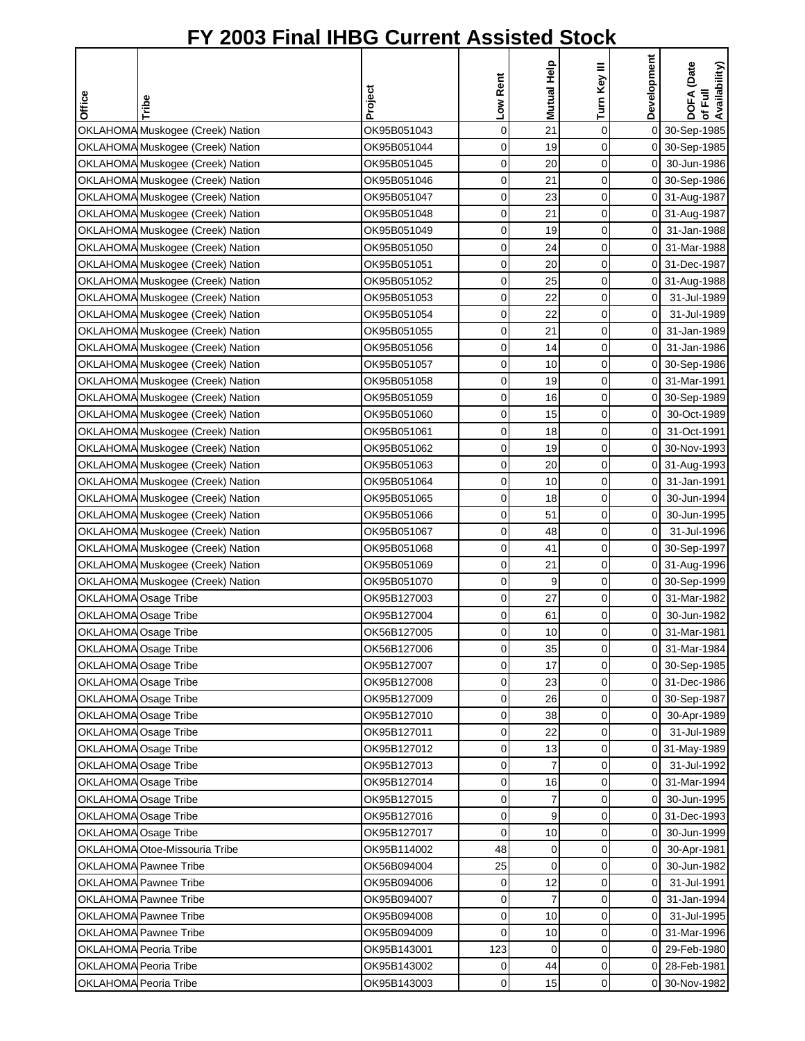|                       |                                  |             | Low Rent    | Mutual Help     | Turn Key III | Development    | DOFA (Date<br>of Full<br>Availability) |
|-----------------------|----------------------------------|-------------|-------------|-----------------|--------------|----------------|----------------------------------------|
| Office                | Tribe                            | Project     |             |                 |              |                |                                        |
|                       | OKLAHOMA Muskogee (Creek) Nation | OK95B051043 | $\mathbf 0$ | 21              | $\mathbf 0$  |                | 0 30-Sep-1985                          |
|                       | OKLAHOMA Muskogee (Creek) Nation | OK95B051044 | 0           | 19              | 0            |                | 0 30-Sep-1985                          |
|                       | OKLAHOMA Muskogee (Creek) Nation | OK95B051045 | $\mathbf 0$ | 20              | $\mathbf 0$  |                | 0 30-Jun-1986                          |
|                       | OKLAHOMA Muskogee (Creek) Nation | OK95B051046 | $\mathbf 0$ | 21              | $\mathbf 0$  |                | 0 30-Sep-1986                          |
|                       | OKLAHOMA Muskogee (Creek) Nation | OK95B051047 | 0           | 23              | 0            |                | 0 31-Aug-1987                          |
|                       | OKLAHOMA Muskogee (Creek) Nation | OK95B051048 | 0           | 21              | 0            |                | 0 31-Aug-1987                          |
|                       | OKLAHOMA Muskogee (Creek) Nation | OK95B051049 | 0           | 19              | 0            | οI             | 31-Jan-1988                            |
|                       | OKLAHOMA Muskogee (Creek) Nation | OK95B051050 | $\mathbf 0$ | 24              | 0            | οI             | 31-Mar-1988                            |
|                       | OKLAHOMA Muskogee (Creek) Nation | OK95B051051 | 0           | 20              | 0            |                | 0 31-Dec-1987                          |
|                       | OKLAHOMA Muskogee (Creek) Nation | OK95B051052 | 0           | 25              | 0            |                | 0 31-Aug-1988                          |
|                       | OKLAHOMA Muskogee (Creek) Nation | OK95B051053 | 0           | 22              | 0            | $\overline{0}$ | 31-Jul-1989                            |
|                       | OKLAHOMA Muskogee (Creek) Nation | OK95B051054 | 0           | 22              | $\mathbf 0$  | $\overline{0}$ | 31-Jul-1989                            |
|                       | OKLAHOMA Muskogee (Creek) Nation | OK95B051055 | $\mathbf 0$ | 21              | $\mathbf 0$  | $\overline{O}$ | 31-Jan-1989                            |
|                       | OKLAHOMA Muskogee (Creek) Nation | OK95B051056 | 0           | 14              | 0            | οI             | 31-Jan-1986                            |
|                       | OKLAHOMA Muskogee (Creek) Nation | OK95B051057 | 0           | 10              | 0            |                | 0 30-Sep-1986                          |
|                       | OKLAHOMA Muskogee (Creek) Nation | OK95B051058 | 0           | 19              | 0            | $\overline{0}$ | 31-Mar-1991                            |
|                       | OKLAHOMA Muskogee (Creek) Nation | OK95B051059 | 0           | 16              | 0            |                | 0 30-Sep-1989                          |
|                       | OKLAHOMA Muskogee (Creek) Nation | OK95B051060 | $\mathbf 0$ | 15              | $\mathbf 0$  | $\overline{0}$ | 30-Oct-1989                            |
|                       | OKLAHOMA Muskogee (Creek) Nation | OK95B051061 | 0           | 18              | 0            | $\overline{0}$ | 31-Oct-1991                            |
|                       | OKLAHOMA Muskogee (Creek) Nation | OK95B051062 | $\mathbf 0$ | 19              | $\mathbf 0$  |                | 0 30-Nov-1993                          |
|                       | OKLAHOMA Muskogee (Creek) Nation | OK95B051063 | $\mathbf 0$ | 20              | $\mathbf 0$  |                | 0 31-Aug-1993                          |
|                       | OKLAHOMA Muskogee (Creek) Nation | OK95B051064 | 0           | 10              | $\mathbf 0$  | οI             | 31-Jan-1991                            |
|                       | OKLAHOMA Muskogee (Creek) Nation | OK95B051065 | 0           | 18              | 0            | οI             | 30-Jun-1994                            |
|                       | OKLAHOMA Muskogee (Creek) Nation | OK95B051066 | 0           | 51              | 0            | $\overline{0}$ | 30-Jun-1995                            |
|                       | OKLAHOMA Muskogee (Creek) Nation | OK95B051067 | $\mathbf 0$ | 48              | 0            | $\overline{O}$ | 31-Jul-1996                            |
|                       | OKLAHOMA Muskogee (Creek) Nation | OK95B051068 | 0           | 41              | 0            |                | 0 30-Sep-1997                          |
|                       | OKLAHOMA Muskogee (Creek) Nation | OK95B051069 | 0           | 21              | 0            |                | 0 31-Aug-1996                          |
|                       | OKLAHOMA Muskogee (Creek) Nation | OK95B051070 | 0           | 9               | 0            |                | 0 30-Sep-1999                          |
| OKLAHOMA Osage Tribe  |                                  | OK95B127003 | $\mathbf 0$ | 27              | 0            | οI             | 31-Mar-1982                            |
| OKLAHOMA Osage Tribe  |                                  | OK95B127004 | 0           | 61              | 0            | $\overline{0}$ | 30-Jun-1982                            |
| OKLAHOMA Osage Tribe  |                                  | OK56B127005 | 0           | 10 <sup>1</sup> | $\Omega$     | οI             | 31-Mar-1981                            |
| OKLAHOMA Osage Tribe  |                                  | OK56B127006 | $\mathbf 0$ | 35              | 0            |                | 0 31-Mar-1984                          |
| OKLAHOMA Osage Tribe  |                                  | OK95B127007 | $\mathbf 0$ | 17              | 0            |                | 0 30-Sep-1985                          |
| OKLAHOMA Osage Tribe  |                                  | OK95B127008 | $\mathbf 0$ | 23              | 0            |                | 0 31-Dec-1986                          |
| OKLAHOMA Osage Tribe  |                                  | OK95B127009 | 0           | 26              | 0            |                | 0 30-Sep-1987                          |
| OKLAHOMA Osage Tribe  |                                  | OK95B127010 | 0           | 38              | 0            | 0I             | 30-Apr-1989                            |
| OKLAHOMA Osage Tribe  |                                  | OK95B127011 | 0           | 22              | $\mathbf 0$  | $\overline{O}$ | 31-Jul-1989                            |
| OKLAHOMA Osage Tribe  |                                  | OK95B127012 | 0           | 13              | 0            |                | 0 31-May-1989                          |
|                       | OKLAHOMA Osage Tribe             | OK95B127013 | 0           | $\overline{7}$  | $\mathbf 0$  | 0              | 31-Jul-1992                            |
|                       | OKLAHOMA Osage Tribe             | OK95B127014 | 0           | 16              | 0            | οI             | 31-Mar-1994                            |
| OKLAHOMA Osage Tribe  |                                  | OK95B127015 | $\mathbf 0$ | $\overline{7}$  | $\mathbf 0$  | οI             | 30-Jun-1995                            |
| OKLAHOMA Osage Tribe  |                                  | OK95B127016 | 0           | 9               | $\mathbf 0$  |                | 0 31-Dec-1993                          |
| OKLAHOMA Osage Tribe  |                                  | OK95B127017 | 0           | 10              | 0            | οI             | 30-Jun-1999                            |
|                       | OKLAHOMA Otoe-Missouria Tribe    | OK95B114002 | 48          | $\mathbf 0$     | 0            | $\overline{0}$ | 30-Apr-1981                            |
|                       | OKLAHOMA Pawnee Tribe            | OK56B094004 | 25          | $\mathbf 0$     | 0            | οI             | 30-Jun-1982                            |
|                       | OKLAHOMA Pawnee Tribe            | OK95B094006 | 0           | 12              | $\mathbf 0$  | $\overline{O}$ | 31-Jul-1991                            |
|                       | OKLAHOMA Pawnee Tribe            | OK95B094007 | 0           | $\overline{7}$  | 0            | ΟI             | 31-Jan-1994                            |
|                       | OKLAHOMA Pawnee Tribe            | OK95B094008 | 0           | 10              | 0            | $\overline{0}$ | 31-Jul-1995                            |
|                       | OKLAHOMA Pawnee Tribe            | OK95B094009 | 0           | 10              | 0            | οI             | 31-Mar-1996                            |
| OKLAHOMA Peoria Tribe |                                  | OK95B143001 | 123         | $\mathbf 0$     | 0            | οI             | 29-Feb-1980                            |
| OKLAHOMA Peoria Tribe |                                  | OK95B143002 | 0           | 44              | 0            | οI             | 28-Feb-1981                            |
| OKLAHOMA Peoria Tribe |                                  | OK95B143003 | 0           | 15              | $\mathbf 0$  |                | 0 30-Nov-1982                          |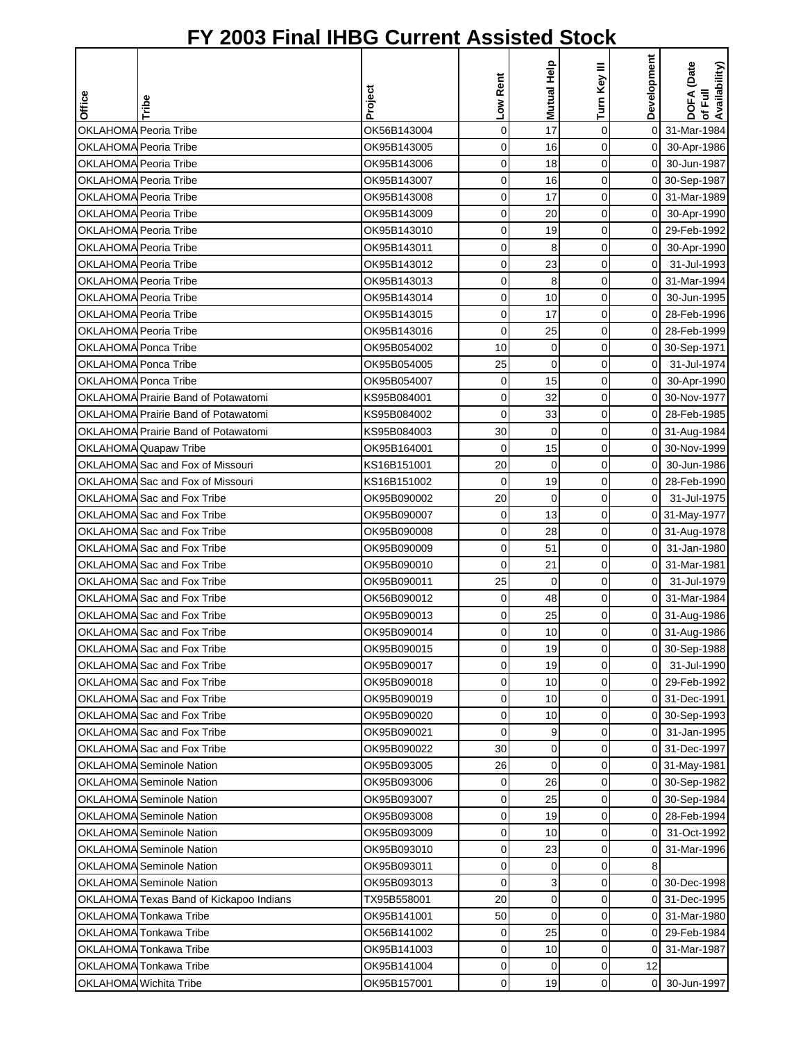|                              |                                         |             |                |                 |                | Development    | of Full<br>Availability) |
|------------------------------|-----------------------------------------|-------------|----------------|-----------------|----------------|----------------|--------------------------|
|                              |                                         |             | Low Rent       | Mutual Help     | Turn Key III   |                | DOFA (Date               |
| <b>Office</b>                | Tribe                                   | Project     |                |                 |                |                |                          |
| OKLAHOMA Peoria Tribe        |                                         | OK56B143004 | $\mathbf 0$    | 17              | $\mathbf 0$    | $\overline{0}$ | 31-Mar-1984              |
| OKLAHOMA Peoria Tribe        |                                         | OK95B143005 | 0              | 16              | $\mathbf 0$    | $\overline{0}$ | 30-Apr-1986              |
| OKLAHOMA Peoria Tribe        |                                         | OK95B143006 | 0              | 18              | 0              |                | 0 30-Jun-1987            |
| OKLAHOMA Peoria Tribe        |                                         | OK95B143007 | 0              | 16              | 0              |                | 0 30-Sep-1987            |
| OKLAHOMA Peoria Tribe        |                                         | OK95B143008 | 0              | 17              | $\mathbf 0$    |                | 0 31-Mar-1989            |
| <b>OKLAHOMA Peoria Tribe</b> |                                         | OK95B143009 | 0              | 20              | $\mathbf 0$    | $\overline{0}$ | 30-Apr-1990              |
| <b>OKLAHOMA Peoria Tribe</b> |                                         | OK95B143010 | $\mathbf 0$    | 19              | 0              |                | 0 29-Feb-1992            |
| OKLAHOMA Peoria Tribe        |                                         | OK95B143011 | $\mathbf 0$    | 8               | $\mathbf 0$    | $\overline{O}$ | 30-Apr-1990              |
| OKLAHOMA Peoria Tribe        |                                         | OK95B143012 | $\mathbf 0$    | 23              | $\mathbf 0$    | $\overline{O}$ | 31-Jul-1993              |
| OKLAHOMA Peoria Tribe        |                                         | OK95B143013 | 0              | 8               | 0              |                | 0 31-Mar-1994            |
| OKLAHOMA Peoria Tribe        |                                         | OK95B143014 | 0              | 10              | 0              | $\overline{0}$ | 30-Jun-1995              |
| OKLAHOMA Peoria Tribe        |                                         | OK95B143015 | 0              | 17              | 0              |                | 0 28-Feb-1996            |
| OKLAHOMA Peoria Tribe        |                                         | OK95B143016 | $\mathbf 0$    | 25              | $\mathbf 0$    | 0              | 28-Feb-1999              |
| OKLAHOMA Ponca Tribe         |                                         | OK95B054002 | 10             | $\mathbf 0$     | 0              |                | 0 30-Sep-1971            |
| OKLAHOMA Ponca Tribe         |                                         | OK95B054005 | 25             | $\mathbf 0$     | 0              | $\Omega$       | 31-Jul-1974              |
| OKLAHOMA Ponca Tribe         |                                         | OK95B054007 | 0              | 15              | 0              | οI             | 30-Apr-1990              |
|                              | OKLAHOMA Prairie Band of Potawatomi     | KS95B084001 | $\mathbf 0$    | 32              | 0              | οI             | 30-Nov-1977              |
|                              | OKLAHOMA Prairie Band of Potawatomi     | KS95B084002 | $\mathbf 0$    | 33              | $\mathbf 0$    | $\overline{0}$ | 28-Feb-1985              |
|                              | OKLAHOMA Prairie Band of Potawatomi     | KS95B084003 | 30             | $\mathbf 0$     | 0              |                | 0 31-Aug-1984            |
|                              | OKLAHOMA Quapaw Tribe                   | OK95B164001 | $\mathbf 0$    | 15              | $\mathbf 0$    |                | 0 30-Nov-1999            |
|                              | OKLAHOMA Sac and Fox of Missouri        | KS16B151001 | 20             | $\mathbf 0$     | $\mathbf 0$    | $\overline{O}$ | 30-Jun-1986              |
|                              | OKLAHOMA Sac and Fox of Missouri        | KS16B151002 | $\mathbf 0$    | 19              | 0              | 0              | 28-Feb-1990              |
|                              | OKLAHOMA Sac and Fox Tribe              | OK95B090002 | 20             | $\mathbf 0$     | 0              | $\Omega$       | 31-Jul-1975              |
|                              | OKLAHOMA Sac and Fox Tribe              | OK95B090007 | 0              | 13              | 0              |                | 0 31-May-1977            |
|                              | OKLAHOMA Sac and Fox Tribe              | OK95B090008 | $\mathbf 0$    | 28              | 0              |                | 0 31-Aug-1978            |
|                              | OKLAHOMA Sac and Fox Tribe              | OK95B090009 | 0              | 51              | 0              | $\overline{0}$ | 31-Jan-1980              |
|                              | OKLAHOMA Sac and Fox Tribe              | OK95B090010 | 0              | 21              | 0              |                | 0 31-Mar-1981            |
|                              | OKLAHOMA Sac and Fox Tribe              | OK95B090011 | 25             | $\mathbf 0$     | 0              | $\overline{0}$ | 31-Jul-1979              |
|                              | OKLAHOMA Sac and Fox Tribe              | OK56B090012 | 0              | 48              | 0              |                | 0 31-Mar-1984            |
|                              | OKLAHOMA Sac and Fox Tribe              | OK95B090013 | 0              | 25              | 0              |                | 0 31-Aug-1986            |
|                              | OKLAHOMA Sac and Fox Tribe              | OK95B090014 | $\overline{O}$ | 10 <sup>1</sup> | $\overline{0}$ |                | 0 31-Aug-1986            |
|                              | OKLAHOMA Sac and Fox Tribe              | OK95B090015 | 0              | 19              | 0              |                | 0 30-Sep-1988            |
|                              | OKLAHOMA Sac and Fox Tribe              | OK95B090017 | 0              | 19              | 0              | $\mathbf{0}$   | 31-Jul-1990              |
|                              | OKLAHOMA Sac and Fox Tribe              | OK95B090018 | 0              | 10              | 0              |                | 0 29-Feb-1992            |
|                              | OKLAHOMA Sac and Fox Tribe              | OK95B090019 | 0              | 10              | 0              |                | 0 31-Dec-1991            |
|                              | OKLAHOMA Sac and Fox Tribe              | OK95B090020 | 0              | 10              | 0              |                | 0 30-Sep-1993            |
|                              | OKLAHOMA Sac and Fox Tribe              | OK95B090021 | $\mathbf 0$    | 9               | 0              | $\overline{0}$ | 31-Jan-1995              |
|                              | OKLAHOMA Sac and Fox Tribe              | OK95B090022 | 30             | 0               | $\mathbf 0$    |                | 0 31-Dec-1997            |
|                              | <b>OKLAHOMA</b> Seminole Nation         | OK95B093005 | 26             | $\mathbf 0$     | 0              |                | 0 31-May-1981            |
|                              | OKLAHOMA Seminole Nation                | OK95B093006 | 0              | 26              | 0              |                | 0 30-Sep-1982            |
|                              | <b>OKLAHOMA</b> Seminole Nation         | OK95B093007 | 0              | 25              | 0              |                | 0 30-Sep-1984            |
|                              | <b>OKLAHOMA</b> Seminole Nation         | OK95B093008 | $\mathbf 0$    | 19              | 0              | οI             | 28-Feb-1994              |
|                              | <b>OKLAHOMA</b> Seminole Nation         | OK95B093009 | 0              | 10              | 0              | οI             | 31-Oct-1992              |
|                              | <b>OKLAHOMA</b> Seminole Nation         | OK95B093010 | 0              | 23              | 0              |                | 0 31-Mar-1996            |
|                              | <b>OKLAHOMA</b> Seminole Nation         | OK95B093011 | 0              | 0               | 0              | 8              |                          |
|                              | <b>OKLAHOMA</b> Seminole Nation         | OK95B093013 | $\mathbf 0$    | 3               | $\mathbf 0$    |                | 0 30-Dec-1998            |
|                              | OKLAHOMA Texas Band of Kickapoo Indians | TX95B558001 | 20             | 0               | 0              |                | 0 31-Dec-1995            |
|                              | OKLAHOMA Tonkawa Tribe                  | OK95B141001 | 50             | 0               | 0              |                | 0 31-Mar-1980            |
|                              | OKLAHOMA Tonkawa Tribe                  | OK56B141002 | 0              | 25              | 0              |                | 0 29-Feb-1984            |
|                              | OKLAHOMA Tonkawa Tribe                  | OK95B141003 | 0              | 10              | 0              | ΟI             | 31-Mar-1987              |
|                              | OKLAHOMA Tonkawa Tribe                  | OK95B141004 | 0              | 0               | 0              | 12             |                          |
|                              | OKLAHOMA Wichita Tribe                  | OK95B157001 | $\pmb{0}$      | 19              | 0              |                | 0 30-Jun-1997            |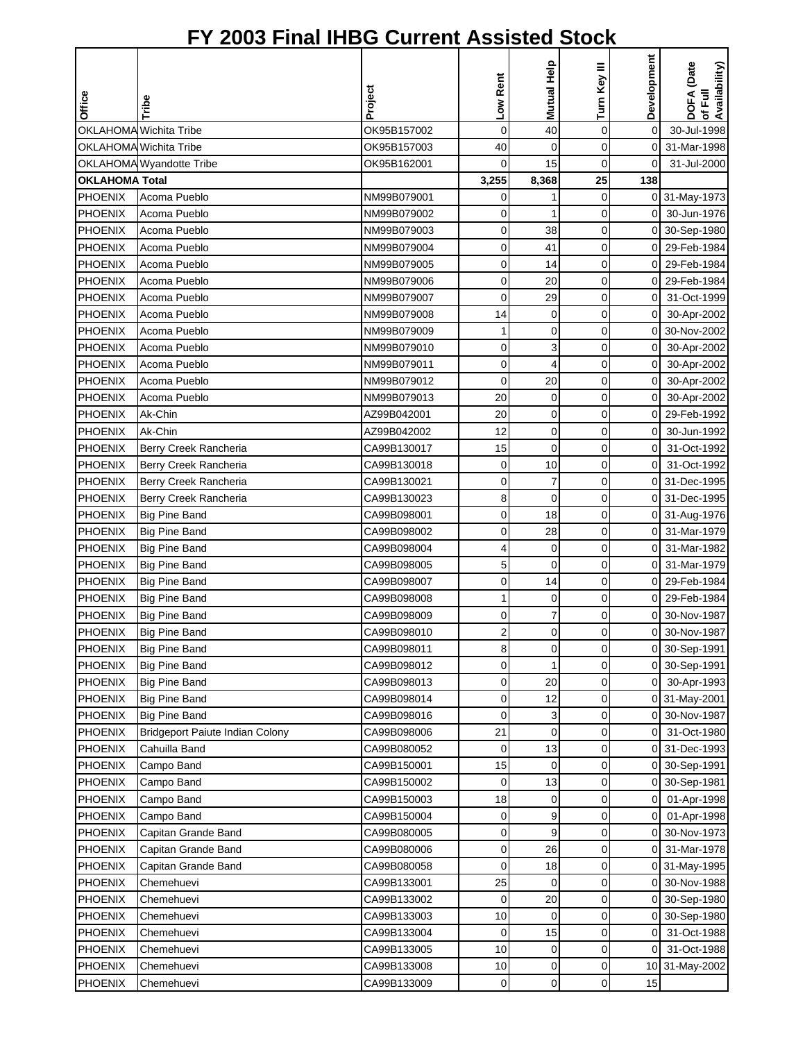|                       |                                                    |                            |                |                   |                  | Development    |                                        |
|-----------------------|----------------------------------------------------|----------------------------|----------------|-------------------|------------------|----------------|----------------------------------------|
|                       |                                                    |                            | Low Rent       | Mutual Help       | Turn Key III     |                | DOFA (Date<br>of Full<br>Availability) |
| Office                | Tribe                                              | Project                    |                |                   |                  |                |                                        |
|                       |                                                    |                            |                |                   |                  |                |                                        |
|                       | OKLAHOMA Wichita Tribe                             | OK95B157002                | $\mathbf 0$    | 40                | $\pmb{0}$        | 0              | 30-Jul-1998                            |
|                       | OKLAHOMA Wichita Tribe<br>OKLAHOMA Wyandotte Tribe | OK95B157003<br>OK95B162001 | 40<br>0        | $\mathbf 0$<br>15 | $\mathbf 0$<br>0 | $\overline{0}$ | 0 31-Mar-1998<br>31-Jul-2000           |
| <b>OKLAHOMA Total</b> |                                                    |                            | 3,255          | 8,368             | 25               | 138            |                                        |
| PHOENIX               | Acoma Pueblo                                       | NM99B079001                | 0              |                   | 0                |                | 0 31-May-1973                          |
| PHOENIX               | Acoma Pueblo                                       | NM99B079002                | 0              | 1                 | 0                | οI             | 30-Jun-1976                            |
| PHOENIX               | Acoma Pueblo                                       | NM99B079003                | $\mathbf 0$    | 38                | 0                |                | 0 30-Sep-1980                          |
| <b>PHOENIX</b>        | Acoma Pueblo                                       | NM99B079004                | 0              | 41                | $\mathbf 0$      |                | 0 29-Feb-1984                          |
| <b>PHOENIX</b>        | Acoma Pueblo                                       | NM99B079005                | $\mathbf 0$    | 14                | 0                | 0              | 29-Feb-1984                            |
| <b>PHOENIX</b>        | Acoma Pueblo                                       | NM99B079006                | 0              | 20                | 0                |                | 0 29-Feb-1984                          |
| <b>PHOENIX</b>        | Acoma Pueblo                                       | NM99B079007                | 0              | 29                | 0                | 0              | 31-Oct-1999                            |
| PHOENIX               | Acoma Pueblo                                       | NM99B079008                | 14             | 0                 | 0                | $\overline{0}$ | 30-Apr-2002                            |
| PHOENIX               | Acoma Pueblo                                       | NM99B079009                | 1              | 0                 | 0                | 0              | 30-Nov-2002                            |
| <b>PHOENIX</b>        | Acoma Pueblo                                       | NM99B079010                | 0              | 3                 | 0                | 0              | 30-Apr-2002                            |
| <b>PHOENIX</b>        | Acoma Pueblo                                       | NM99B079011                | 0              | $\overline{4}$    | 0                | 0              | 30-Apr-2002                            |
| PHOENIX               | Acoma Pueblo                                       | NM99B079012                | $\mathbf 0$    | 20                | $\mathbf 0$      | 0              | 30-Apr-2002                            |
| <b>PHOENIX</b>        | Acoma Pueblo                                       | NM99B079013                | 20             | 0                 | $\mathbf 0$      | $\mathbf 0$    | 30-Apr-2002                            |
| <b>PHOENIX</b>        | Ak-Chin                                            | AZ99B042001                | 20             | 0                 | 0                | 0              | 29-Feb-1992                            |
| PHOENIX               | Ak-Chin                                            | AZ99B042002                | 12             | 0                 | $\mathbf 0$      | 0              | 30-Jun-1992                            |
| PHOENIX               | Berry Creek Rancheria                              | CA99B130017                | 15             | 0                 | $\mathbf 0$      | 0              | 31-Oct-1992                            |
| <b>PHOENIX</b>        | Berry Creek Rancheria                              | CA99B130018                | 0              | 10                | $\mathbf 0$      | 0              | 31-Oct-1992                            |
| <b>PHOENIX</b>        | Berry Creek Rancheria                              | CA99B130021                | 0              | 7                 | 0                | 0              | 31-Dec-1995                            |
| <b>PHOENIX</b>        | Berry Creek Rancheria                              | CA99B130023                | 8              | $\mathbf 0$       | 0                | 0              | 31-Dec-1995                            |
| <b>PHOENIX</b>        | <b>Big Pine Band</b>                               | CA99B098001                | $\mathbf 0$    | 18                | $\mathbf 0$      |                | 0 31-Aug-1976                          |
| <b>PHOENIX</b>        | <b>Big Pine Band</b>                               | CA99B098002                | 0              | 28                | 0                | $\overline{0}$ | 31-Mar-1979                            |
| <b>PHOENIX</b>        | <b>Big Pine Band</b>                               | CA99B098004                | 4              | 0                 | 0                | 0              | 31-Mar-1982                            |
| <b>PHOENIX</b>        | <b>Big Pine Band</b>                               | CA99B098005                | 5              | $\mathbf 0$       | 0                |                | 0 31-Mar-1979                          |
| <b>PHOENIX</b>        | <b>Big Pine Band</b>                               | CA99B098007                | 0              | 14                | 0                | 01             | 29-Feb-1984                            |
| PHOENIX               | <b>Big Pine Band</b>                               | CA99B098008                | 1              | 0                 | $\mathbf 0$      | 0              | 29-Feb-1984                            |
| <b>PHOENIX</b>        | <b>Big Pine Band</b>                               | CA99B098009                | 0              | 7                 | 0                | 0              | 30-Nov-1987                            |
| <b>PHOENIX</b>        | <b>Big Pine Band</b>                               | CA99B098010                | $\overline{2}$ | 0                 | $\Omega$         | οI             | 30-Nov-1987                            |
| PHOENIX               | <b>Big Pine Band</b>                               | CA99B098011                | 8              | 0                 | $\pmb{0}$        |                | 0 30-Sep-1991                          |
| <b>PHOENIX</b>        | <b>Big Pine Band</b>                               | CA99B098012                | 0              | 1                 | $\mathbf 0$      |                | 0 30-Sep-1991                          |
| PHOENIX               | <b>Big Pine Band</b>                               | CA99B098013                | 0              | 20                | 0                | 01             | 30-Apr-1993                            |
| <b>PHOENIX</b>        | <b>Big Pine Band</b>                               | CA99B098014                | 0              | 12                | 0                |                | 0 31-May-2001                          |
| <b>PHOENIX</b>        | <b>Big Pine Band</b>                               | CA99B098016                | 0              | 3                 | 0                |                | 0 30-Nov-1987                          |
| PHOENIX               | Bridgeport Paiute Indian Colony                    | CA99B098006                | 21             | 0                 | 0                | 0              | 31-Oct-1980                            |
| <b>PHOENIX</b>        | Cahuilla Band                                      | CA99B080052                | 0              | 13                | 0                | 0              | 31-Dec-1993                            |
| <b>PHOENIX</b>        | Campo Band                                         | CA99B150001                | 15             | 0                 | 0                | 0              | 30-Sep-1991                            |
| <b>PHOENIX</b>        | Campo Band                                         | CA99B150002                | $\mathbf 0$    | 13                | 0                | 0              | 30-Sep-1981                            |
| PHOENIX               | Campo Band                                         | CA99B150003                | 18             | 0                 | $\pmb{0}$        | $\overline{0}$ | 01-Apr-1998                            |
| <b>PHOENIX</b>        | Campo Band                                         | CA99B150004                | 0              | 9                 | 0                | 0              | 01-Apr-1998                            |
| <b>PHOENIX</b>        | Capitan Grande Band                                | CA99B080005                | 0              | 9                 | 0                | 0              | 30-Nov-1973                            |
| <b>PHOENIX</b>        | Capitan Grande Band                                | CA99B080006                | 0              | 26                | 0                | 0              | 31-Mar-1978                            |
| <b>PHOENIX</b>        | Capitan Grande Band                                | CA99B080058                | 0              | 18                | $\mathbf 0$      |                | 0 31-May-1995                          |
| <b>PHOENIX</b>        | Chemehuevi                                         | CA99B133001                | 25             | 0                 | 0                | 0              | 30-Nov-1988                            |
| <b>PHOENIX</b>        | Chemehuevi                                         | CA99B133002                | 0              | 20                | 0                | 0              | 30-Sep-1980                            |
| <b>PHOENIX</b>        | Chemehuevi                                         | CA99B133003                | 10             | $\mathbf 0$       | 0                | 0              | 30-Sep-1980                            |
| PHOENIX               | Chemehuevi                                         | CA99B133004                | $\mathbf 0$    | 15                | $\mathbf 0$      | 0              | 31-Oct-1988                            |
| <b>PHOENIX</b>        | Chemehuevi                                         | CA99B133005                | 10             | 0                 | 0                | $\overline{0}$ | 31-Oct-1988                            |
| <b>PHOENIX</b>        | Chemehuevi                                         | CA99B133008                | 10             | 0                 | 0                |                | 10 31-May-2002                         |
| <b>PHOENIX</b>        | Chemehuevi                                         | CA99B133009                | 0              | 0                 | 0                | 15             |                                        |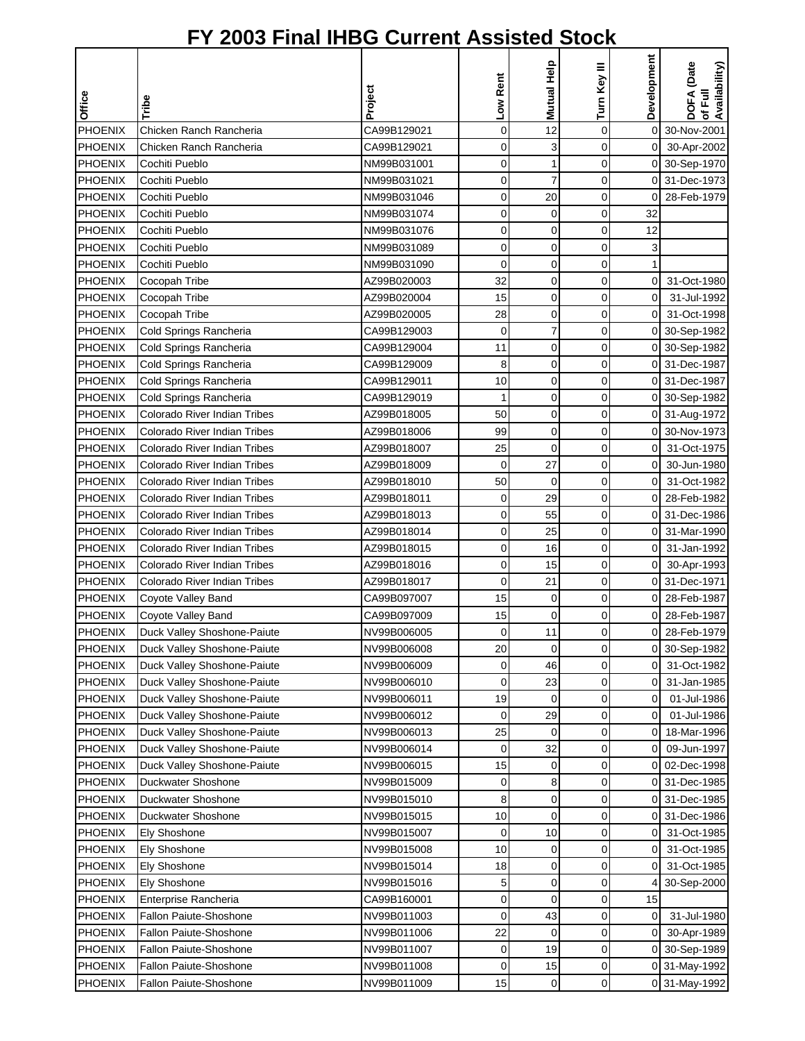|                |                                     |             | Low Rent    | Mutual Help    | Turn Key III | Development    | DOFA (Date<br>of Full<br>Availability) |
|----------------|-------------------------------------|-------------|-------------|----------------|--------------|----------------|----------------------------------------|
| Office         | Tribe                               | Project     |             |                |              |                |                                        |
| <b>PHOENIX</b> | Chicken Ranch Rancheria             | CA99B129021 | $\mathbf 0$ | 12             | $\mathbf 0$  | $\mathbf 0$    | 30-Nov-2001                            |
| <b>PHOENIX</b> | Chicken Ranch Rancheria             | CA99B129021 | 0           | 3              | 0            | $\overline{O}$ | 30-Apr-2002                            |
| <b>PHOENIX</b> | Cochiti Pueblo                      | NM99B031001 | 0           | $\mathbf{1}$   | 0            |                | 0 30-Sep-1970                          |
| PHOENIX        | Cochiti Pueblo                      | NM99B031021 | 0           | $\overline{7}$ | 0            |                | 0 31-Dec-1973                          |
| <b>PHOENIX</b> | Cochiti Pueblo                      | NM99B031046 | 0           | 20             | $\mathbf 0$  | $\mathbf 0$    | 28-Feb-1979                            |
| <b>PHOENIX</b> | Cochiti Pueblo                      | NM99B031074 | 0           | $\mathbf 0$    | $\mathbf 0$  | 32             |                                        |
| <b>PHOENIX</b> | Cochiti Pueblo                      | NM99B031076 | 0           | 0              | 0            | 12             |                                        |
| <b>PHOENIX</b> | Cochiti Pueblo                      | NM99B031089 | $\mathbf 0$ | $\mathbf 0$    | 0            | 3              |                                        |
| PHOENIX        | Cochiti Pueblo                      | NM99B031090 | $\mathbf 0$ | 0              | $\mathbf 0$  | $\mathbf{1}$   |                                        |
| <b>PHOENIX</b> | Cocopah Tribe                       | AZ99B020003 | 32          | 0              | 0            | οI             | 31-Oct-1980                            |
| PHOENIX        | Cocopah Tribe                       | AZ99B020004 | 15          | $\mathbf 0$    | 0            | $\overline{0}$ | 31-Jul-1992                            |
| PHOENIX        | Cocopah Tribe                       | AZ99B020005 | 28          | $\mathbf 0$    | 0            | $\overline{O}$ | 31-Oct-1998                            |
| PHOENIX        | Cold Springs Rancheria              | CA99B129003 | 0           | $\overline{7}$ | $\mathbf 0$  |                | 0 30-Sep-1982                          |
| <b>PHOENIX</b> | Cold Springs Rancheria              | CA99B129004 | 11          | $\mathbf 0$    | 0            |                | 0 30-Sep-1982                          |
| PHOENIX        | Cold Springs Rancheria              | CA99B129009 | 8           | $\mathbf 0$    | 0            | $\Omega$       | 31-Dec-1987                            |
| <b>PHOENIX</b> | Cold Springs Rancheria              | CA99B129011 | 10          | $\mathbf 0$    | 0            |                | 0 31-Dec-1987                          |
| <b>PHOENIX</b> | Cold Springs Rancheria              | CA99B129019 | 1           | $\mathbf 0$    | 0            |                | 0 30-Sep-1982                          |
| <b>PHOENIX</b> | <b>Colorado River Indian Tribes</b> | AZ99B018005 | 50          | $\mathbf 0$    | 0            |                | 0 31-Aug-1972                          |
| PHOENIX        | Colorado River Indian Tribes        | AZ99B018006 | 99          | $\mathbf 0$    | 0            |                | 0 30-Nov-1973                          |
| PHOENIX        | Colorado River Indian Tribes        | AZ99B018007 | 25          | $\mathbf 0$    | $\mathbf 0$  | $\overline{O}$ | 31-Oct-1975                            |
| PHOENIX        | Colorado River Indian Tribes        | AZ99B018009 | $\mathbf 0$ | 27             | $\mathbf 0$  | $\overline{0}$ | 30-Jun-1980                            |
| <b>PHOENIX</b> | Colorado River Indian Tribes        | AZ99B018010 | 50          | $\mathbf 0$    | 0            | $\overline{0}$ | 31-Oct-1982                            |
| <b>PHOENIX</b> | Colorado River Indian Tribes        | AZ99B018011 | 0           | 29             | 0            | $\Omega$       | 28-Feb-1982                            |
| <b>PHOENIX</b> | <b>Colorado River Indian Tribes</b> | AZ99B018013 | 0           | 55             | 0            | 0              | 31-Dec-1986                            |
| <b>PHOENIX</b> | <b>Colorado River Indian Tribes</b> | AZ99B018014 | $\mathbf 0$ | 25             | $\mathbf 0$  | 0              | 31-Mar-1990                            |
| <b>PHOENIX</b> | Colorado River Indian Tribes        | AZ99B018015 | 0           | 16             | 0            | $\overline{0}$ | 31-Jan-1992                            |
| <b>PHOENIX</b> | <b>Colorado River Indian Tribes</b> | AZ99B018016 | 0           | 15             | 0            | οI             | 30-Apr-1993                            |
| PHOENIX        | Colorado River Indian Tribes        | AZ99B018017 | 0           | 21             | 0            |                | 0 31-Dec-1971                          |
| PHOENIX        | Coyote Valley Band                  | CA99B097007 | 15          | 0              | 0            |                | 0 28-Feb-1987                          |
| <b>PHOENIX</b> | Coyote Valley Band                  | CA99B097009 | 15          | $\mathbf 0$    | 0            | $\overline{0}$ | 28-Feb-1987                            |
| <b>PHOENIX</b> | Duck Valley Shoshone-Paiute         | NV99B006005 | 0           | 11             | $\Omega$     | οI             | 28-Feb-1979                            |
| PHOENIX        | Duck Valley Shoshone-Paiute         | NV99B006008 | 20          | $\mathbf 0$    | 0            |                | 0 30-Sep-1982                          |
| <b>PHOENIX</b> | Duck Valley Shoshone-Paiute         | NV99B006009 | 0           | 46             | 0            | 0              | 31-Oct-1982                            |
| PHOENIX        | Duck Valley Shoshone-Paiute         | NV99B006010 | 0           | 23             | 0            | $\overline{0}$ | 31-Jan-1985                            |
| <b>PHOENIX</b> | Duck Valley Shoshone-Paiute         | NV99B006011 | 19          | 0              | 0            | $\overline{0}$ | 01-Jul-1986                            |
| <b>PHOENIX</b> | Duck Valley Shoshone-Paiute         | NV99B006012 | 0           | 29             | 0            | $\overline{0}$ | 01-Jul-1986                            |
| PHOENIX        | Duck Valley Shoshone-Paiute         | NV99B006013 | 25          | 0              | 0            | 01             | 18-Mar-1996                            |
| PHOENIX        | Duck Valley Shoshone-Paiute         | NV99B006014 | 0           | 32             | 0            | 0              | 09-Jun-1997                            |
| <b>PHOENIX</b> | Duck Valley Shoshone-Paiute         | NV99B006015 | 15          | 0              | 0            | 0              | 02-Dec-1998                            |
| <b>PHOENIX</b> | Duckwater Shoshone                  | NV99B015009 | 0           | 8              | 0            | 01             | 31-Dec-1985                            |
| <b>PHOENIX</b> | Duckwater Shoshone                  | NV99B015010 | 8           | 0              | 0            |                | 0 31-Dec-1985                          |
| <b>PHOENIX</b> | Duckwater Shoshone                  | NV99B015015 | 10          | $\mathbf 0$    | 0            |                | 0 31-Dec-1986                          |
| <b>PHOENIX</b> | Ely Shoshone                        | NV99B015007 | 0           | 10             | 0            | οI             | 31-Oct-1985                            |
| <b>PHOENIX</b> | Ely Shoshone                        | NV99B015008 | 10          | 0              | 0            | ΟI             | 31-Oct-1985                            |
| <b>PHOENIX</b> | Ely Shoshone                        | NV99B015014 | 18          | 0              | 0            | 0              | 31-Oct-1985                            |
| <b>PHOENIX</b> | Ely Shoshone                        | NV99B015016 | 5           | $\mathbf 0$    | 0            |                | 30-Sep-2000                            |
| <b>PHOENIX</b> | Enterprise Rancheria                | CA99B160001 | 0           | $\mathbf 0$    | 0            | 15             |                                        |
| <b>PHOENIX</b> | <b>Fallon Paiute-Shoshone</b>       | NV99B011003 | 0           | 43             | 0            | $\overline{0}$ | 31-Jul-1980                            |
| <b>PHOENIX</b> | Fallon Paiute-Shoshone              | NV99B011006 | 22          | $\mathbf 0$    | 0            | $\overline{0}$ | 30-Apr-1989                            |
| <b>PHOENIX</b> | Fallon Paiute-Shoshone              | NV99B011007 | 0           | 19             | 0            |                | 0 30-Sep-1989                          |
| <b>PHOENIX</b> | Fallon Paiute-Shoshone              | NV99B011008 | 0           | 15             | 0            |                | 0 31-May-1992                          |
| <b>PHOENIX</b> | Fallon Paiute-Shoshone              | NV99B011009 | 15          | 0              | $\pmb{0}$    |                | 0 31-May-1992                          |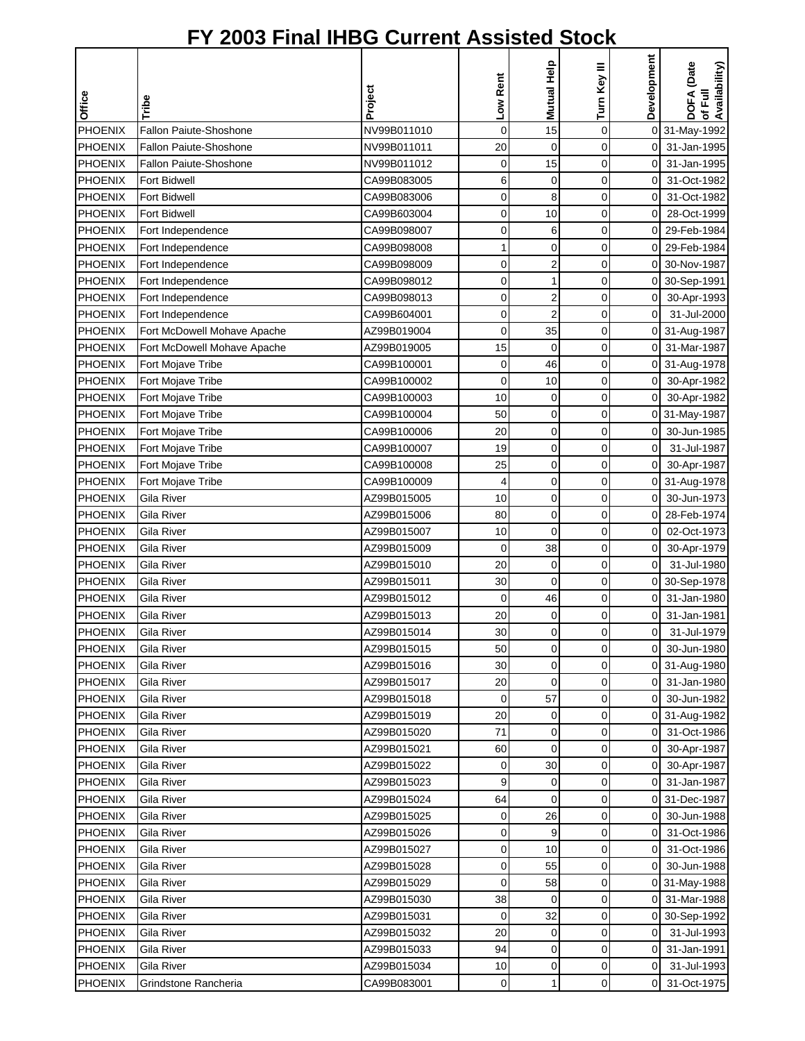|                |                             |             |             | Mutual Help    | Turn Key III | Development    | DOFA (Date<br>of Full<br>Availability) |
|----------------|-----------------------------|-------------|-------------|----------------|--------------|----------------|----------------------------------------|
| <b>Office</b>  | Tribe                       | Project     | Low Rent    |                |              |                |                                        |
| PHOENIX        | Fallon Paiute-Shoshone      | NV99B011010 | $\mathbf 0$ | 15             | $\mathbf 0$  |                | 0 31-May-1992                          |
| <b>PHOENIX</b> | Fallon Paiute-Shoshone      | NV99B011011 | 20          | $\mathbf 0$    | 0            | οI             | 31-Jan-1995                            |
| PHOENIX        | Fallon Paiute-Shoshone      | NV99B011012 | 0           | 15             | $\mathbf 0$  | $\overline{O}$ | 31-Jan-1995                            |
| PHOENIX        | <b>Fort Bidwell</b>         | CA99B083005 | 6           | 0              | 0            | 0              | 31-Oct-1982                            |
| <b>PHOENIX</b> | <b>Fort Bidwell</b>         | CA99B083006 | 0           | 8              | $\mathbf 0$  | 0              | 31-Oct-1982                            |
| <b>PHOENIX</b> | Fort Bidwell                | CA99B603004 | 0           | 10             | $\mathbf 0$  | 0              | 28-Oct-1999                            |
| <b>PHOENIX</b> | Fort Independence           | CA99B098007 | 0           | 6              | 0            | $\overline{0}$ | 29-Feb-1984                            |
| <b>PHOENIX</b> | Fort Independence           | CA99B098008 | 1           | $\mathbf 0$    | $\mathbf 0$  | $\mathbf 0$    | 29-Feb-1984                            |
| PHOENIX        | Fort Independence           | CA99B098009 | 0           | $\overline{2}$ | 0            | οI             | 30-Nov-1987                            |
| <b>PHOENIX</b> | Fort Independence           | CA99B098012 | 0           | 1              | 0            |                | 0 30-Sep-1991                          |
| PHOENIX        | Fort Independence           | CA99B098013 | 0           | $\overline{2}$ | $\mathbf 0$  | $\overline{O}$ | 30-Apr-1993                            |
| <b>PHOENIX</b> | Fort Independence           | CA99B604001 | 0           | $\overline{2}$ | 0            | $\overline{0}$ | 31-Jul-2000                            |
| PHOENIX        | Fort McDowell Mohave Apache | AZ99B019004 | $\mathbf 0$ | 35             | 0            |                | 0 31-Aug-1987                          |
| <b>PHOENIX</b> | Fort McDowell Mohave Apache | AZ99B019005 | 15          | $\mathbf 0$    | 0            | $\overline{0}$ | 31-Mar-1987                            |
| <b>PHOENIX</b> | Fort Mojave Tribe           | CA99B100001 | 0           | 46             | 0            | $\Omega$       | 31-Aug-1978                            |
| <b>PHOENIX</b> | Fort Mojave Tribe           | CA99B100002 | 0           | 10             | 0            | $\overline{0}$ | 30-Apr-1982                            |
| <b>PHOENIX</b> | Fort Mojave Tribe           | CA99B100003 | 10          | $\mathbf 0$    | $\mathbf 0$  | $\overline{0}$ | 30-Apr-1982                            |
| <b>PHOENIX</b> | Fort Mojave Tribe           | CA99B100004 | 50          | $\mathbf 0$    | 0            |                | 0 31-May-1987                          |
| <b>PHOENIX</b> | Fort Mojave Tribe           | CA99B100006 | 20          | $\mathbf 0$    | 0            | οI             | 30-Jun-1985                            |
| <b>PHOENIX</b> | Fort Mojave Tribe           | CA99B100007 | 19          | $\mathbf 0$    | $\mathbf 0$  | $\mathbf 0$    | 31-Jul-1987                            |
| PHOENIX        | Fort Mojave Tribe           | CA99B100008 | 25          | $\mathbf 0$    | 0            | $\overline{0}$ | 30-Apr-1987                            |
| <b>PHOENIX</b> | Fort Mojave Tribe           | CA99B100009 | 4           | $\mathbf 0$    | 0            |                | 0 31-Aug-1978                          |
| <b>PHOENIX</b> | Gila River                  | AZ99B015005 | 10          | 0              | 0            | $\overline{0}$ | 30-Jun-1973                            |
| <b>PHOENIX</b> | Gila River                  | AZ99B015006 | 80          | 0              | 0            | 0              | 28-Feb-1974                            |
| <b>PHOENIX</b> | Gila River                  | AZ99B015007 | 10          | $\mathbf 0$    | $\mathbf 0$  | $\mathbf 0$    | 02-Oct-1973                            |
| PHOENIX        | Gila River                  | AZ99B015009 | 0           | 38             | 0            | $\overline{0}$ | 30-Apr-1979                            |
| <b>PHOENIX</b> | Gila River                  | AZ99B015010 | 20          | $\mathbf 0$    | 0            | $\overline{0}$ | 31-Jul-1980                            |
| <b>PHOENIX</b> | Gila River                  | AZ99B015011 | 30          | $\mathbf 0$    | 0            |                | 0 30-Sep-1978                          |
| PHOENIX        | Gila River                  | AZ99B015012 | 0           | 46             | 0            | $\overline{0}$ | 31-Jan-1980                            |
| <b>PHOENIX</b> | Gila River                  | AZ99B015013 | 20          | 0              | 0            | 0              | 31-Jan-1981                            |
| PHOENIX        | Gila River                  | AZ99B015014 | 30          | $\overline{O}$ | $\Omega$     | $\overline{0}$ | 31-Jul-1979                            |
| PHOENIX        | Gila River                  | AZ99B015015 | 50          | 0              | 0            | οI             | 30-Jun-1980                            |
| <b>PHOENIX</b> | Gila River                  | AZ99B015016 | 30          | 0              | 0            |                | 0 31-Aug-1980                          |
| <b>PHOENIX</b> | Gila River                  | AZ99B015017 | 20          | 0              | $\mathbf 0$  | $\overline{0}$ | 31-Jan-1980                            |
| <b>PHOENIX</b> | Gila River                  | AZ99B015018 | 0           | 57             | 0            | $\overline{0}$ | 30-Jun-1982                            |
| <b>PHOENIX</b> | Gila River                  | AZ99B015019 | 20          |                | 0            |                | 0 31-Aug-1982                          |
| PHOENIX        | Gila River                  | AZ99B015020 | 71          | 0<br>0         | 0            | 01             | 31-Oct-1986                            |
| PHOENIX        | Gila River                  | AZ99B015021 | 60          | 0              | 0            | $\overline{0}$ | 30-Apr-1987                            |
| <b>PHOENIX</b> | Gila River                  | AZ99B015022 | 0           | 30             | 0            | 0              | 30-Apr-1987                            |
| <b>PHOENIX</b> | Gila River                  | AZ99B015023 | 9           | 0              | 0            | ΟI             | 31-Jan-1987                            |
| <b>PHOENIX</b> | Gila River                  | AZ99B015024 | 64          | 0              | 0            | $\overline{O}$ | 31-Dec-1987                            |
| <b>PHOENIX</b> | Gila River                  | AZ99B015025 | 0           | 26             | 0            | 0              | 30-Jun-1988                            |
| <b>PHOENIX</b> | Gila River                  | AZ99B015026 | 0           | 9              | 0            | οI             | 31-Oct-1986                            |
|                |                             |             |             |                |              |                |                                        |
| <b>PHOENIX</b> | Gila River                  | AZ99B015027 | 0           | 10             | 0            | ΟI             | 31-Oct-1986                            |
| PHOENIX        | Gila River                  | AZ99B015028 | 0           | 55             | 0            | 0              | 30-Jun-1988                            |
| <b>PHOENIX</b> | Gila River                  | AZ99B015029 | $\mathbf 0$ | 58             | $\mathbf 0$  |                | 0 31-May-1988                          |
| <b>PHOENIX</b> | Gila River                  | AZ99B015030 | 38          | 0              | 0            |                | 0 31-Mar-1988                          |
| PHOENIX        | Gila River                  | AZ99B015031 | 0           | 32             | 0            |                | 0 30-Sep-1992                          |
| <b>PHOENIX</b> | Gila River                  | AZ99B015032 | 20          | 0              | 0            | $\Omega$       | 31-Jul-1993                            |
| <b>PHOENIX</b> | Gila River                  | AZ99B015033 | 94          | 0              | 0            | οI             | 31-Jan-1991                            |
| <b>PHOENIX</b> | Gila River                  | AZ99B015034 | 10          | 0              | $\pmb{0}$    | $\overline{0}$ | 31-Jul-1993                            |
| <b>PHOENIX</b> | Grindstone Rancheria        | CA99B083001 | $\pmb{0}$   | 1              | $\pmb{0}$    | οI             | 31-Oct-1975                            |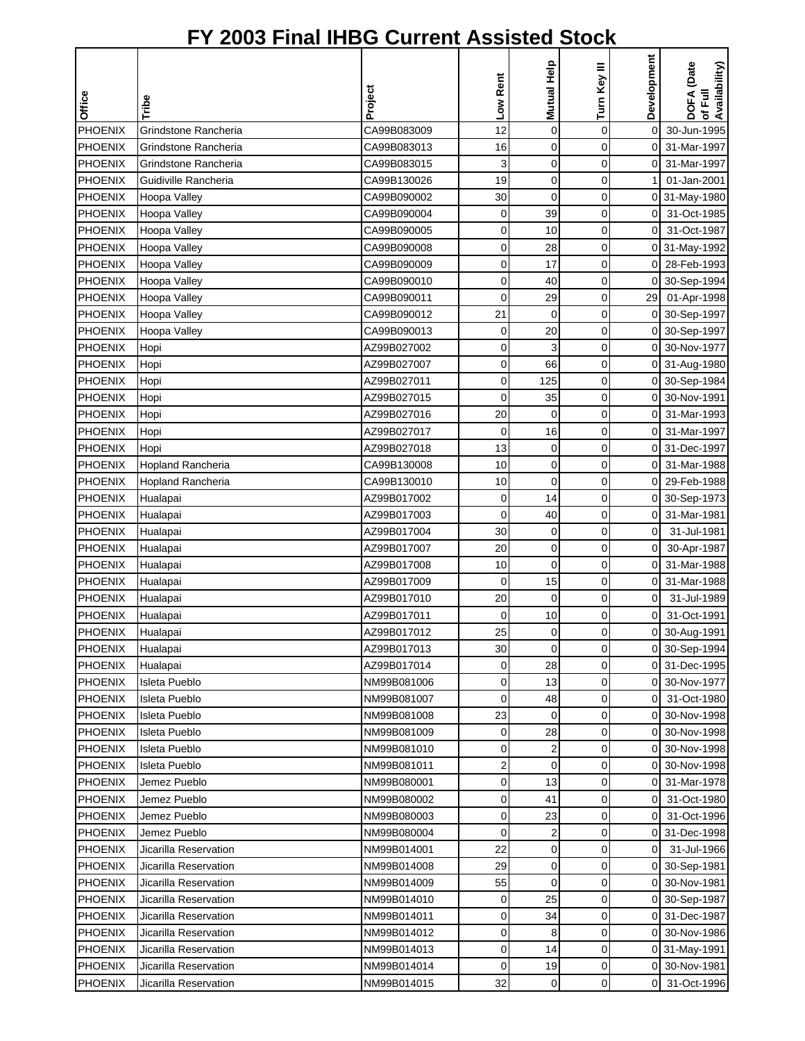| Office         | Tribe                    | Project     | Low Rent    | Mutual Help    | Turn Key III | Development         | DOFA (Date<br>of Full<br>Availability) |
|----------------|--------------------------|-------------|-------------|----------------|--------------|---------------------|----------------------------------------|
| <b>PHOENIX</b> | Grindstone Rancheria     | CA99B083009 | 12          | $\mathbf 0$    | $\mathbf 0$  | $\mathsf{O}\xspace$ | 30-Jun-1995                            |
| <b>PHOENIX</b> | Grindstone Rancheria     | CA99B083013 | 16          | 0              | $\mathbf 0$  | $\overline{0}$      | 31-Mar-1997                            |
| <b>PHOENIX</b> | Grindstone Rancheria     | CA99B083015 | 3           | $\mathbf 0$    | $\mathbf 0$  | 0I                  | 31-Mar-1997                            |
| <b>PHOENIX</b> | Guidiville Rancheria     | CA99B130026 | 19          | $\mathbf 0$    | $\mathbf 0$  |                     | 01-Jan-2001                            |
| <b>PHOENIX</b> | Hoopa Valley             | CA99B090002 | 30          | $\mathbf 0$    | $\mathbf 0$  |                     | 0 31-May-1980                          |
| <b>PHOENIX</b> | Hoopa Valley             | CA99B090004 | 0           | 39             | 0            | ΟI                  | 31-Oct-1985                            |
| <b>PHOENIX</b> | Hoopa Valley             | CA99B090005 | 0           | 10             | 0            | $\overline{0}$      | 31-Oct-1987                            |
| <b>PHOENIX</b> | Hoopa Valley             | CA99B090008 | $\mathbf 0$ | 28             | $\mathbf 0$  |                     | 0 31-May-1992                          |
| <b>PHOENIX</b> | Hoopa Valley             | CA99B090009 | 0           | 17             | 0            | $\overline{0}$      | 28-Feb-1993                            |
| <b>PHOENIX</b> | Hoopa Valley             | CA99B090010 | $\mathbf 0$ | 40             | $\mathbf 0$  |                     | 0 30-Sep-1994                          |
| PHOENIX        | Hoopa Valley             | CA99B090011 | $\mathbf 0$ | 29             | 0            | 29                  | 01-Apr-1998                            |
| PHOENIX        | Hoopa Valley             | CA99B090012 | 21          | 0              | $\mathbf 0$  |                     | 0 30-Sep-1997                          |
| <b>PHOENIX</b> | Hoopa Valley             | CA99B090013 | 0           | 20             | $\mathbf 0$  |                     | 0 30-Sep-1997                          |
| <b>PHOENIX</b> | Hopi                     | AZ99B027002 | 0           | 3              | 0            | $\mathbf 0$         | 30-Nov-1977                            |
| <b>PHOENIX</b> | Hopi                     | AZ99B027007 | 0           | 66             | 0            |                     | 0 31-Aug-1980                          |
| <b>PHOENIX</b> | Hopi                     | AZ99B027011 | 0           | 125            | 0            |                     | 0 30-Sep-1984                          |
| PHOENIX        | Hopi                     | AZ99B027015 | 0           | 35             | $\mathbf 0$  | οI                  | 30-Nov-1991                            |
| <b>PHOENIX</b> | Hopi                     | AZ99B027016 | 20          | $\mathbf 0$    | $\mathbf 0$  | οI                  | 31-Mar-1993                            |
| <b>PHOENIX</b> | Hopi                     | AZ99B027017 | 0           | 16             | 0            |                     | 0 31-Mar-1997                          |
| PHOENIX        | Hopi                     | AZ99B027018 | 13          | 0              | $\mathbf 0$  |                     | 0 31-Dec-1997                          |
| <b>PHOENIX</b> | <b>Hopland Rancheria</b> | CA99B130008 | 10          | $\mathbf 0$    | $\mathbf 0$  | $\overline{0}$      | 31-Mar-1988                            |
| <b>PHOENIX</b> | Hopland Rancheria        | CA99B130010 | 10          | $\mathbf 0$    | $\mathbf 0$  | $\Omega$            | 29-Feb-1988                            |
| <b>PHOENIX</b> | Hualapai                 | AZ99B017002 | 0           | 14             | 0            |                     | 0 30-Sep-1973                          |
| <b>PHOENIX</b> | Hualapai                 | AZ99B017003 | 0           | 40             | 0            | 0                   | 31-Mar-1981                            |
| PHOENIX        | Hualapai                 | AZ99B017004 | 30          | $\mathbf 0$    | 0            | $\overline{0}$      | 31-Jul-1981                            |
| <b>PHOENIX</b> | Hualapai                 | AZ99B017007 | 20          | 0              | 0            | $\overline{O}$      | 30-Apr-1987                            |
| <b>PHOENIX</b> | Hualapai                 | AZ99B017008 | 10          | $\mathbf 0$    | 0            | οI                  | 31-Mar-1988                            |
| PHOENIX        | Hualapai                 | AZ99B017009 | 0           | 15             | 0            | 01                  | 31-Mar-1988                            |
| PHOENIX        | Hualapai                 | AZ99B017010 | 20          | $\mathbf 0$    | 0            | 0                   | 31-Jul-1989                            |
| <b>PHOENIX</b> | Hualapai                 | AZ99B017011 | 0           | 10             | 0            | 0                   | 31-Oct-1991                            |
| PHOENIX        | Hualapai                 | AZ99B017012 | 25          | $\overline{O}$ | $\Omega$     |                     | 0 30-Aug-1991                          |
| PHOENIX        | Hualapai                 | AZ99B017013 | 30          | $\mathbf 0$    | 0            |                     | 0 30-Sep-1994                          |
| <b>PHOENIX</b> | Hualapai                 | AZ99B017014 | 0           | 28             | 0            |                     | 0 31-Dec-1995                          |
| <b>PHOENIX</b> | Isleta Pueblo            | NM99B081006 | 0           | 13             | 0            |                     | 0 30-Nov-1977                          |
| <b>PHOENIX</b> | Isleta Pueblo            | NM99B081007 | 0           | 48             | 0            | ΟI                  | 31-Oct-1980                            |
| <b>PHOENIX</b> | Isleta Pueblo            | NM99B081008 | 23          | 0              | 0            |                     | 0 30-Nov-1998                          |
| <b>PHOENIX</b> | Isleta Pueblo            | NM99B081009 | 0           | 28             | 0            |                     | 0 30-Nov-1998                          |
| <b>PHOENIX</b> | Isleta Pueblo            | NM99B081010 | 0           | 2              | 0            |                     | 0 30-Nov-1998                          |
| <b>PHOENIX</b> | Isleta Pueblo            | NM99B081011 | 2           | 0              | 0            | 01                  | 30-Nov-1998                            |
| <b>PHOENIX</b> | Jemez Pueblo             | NM99B080001 | 0           | 13             | 0            | ΟI                  | 31-Mar-1978                            |
| <b>PHOENIX</b> | Jemez Pueblo             | NM99B080002 | 0           | 41             | 0            | 0                   | 31-Oct-1980                            |
| <b>PHOENIX</b> | Jemez Pueblo             | NM99B080003 | $\mathbf 0$ | 23             | $\pmb{0}$    | οI                  | 31-Oct-1996                            |
| <b>PHOENIX</b> | Jemez Pueblo             | NM99B080004 | 0           | 2              | 0            |                     | 0 31-Dec-1998                          |
| <b>PHOENIX</b> | Jicarilla Reservation    | NM99B014001 | 22          | 0              | 0            | $\overline{0}$      | 31-Jul-1966                            |
| <b>PHOENIX</b> | Jicarilla Reservation    | NM99B014008 | 29          | 0              | 0            |                     | 0 30-Sep-1981                          |
| <b>PHOENIX</b> | Jicarilla Reservation    | NM99B014009 | 55          | $\mathbf 0$    | $\mathbf 0$  |                     | 0 30-Nov-1981                          |
| <b>PHOENIX</b> | Jicarilla Reservation    | NM99B014010 | 0           | 25             | 0            |                     | 0 30-Sep-1987                          |
| <b>PHOENIX</b> | Jicarilla Reservation    | NM99B014011 | 0           | 34             | 0            |                     | 0 31-Dec-1987                          |
| <b>PHOENIX</b> | Jicarilla Reservation    | NM99B014012 | 0           | 8              | 0            |                     | 0 30-Nov-1986                          |
| <b>PHOENIX</b> | Jicarilla Reservation    | NM99B014013 | 0           | 14             | 0            |                     | 0 31-May-1991                          |
| <b>PHOENIX</b> | Jicarilla Reservation    | NM99B014014 | 0           | 19             | 0            |                     | 0 30-Nov-1981                          |
| <b>PHOENIX</b> | Jicarilla Reservation    | NM99B014015 | 32          | 0              | 0            |                     | 0 31-Oct-1996                          |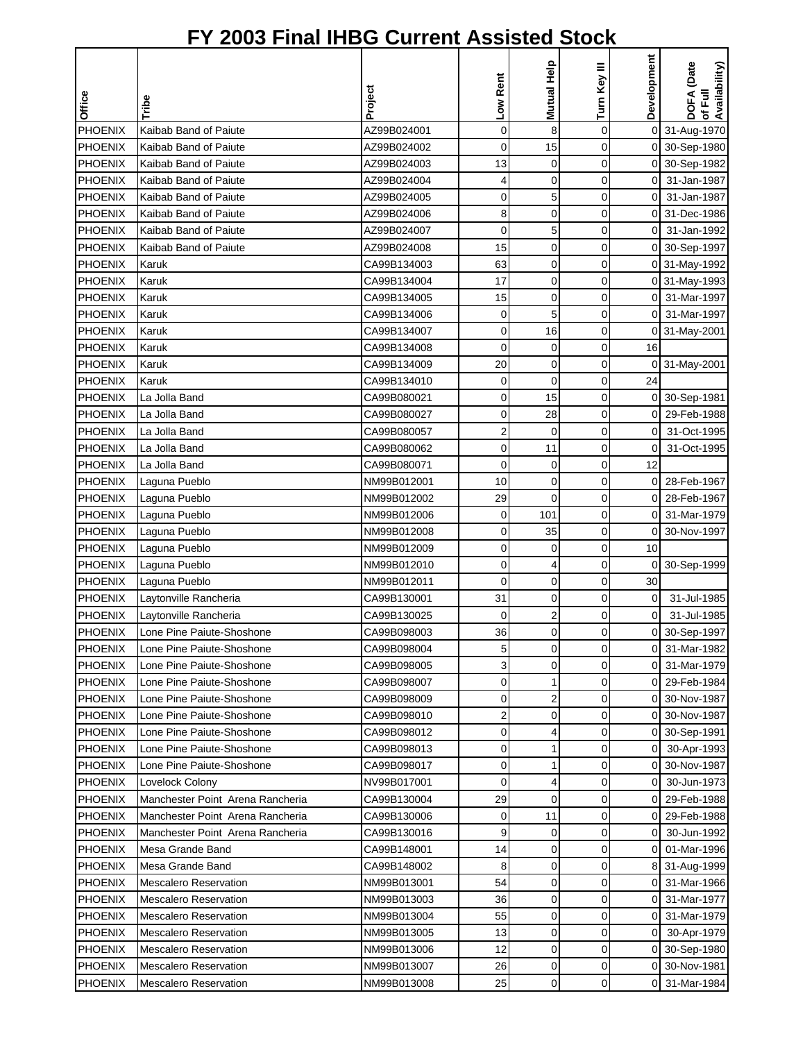|                |                                  |             | Low Rent       | Mutual Help    | Turn Key III | Development    | DOFA (Date<br>of Full<br>Availability) |
|----------------|----------------------------------|-------------|----------------|----------------|--------------|----------------|----------------------------------------|
| Office         | Tribe                            | Project     |                |                |              |                |                                        |
| PHOENIX        | Kaibab Band of Paiute            | AZ99B024001 | $\mathbf 0$    | 8              | 0            |                | 0 31-Aug-1970                          |
| <b>PHOENIX</b> | Kaibab Band of Paiute            | AZ99B024002 | 0              | 15             | 0            |                | 0 30-Sep-1980                          |
| <b>PHOENIX</b> | Kaibab Band of Paiute            | AZ99B024003 | 13             | 0              | 0            |                | 0 30-Sep-1982                          |
| <b>PHOENIX</b> | Kaibab Band of Paiute            | AZ99B024004 | 4              | 0              | 0            | 0              | 31-Jan-1987                            |
| <b>PHOENIX</b> | Kaibab Band of Paiute            | AZ99B024005 | 0              | 5              | 0            | 0              | 31-Jan-1987                            |
| <b>PHOENIX</b> | Kaibab Band of Paiute            | AZ99B024006 | 8              | $\mathbf 0$    | 0            | 0              | 31-Dec-1986                            |
| <b>PHOENIX</b> | Kaibab Band of Paiute            | AZ99B024007 | 0              | 5              | 0            | 0              | 31-Jan-1992                            |
| <b>PHOENIX</b> | Kaibab Band of Paiute            | AZ99B024008 | 15             | 0              | 0            |                | 0 30-Sep-1997                          |
| <b>PHOENIX</b> | Karuk                            | CA99B134003 | 63             | 0              | 0            |                | 0 31-May-1992                          |
| PHOENIX        | Karuk                            | CA99B134004 | 17             | 0              | 0            |                | 0 31-May-1993                          |
| <b>PHOENIX</b> | Karuk                            | CA99B134005 | 15             | 0              | 0            |                | 0 31-Mar-1997                          |
| <b>PHOENIX</b> | Karuk                            | CA99B134006 | 0              | 5              | 0            | οı             | 31-Mar-1997                            |
| PHOENIX        | Karuk                            | CA99B134007 | 0              | 16             | 0            |                | 0 31-May-2001                          |
| <b>PHOENIX</b> | Karuk                            | CA99B134008 | 0              | 0              | 0            | 16             |                                        |
| <b>PHOENIX</b> | Karuk                            | CA99B134009 | 20             | 0              | 0            | 0              | 31-May-2001                            |
| <b>PHOENIX</b> | Karuk                            | CA99B134010 | 0              | $\mathbf 0$    | 0            | 24             |                                        |
| PHOENIX        | La Jolla Band                    | CA99B080021 | 0              | 15             | 0            |                | 0 30-Sep-1981                          |
| <b>PHOENIX</b> | La Jolla Band                    | CA99B080027 | 0              | 28             | 0            | οI             | 29-Feb-1988                            |
| <b>PHOENIX</b> | La Jolla Band                    | CA99B080057 | $\overline{2}$ | $\mathbf 0$    | 0            | 0              | 31-Oct-1995                            |
| PHOENIX        | La Jolla Band                    | CA99B080062 | 0              | 11             | 0            | 0              | 31-Oct-1995                            |
| <b>PHOENIX</b> | La Jolla Band                    | CA99B080071 | 0              | 0              | 0            | 12             |                                        |
| <b>PHOENIX</b> | Laguna Pueblo                    | NM99B012001 | 10             | 0              | 0            | 0              | 28-Feb-1967                            |
| <b>PHOENIX</b> | Laguna Pueblo                    | NM99B012002 | 29             | $\mathbf 0$    | 0            | 0              | 28-Feb-1967                            |
| <b>PHOENIX</b> | Laguna Pueblo                    | NM99B012006 | 0              | 101            | 0            | 0              | 31-Mar-1979                            |
| PHOENIX        | Laguna Pueblo                    | NM99B012008 | 0              | 35             | 0            | οI             | 30-Nov-1997                            |
| <b>PHOENIX</b> | Laguna Pueblo                    | NM99B012009 | 0              | 0              | 0            | 10             |                                        |
| <b>PHOENIX</b> | Laguna Pueblo                    | NM99B012010 | 0              | 4              | 0            |                | 0 30-Sep-1999                          |
| PHOENIX        | Laguna Pueblo                    | NM99B012011 | 0              | 0              | 0            | 30             |                                        |
| <b>PHOENIX</b> | Laytonville Rancheria            | CA99B130001 | 31             | 0              | 0            | 0              | 31-Jul-1985                            |
| <b>PHOENIX</b> | Laytonville Rancheria            | CA99B130025 | 0              | $\overline{c}$ | 0            | 0              | 31-Jul-1985                            |
| <b>PHOENIX</b> | Lone Pine Paiute-Shoshone        | CA99B098003 | 36             | $\Omega$       | $\Omega$     |                | 0 30-Sep-1997                          |
| PHOENIX        | Lone Pine Paiute-Shoshone        | CA99B098004 | 5              | 0              | 0            | 01             | 31-Mar-1982                            |
| <b>PHOENIX</b> | Lone Pine Paiute-Shoshone        | CA99B098005 | 3              | 0              | 0            | $\overline{0}$ | 31-Mar-1979                            |
| <b>PHOENIX</b> | Lone Pine Paiute-Shoshone        | CA99B098007 | 0              | 1              | 0            | 01             | 29-Feb-1984                            |
| <b>PHOENIX</b> | Lone Pine Paiute-Shoshone        | CA99B098009 | 0              | 2              | 0            |                | 0 30-Nov-1987                          |
| PHOENIX        | Lone Pine Paiute-Shoshone        | CA99B098010 | 2              | 0              | 0            |                | 0 30-Nov-1987                          |
| <b>PHOENIX</b> | Lone Pine Paiute-Shoshone        | CA99B098012 | 0              | 4              | 0            |                | 0 30-Sep-1991                          |
| <b>PHOENIX</b> | Lone Pine Paiute-Shoshone        | CA99B098013 | 0              | 1              | 0            | 01             | 30-Apr-1993                            |
| <b>PHOENIX</b> | Lone Pine Paiute-Shoshone        | CA99B098017 | 0              | 1              | 0            | 0              | 30-Nov-1987                            |
| <b>PHOENIX</b> | Lovelock Colony                  | NV99B017001 | 0              | 4              | 0            | 0              | 30-Jun-1973                            |
| <b>PHOENIX</b> | Manchester Point Arena Rancheria | CA99B130004 | 29             | 0              | 0            | οı             | 29-Feb-1988                            |
| <b>PHOENIX</b> | Manchester Point Arena Rancheria | CA99B130006 | 0              | 11             | 0            | $\overline{0}$ | 29-Feb-1988                            |
| <b>PHOENIX</b> | Manchester Point Arena Rancheria | CA99B130016 | 9              | 0              | 0            | $\overline{O}$ | 30-Jun-1992                            |
| <b>PHOENIX</b> | Mesa Grande Band                 | CA99B148001 | 14             | 0              | 0            |                | 0 01-Mar-1996                          |
| PHOENIX        | Mesa Grande Band                 | CA99B148002 | 8              | 0              | 0            |                | 8 31-Aug-1999                          |
| <b>PHOENIX</b> | <b>Mescalero Reservation</b>     | NM99B013001 | 54             | 0              | 0            |                | 0 31-Mar-1966                          |
| <b>PHOENIX</b> | <b>Mescalero Reservation</b>     | NM99B013003 | 36             | 0              | 0            | 0              | 31-Mar-1977                            |
| <b>PHOENIX</b> | <b>Mescalero Reservation</b>     | NM99B013004 | 55             | 0              | 0            | 0              | 31-Mar-1979                            |
| <b>PHOENIX</b> | <b>Mescalero Reservation</b>     | NM99B013005 | 13             | 0              | 0            | οI             | 30-Apr-1979                            |
| <b>PHOENIX</b> | <b>Mescalero Reservation</b>     | NM99B013006 | 12             | 0              | 0            |                | 0 30-Sep-1980                          |
| <b>PHOENIX</b> | <b>Mescalero Reservation</b>     | NM99B013007 | 26             | 0              | 0            |                | 0 30-Nov-1981                          |
| <b>PHOENIX</b> | <b>Mescalero Reservation</b>     | NM99B013008 | 25             | 0              | 0            |                | 0 31-Mar-1984                          |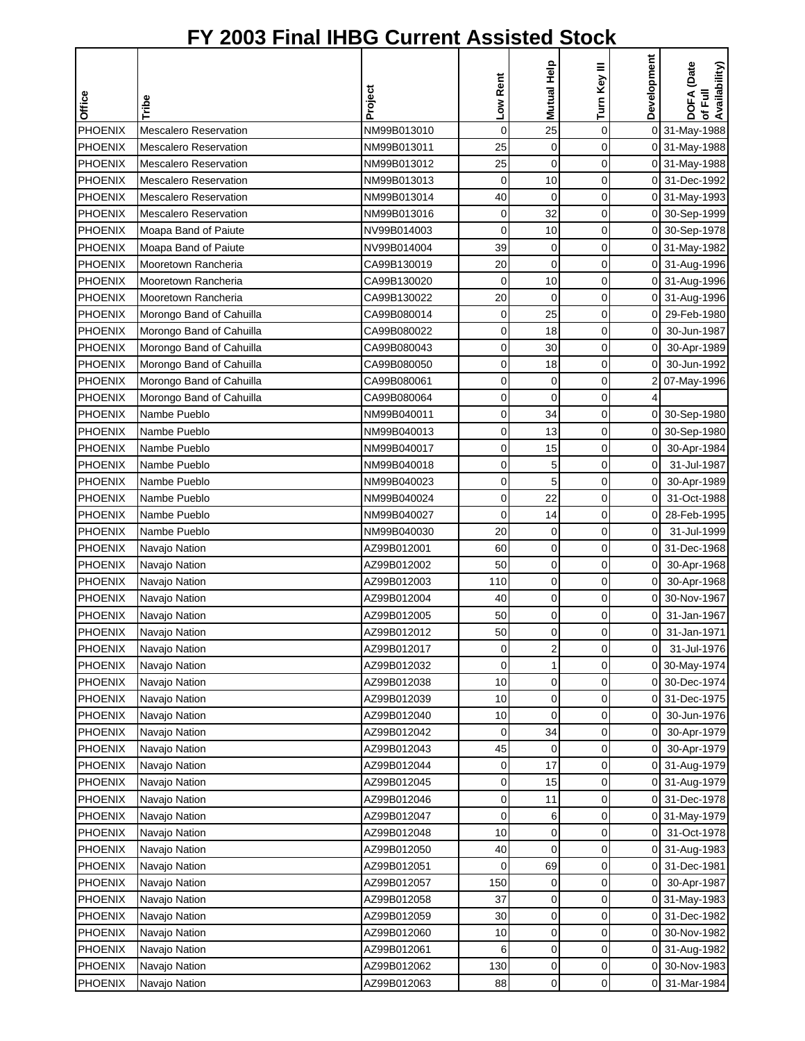|                |                              |             | Low Rent       | Mutual Help             | Turn Key III | Development    | DOFA (Date<br>of Full<br>Availability) |
|----------------|------------------------------|-------------|----------------|-------------------------|--------------|----------------|----------------------------------------|
| Office         | Tribe                        | Project     |                |                         |              |                |                                        |
| PHOENIX        | Mescalero Reservation        | NM99B013010 | $\overline{0}$ | 25                      | $\mathbf 0$  |                | 0 31-May-1988                          |
| <b>PHOENIX</b> | <b>Mescalero Reservation</b> | NM99B013011 | 25             | $\mathbf 0$             | 0            |                | 0 31-May-1988                          |
| <b>PHOENIX</b> | <b>Mescalero Reservation</b> | NM99B013012 | 25             | $\mathbf 0$             | 0            |                | 0 31-May-1988                          |
| PHOENIX        | <b>Mescalero Reservation</b> | NM99B013013 | $\mathbf 0$    | 10                      | 0            |                | 0 31-Dec-1992                          |
| <b>PHOENIX</b> | <b>Mescalero Reservation</b> | NM99B013014 | 40             | 0                       | 0            |                | 0 31-May-1993                          |
| <b>PHOENIX</b> | <b>Mescalero Reservation</b> | NM99B013016 | 0              | 32                      | 0            |                | 0 30-Sep-1999                          |
| <b>PHOENIX</b> | Moapa Band of Paiute         | NV99B014003 | 0              | 10                      | 0            |                | 0 30-Sep-1978                          |
| <b>PHOENIX</b> | Moapa Band of Paiute         | NV99B014004 | 39             | $\mathbf 0$             | 0            |                | 0 31-May-1982                          |
| <b>PHOENIX</b> | Mooretown Rancheria          | CA99B130019 | 20             | 0                       | 0            |                | 0 31-Aug-1996                          |
| PHOENIX        | Mooretown Rancheria          | CA99B130020 | 0              | 10                      | 0            |                | 0 31-Aug-1996                          |
| <b>PHOENIX</b> | Mooretown Rancheria          | CA99B130022 | 20             | 0                       | 0            |                | 0 31-Aug-1996                          |
| PHOENIX        | Morongo Band of Cahuilla     | CA99B080014 | 0              | 25                      | 0            | 01             | 29-Feb-1980                            |
| <b>PHOENIX</b> | Morongo Band of Cahuilla     | CA99B080022 | 0              | 18                      | 0            | 0              | 30-Jun-1987                            |
| <b>PHOENIX</b> | Morongo Band of Cahuilla     | CA99B080043 | 0              | 30                      | 0            | $\overline{0}$ | 30-Apr-1989                            |
| <b>PHOENIX</b> | Morongo Band of Cahuilla     | CA99B080050 | 0              | 18                      | 0            | 0              | 30-Jun-1992                            |
| <b>PHOENIX</b> | Morongo Band of Cahuilla     | CA99B080061 | 0              | $\mathbf 0$             | 0            |                | 07-May-1996                            |
| PHOENIX        | Morongo Band of Cahuilla     | CA99B080064 | 0              | $\mathbf 0$             | 0            | 4              |                                        |
| <b>PHOENIX</b> | Nambe Pueblo                 | NM99B040011 | 0              | 34                      | 0            |                | 0 30-Sep-1980                          |
| PHOENIX        | Nambe Pueblo                 | NM99B040013 | 0              | 13                      | 0            |                | 0 30-Sep-1980                          |
| PHOENIX        | Nambe Pueblo                 | NM99B040017 | 0              | 15                      | 0            | 0I             | 30-Apr-1984                            |
| <b>PHOENIX</b> | Nambe Pueblo                 | NM99B040018 | 0              | 5                       | 0            | $\mathbf 0$    | 31-Jul-1987                            |
| <b>PHOENIX</b> | Nambe Pueblo                 | NM99B040023 | 0              | 5                       | 0            | $\overline{0}$ | 30-Apr-1989                            |
| <b>PHOENIX</b> | Nambe Pueblo                 | NM99B040024 | 0              | 22                      | 0            | $\overline{0}$ | 31-Oct-1988                            |
| <b>PHOENIX</b> | Nambe Pueblo                 | NM99B040027 | 0              | 14                      | 0            | 0              | 28-Feb-1995                            |
| PHOENIX        | Nambe Pueblo                 | NM99B040030 | 20             | $\mathbf 0$             | 0            | $\mathbf 0$    | 31-Jul-1999                            |
| <b>PHOENIX</b> | Navajo Nation                | AZ99B012001 | 60             | 0                       | 0            |                | 0 31-Dec-1968                          |
| <b>PHOENIX</b> | Navajo Nation                | AZ99B012002 | 50             | $\mathbf 0$             | 0            | οI             | 30-Apr-1968                            |
| PHOENIX        | Navajo Nation                | AZ99B012003 | 110            | 0                       | 0            | 0              | 30-Apr-1968                            |
| PHOENIX        | Navajo Nation                | AZ99B012004 | 40             | 0                       | 0            | 0              | 30-Nov-1967                            |
| <b>PHOENIX</b> | Navajo Nation                | AZ99B012005 | 50             | 0                       | 0            | 0              | 31-Jan-1967                            |
| PHOENIX        | Navajo Nation                | AZ99B012012 | 50             | $\Omega$                | $\Omega$     | οI             | 31-Jan-1971                            |
| PHOENIX        | Navajo Nation                | AZ99B012017 | 0              | $\overline{\mathbf{c}}$ | 0            | 0              | 31-Jul-1976                            |
| <b>PHOENIX</b> | Navajo Nation                | AZ99B012032 | 0              | 1                       | 0            |                | 0 30-May-1974                          |
| <b>PHOENIX</b> | Navajo Nation                | AZ99B012038 | 10             | 0                       | 0            |                | 0 30-Dec-1974                          |
| <b>PHOENIX</b> | Navajo Nation                | AZ99B012039 | 10             | 0                       | 0            | 0              | 31-Dec-1975                            |
| PHOENIX        | Navajo Nation                | AZ99B012040 | 10             | 0                       | 0            | 0              | 30-Jun-1976                            |
| PHOENIX        | Navajo Nation                | AZ99B012042 | 0              | 34                      | 0            | 0              | 30-Apr-1979                            |
| PHOENIX        | Navajo Nation                | AZ99B012043 | 45             | 0                       | 0            | 0              | 30-Apr-1979                            |
| <b>PHOENIX</b> | Navajo Nation                | AZ99B012044 | 0              | 17                      | 0            | 0              | 31-Aug-1979                            |
| <b>PHOENIX</b> | Navajo Nation                | AZ99B012045 | 0              | 15                      | 0            |                | 0 31-Aug-1979                          |
| PHOENIX        | Navajo Nation                | AZ99B012046 | 0              | 11                      | 0            |                | 0 31-Dec-1978                          |
| <b>PHOENIX</b> | Navajo Nation                | AZ99B012047 | 0              | 6                       | 0            |                | 0 31-May-1979                          |
| <b>PHOENIX</b> | Navajo Nation                | AZ99B012048 | 10             | 0                       | 0            | 01             | 31-Oct-1978                            |
| <b>PHOENIX</b> | Navajo Nation                | AZ99B012050 | 40             | 0                       | 0            |                | 0 31-Aug-1983                          |
| PHOENIX        | Navajo Nation                | AZ99B012051 | 0              | 69                      | 0            |                | 0 31-Dec-1981                          |
| PHOENIX        | Navajo Nation                | AZ99B012057 | 150            | 0                       | 0            | 0              | 30-Apr-1987                            |
| PHOENIX        | Navajo Nation                | AZ99B012058 | 37             | 0                       | 0            |                | 0 31-May-1983                          |
| <b>PHOENIX</b> | Navajo Nation                | AZ99B012059 | 30             | 0                       | 0            |                | 0 31-Dec-1982                          |
| <b>PHOENIX</b> | Navajo Nation                | AZ99B012060 | 10             | 0                       | 0            | 0              | 30-Nov-1982                            |
| <b>PHOENIX</b> | Navajo Nation                | AZ99B012061 | 6              | 0                       | 0            |                | 0 31-Aug-1982                          |
| <b>PHOENIX</b> | Navajo Nation                | AZ99B012062 | 130            | 0                       | 0            |                | 0 30-Nov-1983                          |
| <b>PHOENIX</b> | Navajo Nation                | AZ99B012063 | 88             | 0                       | 0            |                | 0 31-Mar-1984                          |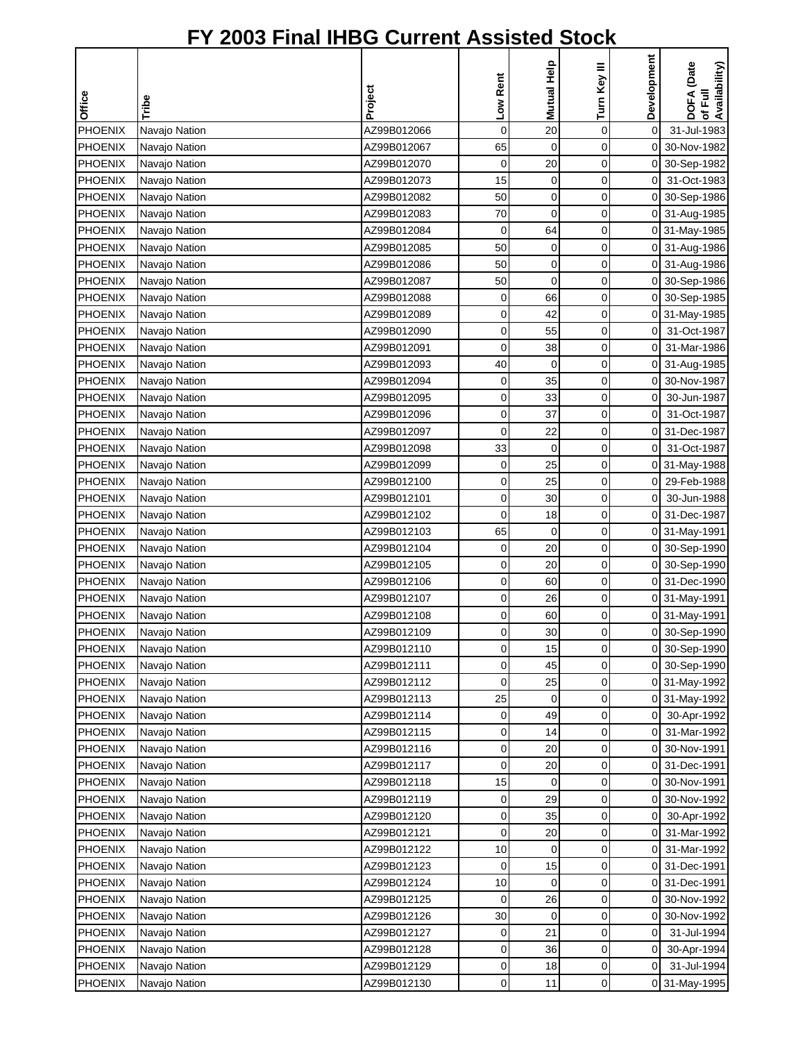|                |               |             |             |             |              | Development    |                                        |
|----------------|---------------|-------------|-------------|-------------|--------------|----------------|----------------------------------------|
|                |               |             | Low Rent    | Mutual Help | Turn Key III |                | DOFA (Date<br>of Full<br>Availability) |
| Office         | Tribe         | Project     |             |             |              |                |                                        |
| <b>PHOENIX</b> | Navajo Nation | AZ99B012066 | $\mathbf 0$ | 20          | $\mathbf 0$  | 0              | 31-Jul-1983                            |
| <b>PHOENIX</b> | Navajo Nation | AZ99B012067 | 65          | $\mathbf 0$ | 0            | οI             | 30-Nov-1982                            |
| PHOENIX        | Navajo Nation | AZ99B012070 | $\mathbf 0$ | 20          | $\mathbf 0$  |                | 0 30-Sep-1982                          |
| PHOENIX        | Navajo Nation | AZ99B012073 | 15          | $\mathbf 0$ | $\mathbf 0$  | $\overline{0}$ | 31-Oct-1983                            |
| <b>PHOENIX</b> | Navajo Nation | AZ99B012082 | 50          | $\mathbf 0$ | 0            | $\overline{0}$ | 30-Sep-1986                            |
| <b>PHOENIX</b> | Navajo Nation | AZ99B012083 | 70          | 0           | 0            |                | 0 31-Aug-1985                          |
| <b>PHOENIX</b> | Navajo Nation | AZ99B012084 | 0           | 64          | 0            |                | 0 31-May-1985                          |
| <b>PHOENIX</b> | Navajo Nation | AZ99B012085 | 50          | $\mathbf 0$ | 0            |                | 0 31-Aug-1986                          |
| <b>PHOENIX</b> | Navajo Nation | AZ99B012086 | 50          | $\mathbf 0$ | 0            |                | 0 31-Aug-1986                          |
| <b>PHOENIX</b> | Navajo Nation | AZ99B012087 | 50          | $\mathbf 0$ | 0            |                | 0 30-Sep-1986                          |
| PHOENIX        | Navajo Nation | AZ99B012088 | 0           | 66          | 0            |                | 0 30-Sep-1985                          |
| PHOENIX        | Navajo Nation | AZ99B012089 | 0           | 42          | $\mathbf 0$  |                | 0 31-May-1985                          |
| <b>PHOENIX</b> | Navajo Nation | AZ99B012090 | 0           | 55          | $\mathbf 0$  | $\overline{0}$ | 31-Oct-1987                            |
| <b>PHOENIX</b> | Navajo Nation | AZ99B012091 | 0           | 38          | 0            | $\overline{0}$ | 31-Mar-1986                            |
| <b>PHOENIX</b> | Navajo Nation | AZ99B012093 | 40          | $\mathbf 0$ | 0            | ΟI             | 31-Aug-1985                            |
| <b>PHOENIX</b> | Navajo Nation | AZ99B012094 | 0           | 35          | 0            | $\overline{0}$ | 30-Nov-1987                            |
| <b>PHOENIX</b> | Navajo Nation | AZ99B012095 | 0           | 33          | 0            | $\overline{0}$ | 30-Jun-1987                            |
| <b>PHOENIX</b> | Navajo Nation | AZ99B012096 | 0           | 37          | $\mathbf 0$  | $\overline{0}$ | 31-Oct-1987                            |
| <b>PHOENIX</b> | Navajo Nation | AZ99B012097 | 0           | 22          | 0            |                | 0 31-Dec-1987                          |
| PHOENIX        | Navajo Nation | AZ99B012098 | 33          | $\mathbf 0$ | $\mathbf 0$  | $\overline{0}$ | 31-Oct-1987                            |
| <b>PHOENIX</b> | Navajo Nation | AZ99B012099 | 0           | 25          | $\mathbf 0$  |                | 0 31-May-1988                          |
| <b>PHOENIX</b> | Navajo Nation | AZ99B012100 | 0           | 25          | $\mathbf 0$  | ΟI             | 29-Feb-1988                            |
| <b>PHOENIX</b> | Navajo Nation | AZ99B012101 | 0           | 30          | 0            | οI             | 30-Jun-1988                            |
| <b>PHOENIX</b> | Navajo Nation | AZ99B012102 | 0           | 18          | 0            |                | 0 31-Dec-1987                          |
| <b>PHOENIX</b> | Navajo Nation | AZ99B012103 | 65          | $\mathbf 0$ | 0            |                | 0 31-May-1991                          |
| <b>PHOENIX</b> | Navajo Nation | AZ99B012104 | 0           | 20          | 0            |                | 0 30-Sep-1990                          |
| <b>PHOENIX</b> | Navajo Nation | AZ99B012105 | 0           | 20          | 0            |                | 0 30-Sep-1990                          |
| PHOENIX        | Navajo Nation | AZ99B012106 | 0           | 60          | 0            |                | 0 31-Dec-1990                          |
| <b>PHOENIX</b> | Navajo Nation | AZ99B012107 | 0           | 26          | 0            |                | 0 31-May-1991                          |
| <b>PHOENIX</b> | Navajo Nation | AZ99B012108 | 0           | 60          | 0            |                | 0 31-May-1991                          |
| <b>PHOENIX</b> | Navajo Nation | AZ99B012109 | 0           | 30          | $\Omega$     |                | 0 30-Sep-1990                          |
| PHOENIX        | Navajo Nation | AZ99B012110 | 0           | 15          | 0            |                | 0 30-Sep-1990                          |
| <b>PHOENIX</b> | Navajo Nation | AZ99B012111 | 0           | 45          | 0            |                | 0 30-Sep-1990                          |
| <b>PHOENIX</b> | Navajo Nation | AZ99B012112 | 0           | 25          | 0            |                | 0 31-May-1992                          |
| <b>PHOENIX</b> | Navajo Nation | AZ99B012113 | 25          | 0           | 0            |                | 0 31-May-1992                          |
| <b>PHOENIX</b> | Navajo Nation | AZ99B012114 | 0           | 49          | 0            | 0I             | 30-Apr-1992                            |
| PHOENIX        | Navajo Nation | AZ99B012115 | 0           | 14          | 0            | 01             | 31-Mar-1992                            |
| PHOENIX        | Navajo Nation | AZ99B012116 | 0           | 20          | 0            | 01             | 30-Nov-1991                            |
| <b>PHOENIX</b> | Navajo Nation | AZ99B012117 | 0           | 20          | 0            | 01             | 31-Dec-1991                            |
| <b>PHOENIX</b> | Navajo Nation | AZ99B012118 | 15          | 0           | 0            | $\overline{0}$ | 30-Nov-1991                            |
| PHOENIX        | Navajo Nation | AZ99B012119 | 0           | 29          | 0            | $\overline{0}$ | 30-Nov-1992                            |
| <b>PHOENIX</b> | Navajo Nation | AZ99B012120 | $\mathbf 0$ | 35          | 0            | $\overline{O}$ | 30-Apr-1992                            |
| <b>PHOENIX</b> | Navajo Nation | AZ99B012121 | 0           | 20          | 0            | οI             | 31-Mar-1992                            |
| <b>PHOENIX</b> | Navajo Nation | AZ99B012122 | 10          | 0           | 0            |                | 0 31-Mar-1992                          |
| <b>PHOENIX</b> | Navajo Nation | AZ99B012123 | 0           | 15          | 0            |                | 0 31-Dec-1991                          |
| PHOENIX        | Navajo Nation | AZ99B012124 | 10          | $\mathbf 0$ | $\mathbf 0$  |                | 0 31-Dec-1991                          |
| <b>PHOENIX</b> | Navajo Nation | AZ99B012125 | 0           | 26          | 0            | $\overline{0}$ | 30-Nov-1992                            |
| <b>PHOENIX</b> | Navajo Nation | AZ99B012126 | 30          | 0           | 0            | 0              | 30-Nov-1992                            |
| PHOENIX        | Navajo Nation | AZ99B012127 | 0           | 21          | 0            | $\overline{0}$ | 31-Jul-1994                            |
| <b>PHOENIX</b> | Navajo Nation | AZ99B012128 | 0           | 36          | 0            | $\overline{0}$ | 30-Apr-1994                            |
| <b>PHOENIX</b> | Navajo Nation | AZ99B012129 | 0           | 18          | 0            | 0              | 31-Jul-1994                            |
| <b>PHOENIX</b> | Navajo Nation | AZ99B012130 | 0           | 11          | 0            |                | 0 31-May-1995                          |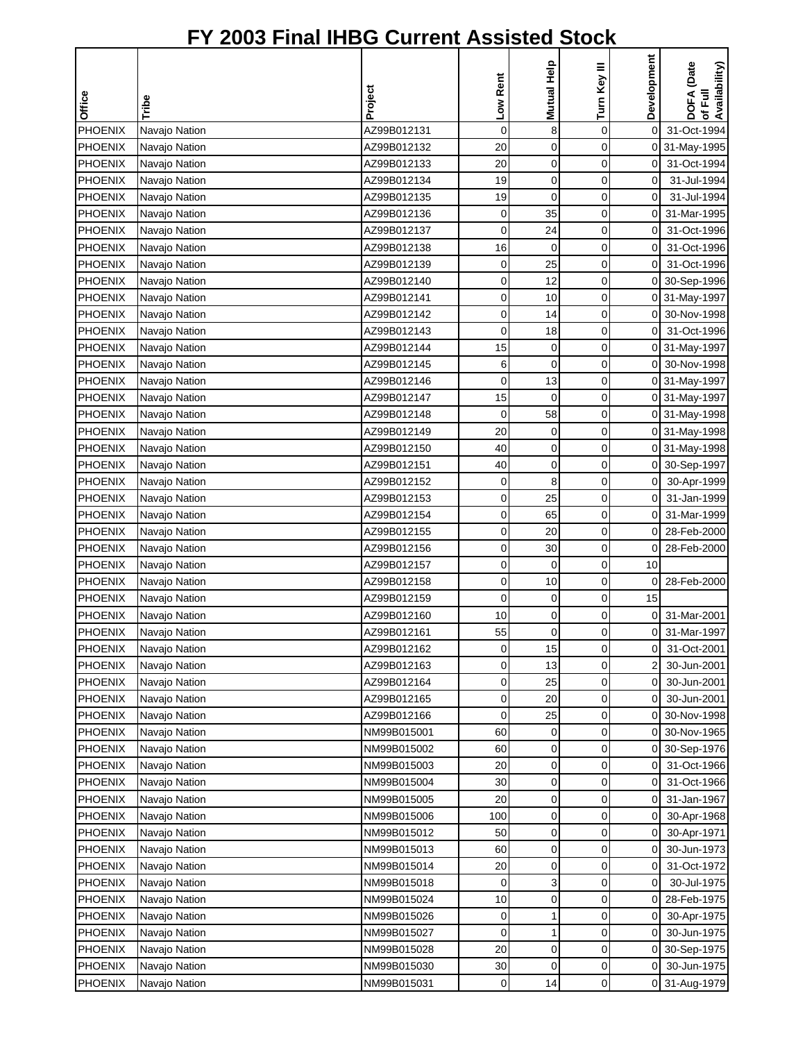| Office         | Tribe         | Project     | Low Rent    | Mutual Help | Turn Key III | Development    | DOFA (Date<br>of Full<br>Availability) |
|----------------|---------------|-------------|-------------|-------------|--------------|----------------|----------------------------------------|
| <b>PHOENIX</b> | Navajo Nation | AZ99B012131 | $\mathsf 0$ | 8           | $\mathbf 0$  | $\overline{0}$ | 31-Oct-1994                            |
| <b>PHOENIX</b> | Navajo Nation | AZ99B012132 | 20          | $\mathbf 0$ | 0            |                | 0 31-May-1995                          |
| PHOENIX        | Navajo Nation | AZ99B012133 | 20          | $\mathbf 0$ | $\mathbf 0$  | $\overline{0}$ | 31-Oct-1994                            |
| PHOENIX        | Navajo Nation | AZ99B012134 | 19          | 0           | $\mathbf 0$  | $\mathbf 0$    | 31-Jul-1994                            |
| <b>PHOENIX</b> | Navajo Nation | AZ99B012135 | 19          | $\mathbf 0$ | $\mathbf 0$  | 0              | 31-Jul-1994                            |
| <b>PHOENIX</b> | Navajo Nation | AZ99B012136 | 0           | 35          | 0            | $\overline{0}$ | 31-Mar-1995                            |
| <b>PHOENIX</b> | Navajo Nation | AZ99B012137 | 0           | 24          | 0            | $\mathbf 0$    | 31-Oct-1996                            |
| <b>PHOENIX</b> | Navajo Nation | AZ99B012138 | 16          | $\mathbf 0$ | 0            | $\mathbf 0$    | 31-Oct-1996                            |
| <b>PHOENIX</b> | Navajo Nation | AZ99B012139 | 0           | 25          | 0            | $\overline{0}$ | 31-Oct-1996                            |
| <b>PHOENIX</b> | Navajo Nation | AZ99B012140 | 0           | 12          | 0            |                | 0 30-Sep-1996                          |
| PHOENIX        | Navajo Nation | AZ99B012141 | 0           | 10          | 0            |                | 0 31-May-1997                          |
| PHOENIX        | Navajo Nation | AZ99B012142 | 0           | 14          | $\mathbf 0$  | 01             | 30-Nov-1998                            |
| <b>PHOENIX</b> | Navajo Nation | AZ99B012143 | $\mathbf 0$ | 18          | $\mathbf 0$  | $\overline{O}$ | 31-Oct-1996                            |
| <b>PHOENIX</b> | Navajo Nation | AZ99B012144 | 15          | 0           | 0            |                | 0 31-May-1997                          |
| <b>PHOENIX</b> | Navajo Nation | AZ99B012145 | 6           | $\mathbf 0$ | 0            |                | 0 30-Nov-1998                          |
| <b>PHOENIX</b> | Navajo Nation | AZ99B012146 | 0           | 13          | 0            |                | 0 31-May-1997                          |
| PHOENIX        | Navajo Nation | AZ99B012147 | 15          | $\mathbf 0$ | $\mathbf 0$  |                | 0 31-May-1997                          |
| <b>PHOENIX</b> | Navajo Nation | AZ99B012148 | 0           | 58          | $\mathbf 0$  |                | 0 31-May-1998                          |
| <b>PHOENIX</b> | Navajo Nation | AZ99B012149 | 20          | $\mathbf 0$ | 0            |                | 0 31-May-1998                          |
| PHOENIX        | Navajo Nation | AZ99B012150 | 40          | $\mathbf 0$ | $\mathbf 0$  |                | 0 31-May-1998                          |
| <b>PHOENIX</b> | Navajo Nation | AZ99B012151 | 40          | 0           | $\mathbf 0$  |                | 0 30-Sep-1997                          |
| <b>PHOENIX</b> | Navajo Nation | AZ99B012152 | 0           | 8           | $\mathbf 0$  | $\overline{0}$ | 30-Apr-1999                            |
| <b>PHOENIX</b> | Navajo Nation | AZ99B012153 | 0           | 25          | 0            | οI             | 31-Jan-1999                            |
| <b>PHOENIX</b> | Navajo Nation | AZ99B012154 | 0           | 65          | 0            | $\overline{0}$ | 31-Mar-1999                            |
| PHOENIX        | Navajo Nation | AZ99B012155 | $\mathbf 0$ | 20          | $\pmb{0}$    | οI             | 28-Feb-2000                            |
| <b>PHOENIX</b> | Navajo Nation | AZ99B012156 | 0           | 30          | 0            | $\overline{0}$ | 28-Feb-2000                            |
| <b>PHOENIX</b> | Navajo Nation | AZ99B012157 | 0           | 0           | 0            | 10             |                                        |
| PHOENIX        | Navajo Nation | AZ99B012158 | 0           | 10          | 0            | 0              | 28-Feb-2000                            |
| PHOENIX        | Navajo Nation | AZ99B012159 | $\mathbf 0$ | $\mathbf 0$ | $\mathbf 0$  | 15             |                                        |
| <b>PHOENIX</b> | Navajo Nation | AZ99B012160 | 10          | 0           | 0            | 0              | 31-Mar-2001                            |
| <b>PHOENIX</b> | Navajo Nation | AZ99B012161 | 55          | $\Omega$    | $\Omega$     | οI             | 31-Mar-1997                            |
| PHOENIX        | Navajo Nation | AZ99B012162 | 0           | 15          | 0            | $\overline{0}$ | 31-Oct-2001                            |
| <b>PHOENIX</b> | Navajo Nation | AZ99B012163 | 0           | 13          | 0            | 2              | 30-Jun-2001                            |
| <b>PHOENIX</b> | Navajo Nation | AZ99B012164 | 0           | 25          | 0            | 0              | 30-Jun-2001                            |
| <b>PHOENIX</b> | Navajo Nation | AZ99B012165 | 0           | 20          | 0            | $\overline{0}$ | 30-Jun-2001                            |
| PHOENIX        | Navajo Nation | AZ99B012166 | 0           | 25          | 0            | $\overline{0}$ | 30-Nov-1998                            |
| <b>PHOENIX</b> | Navajo Nation | NM99B015001 | 60          | 0           | 0            | 01             | 30-Nov-1965                            |
| PHOENIX        | Navajo Nation | NM99B015002 | 60          | 0           | 0            | 01             | 30-Sep-1976                            |
| <b>PHOENIX</b> | Navajo Nation | NM99B015003 | 20          | $\mathbf 0$ | 0            | $\overline{0}$ | 31-Oct-1966                            |
| <b>PHOENIX</b> | Navajo Nation | NM99B015004 | 30          | 0           | 0            | 0              | 31-Oct-1966                            |
| PHOENIX        | Navajo Nation | NM99B015005 | 20          | $\mathbf 0$ | 0            | $\overline{0}$ | 31-Jan-1967                            |
| <b>PHOENIX</b> | Navajo Nation | NM99B015006 | 100         | 0           | 0            | $\overline{0}$ | 30-Apr-1968                            |
| <b>PHOENIX</b> | Navajo Nation | NM99B015012 | 50          | 0           | 0            | $\overline{0}$ | 30-Apr-1971                            |
| <b>PHOENIX</b> | Navajo Nation | NM99B015013 | 60          | $\mathbf 0$ | 0            | οI             | 30-Jun-1973                            |
| <b>PHOENIX</b> | Navajo Nation | NM99B015014 | 20          | 0           | 0            | 0              | 31-Oct-1972                            |
| PHOENIX        | Navajo Nation | NM99B015018 | 0           | 3           | $\mathbf 0$  | $\overline{0}$ | 30-Jul-1975                            |
| PHOENIX        | Navajo Nation | NM99B015024 | 10          | 0           | 0            | $\overline{0}$ | 28-Feb-1975                            |
| <b>PHOENIX</b> | Navajo Nation | NM99B015026 | 0           | 1           | 0            | $\overline{0}$ | 30-Apr-1975                            |
| PHOENIX        | Navajo Nation | NM99B015027 | 0           | 1           | 0            | $\overline{0}$ | 30-Jun-1975                            |
| <b>PHOENIX</b> | Navajo Nation | NM99B015028 | 20          | 0           | 0            | ΟI             | 30-Sep-1975                            |
| <b>PHOENIX</b> | Navajo Nation | NM99B015030 | 30          | 0           | 0            | 0              | 30-Jun-1975                            |
| <b>PHOENIX</b> | Navajo Nation | NM99B015031 | 0           | 14          | 0            |                | 0 31-Aug-1979                          |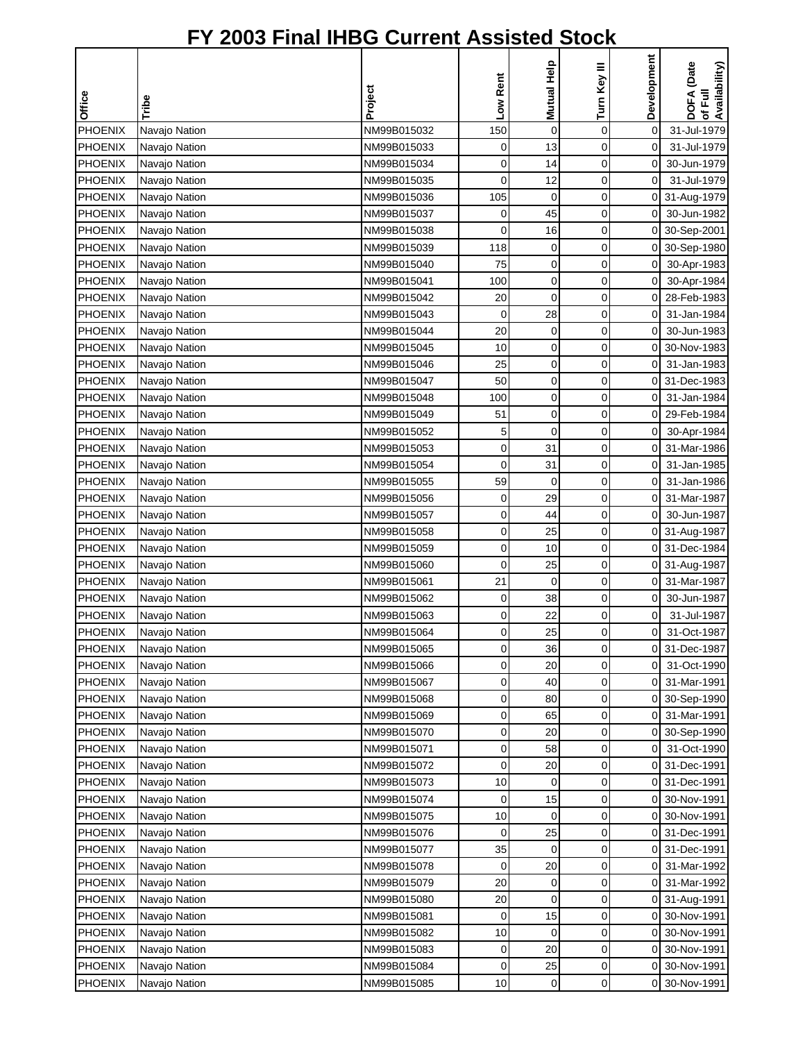|                |               |             |          |             |              | Development         |                                        |
|----------------|---------------|-------------|----------|-------------|--------------|---------------------|----------------------------------------|
|                |               |             | Low Rent | Mutual Help | Turn Key III |                     | DOFA (Date<br>of Full<br>Availability) |
| Office         | Tribe         | Project     |          |             |              |                     |                                        |
| PHOENIX        | Navajo Nation | NM99B015032 | 150      | $\pmb{0}$   | $\mathbf 0$  | 0                   | 31-Jul-1979                            |
| <b>PHOENIX</b> | Navajo Nation | NM99B015033 | 0        | 13          | 0            | $\mathsf{O}\xspace$ | 31-Jul-1979                            |
| PHOENIX        | Navajo Nation | NM99B015034 | 0        | 14          | 0            | 0                   | 30-Jun-1979                            |
| PHOENIX        | Navajo Nation | NM99B015035 | 0        | 12          | 0            | $\overline{0}$      | 31-Jul-1979                            |
| <b>PHOENIX</b> | Navajo Nation | NM99B015036 | 105      | 0           | 0            | $\overline{0}$      | 31-Aug-1979                            |
| <b>PHOENIX</b> | Navajo Nation | NM99B015037 | 0        | 45          | 0            | 0                   | 30-Jun-1982                            |
| <b>PHOENIX</b> | Navajo Nation | NM99B015038 | 0        | 16          | 0            | 0                   | 30-Sep-2001                            |
| <b>PHOENIX</b> | Navajo Nation | NM99B015039 | 118      | $\mathbf 0$ | 0            | $\overline{0}$      | 30-Sep-1980                            |
| <b>PHOENIX</b> | Navajo Nation | NM99B015040 | 75       | 0           | 0            | $\overline{0}$      | 30-Apr-1983                            |
| PHOENIX        | Navajo Nation | NM99B015041 | 100      | 0           | 0            | 0                   | 30-Apr-1984                            |
| <b>PHOENIX</b> | Navajo Nation | NM99B015042 | 20       | $\mathbf 0$ | 0            | 0                   | 28-Feb-1983                            |
| PHOENIX        | Navajo Nation | NM99B015043 | 0        | 28          | 0            | 0                   | 31-Jan-1984                            |
| <b>PHOENIX</b> | Navajo Nation | NM99B015044 | 20       | 0           | 0            | 0                   | 30-Jun-1983                            |
| <b>PHOENIX</b> | Navajo Nation | NM99B015045 | 10       | $\mathbf 0$ | 0            | 0                   | 30-Nov-1983                            |
| <b>PHOENIX</b> | Navajo Nation | NM99B015046 | 25       | 0           | 0            | 0                   | 31-Jan-1983                            |
| <b>PHOENIX</b> | Navajo Nation | NM99B015047 | 50       | $\mathbf 0$ | 0            | 0                   | 31-Dec-1983                            |
| PHOENIX        | Navajo Nation | NM99B015048 | 100      | $\pmb{0}$   | 0            | $\overline{O}$      | 31-Jan-1984                            |
| <b>PHOENIX</b> | Navajo Nation | NM99B015049 | 51       | $\mathbf 0$ | 0            | 0                   | 29-Feb-1984                            |
| <b>PHOENIX</b> | Navajo Nation | NM99B015052 | 5        | $\mathbf 0$ | 0            | $\overline{0}$      | 30-Apr-1984                            |
| PHOENIX        | Navajo Nation | NM99B015053 | 0        | 31          | 0            | $\overline{0}$      | 31-Mar-1986                            |
| <b>PHOENIX</b> | Navajo Nation | NM99B015054 | 0        | 31          | 0            | $\overline{0}$      | 31-Jan-1985                            |
| <b>PHOENIX</b> | Navajo Nation | NM99B015055 | 59       | 0           | 0            | 0                   | 31-Jan-1986                            |
| <b>PHOENIX</b> | Navajo Nation | NM99B015056 | 0        | 29          | 0            | 0                   | 31-Mar-1987                            |
| <b>PHOENIX</b> | Navajo Nation | NM99B015057 | 0        | 44          | 0            | 0                   | 30-Jun-1987                            |
| PHOENIX        | Navajo Nation | NM99B015058 | 0        | 25          | 0            |                     | 0 31-Aug-1987                          |
| <b>PHOENIX</b> | Navajo Nation | NM99B015059 | 0        | 10          | 0            |                     | 0 31-Dec-1984                          |
| <b>PHOENIX</b> | Navajo Nation | NM99B015060 | 0        | 25          | 0            |                     | 0 31-Aug-1987                          |
| PHOENIX        | Navajo Nation | NM99B015061 | 21       | 0           | 0            | 0                   | 31-Mar-1987                            |
| <b>PHOENIX</b> | Navajo Nation | NM99B015062 | 0        | 38          | 0            | 0                   | 30-Jun-1987                            |
| <b>PHOENIX</b> | Navajo Nation | NM99B015063 | 0        | 22          | 0            | 0                   | 31-Jul-1987                            |
| <b>PHOENIX</b> | Navajo Nation | NM99B015064 | $\Omega$ | 25          | $\Omega$     | οI                  | 31-Oct-1987                            |
| PHOENIX        | Navajo Nation | NM99B015065 | 0        | 36          | 0            | 01                  | 31-Dec-1987                            |
| <b>PHOENIX</b> | Navajo Nation | NM99B015066 | 0        | 20          | 0            | 0                   | 31-Oct-1990                            |
| <b>PHOENIX</b> | Navajo Nation | NM99B015067 | 0        | 40          | 0            | 0                   | 31-Mar-1991                            |
| <b>PHOENIX</b> | Navajo Nation | NM99B015068 | 0        | 80          | 0            | 0                   | 30-Sep-1990                            |
| <b>PHOENIX</b> | Navajo Nation | NM99B015069 | 0        | 65          | 0            | 0                   | 31-Mar-1991                            |
| <b>PHOENIX</b> | Navajo Nation | NM99B015070 | 0        | 20          | 0            | 01                  | 30-Sep-1990                            |
| PHOENIX        | Navajo Nation | NM99B015071 | 0        | 58          | 0            | 0                   | 31-Oct-1990                            |
| <b>PHOENIX</b> | Navajo Nation | NM99B015072 | 0        | 20          | 0            | 0                   | 31-Dec-1991                            |
| <b>PHOENIX</b> | Navajo Nation | NM99B015073 | 10       | 0           | 0            | 0                   | 31-Dec-1991                            |
| PHOENIX        | Navajo Nation | NM99B015074 | 0        | 15          | 0            | 0                   | 30-Nov-1991                            |
| <b>PHOENIX</b> | Navajo Nation | NM99B015075 | 10       | 0           | 0            |                     | 0 30-Nov-1991                          |
| <b>PHOENIX</b> | Navajo Nation | NM99B015076 | 0        | 25          | 0            |                     | 0 31-Dec-1991                          |
| <b>PHOENIX</b> | Navajo Nation | NM99B015077 | 35       | 0           | 0            |                     | 0 31-Dec-1991                          |
| <b>PHOENIX</b> | Navajo Nation | NM99B015078 | 0        | 20          | 0            | 01                  | 31-Mar-1992                            |
| <b>PHOENIX</b> | Navajo Nation | NM99B015079 | 20       | 0           | 0            |                     | 0 31-Mar-1992                          |
| PHOENIX        | Navajo Nation | NM99B015080 | 20       | 0           | 0            | 0                   | 31-Aug-1991                            |
| <b>PHOENIX</b> | Navajo Nation | NM99B015081 | 0        | 15          | 0            | 0                   | 30-Nov-1991                            |
| <b>PHOENIX</b> | Navajo Nation | NM99B015082 | 10       | $\mathbf 0$ | 0            | 0                   | 30-Nov-1991                            |
| <b>PHOENIX</b> | Navajo Nation | NM99B015083 | 0        | 20          | 0            | οI                  | 30-Nov-1991                            |
| <b>PHOENIX</b> | Navajo Nation | NM99B015084 | 0        | 25          | 0            |                     | 0 30-Nov-1991                          |
| <b>PHOENIX</b> | Navajo Nation | NM99B015085 | 10       | 0           | 0            |                     | 0 30-Nov-1991                          |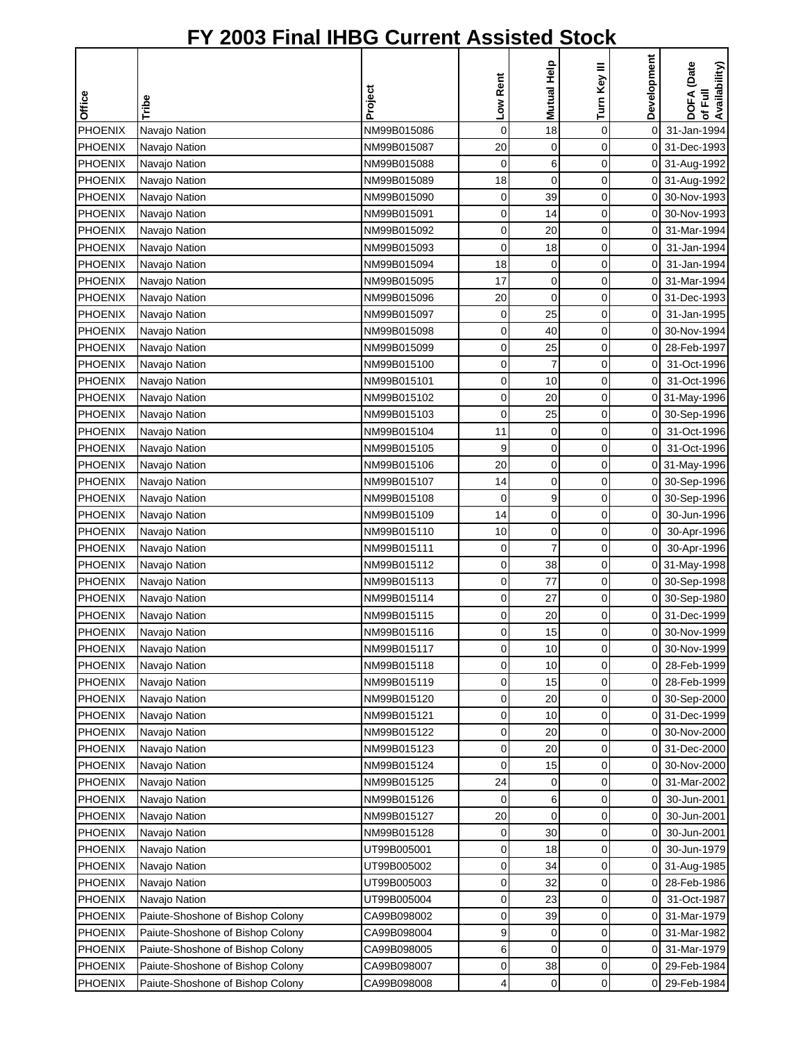|                |                                  |             | Low Rent    | Mutual Help    | Turn Key III | Development         | DOFA (Date<br>of Full<br>Availability) |
|----------------|----------------------------------|-------------|-------------|----------------|--------------|---------------------|----------------------------------------|
| Office         | Tribe                            | Project     |             |                |              |                     |                                        |
| <b>PHOENIX</b> | Navajo Nation                    | NM99B015086 | $\mathbf 0$ | 18             | $\mathbf 0$  | $\mathsf{O}\xspace$ | 31-Jan-1994                            |
| <b>PHOENIX</b> | Navajo Nation                    | NM99B015087 | 20          | 0              | 0            |                     | 0 31-Dec-1993                          |
| PHOENIX        | Navajo Nation                    | NM99B015088 | 0           | 6              | $\mathbf 0$  |                     | 0 31-Aug-1992                          |
| PHOENIX        | Navajo Nation                    | NM99B015089 | 18          | $\mathbf 0$    | $\mathbf 0$  |                     | 0 31-Aug-1992                          |
| <b>PHOENIX</b> | Navajo Nation                    | NM99B015090 | 0           | 39             | 0            | $\overline{0}$      | 30-Nov-1993                            |
| <b>PHOENIX</b> | Navajo Nation                    | NM99B015091 | 0           | 14             | 0            | 0                   | 30-Nov-1993                            |
| <b>PHOENIX</b> | Navajo Nation                    | NM99B015092 | 0           | 20             | 0            | 0                   | 31-Mar-1994                            |
| <b>PHOENIX</b> | Navajo Nation                    | NM99B015093 | $\mathbf 0$ | 18             | 0            | $\mathbf 0$         | 31-Jan-1994                            |
| <b>PHOENIX</b> | Navajo Nation                    | NM99B015094 | 18          | 0              | 0            | $\overline{0}$      | 31-Jan-1994                            |
| <b>PHOENIX</b> | Navajo Nation                    | NM99B015095 | 17          | $\mathbf 0$    | 0            | ΟI                  | 31-Mar-1994                            |
| PHOENIX        | Navajo Nation                    | NM99B015096 | 20          | $\mathbf 0$    | 0            |                     | 0 31-Dec-1993                          |
| PHOENIX        | Navajo Nation                    | NM99B015097 | 0           | 25             | $\mathbf 0$  | 0                   | 31-Jan-1995                            |
| <b>PHOENIX</b> | Navajo Nation                    | NM99B015098 | 0           | 40             | $\mathbf 0$  | $\overline{0}$      | 30-Nov-1994                            |
| <b>PHOENIX</b> | Navajo Nation                    | NM99B015099 | 0           | 25             | 0            | $\overline{0}$      | 28-Feb-1997                            |
| <b>PHOENIX</b> | Navajo Nation                    | NM99B015100 | 0           | $\overline{7}$ | 0            | $\mathbf 0$         | 31-Oct-1996                            |
| <b>PHOENIX</b> | Navajo Nation                    | NM99B015101 | 0           | 10             | 0            | $\overline{0}$      | 31-Oct-1996                            |
| <b>PHOENIX</b> | Navajo Nation                    | NM99B015102 | 0           | 20             | 0            |                     | 0 31-May-1996                          |
| <b>PHOENIX</b> | Navajo Nation                    | NM99B015103 | 0           | 25             | $\mathbf 0$  |                     | 0 30-Sep-1996                          |
| <b>PHOENIX</b> | Navajo Nation                    | NM99B015104 | 11          | 0              | 0            | $\overline{O}$      | 31-Oct-1996                            |
| PHOENIX        | Navajo Nation                    | NM99B015105 | 9           | $\mathbf 0$    | $\mathbf 0$  | $\overline{0}$      | 31-Oct-1996                            |
| <b>PHOENIX</b> | Navajo Nation                    | NM99B015106 | 20          | 0              | $\mathbf 0$  |                     | 0 31-May-1996                          |
| <b>PHOENIX</b> | Navajo Nation                    | NM99B015107 | 14          | $\mathbf 0$    | $\mathbf 0$  | $\overline{0}$      | 30-Sep-1996                            |
| <b>PHOENIX</b> | Navajo Nation                    | NM99B015108 | 0           | 9              | 0            | 0                   | 30-Sep-1996                            |
| <b>PHOENIX</b> | Navajo Nation                    | NM99B015109 | 14          | $\mathbf 0$    | 0            | $\mathbf 0$         | 30-Jun-1996                            |
| PHOENIX        | Navajo Nation                    | NM99B015110 | 10          | $\mathbf 0$    | 0            | $\overline{0}$      | 30-Apr-1996                            |
| <b>PHOENIX</b> | Navajo Nation                    | NM99B015111 | 0           | $\overline{7}$ | 0            | $\overline{0}$      | 30-Apr-1996                            |
| <b>PHOENIX</b> | Navajo Nation                    | NM99B015112 | 0           | 38             | 0            |                     | 0 31-May-1998                          |
| PHOENIX        | Navajo Nation                    | NM99B015113 | 0           | 77             | 0            |                     | 0 30-Sep-1998                          |
| <b>PHOENIX</b> | Navajo Nation                    | NM99B015114 | $\mathbf 0$ | 27             | 0            | 01                  | 30-Sep-1980                            |
| <b>PHOENIX</b> | Navajo Nation                    | NM99B015115 | 0           | 20             | 0            | ΟI                  | 31-Dec-1999                            |
| <b>PHOENIX</b> | Navajo Nation                    | NM99B015116 | $\Omega$    | 15             | $\Omega$     | οI                  | 30-Nov-1999                            |
| PHOENIX        | Navajo Nation                    | NM99B015117 | 0           | 10             | 0            | οI                  | 30-Nov-1999                            |
| <b>PHOENIX</b> | Navajo Nation                    | NM99B015118 | 0           | 10             | 0            | ΟI                  | 28-Feb-1999                            |
| <b>PHOENIX</b> | Navajo Nation                    | NM99B015119 | 0           | 15             | 0            | οI                  | 28-Feb-1999                            |
| <b>PHOENIX</b> | Navajo Nation                    | NM99B015120 | 0           | 20             | 0            |                     | 0 30-Sep-2000                          |
| PHOENIX        | Navajo Nation                    | NM99B015121 | 0           | 10             | 0            |                     | 0 31-Dec-1999                          |
| <b>PHOENIX</b> | Navajo Nation                    | NM99B015122 | 0           | 20             | 0            |                     | 0 30-Nov-2000                          |
| PHOENIX        | Navajo Nation                    | NM99B015123 | 0           | 20             | 0            | 01                  | 31-Dec-2000                            |
| <b>PHOENIX</b> | Navajo Nation                    | NM99B015124 | 0           | 15             | 0            | 0                   | 30-Nov-2000                            |
| <b>PHOENIX</b> | Navajo Nation                    | NM99B015125 | 24          | 0              | 0            | $\overline{0}$      | 31-Mar-2002                            |
| PHOENIX        | Navajo Nation                    | NM99B015126 | 0           | 6              | 0            | $\overline{0}$      | 30-Jun-2001                            |
| <b>PHOENIX</b> | Navajo Nation                    | NM99B015127 | 20          | $\mathbf 0$    | 0            | $\overline{0}$      | 30-Jun-2001                            |
| <b>PHOENIX</b> | Navajo Nation                    | NM99B015128 | 0           | 30             | 0            | ΟI                  | 30-Jun-2001                            |
| <b>PHOENIX</b> | Navajo Nation                    | UT99B005001 | 0           | 18             | 0            | 0I                  | 30-Jun-1979                            |
| <b>PHOENIX</b> | Navajo Nation                    | UT99B005002 | 0           | 34             | 0            |                     | 0 31-Aug-1985                          |
| PHOENIX        | Navajo Nation                    | UT99B005003 | 0           | 32             | 0            | οI                  | 28-Feb-1986                            |
| PHOENIX        | Navajo Nation                    | UT99B005004 | 0           | 23             | 0            | 0                   | 31-Oct-1987                            |
| <b>PHOENIX</b> | Paiute-Shoshone of Bishop Colony | CA99B098002 | 0           | 39             | 0            | 0                   | 31-Mar-1979                            |
| PHOENIX        | Paiute-Shoshone of Bishop Colony | CA99B098004 | 9           | 0              | 0            | 01                  | 31-Mar-1982                            |
| <b>PHOENIX</b> | Paiute-Shoshone of Bishop Colony | CA99B098005 | 6           | 0              | 0            | οI                  | 31-Mar-1979                            |
| <b>PHOENIX</b> | Paiute-Shoshone of Bishop Colony | CA99B098007 | 0           | 38             | 0            | οI                  | 29-Feb-1984                            |
| PHOENIX        | Paiute-Shoshone of Bishop Colony | CA99B098008 | 4           | 0              | 0            | 0                   | 29-Feb-1984                            |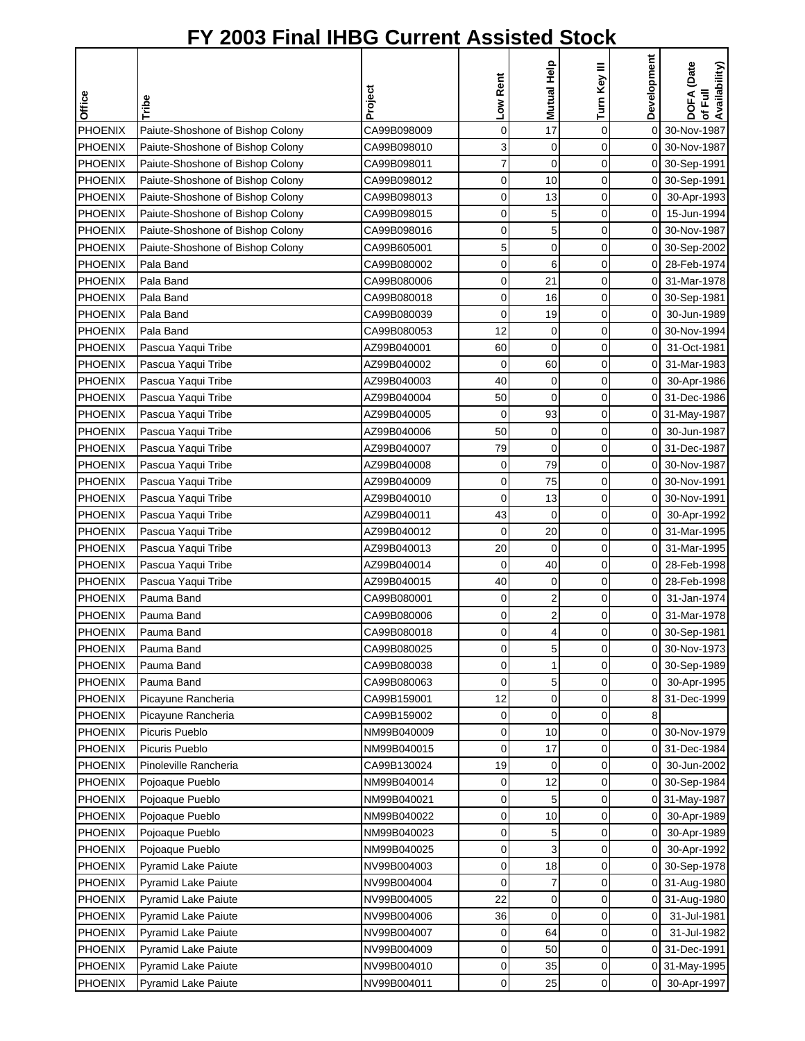| Development<br>Mutual Help<br>DOFA (Date<br>of Full<br>Availability)<br>Turn Key III<br>Low Rent<br>Project<br>Office<br>Tribe<br>17<br><b>PHOENIX</b><br>0<br>$\mathbf 0$<br>0<br>CA99B098009<br>30-Nov-1987<br>Paiute-Shoshone of Bishop Colony<br>3<br><b>PHOENIX</b><br>0<br>0<br>Paiute-Shoshone of Bishop Colony<br>CA99B098010<br>0 30-Nov-1987<br>7<br>$\overline{0}$<br>0<br>PHOENIX<br>Paiute-Shoshone of Bishop Colony<br>CA99B098011<br>0 30-Sep-1991<br>0<br><b>PHOENIX</b><br>0<br>10<br>0 30-Sep-1991<br>Paiute-Shoshone of Bishop Colony<br>CA99B098012<br><b>PHOENIX</b><br>0<br>13<br>0<br>Paiute-Shoshone of Bishop Colony<br>CA99B098013<br>$\overline{0}$<br>30-Apr-1993<br><b>PHOENIX</b><br>Paiute-Shoshone of Bishop Colony<br>CA99B098015<br>0<br>5<br>0<br>οI<br>15-Jun-1994<br>5<br>0<br>0<br>30-Nov-1987<br><b>PHOENIX</b><br>Paiute-Shoshone of Bishop Colony<br>CA99B098016<br>οI<br>PHOENIX<br>5<br>0<br>Paiute-Shoshone of Bishop Colony<br>CA99B605001<br>0<br>0 30-Sep-2002<br>0<br><b>PHOENIX</b><br>CA99B080002<br>6<br>0<br>0 28-Feb-1974<br>Pala Band<br>Pala Band<br>0<br>21<br>0<br>0 31-Mar-1978<br>PHOENIX<br>CA99B080006<br><b>PHOENIX</b><br>Pala Band<br>0<br>16<br>0<br>0 30-Sep-1981<br>CA99B080018<br>0<br>0<br>PHOENIX<br>Pala Band<br>CA99B080039<br>19<br>30-Jun-1989<br>0I<br><b>PHOENIX</b><br>Pala Band<br>12<br>0<br>0<br>30-Nov-1994<br>CA99B080053<br>0<br>$\overline{0}$<br>60<br>0<br><b>PHOENIX</b><br>Pascua Yaqui Tribe<br>AZ99B040001<br>0<br>31-Oct-1981<br>PHOENIX<br>Pascua Yaqui Tribe<br>AZ99B040002<br>0<br>60<br>0<br>31-Mar-1983<br>0<br>$\mathbf 0$<br>0<br><b>PHOENIX</b><br>Pascua Yaqui Tribe<br>AZ99B040003<br>40<br>$\overline{0}$<br>30-Apr-1986<br><b>PHOENIX</b><br>$\mathbf 0$<br>0<br>0 31-Dec-1986<br>Pascua Yaqui Tribe<br>AZ99B040004<br>50<br>0<br>Pascua Yaqui Tribe<br>93<br>0<br><b>PHOENIX</b><br>AZ99B040005<br>0 31-May-1987<br>Pascua Yaqui Tribe<br>50<br>0<br>0<br>30-Jun-1987<br>PHOENIX<br>AZ99B040006<br>01<br>$\overline{0}$<br>0<br><b>PHOENIX</b><br>Pascua Yaqui Tribe<br>AZ99B040007<br>79<br>31-Dec-1987<br>0<br>79<br>0<br><b>PHOENIX</b><br>0<br>Pascua Yaqui Tribe<br>AZ99B040008<br>0<br>30-Nov-1987<br>75<br><b>PHOENIX</b><br>0<br>0<br>30-Nov-1991<br>Pascua Yaqui Tribe<br>AZ99B040009<br>0<br><b>PHOENIX</b><br>Pascua Yaqui Tribe<br>AZ99B040010<br>0<br>13<br>0<br>30-Nov-1991<br>0<br>PHOENIX<br>AZ99B040011<br>43<br>$\mathbf 0$<br>0<br>$\overline{0}$<br>30-Apr-1992<br>Pascua Yaqui Tribe<br>PHOENIX<br>0<br>Pascua Yaqui Tribe<br>AZ99B040012<br>0<br>20<br>οI<br>31-Mar-1995<br><b>PHOENIX</b><br>Pascua Yaqui Tribe<br>$\mathbf 0$<br>0<br>0 31-Mar-1995<br>AZ99B040013<br>20<br>Pascua Yaqui Tribe<br>AZ99B040014<br>$\mathbf 0$<br>40<br>0<br>0 28-Feb-1998<br>PHOENIX<br>40<br>0<br>PHOENIX<br>Pascua Yaqui Tribe<br>AZ99B040015<br>0<br>28-Feb-1998<br>0<br>$\overline{c}$<br>0<br><b>PHOENIX</b><br>Pauma Band<br>CA99B080001<br>0<br>31-Jan-1974<br>0<br><b>PHOENIX</b><br>$\overline{c}$<br>Pauma Band<br>CA99B080006<br>0<br>0<br>31-Mar-1978<br>0<br><b>PHOENIX</b><br>$\overline{\mathbf{4}}$<br>$\Omega$<br>Pauma Band<br>CA99B080018<br>$\Omega$<br>0 30-Sep-1981<br>0<br>5<br>PHOENIX<br>CA99B080025<br>0<br>Pauma Band<br>30-Nov-1973<br>01<br><b>PHOENIX</b><br>CA99B080038<br>0<br>0<br>0 30-Sep-1989<br>Pauma Band<br>1<br><b>PHOENIX</b><br>CA99B080063<br>0<br>5<br>Pauma Band<br>0<br>01<br>30-Apr-1995<br>0<br>0<br><b>PHOENIX</b><br>Picayune Rancheria<br>CA99B159001<br>12<br>8 31-Dec-1999<br>CA99B159002<br>$\mathbf 0$<br>0<br><b>PHOENIX</b><br>Picayune Rancheria<br>0<br>8<br>PHOENIX<br>Picuris Pueblo<br>0<br>10<br>0<br>30-Nov-1979<br>NM99B040009<br>01<br>PHOENIX<br>Picuris Pueblo<br>0<br>17<br>0<br>NM99B040015<br>31-Dec-1984<br>0<br>19<br><b>PHOENIX</b><br>Pinoleville Rancheria<br>CA99B130024<br>0<br>0<br>30-Jun-2002<br>0<br><b>PHOENIX</b><br>Pojoaque Pueblo<br>NM99B040014<br>0<br>12<br>0<br>30-Sep-1984<br>0<br>0<br>5<br>0<br><b>PHOENIX</b><br>NM99B040021<br>Pojoaque Pueblo<br>0 31-May-1987<br><b>PHOENIX</b><br>0<br>0<br>Pojoaque Pueblo<br>NM99B040022<br>10<br>0I<br>30-Apr-1989<br>0<br>5<br><b>PHOENIX</b><br>Pojoaque Pueblo<br>NM99B040023<br>0<br>οI<br>30-Apr-1989<br>0<br>3<br>0<br><b>PHOENIX</b><br>Pojoaque Pueblo<br>NM99B040025<br>30-Apr-1992<br>01<br>0<br>NV99B004003<br>0<br>18<br>PHOENIX<br>Pyramid Lake Paiute<br>0 30-Sep-1978<br><b>PHOENIX</b><br>0<br>7<br>0<br><b>Pyramid Lake Paiute</b><br>NV99B004004<br>0 31-Aug-1980<br>22<br>0<br><b>PHOENIX</b><br><b>Pyramid Lake Paiute</b><br>NV99B004005<br>0<br>31-Aug-1980<br>0<br><b>PHOENIX</b><br>NV99B004006<br>$\mathbf 0$<br>0<br><b>Pyramid Lake Paiute</b><br>36<br>0<br>31-Jul-1981<br>PHOENIX<br>NV99B004007<br>0<br>64<br>0<br>31-Jul-1982<br>Pyramid Lake Paiute<br>0<br>PHOENIX<br>NV99B004009<br>0<br>0<br>0 31-Dec-1991<br><b>Pyramid Lake Paiute</b><br>50<br><b>PHOENIX</b><br>NV99B004010<br><b>Pyramid Lake Paiute</b><br>0<br>0<br>0 31-May-1995<br>35<br><b>PHOENIX</b><br>0<br>25<br>0<br>Pyramid Lake Paiute<br>NV99B004011<br>οI<br>30-Apr-1997 |  |  |  |  |
|-------------------------------------------------------------------------------------------------------------------------------------------------------------------------------------------------------------------------------------------------------------------------------------------------------------------------------------------------------------------------------------------------------------------------------------------------------------------------------------------------------------------------------------------------------------------------------------------------------------------------------------------------------------------------------------------------------------------------------------------------------------------------------------------------------------------------------------------------------------------------------------------------------------------------------------------------------------------------------------------------------------------------------------------------------------------------------------------------------------------------------------------------------------------------------------------------------------------------------------------------------------------------------------------------------------------------------------------------------------------------------------------------------------------------------------------------------------------------------------------------------------------------------------------------------------------------------------------------------------------------------------------------------------------------------------------------------------------------------------------------------------------------------------------------------------------------------------------------------------------------------------------------------------------------------------------------------------------------------------------------------------------------------------------------------------------------------------------------------------------------------------------------------------------------------------------------------------------------------------------------------------------------------------------------------------------------------------------------------------------------------------------------------------------------------------------------------------------------------------------------------------------------------------------------------------------------------------------------------------------------------------------------------------------------------------------------------------------------------------------------------------------------------------------------------------------------------------------------------------------------------------------------------------------------------------------------------------------------------------------------------------------------------------------------------------------------------------------------------------------------------------------------------------------------------------------------------------------------------------------------------------------------------------------------------------------------------------------------------------------------------------------------------------------------------------------------------------------------------------------------------------------------------------------------------------------------------------------------------------------------------------------------------------------------------------------------------------------------------------------------------------------------------------------------------------------------------------------------------------------------------------------------------------------------------------------------------------------------------------------------------------------------------------------------------------------------------------------------------------------------------------------------------------------------------------------------------------------------------------------------------------------------------------------------------------------------------------------------------------------------------------------------------------------------------------------------------------------------------------------------------------------------------------------------------------------------------------------------------------------------------------------------------------------------------------------------------------------------------------------------------------------------------------------------------------------------------------------------------------------------------------------------------------------------------------------------------------------------------------------------------------------------------------------------------------------------------------------------------------------------------------|--|--|--|--|
|                                                                                                                                                                                                                                                                                                                                                                                                                                                                                                                                                                                                                                                                                                                                                                                                                                                                                                                                                                                                                                                                                                                                                                                                                                                                                                                                                                                                                                                                                                                                                                                                                                                                                                                                                                                                                                                                                                                                                                                                                                                                                                                                                                                                                                                                                                                                                                                                                                                                                                                                                                                                                                                                                                                                                                                                                                                                                                                                                                                                                                                                                                                                                                                                                                                                                                                                                                                                                                                                                                                                                                                                                                                                                                                                                                                                                                                                                                                                                                                                                                                                                                                                                                                                                                                                                                                                                                                                                                                                                                                                                                                                                                                                                                                                                                                                                                                                                                                                                                                                                                                                                                                                     |  |  |  |  |
|                                                                                                                                                                                                                                                                                                                                                                                                                                                                                                                                                                                                                                                                                                                                                                                                                                                                                                                                                                                                                                                                                                                                                                                                                                                                                                                                                                                                                                                                                                                                                                                                                                                                                                                                                                                                                                                                                                                                                                                                                                                                                                                                                                                                                                                                                                                                                                                                                                                                                                                                                                                                                                                                                                                                                                                                                                                                                                                                                                                                                                                                                                                                                                                                                                                                                                                                                                                                                                                                                                                                                                                                                                                                                                                                                                                                                                                                                                                                                                                                                                                                                                                                                                                                                                                                                                                                                                                                                                                                                                                                                                                                                                                                                                                                                                                                                                                                                                                                                                                                                                                                                                                                     |  |  |  |  |
|                                                                                                                                                                                                                                                                                                                                                                                                                                                                                                                                                                                                                                                                                                                                                                                                                                                                                                                                                                                                                                                                                                                                                                                                                                                                                                                                                                                                                                                                                                                                                                                                                                                                                                                                                                                                                                                                                                                                                                                                                                                                                                                                                                                                                                                                                                                                                                                                                                                                                                                                                                                                                                                                                                                                                                                                                                                                                                                                                                                                                                                                                                                                                                                                                                                                                                                                                                                                                                                                                                                                                                                                                                                                                                                                                                                                                                                                                                                                                                                                                                                                                                                                                                                                                                                                                                                                                                                                                                                                                                                                                                                                                                                                                                                                                                                                                                                                                                                                                                                                                                                                                                                                     |  |  |  |  |
|                                                                                                                                                                                                                                                                                                                                                                                                                                                                                                                                                                                                                                                                                                                                                                                                                                                                                                                                                                                                                                                                                                                                                                                                                                                                                                                                                                                                                                                                                                                                                                                                                                                                                                                                                                                                                                                                                                                                                                                                                                                                                                                                                                                                                                                                                                                                                                                                                                                                                                                                                                                                                                                                                                                                                                                                                                                                                                                                                                                                                                                                                                                                                                                                                                                                                                                                                                                                                                                                                                                                                                                                                                                                                                                                                                                                                                                                                                                                                                                                                                                                                                                                                                                                                                                                                                                                                                                                                                                                                                                                                                                                                                                                                                                                                                                                                                                                                                                                                                                                                                                                                                                                     |  |  |  |  |
|                                                                                                                                                                                                                                                                                                                                                                                                                                                                                                                                                                                                                                                                                                                                                                                                                                                                                                                                                                                                                                                                                                                                                                                                                                                                                                                                                                                                                                                                                                                                                                                                                                                                                                                                                                                                                                                                                                                                                                                                                                                                                                                                                                                                                                                                                                                                                                                                                                                                                                                                                                                                                                                                                                                                                                                                                                                                                                                                                                                                                                                                                                                                                                                                                                                                                                                                                                                                                                                                                                                                                                                                                                                                                                                                                                                                                                                                                                                                                                                                                                                                                                                                                                                                                                                                                                                                                                                                                                                                                                                                                                                                                                                                                                                                                                                                                                                                                                                                                                                                                                                                                                                                     |  |  |  |  |
|                                                                                                                                                                                                                                                                                                                                                                                                                                                                                                                                                                                                                                                                                                                                                                                                                                                                                                                                                                                                                                                                                                                                                                                                                                                                                                                                                                                                                                                                                                                                                                                                                                                                                                                                                                                                                                                                                                                                                                                                                                                                                                                                                                                                                                                                                                                                                                                                                                                                                                                                                                                                                                                                                                                                                                                                                                                                                                                                                                                                                                                                                                                                                                                                                                                                                                                                                                                                                                                                                                                                                                                                                                                                                                                                                                                                                                                                                                                                                                                                                                                                                                                                                                                                                                                                                                                                                                                                                                                                                                                                                                                                                                                                                                                                                                                                                                                                                                                                                                                                                                                                                                                                     |  |  |  |  |
|                                                                                                                                                                                                                                                                                                                                                                                                                                                                                                                                                                                                                                                                                                                                                                                                                                                                                                                                                                                                                                                                                                                                                                                                                                                                                                                                                                                                                                                                                                                                                                                                                                                                                                                                                                                                                                                                                                                                                                                                                                                                                                                                                                                                                                                                                                                                                                                                                                                                                                                                                                                                                                                                                                                                                                                                                                                                                                                                                                                                                                                                                                                                                                                                                                                                                                                                                                                                                                                                                                                                                                                                                                                                                                                                                                                                                                                                                                                                                                                                                                                                                                                                                                                                                                                                                                                                                                                                                                                                                                                                                                                                                                                                                                                                                                                                                                                                                                                                                                                                                                                                                                                                     |  |  |  |  |
|                                                                                                                                                                                                                                                                                                                                                                                                                                                                                                                                                                                                                                                                                                                                                                                                                                                                                                                                                                                                                                                                                                                                                                                                                                                                                                                                                                                                                                                                                                                                                                                                                                                                                                                                                                                                                                                                                                                                                                                                                                                                                                                                                                                                                                                                                                                                                                                                                                                                                                                                                                                                                                                                                                                                                                                                                                                                                                                                                                                                                                                                                                                                                                                                                                                                                                                                                                                                                                                                                                                                                                                                                                                                                                                                                                                                                                                                                                                                                                                                                                                                                                                                                                                                                                                                                                                                                                                                                                                                                                                                                                                                                                                                                                                                                                                                                                                                                                                                                                                                                                                                                                                                     |  |  |  |  |
|                                                                                                                                                                                                                                                                                                                                                                                                                                                                                                                                                                                                                                                                                                                                                                                                                                                                                                                                                                                                                                                                                                                                                                                                                                                                                                                                                                                                                                                                                                                                                                                                                                                                                                                                                                                                                                                                                                                                                                                                                                                                                                                                                                                                                                                                                                                                                                                                                                                                                                                                                                                                                                                                                                                                                                                                                                                                                                                                                                                                                                                                                                                                                                                                                                                                                                                                                                                                                                                                                                                                                                                                                                                                                                                                                                                                                                                                                                                                                                                                                                                                                                                                                                                                                                                                                                                                                                                                                                                                                                                                                                                                                                                                                                                                                                                                                                                                                                                                                                                                                                                                                                                                     |  |  |  |  |
|                                                                                                                                                                                                                                                                                                                                                                                                                                                                                                                                                                                                                                                                                                                                                                                                                                                                                                                                                                                                                                                                                                                                                                                                                                                                                                                                                                                                                                                                                                                                                                                                                                                                                                                                                                                                                                                                                                                                                                                                                                                                                                                                                                                                                                                                                                                                                                                                                                                                                                                                                                                                                                                                                                                                                                                                                                                                                                                                                                                                                                                                                                                                                                                                                                                                                                                                                                                                                                                                                                                                                                                                                                                                                                                                                                                                                                                                                                                                                                                                                                                                                                                                                                                                                                                                                                                                                                                                                                                                                                                                                                                                                                                                                                                                                                                                                                                                                                                                                                                                                                                                                                                                     |  |  |  |  |
|                                                                                                                                                                                                                                                                                                                                                                                                                                                                                                                                                                                                                                                                                                                                                                                                                                                                                                                                                                                                                                                                                                                                                                                                                                                                                                                                                                                                                                                                                                                                                                                                                                                                                                                                                                                                                                                                                                                                                                                                                                                                                                                                                                                                                                                                                                                                                                                                                                                                                                                                                                                                                                                                                                                                                                                                                                                                                                                                                                                                                                                                                                                                                                                                                                                                                                                                                                                                                                                                                                                                                                                                                                                                                                                                                                                                                                                                                                                                                                                                                                                                                                                                                                                                                                                                                                                                                                                                                                                                                                                                                                                                                                                                                                                                                                                                                                                                                                                                                                                                                                                                                                                                     |  |  |  |  |
|                                                                                                                                                                                                                                                                                                                                                                                                                                                                                                                                                                                                                                                                                                                                                                                                                                                                                                                                                                                                                                                                                                                                                                                                                                                                                                                                                                                                                                                                                                                                                                                                                                                                                                                                                                                                                                                                                                                                                                                                                                                                                                                                                                                                                                                                                                                                                                                                                                                                                                                                                                                                                                                                                                                                                                                                                                                                                                                                                                                                                                                                                                                                                                                                                                                                                                                                                                                                                                                                                                                                                                                                                                                                                                                                                                                                                                                                                                                                                                                                                                                                                                                                                                                                                                                                                                                                                                                                                                                                                                                                                                                                                                                                                                                                                                                                                                                                                                                                                                                                                                                                                                                                     |  |  |  |  |
|                                                                                                                                                                                                                                                                                                                                                                                                                                                                                                                                                                                                                                                                                                                                                                                                                                                                                                                                                                                                                                                                                                                                                                                                                                                                                                                                                                                                                                                                                                                                                                                                                                                                                                                                                                                                                                                                                                                                                                                                                                                                                                                                                                                                                                                                                                                                                                                                                                                                                                                                                                                                                                                                                                                                                                                                                                                                                                                                                                                                                                                                                                                                                                                                                                                                                                                                                                                                                                                                                                                                                                                                                                                                                                                                                                                                                                                                                                                                                                                                                                                                                                                                                                                                                                                                                                                                                                                                                                                                                                                                                                                                                                                                                                                                                                                                                                                                                                                                                                                                                                                                                                                                     |  |  |  |  |
|                                                                                                                                                                                                                                                                                                                                                                                                                                                                                                                                                                                                                                                                                                                                                                                                                                                                                                                                                                                                                                                                                                                                                                                                                                                                                                                                                                                                                                                                                                                                                                                                                                                                                                                                                                                                                                                                                                                                                                                                                                                                                                                                                                                                                                                                                                                                                                                                                                                                                                                                                                                                                                                                                                                                                                                                                                                                                                                                                                                                                                                                                                                                                                                                                                                                                                                                                                                                                                                                                                                                                                                                                                                                                                                                                                                                                                                                                                                                                                                                                                                                                                                                                                                                                                                                                                                                                                                                                                                                                                                                                                                                                                                                                                                                                                                                                                                                                                                                                                                                                                                                                                                                     |  |  |  |  |
|                                                                                                                                                                                                                                                                                                                                                                                                                                                                                                                                                                                                                                                                                                                                                                                                                                                                                                                                                                                                                                                                                                                                                                                                                                                                                                                                                                                                                                                                                                                                                                                                                                                                                                                                                                                                                                                                                                                                                                                                                                                                                                                                                                                                                                                                                                                                                                                                                                                                                                                                                                                                                                                                                                                                                                                                                                                                                                                                                                                                                                                                                                                                                                                                                                                                                                                                                                                                                                                                                                                                                                                                                                                                                                                                                                                                                                                                                                                                                                                                                                                                                                                                                                                                                                                                                                                                                                                                                                                                                                                                                                                                                                                                                                                                                                                                                                                                                                                                                                                                                                                                                                                                     |  |  |  |  |
|                                                                                                                                                                                                                                                                                                                                                                                                                                                                                                                                                                                                                                                                                                                                                                                                                                                                                                                                                                                                                                                                                                                                                                                                                                                                                                                                                                                                                                                                                                                                                                                                                                                                                                                                                                                                                                                                                                                                                                                                                                                                                                                                                                                                                                                                                                                                                                                                                                                                                                                                                                                                                                                                                                                                                                                                                                                                                                                                                                                                                                                                                                                                                                                                                                                                                                                                                                                                                                                                                                                                                                                                                                                                                                                                                                                                                                                                                                                                                                                                                                                                                                                                                                                                                                                                                                                                                                                                                                                                                                                                                                                                                                                                                                                                                                                                                                                                                                                                                                                                                                                                                                                                     |  |  |  |  |
|                                                                                                                                                                                                                                                                                                                                                                                                                                                                                                                                                                                                                                                                                                                                                                                                                                                                                                                                                                                                                                                                                                                                                                                                                                                                                                                                                                                                                                                                                                                                                                                                                                                                                                                                                                                                                                                                                                                                                                                                                                                                                                                                                                                                                                                                                                                                                                                                                                                                                                                                                                                                                                                                                                                                                                                                                                                                                                                                                                                                                                                                                                                                                                                                                                                                                                                                                                                                                                                                                                                                                                                                                                                                                                                                                                                                                                                                                                                                                                                                                                                                                                                                                                                                                                                                                                                                                                                                                                                                                                                                                                                                                                                                                                                                                                                                                                                                                                                                                                                                                                                                                                                                     |  |  |  |  |
|                                                                                                                                                                                                                                                                                                                                                                                                                                                                                                                                                                                                                                                                                                                                                                                                                                                                                                                                                                                                                                                                                                                                                                                                                                                                                                                                                                                                                                                                                                                                                                                                                                                                                                                                                                                                                                                                                                                                                                                                                                                                                                                                                                                                                                                                                                                                                                                                                                                                                                                                                                                                                                                                                                                                                                                                                                                                                                                                                                                                                                                                                                                                                                                                                                                                                                                                                                                                                                                                                                                                                                                                                                                                                                                                                                                                                                                                                                                                                                                                                                                                                                                                                                                                                                                                                                                                                                                                                                                                                                                                                                                                                                                                                                                                                                                                                                                                                                                                                                                                                                                                                                                                     |  |  |  |  |
|                                                                                                                                                                                                                                                                                                                                                                                                                                                                                                                                                                                                                                                                                                                                                                                                                                                                                                                                                                                                                                                                                                                                                                                                                                                                                                                                                                                                                                                                                                                                                                                                                                                                                                                                                                                                                                                                                                                                                                                                                                                                                                                                                                                                                                                                                                                                                                                                                                                                                                                                                                                                                                                                                                                                                                                                                                                                                                                                                                                                                                                                                                                                                                                                                                                                                                                                                                                                                                                                                                                                                                                                                                                                                                                                                                                                                                                                                                                                                                                                                                                                                                                                                                                                                                                                                                                                                                                                                                                                                                                                                                                                                                                                                                                                                                                                                                                                                                                                                                                                                                                                                                                                     |  |  |  |  |
|                                                                                                                                                                                                                                                                                                                                                                                                                                                                                                                                                                                                                                                                                                                                                                                                                                                                                                                                                                                                                                                                                                                                                                                                                                                                                                                                                                                                                                                                                                                                                                                                                                                                                                                                                                                                                                                                                                                                                                                                                                                                                                                                                                                                                                                                                                                                                                                                                                                                                                                                                                                                                                                                                                                                                                                                                                                                                                                                                                                                                                                                                                                                                                                                                                                                                                                                                                                                                                                                                                                                                                                                                                                                                                                                                                                                                                                                                                                                                                                                                                                                                                                                                                                                                                                                                                                                                                                                                                                                                                                                                                                                                                                                                                                                                                                                                                                                                                                                                                                                                                                                                                                                     |  |  |  |  |
|                                                                                                                                                                                                                                                                                                                                                                                                                                                                                                                                                                                                                                                                                                                                                                                                                                                                                                                                                                                                                                                                                                                                                                                                                                                                                                                                                                                                                                                                                                                                                                                                                                                                                                                                                                                                                                                                                                                                                                                                                                                                                                                                                                                                                                                                                                                                                                                                                                                                                                                                                                                                                                                                                                                                                                                                                                                                                                                                                                                                                                                                                                                                                                                                                                                                                                                                                                                                                                                                                                                                                                                                                                                                                                                                                                                                                                                                                                                                                                                                                                                                                                                                                                                                                                                                                                                                                                                                                                                                                                                                                                                                                                                                                                                                                                                                                                                                                                                                                                                                                                                                                                                                     |  |  |  |  |
|                                                                                                                                                                                                                                                                                                                                                                                                                                                                                                                                                                                                                                                                                                                                                                                                                                                                                                                                                                                                                                                                                                                                                                                                                                                                                                                                                                                                                                                                                                                                                                                                                                                                                                                                                                                                                                                                                                                                                                                                                                                                                                                                                                                                                                                                                                                                                                                                                                                                                                                                                                                                                                                                                                                                                                                                                                                                                                                                                                                                                                                                                                                                                                                                                                                                                                                                                                                                                                                                                                                                                                                                                                                                                                                                                                                                                                                                                                                                                                                                                                                                                                                                                                                                                                                                                                                                                                                                                                                                                                                                                                                                                                                                                                                                                                                                                                                                                                                                                                                                                                                                                                                                     |  |  |  |  |
|                                                                                                                                                                                                                                                                                                                                                                                                                                                                                                                                                                                                                                                                                                                                                                                                                                                                                                                                                                                                                                                                                                                                                                                                                                                                                                                                                                                                                                                                                                                                                                                                                                                                                                                                                                                                                                                                                                                                                                                                                                                                                                                                                                                                                                                                                                                                                                                                                                                                                                                                                                                                                                                                                                                                                                                                                                                                                                                                                                                                                                                                                                                                                                                                                                                                                                                                                                                                                                                                                                                                                                                                                                                                                                                                                                                                                                                                                                                                                                                                                                                                                                                                                                                                                                                                                                                                                                                                                                                                                                                                                                                                                                                                                                                                                                                                                                                                                                                                                                                                                                                                                                                                     |  |  |  |  |
|                                                                                                                                                                                                                                                                                                                                                                                                                                                                                                                                                                                                                                                                                                                                                                                                                                                                                                                                                                                                                                                                                                                                                                                                                                                                                                                                                                                                                                                                                                                                                                                                                                                                                                                                                                                                                                                                                                                                                                                                                                                                                                                                                                                                                                                                                                                                                                                                                                                                                                                                                                                                                                                                                                                                                                                                                                                                                                                                                                                                                                                                                                                                                                                                                                                                                                                                                                                                                                                                                                                                                                                                                                                                                                                                                                                                                                                                                                                                                                                                                                                                                                                                                                                                                                                                                                                                                                                                                                                                                                                                                                                                                                                                                                                                                                                                                                                                                                                                                                                                                                                                                                                                     |  |  |  |  |
|                                                                                                                                                                                                                                                                                                                                                                                                                                                                                                                                                                                                                                                                                                                                                                                                                                                                                                                                                                                                                                                                                                                                                                                                                                                                                                                                                                                                                                                                                                                                                                                                                                                                                                                                                                                                                                                                                                                                                                                                                                                                                                                                                                                                                                                                                                                                                                                                                                                                                                                                                                                                                                                                                                                                                                                                                                                                                                                                                                                                                                                                                                                                                                                                                                                                                                                                                                                                                                                                                                                                                                                                                                                                                                                                                                                                                                                                                                                                                                                                                                                                                                                                                                                                                                                                                                                                                                                                                                                                                                                                                                                                                                                                                                                                                                                                                                                                                                                                                                                                                                                                                                                                     |  |  |  |  |
|                                                                                                                                                                                                                                                                                                                                                                                                                                                                                                                                                                                                                                                                                                                                                                                                                                                                                                                                                                                                                                                                                                                                                                                                                                                                                                                                                                                                                                                                                                                                                                                                                                                                                                                                                                                                                                                                                                                                                                                                                                                                                                                                                                                                                                                                                                                                                                                                                                                                                                                                                                                                                                                                                                                                                                                                                                                                                                                                                                                                                                                                                                                                                                                                                                                                                                                                                                                                                                                                                                                                                                                                                                                                                                                                                                                                                                                                                                                                                                                                                                                                                                                                                                                                                                                                                                                                                                                                                                                                                                                                                                                                                                                                                                                                                                                                                                                                                                                                                                                                                                                                                                                                     |  |  |  |  |
|                                                                                                                                                                                                                                                                                                                                                                                                                                                                                                                                                                                                                                                                                                                                                                                                                                                                                                                                                                                                                                                                                                                                                                                                                                                                                                                                                                                                                                                                                                                                                                                                                                                                                                                                                                                                                                                                                                                                                                                                                                                                                                                                                                                                                                                                                                                                                                                                                                                                                                                                                                                                                                                                                                                                                                                                                                                                                                                                                                                                                                                                                                                                                                                                                                                                                                                                                                                                                                                                                                                                                                                                                                                                                                                                                                                                                                                                                                                                                                                                                                                                                                                                                                                                                                                                                                                                                                                                                                                                                                                                                                                                                                                                                                                                                                                                                                                                                                                                                                                                                                                                                                                                     |  |  |  |  |
|                                                                                                                                                                                                                                                                                                                                                                                                                                                                                                                                                                                                                                                                                                                                                                                                                                                                                                                                                                                                                                                                                                                                                                                                                                                                                                                                                                                                                                                                                                                                                                                                                                                                                                                                                                                                                                                                                                                                                                                                                                                                                                                                                                                                                                                                                                                                                                                                                                                                                                                                                                                                                                                                                                                                                                                                                                                                                                                                                                                                                                                                                                                                                                                                                                                                                                                                                                                                                                                                                                                                                                                                                                                                                                                                                                                                                                                                                                                                                                                                                                                                                                                                                                                                                                                                                                                                                                                                                                                                                                                                                                                                                                                                                                                                                                                                                                                                                                                                                                                                                                                                                                                                     |  |  |  |  |
|                                                                                                                                                                                                                                                                                                                                                                                                                                                                                                                                                                                                                                                                                                                                                                                                                                                                                                                                                                                                                                                                                                                                                                                                                                                                                                                                                                                                                                                                                                                                                                                                                                                                                                                                                                                                                                                                                                                                                                                                                                                                                                                                                                                                                                                                                                                                                                                                                                                                                                                                                                                                                                                                                                                                                                                                                                                                                                                                                                                                                                                                                                                                                                                                                                                                                                                                                                                                                                                                                                                                                                                                                                                                                                                                                                                                                                                                                                                                                                                                                                                                                                                                                                                                                                                                                                                                                                                                                                                                                                                                                                                                                                                                                                                                                                                                                                                                                                                                                                                                                                                                                                                                     |  |  |  |  |
|                                                                                                                                                                                                                                                                                                                                                                                                                                                                                                                                                                                                                                                                                                                                                                                                                                                                                                                                                                                                                                                                                                                                                                                                                                                                                                                                                                                                                                                                                                                                                                                                                                                                                                                                                                                                                                                                                                                                                                                                                                                                                                                                                                                                                                                                                                                                                                                                                                                                                                                                                                                                                                                                                                                                                                                                                                                                                                                                                                                                                                                                                                                                                                                                                                                                                                                                                                                                                                                                                                                                                                                                                                                                                                                                                                                                                                                                                                                                                                                                                                                                                                                                                                                                                                                                                                                                                                                                                                                                                                                                                                                                                                                                                                                                                                                                                                                                                                                                                                                                                                                                                                                                     |  |  |  |  |
|                                                                                                                                                                                                                                                                                                                                                                                                                                                                                                                                                                                                                                                                                                                                                                                                                                                                                                                                                                                                                                                                                                                                                                                                                                                                                                                                                                                                                                                                                                                                                                                                                                                                                                                                                                                                                                                                                                                                                                                                                                                                                                                                                                                                                                                                                                                                                                                                                                                                                                                                                                                                                                                                                                                                                                                                                                                                                                                                                                                                                                                                                                                                                                                                                                                                                                                                                                                                                                                                                                                                                                                                                                                                                                                                                                                                                                                                                                                                                                                                                                                                                                                                                                                                                                                                                                                                                                                                                                                                                                                                                                                                                                                                                                                                                                                                                                                                                                                                                                                                                                                                                                                                     |  |  |  |  |
|                                                                                                                                                                                                                                                                                                                                                                                                                                                                                                                                                                                                                                                                                                                                                                                                                                                                                                                                                                                                                                                                                                                                                                                                                                                                                                                                                                                                                                                                                                                                                                                                                                                                                                                                                                                                                                                                                                                                                                                                                                                                                                                                                                                                                                                                                                                                                                                                                                                                                                                                                                                                                                                                                                                                                                                                                                                                                                                                                                                                                                                                                                                                                                                                                                                                                                                                                                                                                                                                                                                                                                                                                                                                                                                                                                                                                                                                                                                                                                                                                                                                                                                                                                                                                                                                                                                                                                                                                                                                                                                                                                                                                                                                                                                                                                                                                                                                                                                                                                                                                                                                                                                                     |  |  |  |  |
|                                                                                                                                                                                                                                                                                                                                                                                                                                                                                                                                                                                                                                                                                                                                                                                                                                                                                                                                                                                                                                                                                                                                                                                                                                                                                                                                                                                                                                                                                                                                                                                                                                                                                                                                                                                                                                                                                                                                                                                                                                                                                                                                                                                                                                                                                                                                                                                                                                                                                                                                                                                                                                                                                                                                                                                                                                                                                                                                                                                                                                                                                                                                                                                                                                                                                                                                                                                                                                                                                                                                                                                                                                                                                                                                                                                                                                                                                                                                                                                                                                                                                                                                                                                                                                                                                                                                                                                                                                                                                                                                                                                                                                                                                                                                                                                                                                                                                                                                                                                                                                                                                                                                     |  |  |  |  |
|                                                                                                                                                                                                                                                                                                                                                                                                                                                                                                                                                                                                                                                                                                                                                                                                                                                                                                                                                                                                                                                                                                                                                                                                                                                                                                                                                                                                                                                                                                                                                                                                                                                                                                                                                                                                                                                                                                                                                                                                                                                                                                                                                                                                                                                                                                                                                                                                                                                                                                                                                                                                                                                                                                                                                                                                                                                                                                                                                                                                                                                                                                                                                                                                                                                                                                                                                                                                                                                                                                                                                                                                                                                                                                                                                                                                                                                                                                                                                                                                                                                                                                                                                                                                                                                                                                                                                                                                                                                                                                                                                                                                                                                                                                                                                                                                                                                                                                                                                                                                                                                                                                                                     |  |  |  |  |
|                                                                                                                                                                                                                                                                                                                                                                                                                                                                                                                                                                                                                                                                                                                                                                                                                                                                                                                                                                                                                                                                                                                                                                                                                                                                                                                                                                                                                                                                                                                                                                                                                                                                                                                                                                                                                                                                                                                                                                                                                                                                                                                                                                                                                                                                                                                                                                                                                                                                                                                                                                                                                                                                                                                                                                                                                                                                                                                                                                                                                                                                                                                                                                                                                                                                                                                                                                                                                                                                                                                                                                                                                                                                                                                                                                                                                                                                                                                                                                                                                                                                                                                                                                                                                                                                                                                                                                                                                                                                                                                                                                                                                                                                                                                                                                                                                                                                                                                                                                                                                                                                                                                                     |  |  |  |  |
|                                                                                                                                                                                                                                                                                                                                                                                                                                                                                                                                                                                                                                                                                                                                                                                                                                                                                                                                                                                                                                                                                                                                                                                                                                                                                                                                                                                                                                                                                                                                                                                                                                                                                                                                                                                                                                                                                                                                                                                                                                                                                                                                                                                                                                                                                                                                                                                                                                                                                                                                                                                                                                                                                                                                                                                                                                                                                                                                                                                                                                                                                                                                                                                                                                                                                                                                                                                                                                                                                                                                                                                                                                                                                                                                                                                                                                                                                                                                                                                                                                                                                                                                                                                                                                                                                                                                                                                                                                                                                                                                                                                                                                                                                                                                                                                                                                                                                                                                                                                                                                                                                                                                     |  |  |  |  |
|                                                                                                                                                                                                                                                                                                                                                                                                                                                                                                                                                                                                                                                                                                                                                                                                                                                                                                                                                                                                                                                                                                                                                                                                                                                                                                                                                                                                                                                                                                                                                                                                                                                                                                                                                                                                                                                                                                                                                                                                                                                                                                                                                                                                                                                                                                                                                                                                                                                                                                                                                                                                                                                                                                                                                                                                                                                                                                                                                                                                                                                                                                                                                                                                                                                                                                                                                                                                                                                                                                                                                                                                                                                                                                                                                                                                                                                                                                                                                                                                                                                                                                                                                                                                                                                                                                                                                                                                                                                                                                                                                                                                                                                                                                                                                                                                                                                                                                                                                                                                                                                                                                                                     |  |  |  |  |
|                                                                                                                                                                                                                                                                                                                                                                                                                                                                                                                                                                                                                                                                                                                                                                                                                                                                                                                                                                                                                                                                                                                                                                                                                                                                                                                                                                                                                                                                                                                                                                                                                                                                                                                                                                                                                                                                                                                                                                                                                                                                                                                                                                                                                                                                                                                                                                                                                                                                                                                                                                                                                                                                                                                                                                                                                                                                                                                                                                                                                                                                                                                                                                                                                                                                                                                                                                                                                                                                                                                                                                                                                                                                                                                                                                                                                                                                                                                                                                                                                                                                                                                                                                                                                                                                                                                                                                                                                                                                                                                                                                                                                                                                                                                                                                                                                                                                                                                                                                                                                                                                                                                                     |  |  |  |  |
|                                                                                                                                                                                                                                                                                                                                                                                                                                                                                                                                                                                                                                                                                                                                                                                                                                                                                                                                                                                                                                                                                                                                                                                                                                                                                                                                                                                                                                                                                                                                                                                                                                                                                                                                                                                                                                                                                                                                                                                                                                                                                                                                                                                                                                                                                                                                                                                                                                                                                                                                                                                                                                                                                                                                                                                                                                                                                                                                                                                                                                                                                                                                                                                                                                                                                                                                                                                                                                                                                                                                                                                                                                                                                                                                                                                                                                                                                                                                                                                                                                                                                                                                                                                                                                                                                                                                                                                                                                                                                                                                                                                                                                                                                                                                                                                                                                                                                                                                                                                                                                                                                                                                     |  |  |  |  |
|                                                                                                                                                                                                                                                                                                                                                                                                                                                                                                                                                                                                                                                                                                                                                                                                                                                                                                                                                                                                                                                                                                                                                                                                                                                                                                                                                                                                                                                                                                                                                                                                                                                                                                                                                                                                                                                                                                                                                                                                                                                                                                                                                                                                                                                                                                                                                                                                                                                                                                                                                                                                                                                                                                                                                                                                                                                                                                                                                                                                                                                                                                                                                                                                                                                                                                                                                                                                                                                                                                                                                                                                                                                                                                                                                                                                                                                                                                                                                                                                                                                                                                                                                                                                                                                                                                                                                                                                                                                                                                                                                                                                                                                                                                                                                                                                                                                                                                                                                                                                                                                                                                                                     |  |  |  |  |
|                                                                                                                                                                                                                                                                                                                                                                                                                                                                                                                                                                                                                                                                                                                                                                                                                                                                                                                                                                                                                                                                                                                                                                                                                                                                                                                                                                                                                                                                                                                                                                                                                                                                                                                                                                                                                                                                                                                                                                                                                                                                                                                                                                                                                                                                                                                                                                                                                                                                                                                                                                                                                                                                                                                                                                                                                                                                                                                                                                                                                                                                                                                                                                                                                                                                                                                                                                                                                                                                                                                                                                                                                                                                                                                                                                                                                                                                                                                                                                                                                                                                                                                                                                                                                                                                                                                                                                                                                                                                                                                                                                                                                                                                                                                                                                                                                                                                                                                                                                                                                                                                                                                                     |  |  |  |  |
|                                                                                                                                                                                                                                                                                                                                                                                                                                                                                                                                                                                                                                                                                                                                                                                                                                                                                                                                                                                                                                                                                                                                                                                                                                                                                                                                                                                                                                                                                                                                                                                                                                                                                                                                                                                                                                                                                                                                                                                                                                                                                                                                                                                                                                                                                                                                                                                                                                                                                                                                                                                                                                                                                                                                                                                                                                                                                                                                                                                                                                                                                                                                                                                                                                                                                                                                                                                                                                                                                                                                                                                                                                                                                                                                                                                                                                                                                                                                                                                                                                                                                                                                                                                                                                                                                                                                                                                                                                                                                                                                                                                                                                                                                                                                                                                                                                                                                                                                                                                                                                                                                                                                     |  |  |  |  |
|                                                                                                                                                                                                                                                                                                                                                                                                                                                                                                                                                                                                                                                                                                                                                                                                                                                                                                                                                                                                                                                                                                                                                                                                                                                                                                                                                                                                                                                                                                                                                                                                                                                                                                                                                                                                                                                                                                                                                                                                                                                                                                                                                                                                                                                                                                                                                                                                                                                                                                                                                                                                                                                                                                                                                                                                                                                                                                                                                                                                                                                                                                                                                                                                                                                                                                                                                                                                                                                                                                                                                                                                                                                                                                                                                                                                                                                                                                                                                                                                                                                                                                                                                                                                                                                                                                                                                                                                                                                                                                                                                                                                                                                                                                                                                                                                                                                                                                                                                                                                                                                                                                                                     |  |  |  |  |
|                                                                                                                                                                                                                                                                                                                                                                                                                                                                                                                                                                                                                                                                                                                                                                                                                                                                                                                                                                                                                                                                                                                                                                                                                                                                                                                                                                                                                                                                                                                                                                                                                                                                                                                                                                                                                                                                                                                                                                                                                                                                                                                                                                                                                                                                                                                                                                                                                                                                                                                                                                                                                                                                                                                                                                                                                                                                                                                                                                                                                                                                                                                                                                                                                                                                                                                                                                                                                                                                                                                                                                                                                                                                                                                                                                                                                                                                                                                                                                                                                                                                                                                                                                                                                                                                                                                                                                                                                                                                                                                                                                                                                                                                                                                                                                                                                                                                                                                                                                                                                                                                                                                                     |  |  |  |  |
|                                                                                                                                                                                                                                                                                                                                                                                                                                                                                                                                                                                                                                                                                                                                                                                                                                                                                                                                                                                                                                                                                                                                                                                                                                                                                                                                                                                                                                                                                                                                                                                                                                                                                                                                                                                                                                                                                                                                                                                                                                                                                                                                                                                                                                                                                                                                                                                                                                                                                                                                                                                                                                                                                                                                                                                                                                                                                                                                                                                                                                                                                                                                                                                                                                                                                                                                                                                                                                                                                                                                                                                                                                                                                                                                                                                                                                                                                                                                                                                                                                                                                                                                                                                                                                                                                                                                                                                                                                                                                                                                                                                                                                                                                                                                                                                                                                                                                                                                                                                                                                                                                                                                     |  |  |  |  |
|                                                                                                                                                                                                                                                                                                                                                                                                                                                                                                                                                                                                                                                                                                                                                                                                                                                                                                                                                                                                                                                                                                                                                                                                                                                                                                                                                                                                                                                                                                                                                                                                                                                                                                                                                                                                                                                                                                                                                                                                                                                                                                                                                                                                                                                                                                                                                                                                                                                                                                                                                                                                                                                                                                                                                                                                                                                                                                                                                                                                                                                                                                                                                                                                                                                                                                                                                                                                                                                                                                                                                                                                                                                                                                                                                                                                                                                                                                                                                                                                                                                                                                                                                                                                                                                                                                                                                                                                                                                                                                                                                                                                                                                                                                                                                                                                                                                                                                                                                                                                                                                                                                                                     |  |  |  |  |
|                                                                                                                                                                                                                                                                                                                                                                                                                                                                                                                                                                                                                                                                                                                                                                                                                                                                                                                                                                                                                                                                                                                                                                                                                                                                                                                                                                                                                                                                                                                                                                                                                                                                                                                                                                                                                                                                                                                                                                                                                                                                                                                                                                                                                                                                                                                                                                                                                                                                                                                                                                                                                                                                                                                                                                                                                                                                                                                                                                                                                                                                                                                                                                                                                                                                                                                                                                                                                                                                                                                                                                                                                                                                                                                                                                                                                                                                                                                                                                                                                                                                                                                                                                                                                                                                                                                                                                                                                                                                                                                                                                                                                                                                                                                                                                                                                                                                                                                                                                                                                                                                                                                                     |  |  |  |  |
|                                                                                                                                                                                                                                                                                                                                                                                                                                                                                                                                                                                                                                                                                                                                                                                                                                                                                                                                                                                                                                                                                                                                                                                                                                                                                                                                                                                                                                                                                                                                                                                                                                                                                                                                                                                                                                                                                                                                                                                                                                                                                                                                                                                                                                                                                                                                                                                                                                                                                                                                                                                                                                                                                                                                                                                                                                                                                                                                                                                                                                                                                                                                                                                                                                                                                                                                                                                                                                                                                                                                                                                                                                                                                                                                                                                                                                                                                                                                                                                                                                                                                                                                                                                                                                                                                                                                                                                                                                                                                                                                                                                                                                                                                                                                                                                                                                                                                                                                                                                                                                                                                                                                     |  |  |  |  |
|                                                                                                                                                                                                                                                                                                                                                                                                                                                                                                                                                                                                                                                                                                                                                                                                                                                                                                                                                                                                                                                                                                                                                                                                                                                                                                                                                                                                                                                                                                                                                                                                                                                                                                                                                                                                                                                                                                                                                                                                                                                                                                                                                                                                                                                                                                                                                                                                                                                                                                                                                                                                                                                                                                                                                                                                                                                                                                                                                                                                                                                                                                                                                                                                                                                                                                                                                                                                                                                                                                                                                                                                                                                                                                                                                                                                                                                                                                                                                                                                                                                                                                                                                                                                                                                                                                                                                                                                                                                                                                                                                                                                                                                                                                                                                                                                                                                                                                                                                                                                                                                                                                                                     |  |  |  |  |
|                                                                                                                                                                                                                                                                                                                                                                                                                                                                                                                                                                                                                                                                                                                                                                                                                                                                                                                                                                                                                                                                                                                                                                                                                                                                                                                                                                                                                                                                                                                                                                                                                                                                                                                                                                                                                                                                                                                                                                                                                                                                                                                                                                                                                                                                                                                                                                                                                                                                                                                                                                                                                                                                                                                                                                                                                                                                                                                                                                                                                                                                                                                                                                                                                                                                                                                                                                                                                                                                                                                                                                                                                                                                                                                                                                                                                                                                                                                                                                                                                                                                                                                                                                                                                                                                                                                                                                                                                                                                                                                                                                                                                                                                                                                                                                                                                                                                                                                                                                                                                                                                                                                                     |  |  |  |  |
|                                                                                                                                                                                                                                                                                                                                                                                                                                                                                                                                                                                                                                                                                                                                                                                                                                                                                                                                                                                                                                                                                                                                                                                                                                                                                                                                                                                                                                                                                                                                                                                                                                                                                                                                                                                                                                                                                                                                                                                                                                                                                                                                                                                                                                                                                                                                                                                                                                                                                                                                                                                                                                                                                                                                                                                                                                                                                                                                                                                                                                                                                                                                                                                                                                                                                                                                                                                                                                                                                                                                                                                                                                                                                                                                                                                                                                                                                                                                                                                                                                                                                                                                                                                                                                                                                                                                                                                                                                                                                                                                                                                                                                                                                                                                                                                                                                                                                                                                                                                                                                                                                                                                     |  |  |  |  |
|                                                                                                                                                                                                                                                                                                                                                                                                                                                                                                                                                                                                                                                                                                                                                                                                                                                                                                                                                                                                                                                                                                                                                                                                                                                                                                                                                                                                                                                                                                                                                                                                                                                                                                                                                                                                                                                                                                                                                                                                                                                                                                                                                                                                                                                                                                                                                                                                                                                                                                                                                                                                                                                                                                                                                                                                                                                                                                                                                                                                                                                                                                                                                                                                                                                                                                                                                                                                                                                                                                                                                                                                                                                                                                                                                                                                                                                                                                                                                                                                                                                                                                                                                                                                                                                                                                                                                                                                                                                                                                                                                                                                                                                                                                                                                                                                                                                                                                                                                                                                                                                                                                                                     |  |  |  |  |
|                                                                                                                                                                                                                                                                                                                                                                                                                                                                                                                                                                                                                                                                                                                                                                                                                                                                                                                                                                                                                                                                                                                                                                                                                                                                                                                                                                                                                                                                                                                                                                                                                                                                                                                                                                                                                                                                                                                                                                                                                                                                                                                                                                                                                                                                                                                                                                                                                                                                                                                                                                                                                                                                                                                                                                                                                                                                                                                                                                                                                                                                                                                                                                                                                                                                                                                                                                                                                                                                                                                                                                                                                                                                                                                                                                                                                                                                                                                                                                                                                                                                                                                                                                                                                                                                                                                                                                                                                                                                                                                                                                                                                                                                                                                                                                                                                                                                                                                                                                                                                                                                                                                                     |  |  |  |  |
|                                                                                                                                                                                                                                                                                                                                                                                                                                                                                                                                                                                                                                                                                                                                                                                                                                                                                                                                                                                                                                                                                                                                                                                                                                                                                                                                                                                                                                                                                                                                                                                                                                                                                                                                                                                                                                                                                                                                                                                                                                                                                                                                                                                                                                                                                                                                                                                                                                                                                                                                                                                                                                                                                                                                                                                                                                                                                                                                                                                                                                                                                                                                                                                                                                                                                                                                                                                                                                                                                                                                                                                                                                                                                                                                                                                                                                                                                                                                                                                                                                                                                                                                                                                                                                                                                                                                                                                                                                                                                                                                                                                                                                                                                                                                                                                                                                                                                                                                                                                                                                                                                                                                     |  |  |  |  |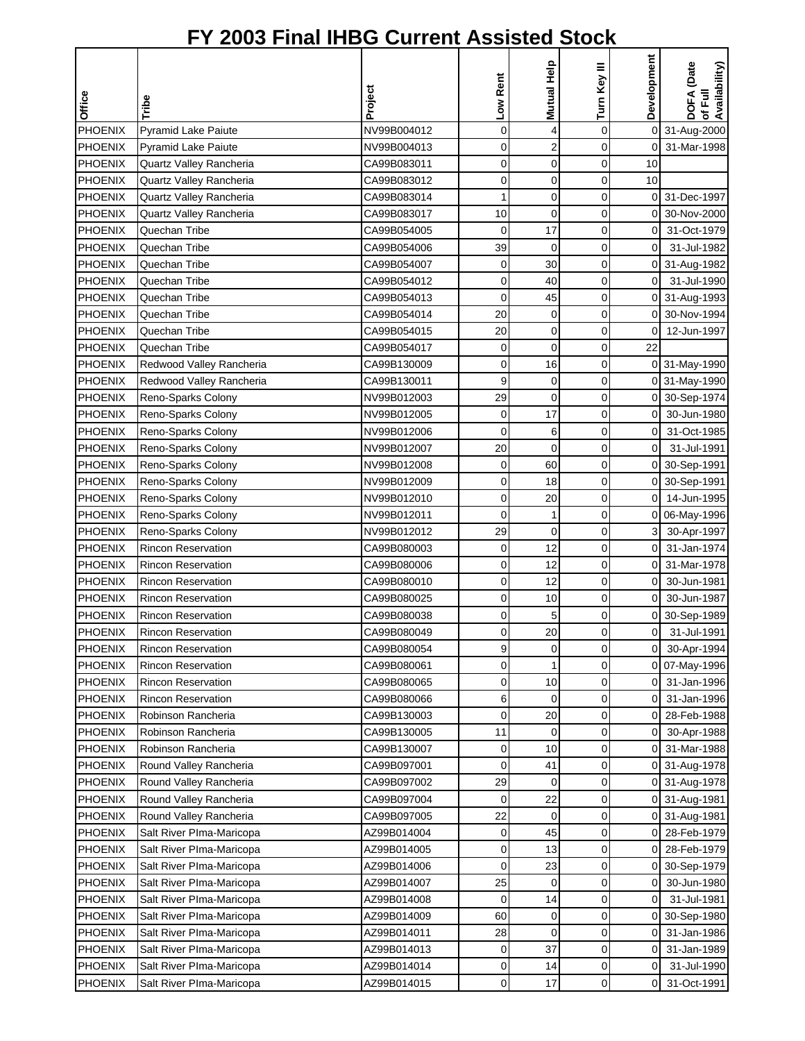|                |                           |             |             | Mutual Help    | Turn Key III | Development    | DOFA (Date<br>Availability) |
|----------------|---------------------------|-------------|-------------|----------------|--------------|----------------|-----------------------------|
|                |                           | Project     | Low Rent    |                |              |                | 쿦                           |
| Office         | Tribe                     |             |             |                |              |                | ৳                           |
| <b>PHOENIX</b> | Pyramid Lake Paiute       | NV99B004012 | 0           | 4              | 0            | $\mathbf 0$    | 31-Aug-2000                 |
| <b>PHOENIX</b> | Pyramid Lake Paiute       | NV99B004013 | 0           | $\mathbf 2$    | 0            | 0              | 31-Mar-1998                 |
| PHOENIX        | Quartz Valley Rancheria   | CA99B083011 | 0           | 0              | 0            | 10             |                             |
| <b>PHOENIX</b> | Quartz Valley Rancheria   | CA99B083012 | 0           | $\mathbf 0$    | $\mathbf 0$  | 10             |                             |
| <b>PHOENIX</b> | Quartz Valley Rancheria   | CA99B083014 | 1           | 0              | 0            | 0              | 31-Dec-1997                 |
| <b>PHOENIX</b> | Quartz Valley Rancheria   | CA99B083017 | 10          | $\mathbf 0$    | 0            | 0              | 30-Nov-2000                 |
| <b>PHOENIX</b> | Quechan Tribe             | CA99B054005 | 0           | 17             | 0            | 0              | 31-Oct-1979                 |
| <b>PHOENIX</b> | Quechan Tribe             | CA99B054006 | 39          | 0              | 0            | $\overline{0}$ | 31-Jul-1982                 |
| <b>PHOENIX</b> | Quechan Tribe             | CA99B054007 | 0           | 30             | 0            | $\overline{0}$ | 31-Aug-1982                 |
| PHOENIX        | Quechan Tribe             | CA99B054012 | 0           | 40             | $\mathbf 0$  | 0              | 31-Jul-1990                 |
| PHOENIX        | Quechan Tribe             | CA99B054013 | 0           | 45             | 0            | 0              | 31-Aug-1993                 |
| PHOENIX        | Quechan Tribe             | CA99B054014 | 20          | 0              | $\mathbf 0$  | 0              | 30-Nov-1994                 |
| <b>PHOENIX</b> | Quechan Tribe             | CA99B054015 | 20          | $\mathbf 0$    | 0            | 0              | 12-Jun-1997                 |
| <b>PHOENIX</b> | Quechan Tribe             | CA99B054017 | 0           | $\overline{0}$ | 0            | 22             |                             |
| <b>PHOENIX</b> | Redwood Valley Rancheria  | CA99B130009 | 0           | 16             | 0            | 0              | 31-May-1990                 |
| <b>PHOENIX</b> | Redwood Valley Rancheria  | CA99B130011 | 9           | $\mathbf 0$    | 0            | 0              | 31-May-1990                 |
| <b>PHOENIX</b> | Reno-Sparks Colony        | NV99B012003 | 29          | $\mathbf 0$    | 0            | 0              | 30-Sep-1974                 |
| PHOENIX        | Reno-Sparks Colony        | NV99B012005 | 0           | 17             | 0            | 0              | 30-Jun-1980                 |
| PHOENIX        | Reno-Sparks Colony        | NV99B012006 | 0           | 6              | 0            | 0              | 31-Oct-1985                 |
| PHOENIX        | Reno-Sparks Colony        | NV99B012007 | 20          | 0              | $\mathbf 0$  | 0              | 31-Jul-1991                 |
| <b>PHOENIX</b> | Reno-Sparks Colony        | NV99B012008 | $\mathbf 0$ | 60             | 0            | 0              | 30-Sep-1991                 |
| <b>PHOENIX</b> | Reno-Sparks Colony        | NV99B012009 | 0           | 18             | 0            | 0              | 30-Sep-1991                 |
| <b>PHOENIX</b> | Reno-Sparks Colony        | NV99B012010 | 0           | 20             | 0            | 0              | 14-Jun-1995                 |
| PHOENIX        | Reno-Sparks Colony        | NV99B012011 | 0           | $\mathbf{1}$   | 0            | 0              | 06-May-1996                 |
| <b>PHOENIX</b> | Reno-Sparks Colony        | NV99B012012 | 29          | 0              | 0            | 3              | 30-Apr-1997                 |
| <b>PHOENIX</b> | <b>Rincon Reservation</b> | CA99B080003 | 0           | 12             | 0            | 0              | 31-Jan-1974                 |
| PHOENIX        | <b>Rincon Reservation</b> | CA99B080006 | 0           | 12             | 0            | 0              | 31-Mar-1978                 |
| <b>PHOENIX</b> | <b>Rincon Reservation</b> | CA99B080010 | 0           | 12             | 0            | 0              | 30-Jun-1981                 |
| PHOENIX        | <b>Rincon Reservation</b> | CA99B080025 | 0           | 10             | 0            | 0              | 30-Jun-1987                 |
| <b>PHOENIX</b> | <b>Rincon Reservation</b> | CA99B080038 | 0           | 5              | 0            | 0              | 30-Sep-1989                 |
| <b>PHOENIX</b> | <b>Rincon Reservation</b> | CA99B080049 | 0           | 20             | $\Omega$     | 0              | 31-Jul-1991                 |
| PHOENIX        | <b>Rincon Reservation</b> | CA99B080054 | 9           | 0              | 0            | 0              | 30-Apr-1994                 |
| <b>PHOENIX</b> | Rincon Reservation        | CA99B080061 | 0           | 1              | 0            | 0              | 07-May-1996                 |
| <b>PHOENIX</b> | <b>Rincon Reservation</b> | CA99B080065 | 0           | 10             | 0            | 0              | 31-Jan-1996                 |
| <b>PHOENIX</b> | <b>Rincon Reservation</b> | CA99B080066 | 6           | 0              | 0            | 0              | 31-Jan-1996                 |
| PHOENIX        | Robinson Rancheria        | CA99B130003 | 0           | 20             | 0            | 0              | 28-Feb-1988                 |
| PHOENIX        | Robinson Rancheria        | CA99B130005 | 11          | 0              | 0            | 0              | 30-Apr-1988                 |
| <b>PHOENIX</b> | Robinson Rancheria        | CA99B130007 | 0           | 10             | 0            | 0              | 31-Mar-1988                 |
| <b>PHOENIX</b> | Round Valley Rancheria    | CA99B097001 | 0           | 41             | 0            | 0              | 31-Aug-1978                 |
| <b>PHOENIX</b> | Round Valley Rancheria    | CA99B097002 | 29          | 0              | 0            | 0              | 31-Aug-1978                 |
| <b>PHOENIX</b> | Round Valley Rancheria    | CA99B097004 | 0           | 22             | 0            | 0              | 31-Aug-1981                 |
| <b>PHOENIX</b> | Round Valley Rancheria    | CA99B097005 | 22          | 0              | 0            | 0              | 31-Aug-1981                 |
| <b>PHOENIX</b> | Salt River PIma-Maricopa  | AZ99B014004 | 0           | 45             | 0            | 0              | 28-Feb-1979                 |
| <b>PHOENIX</b> | Salt River Plma-Maricopa  | AZ99B014005 | 0           | 13             | 0            | 0              | 28-Feb-1979                 |
| <b>PHOENIX</b> | Salt River PIma-Maricopa  | AZ99B014006 | 0           | 23             | 0            | 0              | 30-Sep-1979                 |
| <b>PHOENIX</b> | Salt River Plma-Maricopa  | AZ99B014007 | 25          | 0              | 0            | 0              | 30-Jun-1980                 |
| <b>PHOENIX</b> | Salt River PIma-Maricopa  | AZ99B014008 | 0           | 14             | 0            | 0              | 31-Jul-1981                 |
| <b>PHOENIX</b> | Salt River Plma-Maricopa  | AZ99B014009 | 60          | 0              | 0            | 0              | 30-Sep-1980                 |
| PHOENIX        | Salt River PIma-Maricopa  | AZ99B014011 | 28          | 0              | 0            | 0              | 31-Jan-1986                 |
| <b>PHOENIX</b> | Salt River Plma-Maricopa  | AZ99B014013 | 0           | 37             | 0            | 0              | 31-Jan-1989                 |
| <b>PHOENIX</b> | Salt River Plma-Maricopa  | AZ99B014014 | 0           | 14             | 0            | 0              | 31-Jul-1990                 |
| PHOENIX        | Salt River Plma-Maricopa  | AZ99B014015 | 0           | 17             | 0            | 0              | 31-Oct-1991                 |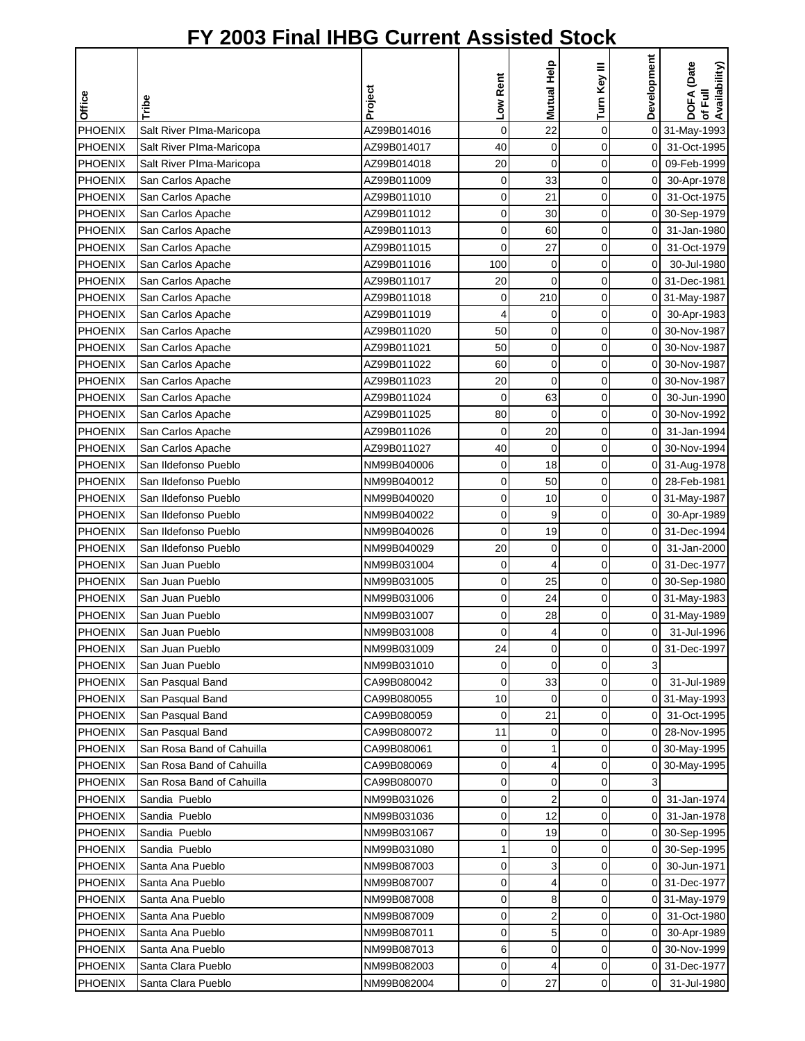|                |                           |             |                | Mutual Help             | Turn Key III | Development    | DOFA (Date<br>of Full<br>Availability) |
|----------------|---------------------------|-------------|----------------|-------------------------|--------------|----------------|----------------------------------------|
| <b>Office</b>  | Tribe                     | Project     | Low Rent       |                         |              |                |                                        |
|                |                           |             |                |                         |              |                |                                        |
| PHOENIX        | Salt River Plma-Maricopa  | AZ99B014016 | $\mathsf 0$    | 22                      | 0            |                | 0 31-May-1993                          |
| <b>PHOENIX</b> | Salt River Plma-Maricopa  | AZ99B014017 | 40             | 0                       | 0            | 01             | 31-Oct-1995                            |
| PHOENIX        | Salt River PIma-Maricopa  | AZ99B014018 | 20             | $\overline{0}$          | 0            | 0              | 09-Feb-1999                            |
| <b>PHOENIX</b> | San Carlos Apache         | AZ99B011009 | 0              | 33                      | 0            | 0              | 30-Apr-1978                            |
| <b>PHOENIX</b> | San Carlos Apache         | AZ99B011010 | 0              | 21                      | 0            | $\overline{0}$ | 31-Oct-1975                            |
| <b>PHOENIX</b> | San Carlos Apache         | AZ99B011012 | 0              | 30                      | 0            | 0              | 30-Sep-1979                            |
| <b>PHOENIX</b> | San Carlos Apache         | AZ99B011013 | 0              | 60                      | 0            | 0              | 31-Jan-1980                            |
| <b>PHOENIX</b> | San Carlos Apache         | AZ99B011015 | 0              | 27                      | 0            | $\overline{0}$ | 31-Oct-1979                            |
| <b>PHOENIX</b> | San Carlos Apache         | AZ99B011016 | 100            | 0                       | 0            | $\overline{0}$ | 30-Jul-1980                            |
| <b>PHOENIX</b> | San Carlos Apache         | AZ99B011017 | 20             | 0                       | 0            |                | 0 31-Dec-1981                          |
| PHOENIX        | San Carlos Apache         | AZ99B011018 | 0              | 210                     | 0            |                | 0 31-May-1987                          |
| PHOENIX        | San Carlos Apache         | AZ99B011019 | 4              | 0                       | 0            | 01             | 30-Apr-1983                            |
| <b>PHOENIX</b> | San Carlos Apache         | AZ99B011020 | 50             | 0                       | 0            | 0              | 30-Nov-1987                            |
| <b>PHOENIX</b> | San Carlos Apache         | AZ99B011021 | 50             | 0                       | 0            | 0              | 30-Nov-1987                            |
| <b>PHOENIX</b> | San Carlos Apache         | AZ99B011022 | 60             | $\mathbf 0$             | 0            | 0              | 30-Nov-1987                            |
| <b>PHOENIX</b> | San Carlos Apache         | AZ99B011023 | 20             | $\mathbf 0$             | 0            | 0              | 30-Nov-1987                            |
| PHOENIX        | San Carlos Apache         | AZ99B011024 | $\mathbf 0$    | 63                      | 0            | $\overline{0}$ | 30-Jun-1990                            |
| PHOENIX        | San Carlos Apache         | AZ99B011025 | 80             | 0                       | 0            | $\overline{0}$ | 30-Nov-1992                            |
| PHOENIX        | San Carlos Apache         | AZ99B011026 | 0              | 20                      | 0            | 0              | 31-Jan-1994                            |
| PHOENIX        | San Carlos Apache         | AZ99B011027 | 40             | 0                       | 0            |                | 0 30-Nov-1994                          |
| PHOENIX        | San Ildefonso Pueblo      | NM99B040006 | 0              | 18                      | 0            |                | 0 31-Aug-1978                          |
| <b>PHOENIX</b> | San Ildefonso Pueblo      | NM99B040012 | 0              | 50                      | 0            | 0              | 28-Feb-1981                            |
| <b>PHOENIX</b> | San Ildefonso Pueblo      | NM99B040020 | 0              | 10                      | 0            | 0              | 31-May-1987                            |
| <b>PHOENIX</b> | San Ildefonso Pueblo      | NM99B040022 | 0              | 9                       | 0            | 0              | 30-Apr-1989                            |
| <b>PHOENIX</b> | San Ildefonso Pueblo      | NM99B040026 | 0              | 19                      | 0            | 0              | 31-Dec-1994                            |
| <b>PHOENIX</b> | San Ildefonso Pueblo      | NM99B040029 | 20             | 0                       | 0            | $\overline{0}$ | 31-Jan-2000                            |
| <b>PHOENIX</b> | San Juan Pueblo           | NM99B031004 | 0              | 4                       | 0            |                | 0 31-Dec-1977                          |
| <b>PHOENIX</b> | San Juan Pueblo           | NM99B031005 | 0              | 25                      | 0            |                | 0 30-Sep-1980                          |
| PHOENIX        | San Juan Pueblo           | NM99B031006 | 0              | 24                      | 0            |                | 0 31-May-1983                          |
| <b>PHOENIX</b> | San Juan Pueblo           | NM99B031007 | 0              | 28                      | 0            |                | 0 31-May-1989                          |
| PHOENIX        | San Juan Pueblo           | NM99B031008 | $\overline{0}$ | 4                       | $\Omega$     | οI             | 31-Jul-1996                            |
| PHOENIX        | San Juan Pueblo           | NM99B031009 | 24             | 0                       | 0            | 0              | 31-Dec-1997                            |
| <b>PHOENIX</b> | San Juan Pueblo           | NM99B031010 | 0              | $\mathbf 0$             | 0            | 3              |                                        |
| <b>PHOENIX</b> | San Pasqual Band          | CA99B080042 | 0              | 33                      | 0            | $\overline{0}$ | 31-Jul-1989                            |
| <b>PHOENIX</b> | San Pasqual Band          | CA99B080055 | 10             | 0                       | 0            |                | 0 31-May-1993                          |
| <b>PHOENIX</b> | San Pasqual Band          | CA99B080059 | 0              | 21                      | 0            | 01             | 31-Oct-1995                            |
| PHOENIX        | San Pasqual Band          | CA99B080072 | 11             | 0                       | 0            |                | 0 28-Nov-1995                          |
| PHOENIX        | San Rosa Band of Cahuilla | CA99B080061 | 0              | 1                       | 0            |                | 0 30-May-1995                          |
| <b>PHOENIX</b> | San Rosa Band of Cahuilla | CA99B080069 | 0              | 4                       | 0            |                | 0 30-May-1995                          |
| <b>PHOENIX</b> | San Rosa Band of Cahuilla | CA99B080070 | 0              | 0                       | 0            | 3              |                                        |
| <b>PHOENIX</b> | Sandia Pueblo             | NM99B031026 | 0              | $\overline{\mathbf{c}}$ | 0            | 0              | 31-Jan-1974                            |
| <b>PHOENIX</b> | Sandia Pueblo             | NM99B031036 | 0              | 12                      | 0            | 01             | 31-Jan-1978                            |
| <b>PHOENIX</b> | Sandia Pueblo             | NM99B031067 | 0              | 19                      | 0            |                | 0 30-Sep-1995                          |
| <b>PHOENIX</b> | Sandia Pueblo             | NM99B031080 | 1              | 0                       | 0            |                | 0 30-Sep-1995                          |
| <b>PHOENIX</b> | Santa Ana Pueblo          | NM99B087003 | 0              | 3                       | 0            | 01             | 30-Jun-1971                            |
| <b>PHOENIX</b> | Santa Ana Pueblo          | NM99B087007 | 0              | 4                       | 0            |                | 0 31-Dec-1977                          |
| <b>PHOENIX</b> | Santa Ana Pueblo          | NM99B087008 | 0              | 8                       | 0            |                | 0 31-May-1979                          |
| <b>PHOENIX</b> | Santa Ana Pueblo          | NM99B087009 | 0              | 2                       | 0            | 0              | 31-Oct-1980                            |
| <b>PHOENIX</b> | Santa Ana Pueblo          | NM99B087011 | 0              | 5                       | 0            | 0              | 30-Apr-1989                            |
| <b>PHOENIX</b> | Santa Ana Pueblo          | NM99B087013 | 6              | 0                       | 0            | 01             | 30-Nov-1999                            |
| <b>PHOENIX</b> | Santa Clara Pueblo        | NM99B082003 | 0              | 4                       | 0            |                | 0 31-Dec-1977                          |
| <b>PHOENIX</b> | Santa Clara Pueblo        | NM99B082004 | 0              | 27                      | 0            | $\mathsf{O}$   | 31-Jul-1980                            |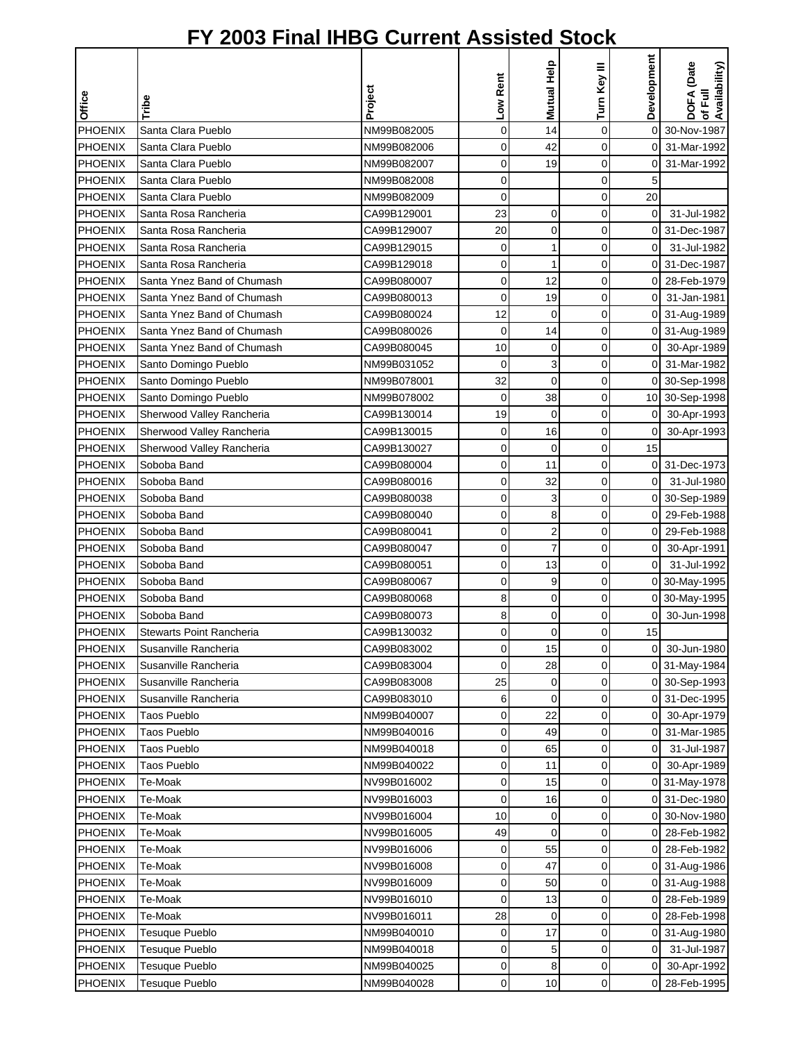|                |                                          |             |             |                                           |              | Development    |                                        |
|----------------|------------------------------------------|-------------|-------------|-------------------------------------------|--------------|----------------|----------------------------------------|
|                |                                          |             | Low Rent    | Mutual Help                               | Turn Key III |                | DOFA (Date<br>of Full<br>Availability) |
| Office         | Tribe                                    | Project     |             |                                           |              |                |                                        |
|                |                                          |             |             |                                           |              |                |                                        |
| PHOENIX        | Santa Clara Pueblo                       | NM99B082005 | $\mathbf 0$ | 14                                        | 0            | 0              | 30-Nov-1987                            |
| <b>PHOENIX</b> | Santa Clara Pueblo                       | NM99B082006 | 0           | 42                                        | 0            | 0              | 31-Mar-1992                            |
| PHOENIX        | Santa Clara Pueblo                       | NM99B082007 | 0           | 19                                        | 0            | 0              | 31-Mar-1992                            |
| <b>PHOENIX</b> | Santa Clara Pueblo<br>Santa Clara Pueblo | NM99B082008 | 0           |                                           | $\mathbf 0$  | 5              |                                        |
| <b>PHOENIX</b> | Santa Rosa Rancheria                     | NM99B082009 | 0           |                                           | 0            | 20             |                                        |
| <b>PHOENIX</b> | Santa Rosa Rancheria                     | CA99B129001 | 23          | 0                                         | 0            | $\mathbf 0$    | 31-Jul-1982                            |
| <b>PHOENIX</b> |                                          | CA99B129007 | 20          | 0                                         | 0<br>0       | 0<br>0         | 31-Dec-1987                            |
| <b>PHOENIX</b> | Santa Rosa Rancheria                     | CA99B129015 | 0           | 1                                         |              |                | 31-Jul-1982                            |
| <b>PHOENIX</b> | Santa Rosa Rancheria                     | CA99B129018 | 0           | 1                                         | 0            | 0              | 31-Dec-1987                            |
| <b>PHOENIX</b> | Santa Ynez Band of Chumash               | CA99B080007 | 0           | 12                                        | $\mathbf 0$  | 0              | 28-Feb-1979                            |
| <b>PHOENIX</b> | Santa Ynez Band of Chumash               | CA99B080013 | 0           | 19                                        | 0            | 0              | 31-Jan-1981                            |
| PHOENIX        | Santa Ynez Band of Chumash               | CA99B080024 | 12          | 0                                         | 0            | 0              | 31-Aug-1989                            |
| <b>PHOENIX</b> | Santa Ynez Band of Chumash               | CA99B080026 | 0           | 14                                        | 0            | 0              | 31-Aug-1989                            |
| <b>PHOENIX</b> | Santa Ynez Band of Chumash               | CA99B080045 | 10          | 0                                         | 0            | 0              | 30-Apr-1989                            |
| <b>PHOENIX</b> | Santo Domingo Pueblo                     | NM99B031052 | $\mathbf 0$ | 3                                         | 0            | 0              | 31-Mar-1982                            |
| <b>PHOENIX</b> | Santo Domingo Pueblo                     | NM99B078001 | 32          | 0                                         | 0            | 0              | 30-Sep-1998                            |
| PHOENIX        | Santo Domingo Pueblo                     | NM99B078002 | $\mathbf 0$ | 38                                        | $\mathbf 0$  | 10             | 30-Sep-1998                            |
| <b>PHOENIX</b> | Sherwood Valley Rancheria                | CA99B130014 | 19          | 0                                         | 0            | 0              | 30-Apr-1993                            |
| <b>PHOENIX</b> | Sherwood Valley Rancheria                | CA99B130015 | 0           | 16                                        | 0            | 0              | 30-Apr-1993                            |
| PHOENIX        | Sherwood Valley Rancheria                | CA99B130027 | 0           | 0                                         | 0            | 15             |                                        |
| <b>PHOENIX</b> | Soboba Band                              | CA99B080004 | 0           | 11                                        | $\mathbf 0$  | 0              | 31-Dec-1973                            |
| <b>PHOENIX</b> | Soboba Band                              | CA99B080016 | 0           | 32                                        | 0            | 0              | 31-Jul-1980                            |
| <b>PHOENIX</b> | Soboba Band                              | CA99B080038 | 0           | 3                                         | 0            | 0              | 30-Sep-1989                            |
| <b>PHOENIX</b> | Soboba Band                              | CA99B080040 | 0           | 8                                         | 0            | 0              | 29-Feb-1988                            |
| PHOENIX        | Soboba Band                              | CA99B080041 | 0           | $\overline{\mathbf{c}}$<br>$\overline{7}$ | $\mathbf 0$  | 0              | 29-Feb-1988                            |
| <b>PHOENIX</b> | Soboba Band                              | CA99B080047 | 0           |                                           | $\mathbf 0$  | 0              | 30-Apr-1991                            |
| <b>PHOENIX</b> | Soboba Band                              | CA99B080051 | 0           | 13                                        | $\mathbf 0$  | $\overline{0}$ | 31-Jul-1992                            |
| PHOENIX        | Soboba Band                              | CA99B080067 | 0           | 9                                         | 0            |                | 0 30-May-1995                          |
| PHOENIX        | Soboba Band                              | CA99B080068 | 8           | 0                                         | $\mathbf 0$  | 0              | 30-May-1995                            |
| <b>PHOENIX</b> | Soboba Band                              | CA99B080073 | 8           | 0                                         | 0            |                | 30-Jun-1998                            |
| PHOENIX        | <b>Stewarts Point Rancheria</b>          | CA99B130032 | $\Omega$    | $\mathbf 0$                               | $\Omega$     | 15             |                                        |
| PHOENIX        | Susanville Rancheria                     | CA99B083002 | 0           | 15                                        | 0            | 0              | 30-Jun-1980                            |
| <b>PHOENIX</b> | Susanville Rancheria                     | CA99B083004 | 0           | 28                                        | 0            | 0              | 31-May-1984                            |
| <b>PHOENIX</b> | Susanville Rancheria                     | CA99B083008 | 25          | 0                                         | 0            | 0              | 30-Sep-1993                            |
| <b>PHOENIX</b> | Susanville Rancheria                     | CA99B083010 | 6           | 0                                         | 0            | 0              | 31-Dec-1995                            |
| PHOENIX        | <b>Taos Pueblo</b>                       | NM99B040007 | 0           | 22                                        | 0            | 0              | 30-Apr-1979                            |
| <b>PHOENIX</b> | <b>Taos Pueblo</b>                       | NM99B040016 | 0           | 49                                        | 0            | 0              | 31-Mar-1985                            |
| <b>PHOENIX</b> | <b>Taos Pueblo</b>                       | NM99B040018 | 0           | 65                                        | 0            | 0              | 31-Jul-1987                            |
| <b>PHOENIX</b> | Taos Pueblo                              | NM99B040022 | 0           | 11                                        | 0            | 0              | 30-Apr-1989                            |
| <b>PHOENIX</b> | Te-Moak                                  | NV99B016002 | 0           | 15                                        | 0            | 0              | 31-May-1978                            |
| <b>PHOENIX</b> | Te-Moak                                  | NV99B016003 | 0           | 16                                        | 0            | 0              | 31-Dec-1980                            |
| <b>PHOENIX</b> | Te-Moak                                  | NV99B016004 | 10          | 0                                         | 0            | 0              | 30-Nov-1980                            |
| <b>PHOENIX</b> | Te-Moak                                  | NV99B016005 | 49          | 0                                         | 0            | 0              | 28-Feb-1982                            |
| <b>PHOENIX</b> | Te-Moak                                  | NV99B016006 | 0           | 55                                        | 0            | 0              | 28-Feb-1982                            |
| PHOENIX        | Te-Moak                                  | NV99B016008 | 0           | 47                                        | 0            | 0              | 31-Aug-1986                            |
| <b>PHOENIX</b> | Te-Moak                                  | NV99B016009 | 0           | 50                                        | 0            | 0              | 31-Aug-1988                            |
| <b>PHOENIX</b> | Te-Moak                                  | NV99B016010 | 0           | 13                                        | 0            | 0              | 28-Feb-1989                            |
| <b>PHOENIX</b> | Te-Moak                                  | NV99B016011 | 28          | 0                                         | 0            | 0              | 28-Feb-1998                            |
| <b>PHOENIX</b> | <b>Tesuque Pueblo</b>                    | NM99B040010 | 0           | 17                                        | 0            | 0              | 31-Aug-1980                            |
| <b>PHOENIX</b> | <b>Tesuque Pueblo</b>                    | NM99B040018 | 0           | 5                                         | $\mathbf 0$  | $\mathbf 0$    | 31-Jul-1987                            |
| <b>PHOENIX</b> | <b>Tesuque Pueblo</b>                    | NM99B040025 | 0           | 8                                         | 0            | 0              | 30-Apr-1992                            |
| <b>PHOENIX</b> | <b>Tesuque Pueblo</b>                    | NM99B040028 | 0           | 10                                        | 0            | 0              | 28-Feb-1995                            |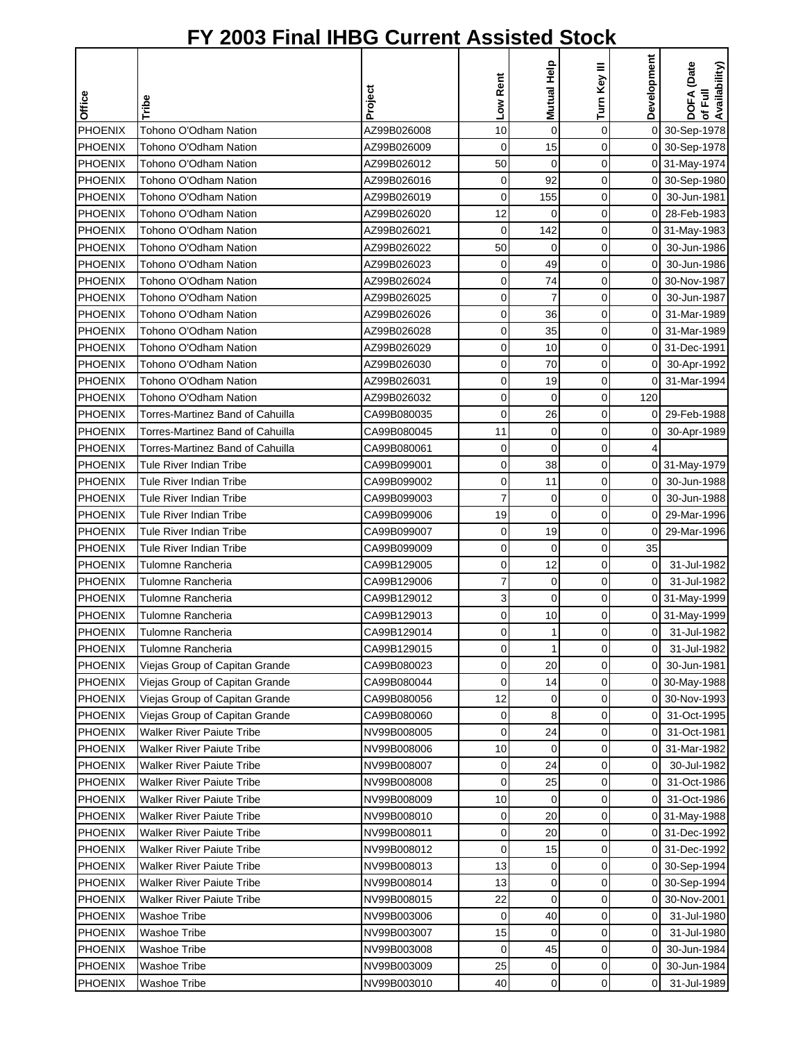|                |                                  | Project     | Low Rent    | Mutual Help    | Turn Key III   | Development    | DOFA (Date<br>of Full<br>Availability) |
|----------------|----------------------------------|-------------|-------------|----------------|----------------|----------------|----------------------------------------|
| Office         | Tribe                            |             |             |                |                |                |                                        |
| <b>PHOENIX</b> | Tohono O'Odham Nation            | AZ99B026008 | 10          | $\mathbf 0$    | $\mathbf 0$    |                | 0 30-Sep-1978                          |
| <b>PHOENIX</b> | Tohono O'Odham Nation            | AZ99B026009 | 0           | 15             | 0              |                | 0 30-Sep-1978                          |
| PHOENIX        | Tohono O'Odham Nation            | AZ99B026012 | 50          | $\mathbf 0$    | 0              |                | 0 31-May-1974                          |
| PHOENIX        | Tohono O'Odham Nation            | AZ99B026016 | $\mathbf 0$ | 92             | 0              |                | 0 30-Sep-1980                          |
| <b>PHOENIX</b> | Tohono O'Odham Nation            | AZ99B026019 | 0           | 155            | 0              | $\overline{0}$ | 30-Jun-1981                            |
| <b>PHOENIX</b> | Tohono O'Odham Nation            | AZ99B026020 | 12          | 0              | 0              | $\Omega$       | 28-Feb-1983                            |
| <b>PHOENIX</b> | Tohono O'Odham Nation            | AZ99B026021 | $\mathbf 0$ | 142            | 0              | ΟI             | 31-May-1983                            |
| <b>PHOENIX</b> | Tohono O'Odham Nation            | AZ99B026022 | 50          | 0              | $\overline{0}$ | $\overline{0}$ | 30-Jun-1986                            |
| <b>PHOENIX</b> | Tohono O'Odham Nation            | AZ99B026023 | 0           | 49             | 0              | $\overline{0}$ | 30-Jun-1986                            |
| PHOENIX        | Tohono O'Odham Nation            | AZ99B026024 | $\mathbf 0$ | 74             | 0              |                | 0 30-Nov-1987                          |
| PHOENIX        | Tohono O'Odham Nation            | AZ99B026025 | 0           | $\overline{7}$ | 0              | $\overline{0}$ | 30-Jun-1987                            |
| PHOENIX        | Tohono O'Odham Nation            | AZ99B026026 | 0           | 36             | 0              | 0              | 31-Mar-1989                            |
| <b>PHOENIX</b> | Tohono O'Odham Nation            | AZ99B026028 | 0           | 35             | $\mathbf 0$    | $\overline{0}$ | 31-Mar-1989                            |
| <b>PHOENIX</b> | Tohono O'Odham Nation            | AZ99B026029 | 0           | 10             | 0              | $\Omega$       | 31-Dec-1991                            |
| <b>PHOENIX</b> | Tohono O'Odham Nation            | AZ99B026030 | $\mathbf 0$ | 70             | 0              | $\overline{0}$ | 30-Apr-1992                            |
| <b>PHOENIX</b> | Tohono O'Odham Nation            | AZ99B026031 | $\mathbf 0$ | 19             | 0              | $\overline{0}$ | 31-Mar-1994                            |
| <b>PHOENIX</b> | Tohono O'Odham Nation            | AZ99B026032 | 0           | $\mathbf 0$    | 0              | 120            |                                        |
| PHOENIX        | Torres-Martinez Band of Cahuilla | CA99B080035 | $\mathbf 0$ | 26             | 0              | $\mathsf{O}$   | 29-Feb-1988                            |
| PHOENIX        | Torres-Martinez Band of Cahuilla | CA99B080045 | 11          | $\mathbf 0$    | 0              | $\overline{0}$ | 30-Apr-1989                            |
| PHOENIX        | Torres-Martinez Band of Cahuilla | CA99B080061 | 0           | $\mathbf 0$    | 0              |                |                                        |
| <b>PHOENIX</b> | Tule River Indian Tribe          | CA99B099001 | 0           | 38             | $\mathbf 0$    |                | 0 31-May-1979                          |
| <b>PHOENIX</b> | Tule River Indian Tribe          | CA99B099002 | 0           | 11             | 0              | $\Omega$       | 30-Jun-1988                            |
| <b>PHOENIX</b> | <b>Tule River Indian Tribe</b>   | CA99B099003 | 7           | 0              | 0              | $\Omega$       | 30-Jun-1988                            |
| <b>PHOENIX</b> | Tule River Indian Tribe          | CA99B099006 | 19          | $\mathbf 0$    | 0              | $\overline{0}$ | 29-Mar-1996                            |
| PHOENIX        | Tule River Indian Tribe          | CA99B099007 | 0           | 19             | 0              | $\overline{0}$ | 29-Mar-1996                            |
| <b>PHOENIX</b> | Tule River Indian Tribe          | CA99B099009 | 0           | 0              | 0              | 35             |                                        |
| PHOENIX        | <b>Tulomne Rancheria</b>         | CA99B129005 | 0           | 12             | 0              | $\mathbf 0$    | 31-Jul-1982                            |
| PHOENIX        | Tulomne Rancheria                | CA99B129006 | 7           | 0              | 0              | 0              | 31-Jul-1982                            |
| <b>PHOENIX</b> | Tulomne Rancheria                | CA99B129012 | 3           | $\mathbf 0$    | 0              |                | 0 31-May-1999                          |
| <b>PHOENIX</b> | <b>Tulomne Rancheria</b>         | CA99B129013 | 0           | 10             | 0              |                | 0 31-May-1999                          |
| PHOENIX        | Tulomne Rancheria                | CA99B129014 | $\Omega$    | 1              | $\Omega$       | οI             | 31-Jul-1982                            |
| <b>PHOENIX</b> | Tulomne Rancheria                | CA99B129015 | 0           | $\mathbf{1}$   | 0              | $\overline{0}$ | 31-Jul-1982                            |
| <b>PHOENIX</b> | Viejas Group of Capitan Grande   | CA99B080023 | $\mathbf 0$ | 20             | 0              | $\Omega$       | 30-Jun-1981                            |
| <b>PHOENIX</b> | Viejas Group of Capitan Grande   | CA99B080044 | $\mathbf 0$ | 14             | 0              |                | 0 30-May-1988                          |
| <b>PHOENIX</b> | Viejas Group of Capitan Grande   | CA99B080056 | 12          | 0              | 0              |                | 0 30-Nov-1993                          |
| PHOENIX        | Viejas Group of Capitan Grande   | CA99B080060 | 0           | 8              | 0              | $\mathsf{O}$   | 31-Oct-1995                            |
| <b>PHOENIX</b> | Walker River Paiute Tribe        | NV99B008005 | $\mathbf 0$ | 24             | 0              | 0              | 31-Oct-1981                            |
| <b>PHOENIX</b> | Walker River Paiute Tribe        | NV99B008006 | 10          | 0              | 0              | 0              | 31-Mar-1982                            |
| <b>PHOENIX</b> | <b>Walker River Paiute Tribe</b> | NV99B008007 | 0           | 24             | 0              | $\overline{0}$ | 30-Jul-1982                            |
| <b>PHOENIX</b> | <b>Walker River Paiute Tribe</b> | NV99B008008 | 0           | 25             | 0              | 0              | 31-Oct-1986                            |
| <b>PHOENIX</b> | Walker River Paiute Tribe        | NV99B008009 | 10          | $\mathbf 0$    | $\mathbf 0$    | $\overline{0}$ | 31-Oct-1986                            |
| <b>PHOENIX</b> | Walker River Paiute Tribe        | NV99B008010 | 0           | 20             | $\mathbf 0$    |                | 0 31-May-1988                          |
| <b>PHOENIX</b> | <b>Walker River Paiute Tribe</b> | NV99B008011 | 0           | 20             | 0              |                | 0 31-Dec-1992                          |
| <b>PHOENIX</b> | <b>Walker River Paiute Tribe</b> | NV99B008012 | 0           | 15             | 0              |                | 0 31-Dec-1992                          |
| <b>PHOENIX</b> | Walker River Paiute Tribe        | NV99B008013 | 13          | 0              | 0              |                | 0 30-Sep-1994                          |
| <b>PHOENIX</b> | <b>Walker River Paiute Tribe</b> | NV99B008014 | 13          | $\mathbf 0$    | $\mathbf 0$    |                | 0 30-Sep-1994                          |
| <b>PHOENIX</b> | Walker River Paiute Tribe        | NV99B008015 | 22          | 0              | 0              | ΟI             | 30-Nov-2001                            |
| <b>PHOENIX</b> | <b>Washoe Tribe</b>              | NV99B003006 | 0           | 40             | 0              | $\overline{0}$ | 31-Jul-1980                            |
| PHOENIX        | <b>Washoe Tribe</b>              | NV99B003007 | 15          | $\mathbf 0$    | 0              | $\overline{0}$ | 31-Jul-1980                            |
| <b>PHOENIX</b> | <b>Washoe Tribe</b>              | NV99B003008 | 0           | 45             | 0              | $\overline{0}$ | 30-Jun-1984                            |
| <b>PHOENIX</b> | <b>Washoe Tribe</b>              | NV99B003009 | 25          | 0              | 0              | $\overline{0}$ | 30-Jun-1984                            |
| <b>PHOENIX</b> | Washoe Tribe                     | NV99B003010 | 40          | 0              | 0              | $\overline{0}$ | 31-Jul-1989                            |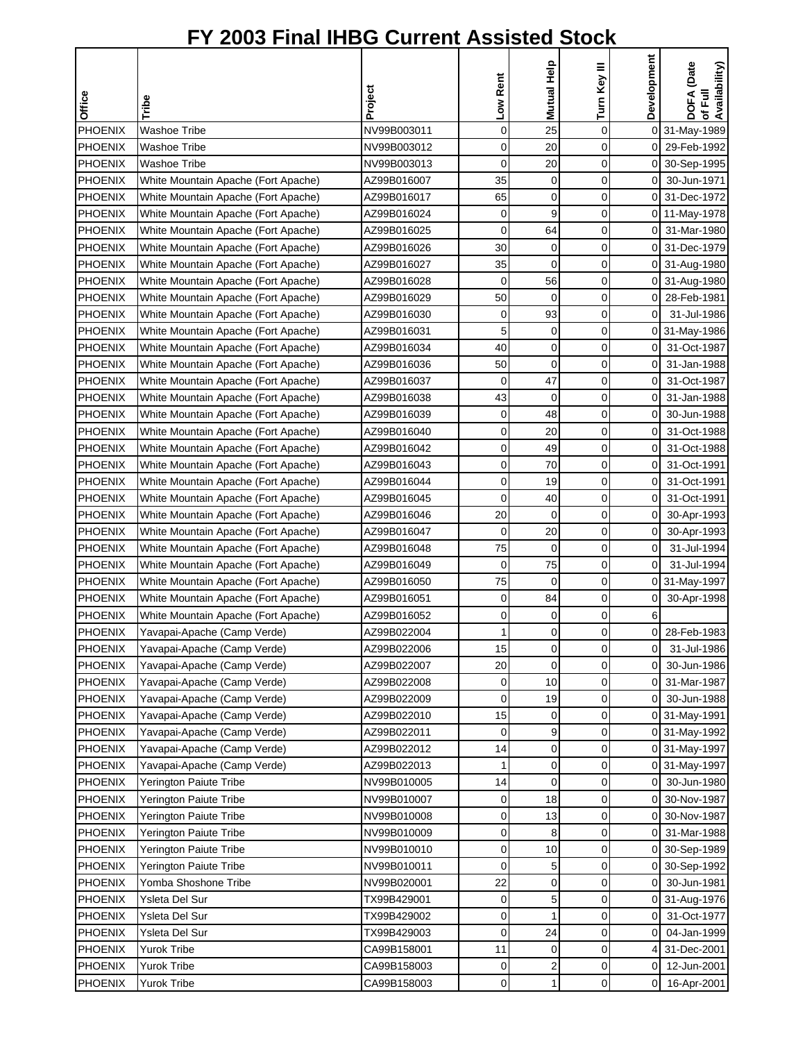|                |                                     |             |             | Mutual Help |              | Development    | of Full<br>Availability) |
|----------------|-------------------------------------|-------------|-------------|-------------|--------------|----------------|--------------------------|
| <b>Office</b>  | Tribe                               | Project     | Low Rent    |             | Turn Key III |                | DOFA (Date               |
|                | <b>Washoe Tribe</b>                 |             |             |             |              |                |                          |
| <b>PHOENIX</b> |                                     | NV99B003011 | 0           | 25          | 0            |                | 0 31-May-1989            |
| <b>PHOENIX</b> | <b>Washoe Tribe</b>                 | NV99B003012 | 0           | 20          | 0            |                | 0 29-Feb-1992            |
| <b>PHOENIX</b> | <b>Washoe Tribe</b>                 | NV99B003013 | 0           | 20          | 0            |                | 0 30-Sep-1995            |
| <b>PHOENIX</b> | White Mountain Apache (Fort Apache) | AZ99B016007 | 35          | 0           | 0<br>0       | 01             | 30-Jun-1971              |
| <b>PHOENIX</b> | White Mountain Apache (Fort Apache) | AZ99B016017 | 65          | 0           |              |                | 0 31-Dec-1972            |
| <b>PHOENIX</b> | White Mountain Apache (Fort Apache) | AZ99B016024 | 0           | 9           | 0            |                | 0 11-May-1978            |
| <b>PHOENIX</b> | White Mountain Apache (Fort Apache) | AZ99B016025 | 0           | 64          | 0            |                | 0 31-Mar-1980            |
| <b>PHOENIX</b> | White Mountain Apache (Fort Apache) | AZ99B016026 | 30          | 0           | 0            |                | 0 31-Dec-1979            |
| <b>PHOENIX</b> | White Mountain Apache (Fort Apache) | AZ99B016027 | 35          | 0           | 0            |                | 0 31-Aug-1980            |
| <b>PHOENIX</b> | White Mountain Apache (Fort Apache) | AZ99B016028 | $\mathbf 0$ | 56          | 0            |                | 0 31-Aug-1980            |
| <b>PHOENIX</b> | White Mountain Apache (Fort Apache) | AZ99B016029 | 50          | $\mathbf 0$ | 0            |                | 0 28-Feb-1981            |
| PHOENIX        | White Mountain Apache (Fort Apache) | AZ99B016030 | 0           | 93          | 0            | $\overline{0}$ | 31-Jul-1986              |
| PHOENIX        | White Mountain Apache (Fort Apache) | AZ99B016031 | 5           | 0           | 0            |                | 0 31-May-1986            |
| <b>PHOENIX</b> | White Mountain Apache (Fort Apache) | AZ99B016034 | 40          | 0           | 0            | 0              | 31-Oct-1987              |
| PHOENIX        | White Mountain Apache (Fort Apache) | AZ99B016036 | 50          | 0           | 0            | 0              | 31-Jan-1988              |
| <b>PHOENIX</b> | White Mountain Apache (Fort Apache) | AZ99B016037 | 0           | 47          | 0            | 0              | 31-Oct-1987              |
| <b>PHOENIX</b> | White Mountain Apache (Fort Apache) | AZ99B016038 | 43          | $\mathbf 0$ | 0            | $\overline{O}$ | 31-Jan-1988              |
| <b>PHOENIX</b> | White Mountain Apache (Fort Apache) | AZ99B016039 | 0           | 48          | 0            | $\overline{0}$ | 30-Jun-1988              |
| <b>PHOENIX</b> | White Mountain Apache (Fort Apache) | AZ99B016040 | 0           | 20          | 0            | 0              | 31-Oct-1988              |
| PHOENIX        | White Mountain Apache (Fort Apache) | AZ99B016042 | 0           | 49          | 0            | 0              | 31-Oct-1988              |
| PHOENIX        | White Mountain Apache (Fort Apache) | AZ99B016043 | 0           | 70          | 0            | 0              | 31-Oct-1991              |
| <b>PHOENIX</b> | White Mountain Apache (Fort Apache) | AZ99B016044 | 0           | 19          | 0            | $\overline{0}$ | 31-Oct-1991              |
| <b>PHOENIX</b> | White Mountain Apache (Fort Apache) | AZ99B016045 | 0           | 40          | 0            | 0              | 31-Oct-1991              |
| PHOENIX        | White Mountain Apache (Fort Apache) | AZ99B016046 | 20          | $\Omega$    | 0            | $\overline{0}$ | 30-Apr-1993              |
| <b>PHOENIX</b> | White Mountain Apache (Fort Apache) | AZ99B016047 | $\mathbf 0$ | 20          | 0            | $\overline{0}$ | 30-Apr-1993              |
| <b>PHOENIX</b> | White Mountain Apache (Fort Apache) | AZ99B016048 | 75          | 0           | 0            | $\overline{O}$ | 31-Jul-1994              |
| <b>PHOENIX</b> | White Mountain Apache (Fort Apache) | AZ99B016049 | 0           | 75          | 0            | $\overline{0}$ | 31-Jul-1994              |
| PHOENIX        | White Mountain Apache (Fort Apache) | AZ99B016050 | 75          | $\mathbf 0$ | 0            |                | 0 31-May-1997            |
| PHOENIX        | White Mountain Apache (Fort Apache) | AZ99B016051 | 0           | 84          | 0            | 01             | 30-Apr-1998              |
| PHOENIX        | White Mountain Apache (Fort Apache) | AZ99B016052 | 0           | 0           | 0            | 6              |                          |
| <b>PHOENIX</b> | Yavapai-Apache (Camp Verde)         | AZ99B022004 | 1           | $\Omega$    | $\Omega$     |                | 0 28-Feb-1983            |
| PHOENIX        | Yavapai-Apache (Camp Verde)         | AZ99B022006 | 15          | $\mathbf 0$ | 0            | 0              | 31-Jul-1986              |
| <b>PHOENIX</b> | Yavapai-Apache (Camp Verde)         | AZ99B022007 | 20          | $\mathbf 0$ | 0            | 01             | 30-Jun-1986              |
| <b>PHOENIX</b> | Yavapai-Apache (Camp Verde)         | AZ99B022008 | 0           | 10          | 0            | $\overline{0}$ | 31-Mar-1987              |
| <b>PHOENIX</b> | Yavapai-Apache (Camp Verde)         | AZ99B022009 | 0           | 19          | 0            | 01             | 30-Jun-1988              |
| <b>PHOENIX</b> | Yavapai-Apache (Camp Verde)         | AZ99B022010 | 15          | 0           | 0            |                | 0 31-May-1991            |
| <b>PHOENIX</b> | Yavapai-Apache (Camp Verde)         | AZ99B022011 | 0           | 9           | 0            |                | 0 31-May-1992            |
| PHOENIX        | Yavapai-Apache (Camp Verde)         | AZ99B022012 | 14          | 0           | 0            |                | 0 31-May-1997            |
| <b>PHOENIX</b> | Yavapai-Apache (Camp Verde)         | AZ99B022013 | 1           | 0           | 0            |                | 0 31-May-1997            |
| <b>PHOENIX</b> | <b>Yerington Paiute Tribe</b>       | NV99B010005 | 14          | $\mathbf 0$ | 0            | 01             | 30-Jun-1980              |
| <b>PHOENIX</b> | <b>Yerington Paiute Tribe</b>       | NV99B010007 | 0           | 18          | 0            | 0              | 30-Nov-1987              |
| <b>PHOENIX</b> | Yerington Paiute Tribe              | NV99B010008 | 0           | 13          | 0            | οI             | 30-Nov-1987              |
| <b>PHOENIX</b> | Yerington Paiute Tribe              | NV99B010009 | 0           | 8           | 0            | 01             | 31-Mar-1988              |
| <b>PHOENIX</b> | Yerington Paiute Tribe              | NV99B010010 | 0           | 10          | 0            |                | 0 30-Sep-1989            |
| <b>PHOENIX</b> | Yerington Paiute Tribe              | NV99B010011 | 0           | 5           | 0            |                | 0 30-Sep-1992            |
| PHOENIX        | Yomba Shoshone Tribe                | NV99B020001 | 22          | 0           | 0            | 01             | 30-Jun-1981              |
| <b>PHOENIX</b> | Ysleta Del Sur                      | TX99B429001 | 0           | 5           | 0            |                | 0 31-Aug-1976            |
| <b>PHOENIX</b> | Ysleta Del Sur                      | TX99B429002 | 0           | 1           | 0            | 0              | 31-Oct-1977              |
| <b>PHOENIX</b> | Ysleta Del Sur                      | TX99B429003 | 0           | 24          | 0            | 0              | 04-Jan-1999              |
| <b>PHOENIX</b> | Yurok Tribe                         | CA99B158001 | 11          | 0           | 0            | 4              | 31-Dec-2001              |
| <b>PHOENIX</b> | Yurok Tribe                         | CA99B158003 | 0           | 2           | 0            | 01             | 12-Jun-2001              |
| <b>PHOENIX</b> | Yurok Tribe                         | CA99B158003 | 0           | 1           | 0            | $\overline{0}$ |                          |
|                |                                     |             |             |             |              |                | 16-Apr-2001              |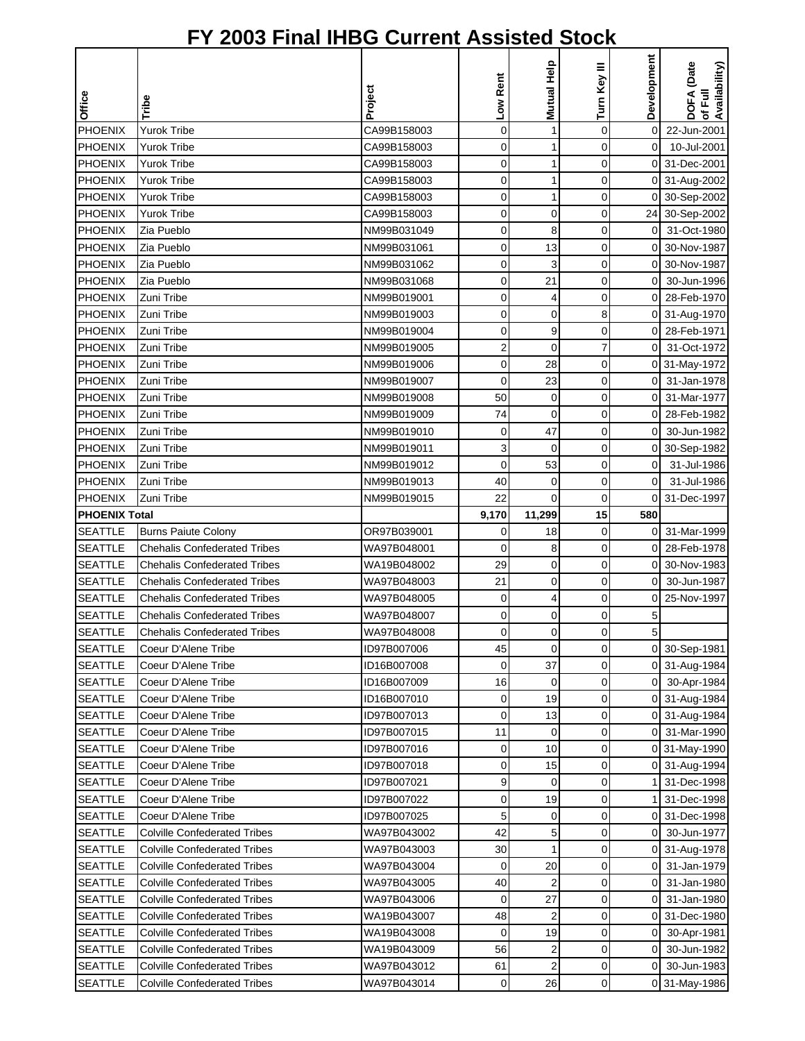|                                  |                                            |                            | Low Rent    | Mutual Help             | Turn Key III | Development    | DOFA (Date<br>of Full<br>Availability) |
|----------------------------------|--------------------------------------------|----------------------------|-------------|-------------------------|--------------|----------------|----------------------------------------|
| Office                           | Tribe                                      | Project                    |             |                         |              |                |                                        |
| PHOENIX                          | <b>Yurok Tribe</b>                         | CA99B158003                | $\mathbf 0$ | 1                       | $\mathbf 0$  | $\mathbf 0$    | 22-Jun-2001                            |
| <b>PHOENIX</b>                   | <b>Yurok Tribe</b>                         | CA99B158003                | 0           | 1                       | 0            | $\overline{0}$ | 10-Jul-2001                            |
| PHOENIX                          | <b>Yurok Tribe</b>                         | CA99B158003                | 0           | 1                       | 0            |                | 0 31-Dec-2001                          |
| <b>PHOENIX</b>                   | <b>Yurok Tribe</b>                         | CA99B158003                | 0           | 1                       | 0            |                | 0 31-Aug-2002                          |
| <b>PHOENIX</b>                   | <b>Yurok Tribe</b>                         | CA99B158003                | 0           | 1                       | 0            | $\overline{0}$ | 30-Sep-2002                            |
| <b>PHOENIX</b>                   | Yurok Tribe                                | CA99B158003                | 0           | $\mathbf 0$             | 0            |                | 24 30-Sep-2002                         |
| <b>PHOENIX</b>                   | Zia Pueblo                                 | NM99B031049                | 0           | 8                       | 0            | $\mathbf 0$    | 31-Oct-1980                            |
| <b>PHOENIX</b>                   | Zia Pueblo                                 | NM99B031061                | 0           | 13                      | 0            | $\overline{0}$ | 30-Nov-1987                            |
| <b>PHOENIX</b>                   | Zia Pueblo                                 | NM99B031062                | 0           | 3                       | 0            | 0              | 30-Nov-1987                            |
| PHOENIX                          | Zia Pueblo                                 | NM99B031068                | 0           | 21                      | 0            | 0              | 30-Jun-1996                            |
| PHOENIX                          | Zuni Tribe                                 | NM99B019001                | 0           | 4                       | 0            |                | 0 28-Feb-1970                          |
| PHOENIX                          | Zuni Tribe                                 | NM99B019003                | 0           | 0                       | 8            |                | 0 31-Aug-1970                          |
| <b>PHOENIX</b>                   | Zuni Tribe                                 | NM99B019004                | 0           | 9                       | 0            |                | 0 28-Feb-1971                          |
| <b>PHOENIX</b>                   | Zuni Tribe                                 | NM99B019005                | 2           | $\mathbf 0$             | 7            | 0              | 31-Oct-1972                            |
| <b>PHOENIX</b>                   | Zuni Tribe                                 | NM99B019006                | 0           | 28                      | 0            |                | 0 31-May-1972                          |
| <b>PHOENIX</b>                   | Zuni Tribe                                 | NM99B019007                | 0           | 23                      | 0            | ΟI             | 31-Jan-1978                            |
| PHOENIX                          | Zuni Tribe                                 | NM99B019008                | 50          | $\pmb{0}$               | 0            | $\mathsf{O}$   | 31-Mar-1977                            |
| <b>PHOENIX</b>                   | Zuni Tribe                                 | NM99B019009                | 74          | $\mathbf 0$             | 0            | οI             | 28-Feb-1982                            |
| PHOENIX                          | Zuni Tribe                                 | NM99B019010                | 0           | 47                      | 0            | 0              | 30-Jun-1982                            |
| PHOENIX                          | Zuni Tribe                                 | NM99B019011                | 3           | $\mathbf 0$             | 0            |                | 0 30-Sep-1982                          |
| PHOENIX                          | Zuni Tribe                                 | NM99B019012                | 0           | 53                      | 0            | $\overline{0}$ | 31-Jul-1986                            |
| <b>PHOENIX</b>                   | Zuni Tribe                                 | NM99B019013                | 40          | 0                       | 0            | $\mathbf 0$    | 31-Jul-1986                            |
| <b>PHOENIX</b>                   | Zuni Tribe                                 | NM99B019015                | 22          | 0                       | 0            | 0              | 31-Dec-1997                            |
| <b>PHOENIX Total</b>             |                                            |                            | 9,170       | 11,299                  | 15           | 580            |                                        |
| <b>SEATTLE</b>                   | <b>Burns Paiute Colony</b>                 | OR97B039001                | 0           | 18                      | 0            | $\overline{0}$ | 31-Mar-1999                            |
| <b>SEATTLE</b>                   | <b>Chehalis Confederated Tribes</b>        | WA97B048001                | 0           | 8                       | 0            | $\overline{0}$ | 28-Feb-1978                            |
| <b>SEATTLE</b>                   | <b>Chehalis Confederated Tribes</b>        | WA19B048002                | 29          | $\mathbf 0$             | 0            | 0              | 30-Nov-1983                            |
| <b>SEATTLE</b>                   | <b>Chehalis Confederated Tribes</b>        | WA97B048003                | 21          | 0                       | 0            | 0              | 30-Jun-1987                            |
| <b>SEATTLE</b>                   | <b>Chehalis Confederated Tribes</b>        | WA97B048005                | 0           | 4                       | 0            | 0              | 25-Nov-1997                            |
| <b>SEATTLE</b>                   | <b>Chehalis Confederated Tribes</b>        | WA97B048007                | 0           | 0                       | 0            | 5              |                                        |
| <b>SEATTLE</b>                   | <b>Chehalis Confederated Tribes</b>        | WA97B048008                | $\Omega$    | $\Omega$                | $\Omega$     | 5              |                                        |
| <b>SEATTLE</b>                   | Coeur D'Alene Tribe                        | ID97B007006                | 45          | $\mathbf 0$             | 0            |                | 0 30-Sep-1981                          |
| <b>SEATTLE</b>                   | Coeur D'Alene Tribe                        | ID16B007008                | $\mathbf 0$ | 37                      | 0            |                | 0 31-Aug-1984                          |
| <b>SEATTLE</b>                   | Coeur D'Alene Tribe                        | ID16B007009                | 16          | $\mathbf 0$             | 0            | οI             | 30-Apr-1984                            |
| <b>SEATTLE</b>                   | Coeur D'Alene Tribe                        | ID16B007010                | 0           | 19                      | 0            |                | 0 31-Aug-1984                          |
| <b>SEATTLE</b>                   | Coeur D'Alene Tribe                        | ID97B007013                | 0           | 13                      | 0            |                | 0 31-Aug-1984                          |
| <b>SEATTLE</b>                   | Coeur D'Alene Tribe<br>Coeur D'Alene Tribe | ID97B007015                | 11          | 0                       | 0            |                | 0 31-Mar-1990                          |
| <b>SEATTLE</b>                   | Coeur D'Alene Tribe                        | ID97B007016                | 0           | 10                      | 0            |                | 0 31-May-1990                          |
| <b>SEATTLE</b>                   |                                            | ID97B007018<br>ID97B007021 | 0<br>9      | 15<br>$\mathbf 0$       | 0<br>0       |                | 0 31-Aug-1994                          |
| <b>SEATTLE</b><br><b>SEATTLE</b> | Coeur D'Alene Tribe<br>Coeur D'Alene Tribe | ID97B007022                | 0           | 19                      | 0            |                | 31-Dec-1998<br>31-Dec-1998             |
| <b>SEATTLE</b>                   | Coeur D'Alene Tribe                        | ID97B007025                | 5           | 0                       | 0            |                | 0 31-Dec-1998                          |
| <b>SEATTLE</b>                   | <b>Colville Confederated Tribes</b>        | WA97B043002                | 42          | 5                       | 0            | 01             | 30-Jun-1977                            |
| <b>SEATTLE</b>                   | <b>Colville Confederated Tribes</b>        | WA97B043003                | 30          | $\mathbf{1}$            | 0            |                | 0 31-Aug-1978                          |
| <b>SEATTLE</b>                   | <b>Colville Confederated Tribes</b>        | WA97B043004                | 0           | 20                      | 0            | 01             | 31-Jan-1979                            |
| <b>SEATTLE</b>                   | <b>Colville Confederated Tribes</b>        | WA97B043005                | 40          | $\overline{2}$          | 0            | 0I             | 31-Jan-1980                            |
| <b>SEATTLE</b>                   | Colville Confederated Tribes               | WA97B043006                | 0           | 27                      | 0            | 0              | 31-Jan-1980                            |
| <b>SEATTLE</b>                   | <b>Colville Confederated Tribes</b>        | WA19B043007                | 48          | $\overline{2}$          | 0            | 0              | 31-Dec-1980                            |
| <b>SEATTLE</b>                   | <b>Colville Confederated Tribes</b>        | WA19B043008                | $\mathbf 0$ | 19                      | 0            | ΟI             | 30-Apr-1981                            |
| <b>SEATTLE</b>                   | <b>Colville Confederated Tribes</b>        | WA19B043009                | 56          | $\overline{\mathbf{c}}$ | 0            | $\overline{0}$ | 30-Jun-1982                            |
| <b>SEATTLE</b>                   | <b>Colville Confederated Tribes</b>        | WA97B043012                | 61          | $\overline{2}$          | 0            | ΟI             | 30-Jun-1983                            |
| <b>SEATTLE</b>                   | <b>Colville Confederated Tribes</b>        | WA97B043014                | 0           | 26                      | 0            |                | 0 31-May-1986                          |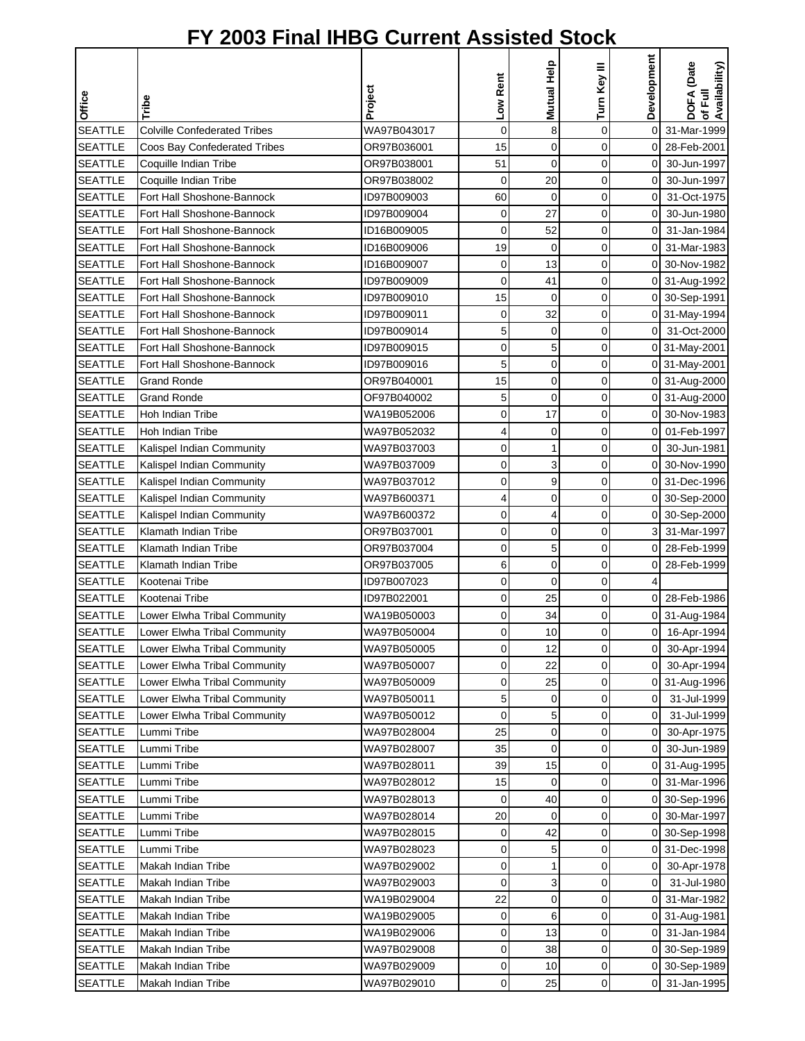|                |                                     |             |                | Mutual Help | Turn Key III | Development    | DOFA (Date<br>Availability) |
|----------------|-------------------------------------|-------------|----------------|-------------|--------------|----------------|-----------------------------|
| Office         | Tribe                               | Project     | Low Rent       |             |              |                | 쿦                           |
| <b>SEATTLE</b> | <b>Colville Confederated Tribes</b> | WA97B043017 | $\overline{0}$ | 8           | 0            | $\overline{0}$ | ৳<br>31-Mar-1999            |
| <b>SEATTLE</b> | Coos Bay Confederated Tribes        | OR97B036001 | 15             | $\mathbf 0$ | 0            | 0              | 28-Feb-2001                 |
| <b>SEATTLE</b> | Coquille Indian Tribe               | OR97B038001 | 51             | $\mathbf 0$ | 0            | 0              | 30-Jun-1997                 |
| <b>SEATTLE</b> | Coquille Indian Tribe               | OR97B038002 | 0              | 20          | 0            | 0              | 30-Jun-1997                 |
| <b>SEATTLE</b> | Fort Hall Shoshone-Bannock          | ID97B009003 | 60             | $\mathbf 0$ | 0            | $\overline{0}$ | 31-Oct-1975                 |
| <b>SEATTLE</b> | Fort Hall Shoshone-Bannock          | ID97B009004 | 0              | 27          | 0            | 0              | 30-Jun-1980                 |
| <b>SEATTLE</b> | Fort Hall Shoshone-Bannock          | ID16B009005 | 0              | 52          | 0            | $\overline{0}$ | 31-Jan-1984                 |
| <b>SEATTLE</b> | Fort Hall Shoshone-Bannock          | ID16B009006 | 19             | $\mathbf 0$ | 0            | 01             | 31-Mar-1983                 |
| <b>SEATTLE</b> | Fort Hall Shoshone-Bannock          | ID16B009007 | 0              | 13          | 0            |                | 0 30-Nov-1982               |
| <b>SEATTLE</b> | Fort Hall Shoshone-Bannock          | ID97B009009 | 0              | 41          | 0            |                | 0 31-Aug-1992               |
| <b>SEATTLE</b> | Fort Hall Shoshone-Bannock          | ID97B009010 | 15             | $\mathbf 0$ | 0            |                | 0 30-Sep-1991               |
| <b>SEATTLE</b> | Fort Hall Shoshone-Bannock          | ID97B009011 | 0              | 32          | 0            |                | 0 31-May-1994               |
| <b>SEATTLE</b> | Fort Hall Shoshone-Bannock          | ID97B009014 | 5              | 0           | 0            | $\mathsf{O}$   | 31-Oct-2000                 |
| <b>SEATTLE</b> | Fort Hall Shoshone-Bannock          | ID97B009015 | 0              | 5           | 0            |                | 0 31-May-2001               |
| <b>SEATTLE</b> | Fort Hall Shoshone-Bannock          | ID97B009016 | 5              | $\mathbf 0$ | 0            |                | 0 31-May-2001               |
| <b>SEATTLE</b> | <b>Grand Ronde</b>                  | OR97B040001 | 15             | 0           | 0            |                | 0 31-Aug-2000               |
| <b>SEATTLE</b> | <b>Grand Ronde</b>                  | OF97B040002 | 5              | $\mathbf 0$ | 0            |                | 0 31-Aug-2000               |
| <b>SEATTLE</b> | Hoh Indian Tribe                    | WA19B052006 | 0              | 17          | 0            |                | 0 30-Nov-1983               |
| <b>SEATTLE</b> | Hoh Indian Tribe                    | WA97B052032 | 4              | $\mathbf 0$ | 0            | 0              | 01-Feb-1997                 |
| <b>SEATTLE</b> | Kalispel Indian Community           | WA97B037003 | 0              | 1           | 0            | 0              | 30-Jun-1981                 |
| <b>SEATTLE</b> | Kalispel Indian Community           | WA97B037009 | 0              | 3           | 0            | 0              | 30-Nov-1990                 |
| <b>SEATTLE</b> | Kalispel Indian Community           | WA97B037012 | 0              | 9           | 0            | $\overline{0}$ | 31-Dec-1996                 |
| <b>SEATTLE</b> | Kalispel Indian Community           | WA97B600371 | 4              | $\mathbf 0$ | 0            | 0              |                             |
| <b>SEATTLE</b> | Kalispel Indian Community           | WA97B600372 | 0              | 4           | 0            | 0              | 30-Sep-2000<br>30-Sep-2000  |
| <b>SEATTLE</b> | Klamath Indian Tribe                | OR97B037001 | 0              | 0           | 0            | 3              | 31-Mar-1997                 |
| <b>SEATTLE</b> | Klamath Indian Tribe                | OR97B037004 | 0              | 5           | 0            | $\mathsf{O}$   | 28-Feb-1999                 |
| <b>SEATTLE</b> | Klamath Indian Tribe                | OR97B037005 | 6              | 0           | 0            | 0              | 28-Feb-1999                 |
| <b>SEATTLE</b> | Kootenai Tribe                      | ID97B007023 | 0              | $\mathbf 0$ | 0            |                |                             |
| <b>SEATTLE</b> | Kootenai Tribe                      | ID97B022001 | 0              | 25          | 0            |                | 0 28-Feb-1986               |
| <b>SEATTLE</b> | Lower Elwha Tribal Community        | WA19B050003 | 0              | 34          | 0            |                | 0 31-Aug-1984               |
| <b>SEATTLE</b> | Lower Elwha Tribal Community        | WA97B050004 | $\Omega$       | 10          | $\Omega$     | οI             | 16-Apr-1994                 |
| <b>SEATTLE</b> | Lower Elwha Tribal Community        | WA97B050005 | 0              | 12          | 0            | ΟI             | 30-Apr-1994                 |
| <b>SEATTLE</b> | Lower Elwha Tribal Community        | WA97B050007 | 0              | 22          | 0            | $\overline{0}$ | 30-Apr-1994                 |
| <b>SEATTLE</b> | Lower Elwha Tribal Community        | WA97B050009 | 0              | 25          | 0            |                | 0 31-Aug-1996               |
| <b>SEATTLE</b> | Lower Elwha Tribal Community        | WA97B050011 | 5              | 0           | 0            | 0              | 31-Jul-1999                 |
| <b>SEATTLE</b> | Lower Elwha Tribal Community        | WA97B050012 | $\mathbf 0$    | 5           | 0            | $\overline{0}$ | 31-Jul-1999                 |
| <b>SEATTLE</b> | Lummi Tribe                         | WA97B028004 | 25             | 0           | 0            | 0              | 30-Apr-1975                 |
| <b>SEATTLE</b> | Lummi Tribe                         | WA97B028007 | 35             | $\mathbf 0$ | 0            | 0              | 30-Jun-1989                 |
| <b>SEATTLE</b> | Lummi Tribe                         | WA97B028011 | 39             | 15          | 0            |                | 0 31-Aug-1995               |
| <b>SEATTLE</b> | Lummi Tribe                         | WA97B028012 | 15             | $\mathbf 0$ | 0            | 0              | 31-Mar-1996                 |
| <b>SEATTLE</b> | Lummi Tribe                         | WA97B028013 | 0              | 40          | 0            | 0              | 30-Sep-1996                 |
| <b>SEATTLE</b> | Lummi Tribe                         | WA97B028014 | 20             | $\mathbf 0$ | 0            | $\overline{0}$ | 30-Mar-1997                 |
| <b>SEATTLE</b> | Lummi Tribe                         | WA97B028015 | 0              | 42          | 0            |                | 0 30-Sep-1998               |
| <b>SEATTLE</b> | Lummi Tribe                         | WA97B028023 | 0              | 5           | 0            |                | 0 31-Dec-1998               |
| <b>SEATTLE</b> | Makah Indian Tribe                  | WA97B029002 | 0              | 1           | 0            | 0              | 30-Apr-1978                 |
| <b>SEATTLE</b> | Makah Indian Tribe                  | WA97B029003 | 0              | 3           | 0            | $\overline{0}$ | 31-Jul-1980                 |
| <b>SEATTLE</b> | Makah Indian Tribe                  | WA19B029004 | 22             | 0           | 0            | $\overline{0}$ | 31-Mar-1982                 |
| <b>SEATTLE</b> | Makah Indian Tribe                  | WA19B029005 | 0              | 6           | 0            | 0              | 31-Aug-1981                 |
| <b>SEATTLE</b> | Makah Indian Tribe                  | WA19B029006 | 0              | 13          | 0            | 0              | 31-Jan-1984                 |
| <b>SEATTLE</b> | Makah Indian Tribe                  | WA97B029008 | 0              | 38          | 0            |                | 0 30-Sep-1989               |
| <b>SEATTLE</b> | Makah Indian Tribe                  | WA97B029009 | 0              | 10          | 0            |                | 0 30-Sep-1989               |
| <b>SEATTLE</b> | Makah Indian Tribe                  | WA97B029010 | 0              | 25          | 0            |                | 0 31-Jan-1995               |
|                |                                     |             |                |             |              |                |                             |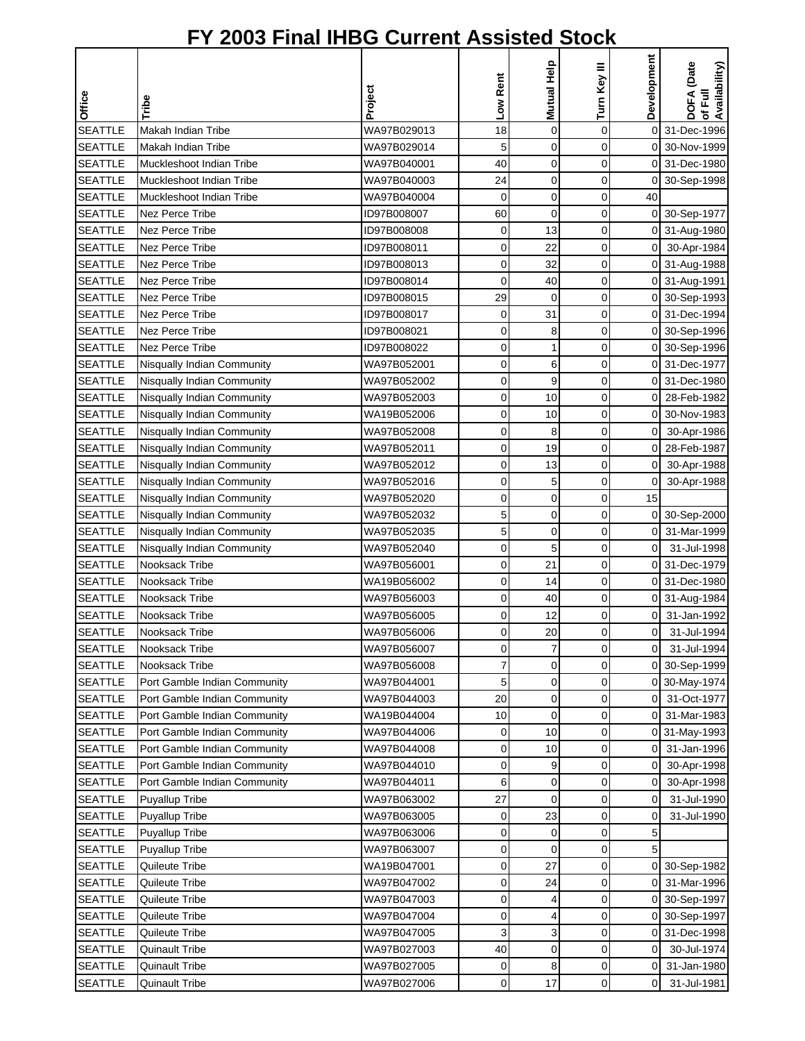|                |                              |             |          |             |              | Development    | of Full<br>Availability) |
|----------------|------------------------------|-------------|----------|-------------|--------------|----------------|--------------------------|
|                |                              |             | Low Rent | Mutual Help | Turn Key III |                | DOFA (Date               |
| Office         | Tribe                        | Project     |          |             |              |                |                          |
| <b>SEATTLE</b> | Makah Indian Tribe           | WA97B029013 | 18       | $\mathbf 0$ | $\mathbf 0$  |                | 0 31-Dec-1996            |
| <b>SEATTLE</b> | Makah Indian Tribe           | WA97B029014 | 5        | $\mathbf 0$ | 0            |                | 0 30-Nov-1999            |
| <b>SEATTLE</b> | Muckleshoot Indian Tribe     | WA97B040001 | 40       | 0           | 0            |                | 0 31-Dec-1980            |
| <b>SEATTLE</b> | Muckleshoot Indian Tribe     | WA97B040003 | 24       | $\mathbf 0$ | 0            | 0              | 30-Sep-1998              |
| <b>SEATTLE</b> | Muckleshoot Indian Tribe     | WA97B040004 | 0        | 0           | 0            | 40             |                          |
| <b>SEATTLE</b> | Nez Perce Tribe              | ID97B008007 | 60       | $\mathbf 0$ | 0            | $\overline{0}$ | 30-Sep-1977              |
| <b>SEATTLE</b> | <b>Nez Perce Tribe</b>       | ID97B008008 | 0        | 13          | 0            | 0              | 31-Aug-1980              |
| <b>SEATTLE</b> | <b>Nez Perce Tribe</b>       | ID97B008011 | 0        | 22          | 0            | $\overline{O}$ | 30-Apr-1984              |
| <b>SEATTLE</b> | <b>Nez Perce Tribe</b>       | ID97B008013 | 0        | 32          | 0            |                | 0 31-Aug-1988            |
| <b>SEATTLE</b> | Nez Perce Tribe              | ID97B008014 | $\Omega$ | 40          | 0            |                | 0 31-Aug-1991            |
| <b>SEATTLE</b> | Nez Perce Tribe              | ID97B008015 | 29       | $\mathbf 0$ | 0            |                | 0 30-Sep-1993            |
| <b>SEATTLE</b> | Nez Perce Tribe              | ID97B008017 | 0        | 31          | 0            |                | 0 31-Dec-1994            |
| <b>SEATTLE</b> | Nez Perce Tribe              | ID97B008021 | 0        | 8           | 0            |                | 0 30-Sep-1996            |
| <b>SEATTLE</b> | Nez Perce Tribe              | ID97B008022 | 0        | 1           | 0            | 0              | 30-Sep-1996              |
| <b>SEATTLE</b> | Nisqually Indian Community   | WA97B052001 | 0        | 6           | 0            | 0              | 31-Dec-1977              |
| <b>SEATTLE</b> | Nisqually Indian Community   | WA97B052002 | 0        | 9           | 0            |                | 0 31-Dec-1980            |
| <b>SEATTLE</b> | Nisqually Indian Community   | WA97B052003 | 0        | 10          | 0            | $\mathsf{O}$   | 28-Feb-1982              |
| <b>SEATTLE</b> | Nisqually Indian Community   | WA19B052006 | 0        | 10          | 0            |                | 0 30-Nov-1983            |
| <b>SEATTLE</b> | Nisqually Indian Community   | WA97B052008 | 0        | 8           | 0            | 0I             | 30-Apr-1986              |
| <b>SEATTLE</b> | Nisqually Indian Community   | WA97B052011 | 0        | 19          | 0            |                | 0 28-Feb-1987            |
| <b>SEATTLE</b> | Nisqually Indian Community   | WA97B052012 | 0        | 13          | 0            | $\overline{O}$ | 30-Apr-1988              |
| <b>SEATTLE</b> | Nisqually Indian Community   | WA97B052016 | 0        | 5           | 0            | $\mathbf 0$    | 30-Apr-1988              |
| <b>SEATTLE</b> | Nisqually Indian Community   | WA97B052020 | 0        | 0           | 0            | 15             |                          |
| <b>SEATTLE</b> | Nisqually Indian Community   | WA97B052032 | 5        | 0           | 0            | 0              | 30-Sep-2000              |
| <b>SEATTLE</b> | Nisqually Indian Community   | WA97B052035 | 5        | $\mathbf 0$ | 0            | οI             | 31-Mar-1999              |
| <b>SEATTLE</b> | Nisqually Indian Community   | WA97B052040 | 0        | 5           | 0            | $\overline{0}$ | 31-Jul-1998              |
| <b>SEATTLE</b> | Nooksack Tribe               | WA97B056001 | 0        | 21          | 0            |                | 0 31-Dec-1979            |
| <b>SEATTLE</b> | Nooksack Tribe               | WA19B056002 | 0        | 14          | 0            |                | 0 31-Dec-1980            |
| <b>SEATTLE</b> | Nooksack Tribe               | WA97B056003 | 0        | 40          | 0            |                | 0 31-Aug-1984            |
| <b>SEATTLE</b> | Nooksack Tribe               | WA97B056005 | 0        | 12          | 0            | 0              | 31-Jan-1992              |
| <b>SEATTLE</b> | Nooksack Tribe               | WA97B056006 | 0        | 20          | $\Omega$     | οI             | 31-Jul-1994              |
| <b>SEATTLE</b> | Nooksack Tribe               | WA97B056007 | 0        | 7           | 0            | $\overline{0}$ | 31-Jul-1994              |
| <b>SEATTLE</b> | Nooksack Tribe               | WA97B056008 | 7        | 0           | 0            |                | 0 30-Sep-1999            |
| <b>SEATTLE</b> | Port Gamble Indian Community | WA97B044001 | 5        | 0           | 0            |                | 0 30-May-1974            |
| <b>SEATTLE</b> | Port Gamble Indian Community | WA97B044003 | 20       | 0           | 0            | 01             | 31-Oct-1977              |
| <b>SEATTLE</b> | Port Gamble Indian Community | WA19B044004 | 10       | $\mathbf 0$ | 0            | 01             | 31-Mar-1983              |
| <b>SEATTLE</b> | Port Gamble Indian Community | WA97B044006 | 0        | 10          | 0            |                | 0 31-May-1993            |
| <b>SEATTLE</b> | Port Gamble Indian Community | WA97B044008 | 0        | 10          | 0            | 0              | 31-Jan-1996              |
| <b>SEATTLE</b> | Port Gamble Indian Community | WA97B044010 | 0        | 9           | 0            | 0              | 30-Apr-1998              |
| <b>SEATTLE</b> | Port Gamble Indian Community | WA97B044011 | 6        | 0           | 0            | 0              | 30-Apr-1998              |
| <b>SEATTLE</b> | <b>Puyallup Tribe</b>        | WA97B063002 | 27       | $\mathbf 0$ | 0            | $\overline{0}$ | 31-Jul-1990              |
| <b>SEATTLE</b> | <b>Puyallup Tribe</b>        | WA97B063005 | 0        | 23          | 0            | 0              | 31-Jul-1990              |
| <b>SEATTLE</b> | <b>Puyallup Tribe</b>        | WA97B063006 | 0        | 0           | 0            | 5              |                          |
| <b>SEATTLE</b> | <b>Puyallup Tribe</b>        | WA97B063007 | 0        | $\mathbf 0$ | 0            | 5              |                          |
| <b>SEATTLE</b> | Quileute Tribe               | WA19B047001 | 0        | 27          | 0            |                | 0 30-Sep-1982            |
| <b>SEATTLE</b> | Quileute Tribe               | WA97B047002 | 0        | 24          | 0            |                | 0 31-Mar-1996            |
| <b>SEATTLE</b> | Quileute Tribe               | WA97B047003 | 0        | 4           | 0            | 0              | 30-Sep-1997              |
| <b>SEATTLE</b> | Quileute Tribe               | WA97B047004 | 0        | 4           | 0            | 0              | 30-Sep-1997              |
| <b>SEATTLE</b> | Quileute Tribe               | WA97B047005 | 3        | 3           | 0            | 0              | 31-Dec-1998              |
| <b>SEATTLE</b> | <b>Quinault Tribe</b>        | WA97B027003 | 40       | $\mathbf 0$ | 0            | $\overline{O}$ | 30-Jul-1974              |
| <b>SEATTLE</b> | <b>Quinault Tribe</b>        | WA97B027005 | 0        | 8           | 0            | 0              | 31-Jan-1980              |
| <b>SEATTLE</b> | <b>Quinault Tribe</b>        | WA97B027006 | 0        | 17          | 0            | 0              | 31-Jul-1981              |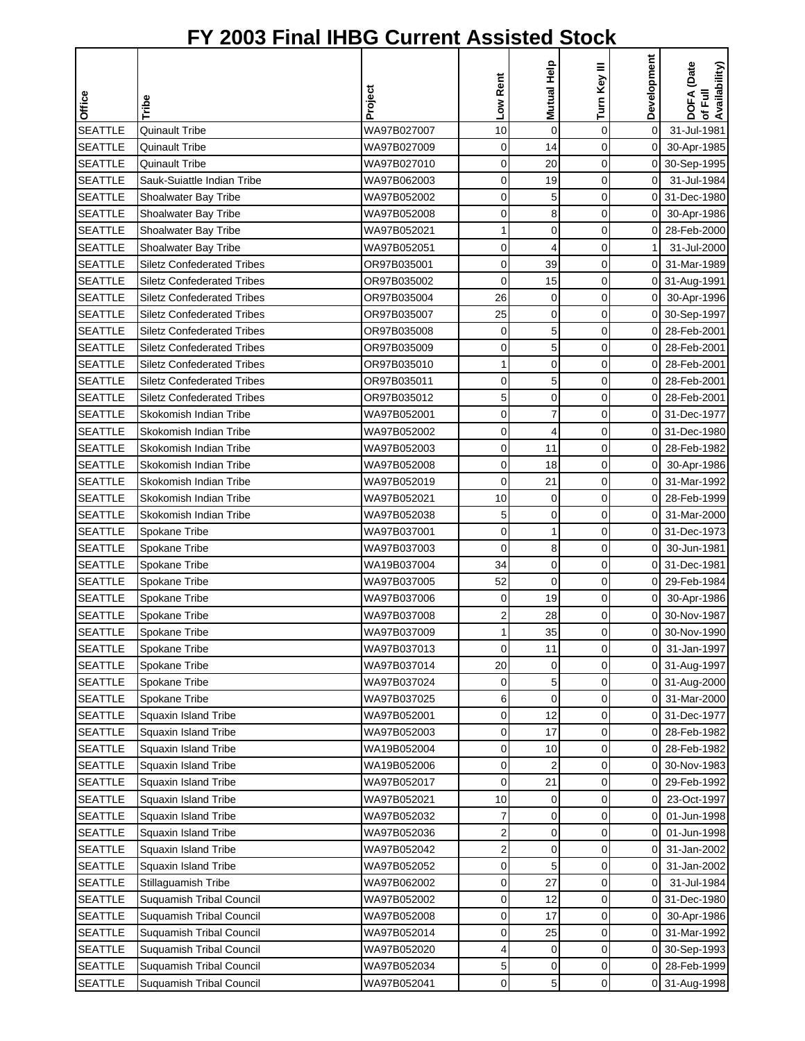|                                  |                                   |                            | Low Rent                | Mutual Help    | Turn Key III   | Development    | DOFA (Date<br>of Full<br>Availability) |
|----------------------------------|-----------------------------------|----------------------------|-------------------------|----------------|----------------|----------------|----------------------------------------|
| Office                           | Tribe                             | Project                    |                         |                |                |                |                                        |
| <b>SEATTLE</b>                   | <b>Quinault Tribe</b>             | WA97B027007                | 10                      | $\mathbf 0$    | $\mathbf 0$    | 0              | 31-Jul-1981                            |
| <b>SEATTLE</b>                   | <b>Quinault Tribe</b>             | WA97B027009                | 0                       | 14             | 0              | $\mathbf 0$    | 30-Apr-1985                            |
| <b>SEATTLE</b>                   | <b>Quinault Tribe</b>             | WA97B027010                | 0                       | 20             | $\mathbf 0$    |                | 0 30-Sep-1995                          |
| <b>SEATTLE</b>                   | Sauk-Suiattle Indian Tribe        | WA97B062003                | $\mathbf 0$             | 19             | $\mathbf 0$    | $\overline{0}$ | 31-Jul-1984                            |
| <b>SEATTLE</b>                   | Shoalwater Bay Tribe              | WA97B052002                | 0                       | 5              | 0              | $\mathbf 0$    | 31-Dec-1980                            |
| <b>SEATTLE</b>                   | Shoalwater Bay Tribe              | WA97B052008                | 0                       | 8              | 0              | $\overline{0}$ | 30-Apr-1986                            |
| <b>SEATTLE</b>                   | Shoalwater Bay Tribe              | WA97B052021                | 1                       | 0              | 0              | $\overline{0}$ | 28-Feb-2000                            |
| <b>SEATTLE</b>                   | Shoalwater Bay Tribe              | WA97B052051                | $\mathbf 0$             | $\overline{4}$ | $\overline{0}$ | 1              | 31-Jul-2000                            |
| <b>SEATTLE</b>                   | <b>Siletz Confederated Tribes</b> | OR97B035001                | 0                       | 39             | 0              | $\overline{0}$ | 31-Mar-1989                            |
| <b>SEATTLE</b>                   | <b>Siletz Confederated Tribes</b> | OR97B035002                | $\mathbf 0$             | 15             | $\mathbf 0$    |                | 0 31-Aug-1991                          |
| <b>SEATTLE</b>                   | <b>Siletz Confederated Tribes</b> | OR97B035004                | 26                      | 0              | 0              | 0I             | 30-Apr-1996                            |
| <b>SEATTLE</b>                   | <b>Siletz Confederated Tribes</b> | OR97B035007                | 25                      | $\mathbf 0$    | $\mathbf 0$    |                | 0 30-Sep-1997                          |
| <b>SEATTLE</b>                   | <b>Siletz Confederated Tribes</b> | OR97B035008                | 0                       | 5              | $\mathbf 0$    | $\overline{0}$ | 28-Feb-2001                            |
| <b>SEATTLE</b>                   | <b>Siletz Confederated Tribes</b> | OR97B035009                | 0                       | 5              | 0              | ΟI             | 28-Feb-2001                            |
| <b>SEATTLE</b>                   | <b>Siletz Confederated Tribes</b> | OR97B035010                | 1                       | $\mathbf 0$    | 0              | 0              | 28-Feb-2001                            |
| <b>SEATTLE</b>                   | <b>Siletz Confederated Tribes</b> | OR97B035011                | 0                       | 5              | 0              | ΟI             | 28-Feb-2001                            |
| <b>SEATTLE</b>                   | <b>Siletz Confederated Tribes</b> | OR97B035012                | 5                       | 0              | $\mathbf 0$    | $\overline{0}$ | 28-Feb-2001                            |
| <b>SEATTLE</b>                   | Skokomish Indian Tribe            | WA97B052001                | $\mathbf 0$             | $\overline{7}$ | $\mathbf 0$    |                | 0 31-Dec-1977                          |
| <b>SEATTLE</b>                   | Skokomish Indian Tribe            | WA97B052002                | 0                       | 4              | 0              |                | 0 31-Dec-1980                          |
| <b>SEATTLE</b>                   | Skokomish Indian Tribe            | WA97B052003                | 0                       | 11             | 0              | ΟI             | 28-Feb-1982                            |
| <b>SEATTLE</b>                   | Skokomish Indian Tribe            | WA97B052008                | 0                       | 18             | $\mathbf 0$    | $\overline{0}$ | 30-Apr-1986                            |
| <b>SEATTLE</b>                   | Skokomish Indian Tribe            | WA97B052019                | $\mathbf 0$             | 21             | 0              | $\mathbf{0}$   | 31-Mar-1992                            |
| <b>SEATTLE</b>                   | Skokomish Indian Tribe            | WA97B052021                | 10                      | 0              | 0              |                | 0 28-Feb-1999                          |
| <b>SEATTLE</b>                   | Skokomish Indian Tribe            | WA97B052038                | 5                       | $\mathbf 0$    | 0              | ΟI             | 31-Mar-2000                            |
| <b>SEATTLE</b>                   | Spokane Tribe                     | WA97B037001                | $\mathbf 0$             | $\mathbf 1$    | 0              |                | 0 31-Dec-1973                          |
| <b>SEATTLE</b>                   | Spokane Tribe                     | WA97B037003                | 0                       | 8              | 0              | οI             | 30-Jun-1981                            |
| <b>SEATTLE</b>                   | Spokane Tribe                     | WA19B037004                | 34                      | $\mathbf 0$    | 0              |                | 0 31-Dec-1981                          |
| <b>SEATTLE</b>                   | Spokane Tribe                     | WA97B037005                | 52                      | $\mathbf 0$    | 0              | 01             | 29-Feb-1984                            |
| <b>SEATTLE</b>                   | Spokane Tribe                     | WA97B037006                | 0                       | 19             | 0              | $\overline{0}$ | 30-Apr-1986                            |
| <b>SEATTLE</b>                   | Spokane Tribe                     | WA97B037008                | 2                       | 28             | 0              | 0              | 30-Nov-1987                            |
| <b>SEATTLE</b>                   | Spokane Tribe                     | WA97B037009                | 1                       | 35             | $\Omega$       | οI             | 30-Nov-1990                            |
| <b>SEATTLE</b>                   | Spokane Tribe                     | WA97B037013                | $\mathbf 0$             | 11             | 0              | ΟI             | 31-Jan-1997                            |
| <b>SEATTLE</b>                   | Spokane Tribe                     | WA97B037014                | 20                      | $\mathbf 0$    | 0              |                | 0 31-Aug-1997                          |
| <b>SEATTLE</b>                   | Spokane Tribe                     | WA97B037024                | 0                       | 5              | 0              |                | 0 31-Aug-2000                          |
| <b>SEATTLE</b>                   | Spokane Tribe                     | WA97B037025                | 6                       | 0              | 0              |                | 0 31-Mar-2000                          |
| <b>SEATTLE</b>                   | Squaxin Island Tribe              | WA97B052001                | 0                       | 12             | 0              |                | 0 31-Dec-1977                          |
| <b>SEATTLE</b>                   | Squaxin Island Tribe              | WA97B052003                | 0                       | 17             | 0              | 01             | 28-Feb-1982                            |
| <b>SEATTLE</b>                   | Squaxin Island Tribe              | WA19B052004                | 0                       | 10             | 0              | 0              | 28-Feb-1982                            |
| <b>SEATTLE</b>                   | Squaxin Island Tribe              | WA19B052006                | 0                       | 2              | $\mathbf 0$    | $\overline{0}$ | 30-Nov-1983                            |
| <b>SEATTLE</b>                   | Squaxin Island Tribe              | WA97B052017                | 0                       | 21             | 0              | 0              | 29-Feb-1992                            |
| <b>SEATTLE</b>                   | Squaxin Island Tribe              | WA97B052021                | 10                      | $\mathbf 0$    | 0              | $\overline{0}$ | 23-Oct-1997                            |
| <b>SEATTLE</b>                   | Squaxin Island Tribe              | WA97B052032                | 7                       | 0              | $\mathbf 0$    | $\overline{O}$ | 01-Jun-1998                            |
| <b>SEATTLE</b>                   | Squaxin Island Tribe              | WA97B052036                | $\overline{\mathbf{c}}$ | 0              | 0              | οI             | 01-Jun-1998                            |
| <b>SEATTLE</b>                   | Squaxin Island Tribe              | WA97B052042                | $\overline{\mathbf{c}}$ | $\mathbf 0$    | 0              | ΟI             | 31-Jan-2002                            |
| <b>SEATTLE</b>                   | Squaxin Island Tribe              | WA97B052052                | 0                       | 5              | 0              | 0              | 31-Jan-2002                            |
| <b>SEATTLE</b>                   | Stillaguamish Tribe               | WA97B062002                | 0                       | 27             | $\mathbf 0$    | $\overline{0}$ | 31-Jul-1984                            |
| <b>SEATTLE</b>                   | <b>Suquamish Tribal Council</b>   | WA97B052002                | 0                       | 12             | 0              | ΟI             | 31-Dec-1980                            |
| <b>SEATTLE</b>                   | Suquamish Tribal Council          | WA97B052008                | 0                       | 17             | 0              | 0              | 30-Apr-1986                            |
| <b>SEATTLE</b>                   | Suquamish Tribal Council          | WA97B052014                | 0                       | 25             | 0              | οI             | 31-Mar-1992                            |
| <b>SEATTLE</b>                   | Suquamish Tribal Council          | WA97B052020                | 4<br>5                  | $\mathbf 0$    | 0<br>0         | οI             | 0 30-Sep-1993<br>28-Feb-1999           |
| <b>SEATTLE</b><br><b>SEATTLE</b> | <b>Suquamish Tribal Council</b>   | WA97B052034<br>WA97B052041 | 0                       | 0<br>5         | 0              |                |                                        |
|                                  | Suquamish Tribal Council          |                            |                         |                |                |                | 0 31-Aug-1998                          |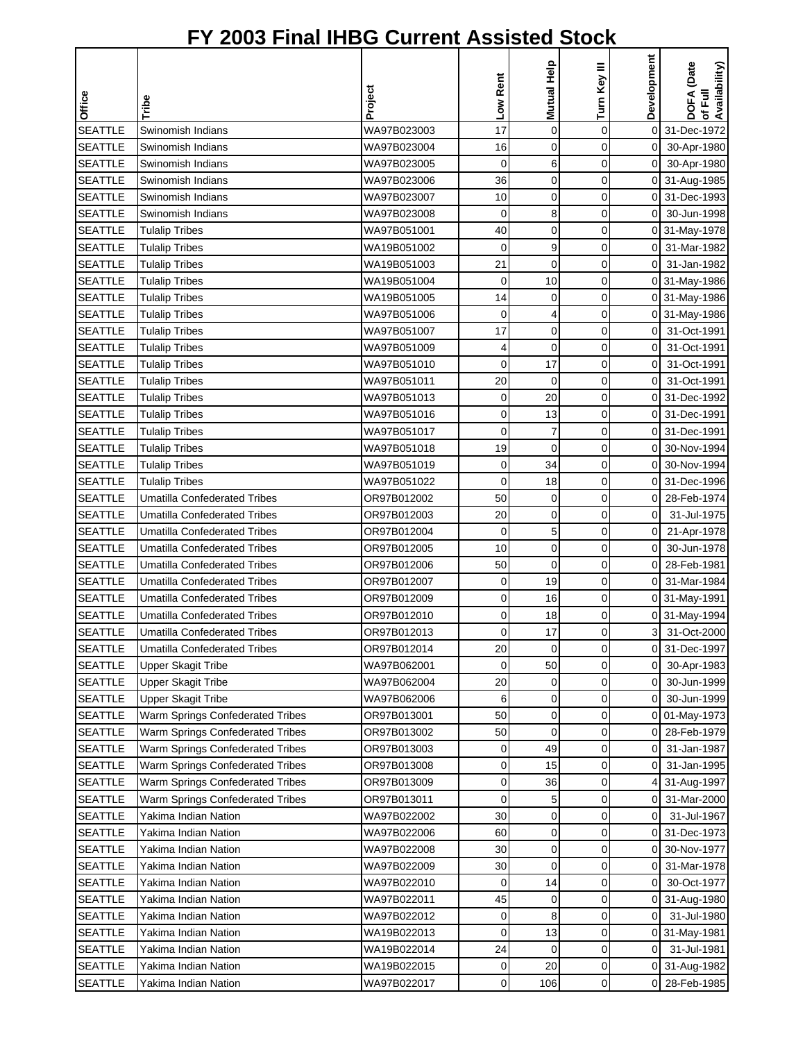|                                  |                                        |                            |             |             |              | Development    | of Full<br>Availability)       |
|----------------------------------|----------------------------------------|----------------------------|-------------|-------------|--------------|----------------|--------------------------------|
| Office                           | Tribe                                  | Project                    | Low Rent    | Mutual Help | Turn Key III |                | DOFA (Date                     |
| <b>SEATTLE</b>                   | Swinomish Indians                      | WA97B023003                | 17          | $\mathbf 0$ | $\mathbf 0$  |                | 0 31-Dec-1972                  |
| <b>SEATTLE</b>                   |                                        |                            |             | $\mathbf 0$ | 0            | $\overline{0}$ |                                |
|                                  | Swinomish Indians                      | WA97B023004                | 16<br>0     | 6           | 0            |                | 30-Apr-1980                    |
| <b>SEATTLE</b><br><b>SEATTLE</b> | Swinomish Indians<br>Swinomish Indians | WA97B023005<br>WA97B023006 | 36          | $\mathbf 0$ | 0            | 01             | 30-Apr-1980                    |
| <b>SEATTLE</b>                   | Swinomish Indians                      | WA97B023007                | 10          | 0           | 0            |                | 0 31-Aug-1985<br>0 31-Dec-1993 |
| <b>SEATTLE</b>                   | Swinomish Indians                      | WA97B023008                | $\mathbf 0$ | 8           | 0            | $\Omega$       | 30-Jun-1998                    |
| <b>SEATTLE</b>                   | <b>Tulalip Tribes</b>                  | WA97B051001                | 40          | 0           | 0            |                | 0 31-May-1978                  |
| <b>SEATTLE</b>                   | <b>Tulalip Tribes</b>                  | WA19B051002                | $\mathbf 0$ | 9           | 0            | οI             | 31-Mar-1982                    |
| <b>SEATTLE</b>                   | <b>Tulalip Tribes</b>                  | WA19B051003                | 21          | 0           | 0            | οI             | 31-Jan-1982                    |
| <b>SEATTLE</b>                   | <b>Tulalip Tribes</b>                  | WA19B051004                | 0           | 10          | 0            |                | 0 31-May-1986                  |
| <b>SEATTLE</b>                   | <b>Tulalip Tribes</b>                  | WA19B051005                | 14          | 0           | 0            |                | 0 31-May-1986                  |
| <b>SEATTLE</b>                   | <b>Tulalip Tribes</b>                  | WA97B051006                | 0           | 4           | 0            |                | 0 31-May-1986                  |
| <b>SEATTLE</b>                   | <b>Tulalip Tribes</b>                  | WA97B051007                | 17          | 0           | 0            | 01             | 31-Oct-1991                    |
| <b>SEATTLE</b>                   | <b>Tulalip Tribes</b>                  | WA97B051009                | 4           | $\mathbf 0$ | 0            | $\overline{0}$ | 31-Oct-1991                    |
| <b>SEATTLE</b>                   | <b>Tulalip Tribes</b>                  | WA97B051010                | 0           | 17          | 0            | $\overline{0}$ | 31-Oct-1991                    |
| <b>SEATTLE</b>                   | <b>Tulalip Tribes</b>                  | WA97B051011                | 20          | $\mathbf 0$ | 0            | οI             | 31-Oct-1991                    |
| <b>SEATTLE</b>                   | <b>Tulalip Tribes</b>                  | WA97B051013                | $\mathbf 0$ | 20          | 0            |                | 0 31-Dec-1992                  |
| <b>SEATTLE</b>                   | <b>Tulalip Tribes</b>                  | WA97B051016                | 0           | 13          | 0            |                | 0 31-Dec-1991                  |
| <b>SEATTLE</b>                   | <b>Tulalip Tribes</b>                  | WA97B051017                | 0           | 7           | 0            |                | 0 31-Dec-1991                  |
| <b>SEATTLE</b>                   | <b>Tulalip Tribes</b>                  | WA97B051018                | 19          | 0           | 0            |                | 0 30-Nov-1994                  |
| <b>SEATTLE</b>                   | <b>Tulalip Tribes</b>                  | WA97B051019                | 0           | 34          | 0            |                | 0 30-Nov-1994                  |
| <b>SEATTLE</b>                   | <b>Tulalip Tribes</b>                  | WA97B051022                | 0           | 18          | 0            | $\Omega$       | 31-Dec-1996                    |
| <b>SEATTLE</b>                   | <b>Umatilla Confederated Tribes</b>    | OR97B012002                | 50          | 0           | 0            |                | 0 28-Feb-1974                  |
| <b>SEATTLE</b>                   | <b>Umatilla Confederated Tribes</b>    | OR97B012003                | 20          | 0           | 0            | $\overline{O}$ | 31-Jul-1975                    |
| <b>SEATTLE</b>                   | <b>Umatilla Confederated Tribes</b>    | OR97B012004                | $\mathbf 0$ | 5           | 0            | $\overline{0}$ | 21-Apr-1978                    |
| <b>SEATTLE</b>                   | <b>Umatilla Confederated Tribes</b>    | OR97B012005                | 10          | 0           | 0            | $\overline{0}$ | 30-Jun-1978                    |
| <b>SEATTLE</b>                   | Umatilla Confederated Tribes           | OR97B012006                | 50          | $\mathbf 0$ | 0            |                | 0 28-Feb-1981                  |
| <b>SEATTLE</b>                   | <b>Umatilla Confederated Tribes</b>    | OR97B012007                | 0           | 19          | 0            | 01             | 31-Mar-1984                    |
| <b>SEATTLE</b>                   | <b>Umatilla Confederated Tribes</b>    | OR97B012009                | 0           | 16          | 0            |                | 0 31-May-1991                  |
| <b>SEATTLE</b>                   | <b>Umatilla Confederated Tribes</b>    | OR97B012010                | 0           | 18          | 0            |                | 0 31-May-1994                  |
| <b>SEATTLE</b>                   | Umatilla Confederated Tribes           | OR97B012013                | $\Omega$    | 17          | $\Omega$     | 3 <sup>1</sup> | 31-Oct-2000                    |
| <b>SEATTLE</b>                   | <b>Umatilla Confederated Tribes</b>    | OR97B012014                | 20          | $\mathbf 0$ | 0            | 01             | 31-Dec-1997                    |
| <b>SEATTLE</b>                   | <b>Upper Skagit Tribe</b>              | WA97B062001                | $\mathbf 0$ | 50          | 0            | $\overline{0}$ | 30-Apr-1983                    |
| <b>SEATTLE</b>                   | <b>Upper Skagit Tribe</b>              | WA97B062004                | 20          | 0           | 0            | $\overline{0}$ | 30-Jun-1999                    |
| <b>SEATTLE</b>                   | <b>Upper Skagit Tribe</b>              | WA97B062006                | 6           | $\mathbf 0$ | 0            | 01             | 30-Jun-1999                    |
| <b>SEATTLE</b>                   | Warm Springs Confederated Tribes       | OR97B013001                | 50          | 0           | 0            |                | 0 01-May-1973                  |
| <b>SEATTLE</b>                   | Warm Springs Confederated Tribes       | OR97B013002                | 50          | 0           | 0            | 01             | 28-Feb-1979                    |
| <b>SEATTLE</b>                   | Warm Springs Confederated Tribes       | OR97B013003                | 0           | 49          | 0            | 0              | 31-Jan-1987                    |
| <b>SEATTLE</b>                   | Warm Springs Confederated Tribes       | OR97B013008                | 0           | 15          | 0            | 0              | 31-Jan-1995                    |
| <b>SEATTLE</b>                   | Warm Springs Confederated Tribes       | OR97B013009                | 0           | 36          | 0            | 4              | 31-Aug-1997                    |
| <b>SEATTLE</b>                   | Warm Springs Confederated Tribes       | OR97B013011                | 0           | 5           | 0            | 01             | 31-Mar-2000                    |
| <b>SEATTLE</b>                   | Yakima Indian Nation                   | WA97B022002                | 30          | 0           | 0            | $\overline{O}$ | 31-Jul-1967                    |
| <b>SEATTLE</b>                   | Yakima Indian Nation                   | WA97B022006                | 60          | 0           | 0            |                | 0 31-Dec-1973                  |
| <b>SEATTLE</b>                   | Yakima Indian Nation                   | WA97B022008                | 30          | 0           | 0            |                | 0 30-Nov-1977                  |
| <b>SEATTLE</b>                   | Yakima Indian Nation                   | WA97B022009                | 30          | $\mathbf 0$ | 0            | 01             | 31-Mar-1978                    |
| <b>SEATTLE</b>                   | Yakima Indian Nation                   | WA97B022010                | 0           | 14          | 0            | $\overline{0}$ | 30-Oct-1977                    |
| <b>SEATTLE</b>                   | Yakima Indian Nation                   | WA97B022011                | 45          | 0           | 0            |                | 0 31-Aug-1980                  |
| <b>SEATTLE</b>                   | Yakima Indian Nation                   | WA97B022012                | 0           | 8           | 0            | $\overline{0}$ | 31-Jul-1980                    |
| <b>SEATTLE</b>                   | Yakima Indian Nation                   | WA19B022013                | 0           | 13          | 0            |                | 0 31-May-1981                  |
| <b>SEATTLE</b>                   | Yakima Indian Nation                   | WA19B022014                | 24          | $\mathbf 0$ | 0            | οI             | 31-Jul-1981                    |
| <b>SEATTLE</b>                   | Yakima Indian Nation                   | WA19B022015                | 0           | 20          | 0            |                | 0 31-Aug-1982                  |
| <b>SEATTLE</b>                   | Yakima Indian Nation                   | WA97B022017                | 0           | 106         | 0            |                | 0 28-Feb-1985                  |